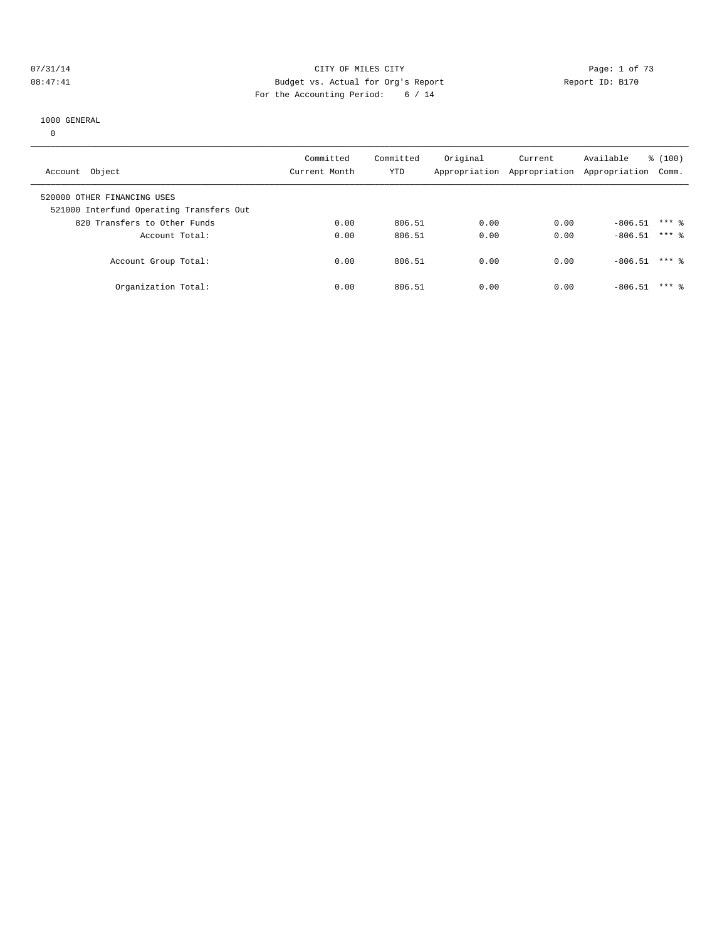#### 07/31/14 Page: 1 of 73 08:47:41 Budget vs. Actual for Org's Report Report ID: B170 For the Accounting Period: 6 / 14

#### 1000 GENERAL

0

| Account Object                                                          | Committed<br>Current Month | Committed<br><b>YTD</b> | Original<br>Appropriation | Current | Available<br>Appropriation Appropriation Comm. | % (100) |  |
|-------------------------------------------------------------------------|----------------------------|-------------------------|---------------------------|---------|------------------------------------------------|---------|--|
| 520000 OTHER FINANCING USES<br>521000 Interfund Operating Transfers Out |                            |                         |                           |         |                                                |         |  |
| 820 Transfers to Other Funds                                            | 0.00                       | 806.51                  | 0.00                      | 0.00    | $-806.51$                                      | $***$ 2 |  |
| Account Total:                                                          | 0.00                       | 806.51                  | 0.00                      | 0.00    | $-806.51$                                      | $***$ 2 |  |
| Account Group Total:                                                    | 0.00                       | 806.51                  | 0.00                      | 0.00    | $-806.51$                                      | $***$ % |  |
| Organization Total:                                                     | 0.00                       | 806.51                  | 0.00                      | 0.00    | $-806.51$                                      | $***$ 2 |  |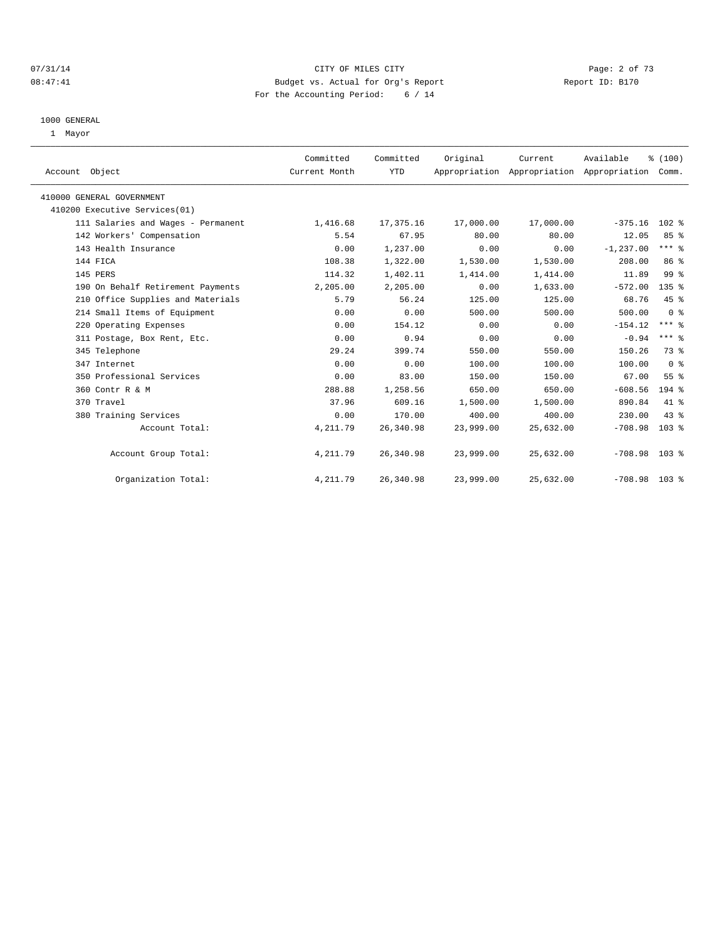## 07/31/14 Page: 2 of 73 08:47:41 Budget vs. Actual for Org's Report Changer Report ID: B170 For the Accounting Period: 6 / 14

#### 1000 GENERAL

1 Mayor

| Account Object                     | Committed<br>Current Month | Committed<br><b>YTD</b> | Original  | Current   | Available<br>Appropriation Appropriation Appropriation | % (100)<br>Comm. |  |
|------------------------------------|----------------------------|-------------------------|-----------|-----------|--------------------------------------------------------|------------------|--|
| 410000 GENERAL GOVERNMENT          |                            |                         |           |           |                                                        |                  |  |
| 410200 Executive Services(01)      |                            |                         |           |           |                                                        |                  |  |
| 111 Salaries and Wages - Permanent | 1,416.68                   | 17,375.16               | 17,000.00 | 17,000.00 | $-375.16$                                              | $102$ %          |  |
| 142 Workers' Compensation          | 5.54                       | 67.95                   | 80.00     | 80.00     | 12.05                                                  | 85%              |  |
| 143 Health Insurance               | 0.00                       | 1,237.00                | 0.00      | 0.00      | $-1, 237.00$                                           | $***$ $%$        |  |
| 144 FICA                           | 108.38                     | 1,322.00                | 1,530.00  | 1,530.00  | 208.00                                                 | 86 %             |  |
| 145 PERS                           | 114.32                     | 1,402.11                | 1,414.00  | 1,414.00  | 11.89                                                  | 99 <sup>°</sup>  |  |
| 190 On Behalf Retirement Payments  | 2,205.00                   | 2,205.00                | 0.00      | 1,633.00  | $-572.00$                                              | $135$ $%$        |  |
| 210 Office Supplies and Materials  | 5.79                       | 56.24                   | 125.00    | 125.00    | 68.76                                                  | 45 %             |  |
| 214 Small Items of Equipment       | 0.00                       | 0.00                    | 500.00    | 500.00    | 500.00                                                 | 0 <sup>8</sup>   |  |
| 220 Operating Expenses             | 0.00                       | 154.12                  | 0.00      | 0.00      | $-154.12$                                              | $***$ $%$        |  |
| 311 Postage, Box Rent, Etc.        | 0.00                       | 0.94                    | 0.00      | 0.00      | $-0.94$                                                | $***$ $%$        |  |
| 345 Telephone                      | 29.24                      | 399.74                  | 550.00    | 550.00    | 150.26                                                 | 73.8             |  |
| 347 Internet                       | 0.00                       | 0.00                    | 100.00    | 100.00    | 100.00                                                 | 0 <sup>8</sup>   |  |
| 350 Professional Services          | 0.00                       | 83.00                   | 150.00    | 150.00    | 67.00                                                  | 55 <sup>8</sup>  |  |
| 360 Contr R & M                    | 288.88                     | 1,258.56                | 650.00    | 650.00    | $-608.56$                                              | $194$ $%$        |  |
| 370 Travel                         | 37.96                      | 609.16                  | 1,500.00  | 1,500.00  | 890.84                                                 | 41 %             |  |
| 380 Training Services              | 0.00                       | 170.00                  | 400.00    | 400.00    | 230.00                                                 | 43.8             |  |
| Account Total:                     | 4, 211.79                  | 26,340.98               | 23,999.00 | 25,632.00 | $-708.98$                                              | 103 <sub>8</sub> |  |
| Account Group Total:               | 4, 211.79                  | 26,340.98               | 23,999.00 | 25,632.00 | $-708.98$ 103 %                                        |                  |  |
| Organization Total:                | 4, 211.79                  | 26,340.98               | 23,999.00 | 25,632.00 | $-708.98$ 103 %                                        |                  |  |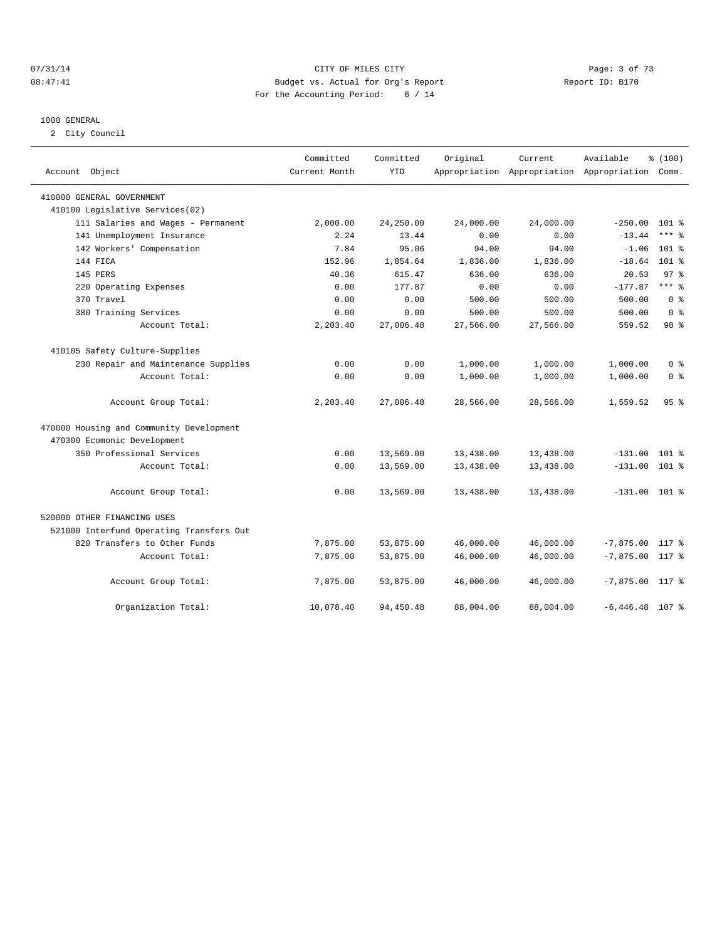## 07/31/14 Page: 3 of 73 08:47:41 Budget vs. Actual for Org's Report Changer Report ID: B170 For the Accounting Period: 6 / 14

#### 1000 GENERAL

2 City Council

| Account Object                           | Committed<br>Current Month | Committed<br><b>YTD</b> | Original  | Current   | Available<br>Appropriation Appropriation Appropriation Comm. | % (100)                 |
|------------------------------------------|----------------------------|-------------------------|-----------|-----------|--------------------------------------------------------------|-------------------------|
| 410000 GENERAL GOVERNMENT                |                            |                         |           |           |                                                              |                         |
| 410100 Legislative Services(02)          |                            |                         |           |           |                                                              |                         |
| 111 Salaries and Wages - Permanent       | 2,000.00                   | 24,250.00               | 24,000.00 | 24,000.00 | $-250.00$                                                    | $101$ %                 |
| 141 Unemployment Insurance               | 2.24                       | 13.44                   | 0.00      | 0.00      | $-13.44$                                                     | $***$ $%$               |
| 142 Workers' Compensation                | 7.84                       | 95.06                   | 94.00     | 94.00     | $-1.06$                                                      | $101$ %                 |
| 144 FICA                                 | 152.96                     | 1,854.64                | 1,836.00  | 1,836.00  | $-18.64$                                                     | $101$ %                 |
| 145 PERS                                 | 40.36                      | 615.47                  | 636.00    | 636.00    | 20.53                                                        | 97 <sub>8</sub>         |
| 220 Operating Expenses                   | 0.00                       | 177.87                  | 0.00      | 0.00      | $-177.87$                                                    | $***$ $%$               |
| 370 Travel                               | 0.00                       | 0.00                    | 500.00    | 500.00    | 500.00                                                       | 0 <sup>8</sup>          |
| 380 Training Services                    | 0.00                       | 0.00                    | 500.00    | 500.00    | 500.00                                                       | 0 <sup>8</sup>          |
| Account Total:                           | 2,203.40                   | 27,006.48               | 27,566.00 | 27,566.00 | 559.52                                                       | 98 %                    |
| 410105 Safety Culture-Supplies           |                            |                         |           |           |                                                              |                         |
| 230 Repair and Maintenance Supplies      | 0.00                       | 0.00                    | 1,000.00  | 1,000.00  | 1,000.00                                                     | 0 <sup>8</sup>          |
| Account Total:                           | 0.00                       | 0.00                    | 1,000.00  | 1,000.00  | 1,000.00                                                     | $0 \text{ }$ $\text{*}$ |
| Account Group Total:                     | 2,203.40                   | 27,006.48               | 28,566.00 | 28,566.00 | 1,559.52                                                     | 95%                     |
| 470000 Housing and Community Development |                            |                         |           |           |                                                              |                         |
| 470300 Ecomonic Development              |                            |                         |           |           |                                                              |                         |
| 350 Professional Services                | 0.00                       | 13,569.00               | 13,438.00 | 13,438.00 | $-131.00$ 101 %                                              |                         |
| Account Total:                           | 0.00                       | 13,569.00               | 13,438.00 | 13,438.00 | $-131.00$ 101 %                                              |                         |
| Account Group Total:                     | 0.00                       | 13,569.00               | 13,438.00 | 13,438.00 | $-131.00$ 101 %                                              |                         |
| 520000 OTHER FINANCING USES              |                            |                         |           |           |                                                              |                         |
| 521000 Interfund Operating Transfers Out |                            |                         |           |           |                                                              |                         |
| 820 Transfers to Other Funds             | 7,875.00                   | 53,875.00               | 46,000.00 | 46,000.00 | $-7,875.00$ 117 %                                            |                         |
| Account Total:                           | 7,875.00                   | 53,875.00               | 46,000.00 | 46,000.00 | $-7,875.00$ 117 %                                            |                         |
| Account Group Total:                     | 7,875.00                   | 53,875.00               | 46,000.00 | 46,000.00 | $-7,875.00$ 117 %                                            |                         |
| Organization Total:                      | 10,078.40                  | 94,450.48               | 88,004.00 | 88,004.00 | $-6,446.48$ 107 %                                            |                         |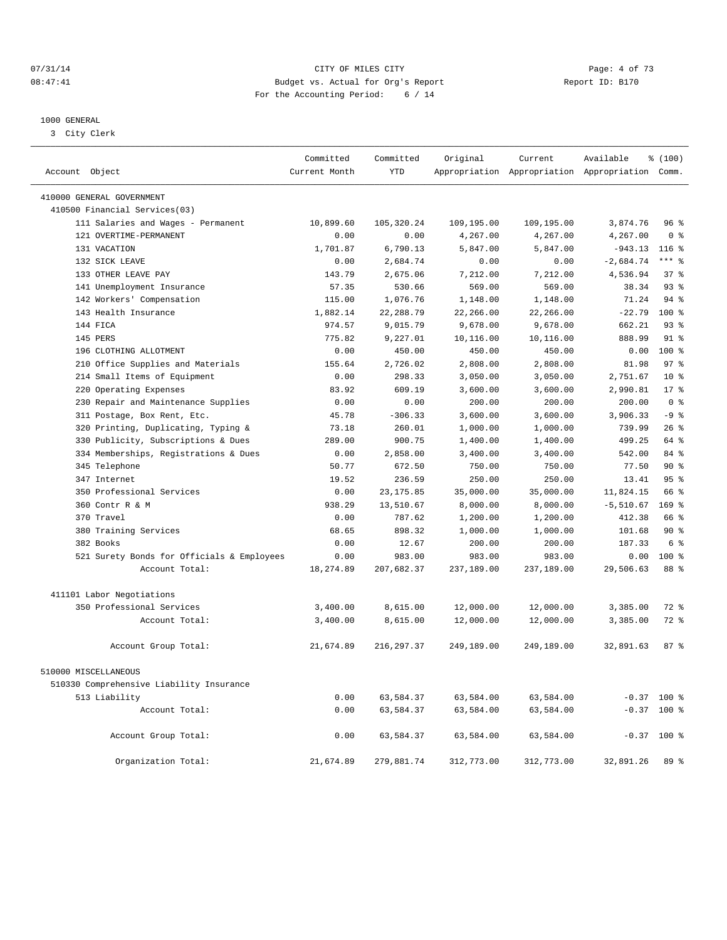## 07/31/14 Page: 4 of 73 08:47:41 Budget vs. Actual for Org's Report Changer Report ID: B170 For the Accounting Period: 6 / 14

#### 1000 GENERAL

3 City Clerk

|                                                        | Committed     | Committed   | Original   | Current    | Available                                       | % (100)          |
|--------------------------------------------------------|---------------|-------------|------------|------------|-------------------------------------------------|------------------|
| Account Object                                         | Current Month | <b>YTD</b>  |            |            | Appropriation Appropriation Appropriation Comm. |                  |
| 410000 GENERAL GOVERNMENT                              |               |             |            |            |                                                 |                  |
| 410500 Financial Services(03)                          |               |             |            |            |                                                 |                  |
| 111 Salaries and Wages - Permanent                     | 10,899.60     | 105,320.24  | 109,195.00 | 109,195.00 | 3,874.76                                        | 96%              |
| 121 OVERTIME-PERMANENT                                 | 0.00          | 0.00        | 4,267.00   | 4,267.00   | 4,267.00                                        | 0 <sup>8</sup>   |
| 131 VACATION                                           | 1,701.87      | 6,790.13    | 5,847.00   | 5,847.00   | $-943.13$                                       | $116$ %          |
| 132 SICK LEAVE                                         | 0.00          | 2,684.74    | 0.00       | 0.00       | $-2,684.74$                                     | $***$ %          |
| 133 OTHER LEAVE PAY                                    | 143.79        | 2,675.06    | 7,212.00   | 7,212.00   | 4,536.94                                        | $37*$            |
| 141 Unemployment Insurance                             | 57.35         | 530.66      | 569.00     | 569.00     | 38.34                                           | 93 <sup>°</sup>  |
| 142 Workers' Compensation                              | 115.00        | 1,076.76    | 1,148.00   | 1,148.00   | 71.24                                           | 94.8             |
| 143 Health Insurance                                   | 1,882.14      | 22, 288.79  | 22,266.00  | 22,266.00  | $-22.79$                                        | $100*$           |
| 144 FICA                                               | 974.57        | 9,015.79    | 9,678.00   | 9,678.00   | 662.21                                          | $93*$            |
| 145 PERS                                               | 775.82        | 9,227.01    | 10,116.00  | 10,116.00  | 888.99                                          | $91*$            |
| 196 CLOTHING ALLOTMENT                                 | 0.00          | 450.00      | 450.00     | 450.00     | 0.00                                            | $100$ %          |
| 210 Office Supplies and Materials                      | 155.64        | 2,726.02    | 2,808.00   | 2,808.00   | 81.98                                           | 97 <sup>8</sup>  |
| Small Items of Equipment<br>214                        | 0.00          | 298.33      | 3,050.00   | 3,050.00   | 2,751.67                                        | 10 <sup>8</sup>  |
| Operating Expenses<br>220                              | 83.92         | 609.19      | 3,600.00   | 3,600.00   | 2,990.81                                        | $17*$            |
| 230 Repair and Maintenance Supplies                    | 0.00          | 0.00        | 200.00     | 200.00     | 200.00                                          | 0 <sup>8</sup>   |
| 311 Postage, Box Rent, Etc.                            | 45.78         | $-306.33$   | 3,600.00   | 3,600.00   | 3,906.33                                        | $-9$ %           |
| 320 Printing, Duplicating, Typing &                    | 73.18         | 260.01      | 1,000.00   | 1,000.00   | 739.99                                          | 26%              |
| Publicity, Subscriptions & Dues<br>330                 | 289.00        | 900.75      | 1,400.00   | 1,400.00   | 499.25                                          | 64 %             |
| 334 Memberships, Registrations & Dues                  | 0.00          | 2,858.00    | 3,400.00   | 3,400.00   | 542.00                                          | $84*$            |
| 345 Telephone                                          | 50.77         | 672.50      | 750.00     | 750.00     | 77.50                                           | $90*$            |
| 347 Internet                                           | 19.52         | 236.59      | 250.00     | 250.00     | 13.41                                           | 95 <sup>8</sup>  |
| 350 Professional Services                              | 0.00          | 23, 175.85  | 35,000.00  | 35,000.00  | 11,824.15                                       | 66 %             |
| 360 Contr R & M                                        | 938.29        | 13,510.67   | 8,000.00   | 8,000.00   | $-5,510.67$                                     | 169 <sup>8</sup> |
| 370 Travel                                             | 0.00          | 787.62      | 1,200.00   | 1,200.00   | 412.38                                          | 66 %             |
| 380 Training Services                                  | 68.65         | 898.32      | 1,000.00   | 1,000.00   | 101.68                                          | $90*$            |
| 382 Books                                              | 0.00          | 12.67       | 200.00     | 200.00     | 187.33                                          | 6 %              |
| 521 Surety Bonds for Officials & Employees             | 0.00          | 983.00      | 983.00     | 983.00     | 0.00                                            | 100 %            |
| Account Total:                                         | 18,274.89     | 207,682.37  | 237,189.00 | 237,189.00 | 29,506.63                                       | 88 %             |
|                                                        |               |             |            |            |                                                 |                  |
| 411101 Labor Negotiations<br>350 Professional Services | 3,400.00      | 8,615.00    | 12,000.00  | 12,000.00  | 3,385.00                                        | $72$ $%$         |
| Account Total:                                         | 3,400.00      | 8,615.00    | 12,000.00  | 12,000.00  | 3,385.00                                        | 72 %             |
|                                                        |               |             |            |            |                                                 |                  |
| Account Group Total:                                   | 21,674.89     | 216, 297.37 | 249,189.00 | 249,189.00 | 32,891.63                                       | 87 <sup>8</sup>  |
| 510000 MISCELLANEOUS                                   |               |             |            |            |                                                 |                  |
| 510330 Comprehensive Liability Insurance               |               |             |            |            |                                                 |                  |
| 513 Liability                                          | 0.00          | 63,584.37   | 63,584.00  | 63,584.00  |                                                 | $-0.37$ 100 %    |
| Account Total:                                         | 0.00          | 63,584.37   | 63,584.00  | 63,584.00  |                                                 | $-0.37$ 100 %    |
|                                                        |               |             |            |            |                                                 |                  |
| Account Group Total:                                   | 0.00          | 63,584.37   | 63,584.00  | 63,584.00  |                                                 | $-0.37$ 100 %    |
| Organization Total:                                    | 21,674.89     | 279,881.74  | 312,773.00 | 312,773.00 | 32,891.26                                       | 89 %             |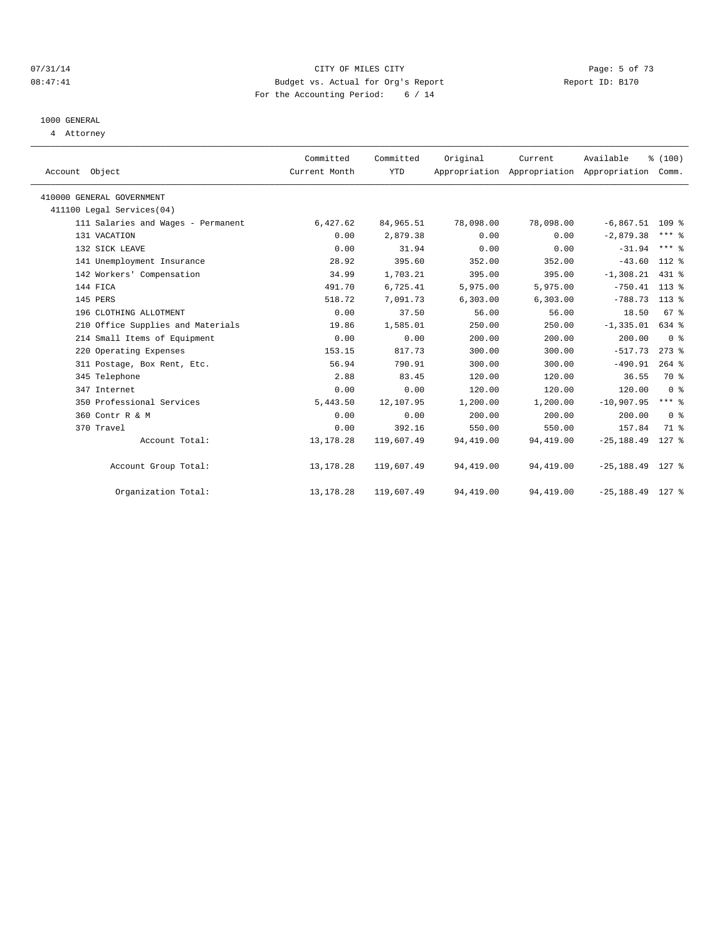#### 07/31/14 Page: 5 of 73 08:47:41 Budget vs. Actual for Org's Report Changer Report ID: B170 For the Accounting Period: 6 / 14

# 1000 GENERAL

4 Attorney

| Account Object                     | Committed<br>Current Month | Committed<br><b>YTD</b> | Original  | Current<br>Appropriation Appropriation Appropriation | Available           | % (100)<br>Comm. |
|------------------------------------|----------------------------|-------------------------|-----------|------------------------------------------------------|---------------------|------------------|
| 410000 GENERAL GOVERNMENT          |                            |                         |           |                                                      |                     |                  |
| 411100 Legal Services(04)          |                            |                         |           |                                                      |                     |                  |
| 111 Salaries and Wages - Permanent | 6,427.62                   | 84,965.51               | 78,098.00 | 78,098.00                                            | $-6,867.51$ 109 %   |                  |
| 131 VACATION                       | 0.00                       | 2,879.38                | 0.00      | 0.00                                                 | $-2,879.38$         | $***$ $%$        |
| 132 SICK LEAVE                     | 0.00                       | 31.94                   | 0.00      | 0.00                                                 | $-31.94$            | $***$ $%$        |
| 141 Unemployment Insurance         | 28.92                      | 395.60                  | 352.00    | 352.00                                               | $-43.60$            | $112*$           |
| 142 Workers' Compensation          | 34.99                      | 1,703.21                | 395.00    | 395.00                                               | $-1,308.21$         | 431 %            |
| 144 FICA                           | 491.70                     | 6,725.41                | 5,975.00  | 5,975.00                                             | $-750.41$ 113 %     |                  |
| 145 PERS                           | 518.72                     | 7,091.73                | 6,303.00  | 6,303.00                                             | $-788.73$ 113 %     |                  |
| 196 CLOTHING ALLOTMENT             | 0.00                       | 37.50                   | 56.00     | 56.00                                                | 18.50               | 67 %             |
| 210 Office Supplies and Materials  | 19.86                      | 1,585.01                | 250.00    | 250.00                                               | $-1, 335.01$        | 634 %            |
| 214 Small Items of Equipment       | 0.00                       | 0.00                    | 200.00    | 200.00                                               | 200.00              | 0 <sup>8</sup>   |
| 220 Operating Expenses             | 153.15                     | 817.73                  | 300.00    | 300.00                                               | $-517.73$           | $273$ %          |
| 311 Postage, Box Rent, Etc.        | 56.94                      | 790.91                  | 300.00    | 300.00                                               | $-490.91$           | $264$ $%$        |
| 345 Telephone                      | 2.88                       | 83.45                   | 120.00    | 120.00                                               | 36.55               | 70 %             |
| 347 Internet                       | 0.00                       | 0.00                    | 120.00    | 120.00                                               | 120.00              | 0 <sup>8</sup>   |
| 350 Professional Services          | 5,443.50                   | 12,107.95               | 1,200.00  | 1,200.00                                             | $-10,907.95$        | $***$ $-$        |
| 360 Contr R & M                    | 0.00                       | 0.00                    | 200.00    | 200.00                                               | 200.00              | 0 <sup>8</sup>   |
| 370 Travel                         | 0.00                       | 392.16                  | 550.00    | 550.00                                               | 157.84              | 71.8             |
| Account Total:                     | 13, 178. 28                | 119,607.49              | 94,419.00 | 94,419.00                                            | $-25, 188.49$       | $127$ %          |
| Account Group Total:               | 13, 178. 28                | 119,607.49              | 94,419.00 | 94,419.00                                            | $-25, 188.49$ 127 % |                  |
| Organization Total:                | 13, 178. 28                | 119,607.49              | 94,419.00 | 94,419.00                                            | $-25, 188.49$       | 127 %            |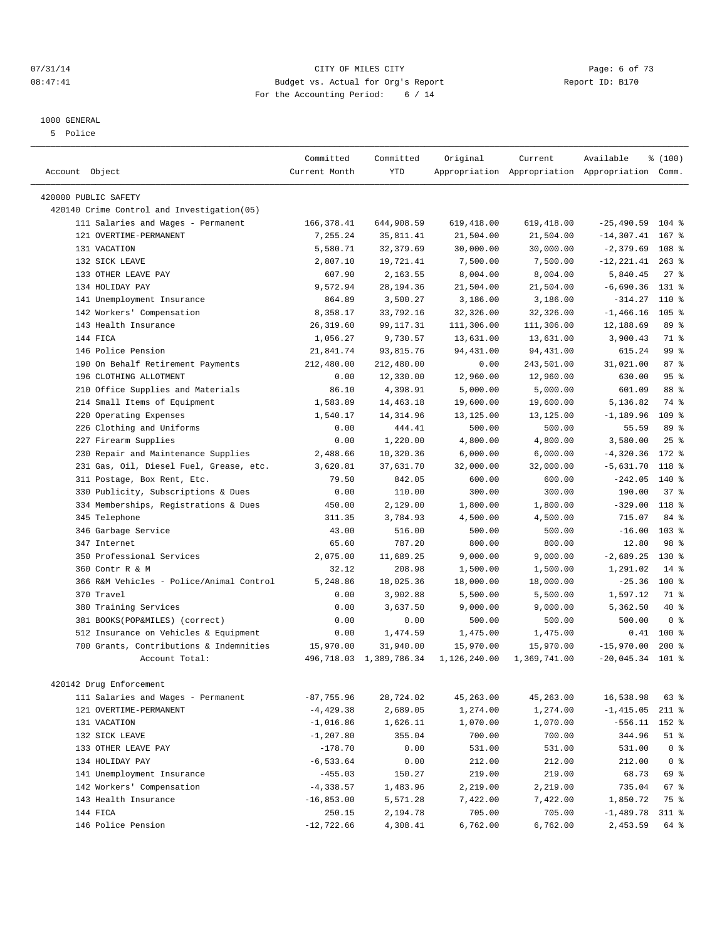#### 07/31/14 Page: 6 of 73 08:47:41 Budget vs. Actual for Org's Report Changer Report ID: B170 For the Accounting Period: 6 / 14

————————————————————————————————————————————————————————————————————————————————————————————————————————————————————————————————————

#### 1000 GENERAL

5 Police

|                                            | Committed     | Committed               | Original     | Current      | Available                                       | % (100)         |
|--------------------------------------------|---------------|-------------------------|--------------|--------------|-------------------------------------------------|-----------------|
| Account Object                             | Current Month | <b>YTD</b>              |              |              | Appropriation Appropriation Appropriation Comm. |                 |
|                                            |               |                         |              |              |                                                 |                 |
| 420000 PUBLIC SAFETY                       |               |                         |              |              |                                                 |                 |
| 420140 Crime Control and Investigation(05) |               |                         |              |              |                                                 |                 |
| 111 Salaries and Wages - Permanent         | 166, 378.41   | 644,908.59              | 619,418.00   | 619,418.00   | $-25,490.59$ 104 %                              |                 |
| 121 OVERTIME-PERMANENT                     | 7,255.24      | 35,811.41               | 21,504.00    | 21,504.00    | $-14,307.41$ 167 %                              |                 |
| 131 VACATION                               | 5,580.71      | 32, 379.69              | 30,000.00    | 30,000.00    | $-2,379.69$                                     | 108 %           |
| 132 SICK LEAVE                             | 2,807.10      | 19,721.41               | 7,500.00     | 7,500.00     | $-12, 221.41$ 263 %                             |                 |
| 133 OTHER LEAVE PAY                        | 607.90        | 2,163.55                | 8,004.00     | 8,004.00     | 5,840.45                                        | $27$ %          |
| 134 HOLIDAY PAY                            | 9,572.94      | 28,194.36               | 21,504.00    | 21,504.00    | $-6,690.36$                                     | $131*$          |
| 141 Unemployment Insurance                 | 864.89        | 3,500.27                | 3,186.00     | 3,186.00     | $-314.27$                                       | 110 %           |
| 142 Workers' Compensation                  | 8,358.17      | 33,792.16               | 32,326.00    | 32,326.00    | $-1, 466.16$                                    | 105%            |
| 143 Health Insurance                       | 26, 319.60    | 99, 117. 31             | 111,306.00   | 111,306.00   | 12,188.69                                       | 89 %            |
| 144 FICA                                   | 1,056.27      | 9,730.57                | 13,631.00    | 13,631.00    | 3,900.43                                        | 71 %            |
| 146 Police Pension                         | 21,841.74     | 93,815.76               | 94,431.00    | 94,431.00    | 615.24                                          | 99 <sup>°</sup> |
| 190 On Behalf Retirement Payments          | 212,480.00    | 212,480.00              | 0.00         | 243,501.00   | 31,021.00                                       | 87%             |
| 196 CLOTHING ALLOTMENT                     | 0.00          | 12,330.00               | 12,960.00    | 12,960.00    | 630.00                                          | 95%             |
| 210 Office Supplies and Materials          | 86.10         | 4,398.91                | 5,000.00     | 5,000.00     | 601.09                                          | 88 %            |
| 214 Small Items of Equipment               | 1,583.89      | 14,463.18               | 19,600.00    | 19,600.00    | 5,136.82                                        | 74 %            |
| 220 Operating Expenses                     | 1,540.17      | 14, 314.96              | 13,125.00    | 13,125.00    | $-1,189.96$                                     | 109 %           |
| 226 Clothing and Uniforms                  | 0.00          | 444.41                  | 500.00       | 500.00       | 55.59                                           | 89 %            |
| 227 Firearm Supplies                       | 0.00          | 1,220.00                | 4,800.00     | 4,800.00     | 3,580.00                                        | 25%             |
| 230 Repair and Maintenance Supplies        | 2,488.66      | 10,320.36               | 6,000.00     | 6,000.00     | $-4,320.36$                                     | 172 %           |
| 231 Gas, Oil, Diesel Fuel, Grease, etc.    | 3,620.81      | 37,631.70               | 32,000.00    | 32,000.00    | $-5,631.70$                                     | 118 %           |
| 311 Postage, Box Rent, Etc.                | 79.50         | 842.05                  | 600.00       | 600.00       | $-242.05$                                       | $140*$          |
| 330 Publicity, Subscriptions & Dues        | 0.00          | 110.00                  | 300.00       | 300.00       | 190.00                                          | 37%             |
| 334 Memberships, Registrations & Dues      | 450.00        | 2,129.00                | 1,800.00     | 1,800.00     | $-329.00$                                       | 118 %           |
| 345 Telephone                              | 311.35        | 3,784.93                | 4,500.00     | 4,500.00     | 715.07                                          | 84 %            |
| 346 Garbage Service                        | 43.00         | 516.00                  | 500.00       | 500.00       | $-16.00$                                        | $103$ %         |
| 347 Internet                               | 65.60         | 787.20                  | 800.00       | 800.00       | 12.80                                           | 98 %            |
| 350 Professional Services                  | 2,075.00      | 11,689.25               | 9,000.00     | 9,000.00     | $-2,689.25$                                     | $130*$          |
| 360 Contr R & M                            | 32.12         | 208.98                  | 1,500.00     | 1,500.00     | 1,291.02                                        | $14$ %          |
| 366 R&M Vehicles - Police/Animal Control   | 5,248.86      | 18,025.36               | 18,000.00    | 18,000.00    | $-25.36$                                        | $100*$          |
| 370 Travel                                 | 0.00          | 3,902.88                | 5,500.00     | 5,500.00     | 1,597.12                                        | 71 %            |
| 380 Training Services                      | 0.00          | 3,637.50                | 9,000.00     | 9,000.00     | 5,362.50                                        | 40 %            |
| 381 BOOKS(POP&MILES) (correct)             | 0.00          | 0.00                    | 500.00       | 500.00       | 500.00                                          | 0 <sup>8</sup>  |
| 512 Insurance on Vehicles & Equipment      | 0.00          | 1,474.59                | 1,475.00     | 1,475.00     |                                                 | $0.41$ 100 %    |
| 700 Grants, Contributions & Indemnities    | 15,970.00     | 31,940.00               | 15,970.00    | 15,970.00    | $-15,970.00$                                    | $200*$          |
| Account Total:                             |               | 496,718.03 1,389,786.34 | 1,126,240.00 | 1,369,741.00 | $-20,045.34$ 101 %                              |                 |
|                                            |               |                         |              |              |                                                 |                 |
| 420142 Drug Enforcement                    |               |                         |              |              |                                                 |                 |
| 111 Salaries and Wages - Permanent         | $-87,755.96$  | 28,724.02               | 45,263.00    | 45,263.00    | 16,538.98                                       | 63 %            |
| 121 OVERTIME-PERMANENT                     | $-4, 429.38$  | 2,689.05                | 1,274.00     | 1,274.00     | $-1,415.05$                                     | $211$ %         |
| 131 VACATION                               | $-1,016.86$   | 1,626.11                | 1,070.00     | 1,070.00     | $-556.11$                                       | 152 %           |
| 132 SICK LEAVE                             | $-1, 207.80$  | 355.04                  | 700.00       | 700.00       | 344.96                                          | $51$ %          |
| 133 OTHER LEAVE PAY                        | $-178.70$     | 0.00                    | 531.00       | 531.00       | 531.00                                          | 0 <sup>8</sup>  |
| 134 HOLIDAY PAY                            | $-6, 533.64$  | 0.00                    | 212.00       | 212.00       | 212.00                                          | 0 <sup>8</sup>  |
| 141 Unemployment Insurance                 | $-455.03$     | 150.27                  | 219.00       | 219.00       | 68.73                                           | 69 %            |
| 142 Workers' Compensation                  | $-4,338.57$   | 1,483.96                | 2,219.00     | 2,219.00     | 735.04                                          | 67 %            |
| 143 Health Insurance                       | $-16,853.00$  | 5,571.28                | 7,422.00     | 7,422.00     | 1,850.72                                        | 75 %            |
| 144 FICA                                   | 250.15        | 2,194.78                | 705.00       | 705.00       | $-1,489.78$                                     | 311 %           |
| 146 Police Pension                         | $-12,722.66$  | 4,308.41                | 6,762.00     | 6,762.00     | 2,453.59                                        | 64 %            |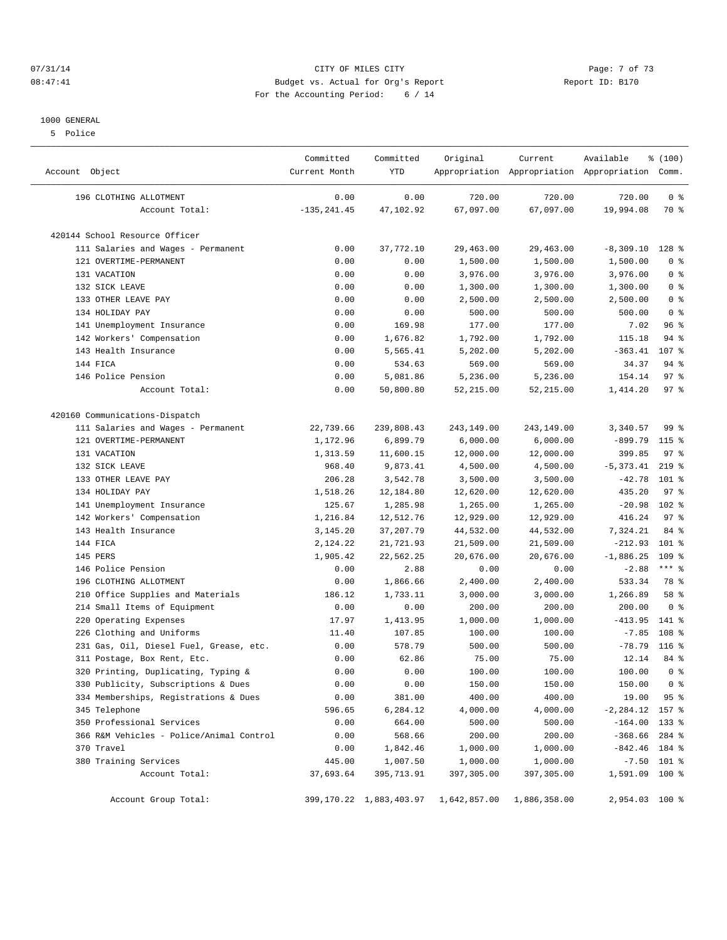#### 07/31/14 Page: 7 of 73 08:47:41 Budget vs. Actual for Org's Report Changer Report ID: B170 For the Accounting Period: 6 / 14

#### 1000 GENERAL

5 Police

| Account Object                           | Committed<br>Current Month | Committed<br><b>YTD</b>      | Original     | Current      | Available<br>Appropriation Appropriation Appropriation Comm. | % (100)          |  |
|------------------------------------------|----------------------------|------------------------------|--------------|--------------|--------------------------------------------------------------|------------------|--|
| 196 CLOTHING ALLOTMENT                   | 0.00                       | 0.00                         | 720.00       | 720.00       | 720.00                                                       | 0 <sup>8</sup>   |  |
| Account Total:                           | $-135, 241.45$             | 47,102.92                    | 67,097.00    | 67,097.00    | 19,994.08                                                    | 70 %             |  |
| 420144 School Resource Officer           |                            |                              |              |              |                                                              |                  |  |
| 111 Salaries and Wages - Permanent       | 0.00                       | 37,772.10                    | 29,463.00    | 29,463.00    | $-8,309.10$                                                  | 128 %            |  |
| 121 OVERTIME-PERMANENT                   | 0.00                       | 0.00                         | 1,500.00     | 1,500.00     | 1,500.00                                                     | 0 <sup>8</sup>   |  |
| 131 VACATION                             | 0.00                       | 0.00                         | 3,976.00     | 3,976.00     | 3,976.00                                                     | 0 <sup>8</sup>   |  |
| 132 SICK LEAVE                           | 0.00                       | 0.00                         | 1,300.00     | 1,300.00     | 1,300.00                                                     | 0 <sup>8</sup>   |  |
| 133 OTHER LEAVE PAY                      | 0.00                       | 0.00                         | 2,500.00     | 2,500.00     | 2,500.00                                                     | 0 <sup>8</sup>   |  |
| 134 HOLIDAY PAY                          | 0.00                       | 0.00                         | 500.00       | 500.00       | 500.00                                                       | 0 <sup>8</sup>   |  |
| 141 Unemployment Insurance               | 0.00                       | 169.98                       | 177.00       | 177.00       | 7.02                                                         | 96%              |  |
| 142 Workers' Compensation                | 0.00                       | 1,676.82                     | 1,792.00     | 1,792.00     | 115.18                                                       | $94$ %           |  |
| 143 Health Insurance                     | 0.00                       | 5,565.41                     | 5,202.00     | 5,202.00     | $-363.41$                                                    | 107 <sub>8</sub> |  |
| 144 FICA                                 | 0.00                       | 534.63                       | 569.00       | 569.00       | 34.37                                                        | 94 %             |  |
| 146 Police Pension                       | 0.00                       | 5,081.86                     | 5,236.00     | 5,236.00     | 154.14                                                       | 97%              |  |
| Account Total:                           | 0.00                       | 50,800.80                    | 52,215.00    | 52, 215.00   | 1,414.20                                                     | 97 <sub>8</sub>  |  |
| 420160 Communications-Dispatch           |                            |                              |              |              |                                                              |                  |  |
| 111 Salaries and Wages - Permanent       | 22,739.66                  | 239,808.43                   | 243,149.00   | 243,149.00   | 3,340.57                                                     | 99 %             |  |
| 121 OVERTIME-PERMANENT                   | 1,172.96                   | 6,899.79                     | 6,000.00     | 6,000.00     | $-899.79$                                                    | 115 %            |  |
| 131 VACATION                             | 1,313.59                   | 11,600.15                    | 12,000.00    | 12,000.00    | 399.85                                                       | 97 <sub>8</sub>  |  |
| 132 SICK LEAVE                           | 968.40                     | 9,873.41                     | 4,500.00     | 4,500.00     | $-5, 373.41$                                                 | $219$ %          |  |
| 133 OTHER LEAVE PAY                      | 206.28                     | 3,542.78                     | 3,500.00     | 3,500.00     | $-42.78$                                                     | $101$ %          |  |
| 134 HOLIDAY PAY                          | 1,518.26                   | 12,184.80                    | 12,620.00    | 12,620.00    | 435.20                                                       | 97%              |  |
| 141 Unemployment Insurance               | 125.67                     | 1,285.98                     | 1,265.00     | 1,265.00     | $-20.98$                                                     | 102 %            |  |
| 142 Workers' Compensation                | 1,216.84                   | 12,512.76                    | 12,929.00    | 12,929.00    | 416.24                                                       | 97 <sub>8</sub>  |  |
| 143 Health Insurance                     | 3,145.20                   | 37,207.79                    | 44,532.00    | 44,532.00    | 7,324.21                                                     | 84 %             |  |
| 144 FICA                                 | 2,124.22                   | 21,721.93                    | 21,509.00    | 21,509.00    | $-212.93$                                                    | $101$ %          |  |
| 145 PERS                                 | 1,905.42                   | 22,562.25                    | 20,676.00    | 20,676.00    | $-1,886.25$                                                  | 109 %            |  |
| 146 Police Pension                       | 0.00                       | 2.88                         | 0.00         | 0.00         | $-2.88$                                                      | $***$ $_{8}$     |  |
| 196 CLOTHING ALLOTMENT                   | 0.00                       | 1,866.66                     | 2,400.00     | 2,400.00     | 533.34                                                       | 78 %             |  |
| 210 Office Supplies and Materials        | 186.12                     | 1,733.11                     | 3,000.00     | 3,000.00     | 1,266.89                                                     | 58 %             |  |
| 214 Small Items of Equipment             | 0.00                       | 0.00                         | 200.00       | 200.00       | 200.00                                                       | 0 <sup>8</sup>   |  |
| 220 Operating Expenses                   | 17.97                      | 1,413.95                     | 1,000.00     | 1,000.00     | $-413.95$                                                    | 141 %            |  |
| Clothing and Uniforms<br>226             | 11.40                      | 107.85                       | 100.00       | 100.00       | $-7.85$                                                      | 108 %            |  |
| 231 Gas, Oil, Diesel Fuel, Grease, etc.  | 0.00                       | 578.79                       | 500.00       | 500.00       | $-78.79$                                                     | $116$ %          |  |
| 311 Postage, Box Rent, Etc.              | 0.00                       | 62.86                        | 75.00        | 75.00        | 12.14                                                        | $84*$            |  |
| 320 Printing, Duplicating, Typing &      | 0.00                       | 0.00                         | 100.00       | 100.00       | 100.00                                                       | 0 <sup>8</sup>   |  |
| 330 Publicity, Subscriptions & Dues      | 0.00                       | 0.00                         | 150.00       | 150.00       | 150.00                                                       | 0 <sup>8</sup>   |  |
| 334 Memberships, Registrations & Dues    | 0.00                       | 381.00                       | 400.00       | 400.00       | 19.00                                                        | 95%              |  |
| 345 Telephone                            | 596.65                     | 6,284.12                     | 4,000.00     | 4,000.00     | $-2, 284.12$                                                 | 157 %            |  |
| 350 Professional Services                | 0.00                       | 664.00                       | 500.00       | 500.00       | $-164.00$                                                    | $133*$           |  |
| 366 R&M Vehicles - Police/Animal Control | 0.00                       | 568.66                       | 200.00       | 200.00       | $-368.66$                                                    | 284 %            |  |
| 370 Travel                               | 0.00                       | 1,842.46                     | 1,000.00     | 1,000.00     | $-842.46$ 184 %                                              |                  |  |
| 380 Training Services                    | 445.00                     | 1,007.50                     | 1,000.00     | 1,000.00     |                                                              | $-7.50$ 101 %    |  |
| Account Total:                           | 37,693.64                  | 395,713.91                   | 397,305.00   | 397,305.00   | 1,591.09 100 %                                               |                  |  |
| Account Group Total:                     |                            | 399, 170. 22 1, 883, 403. 97 | 1,642,857.00 | 1,886,358.00 | 2,954.03 100 %                                               |                  |  |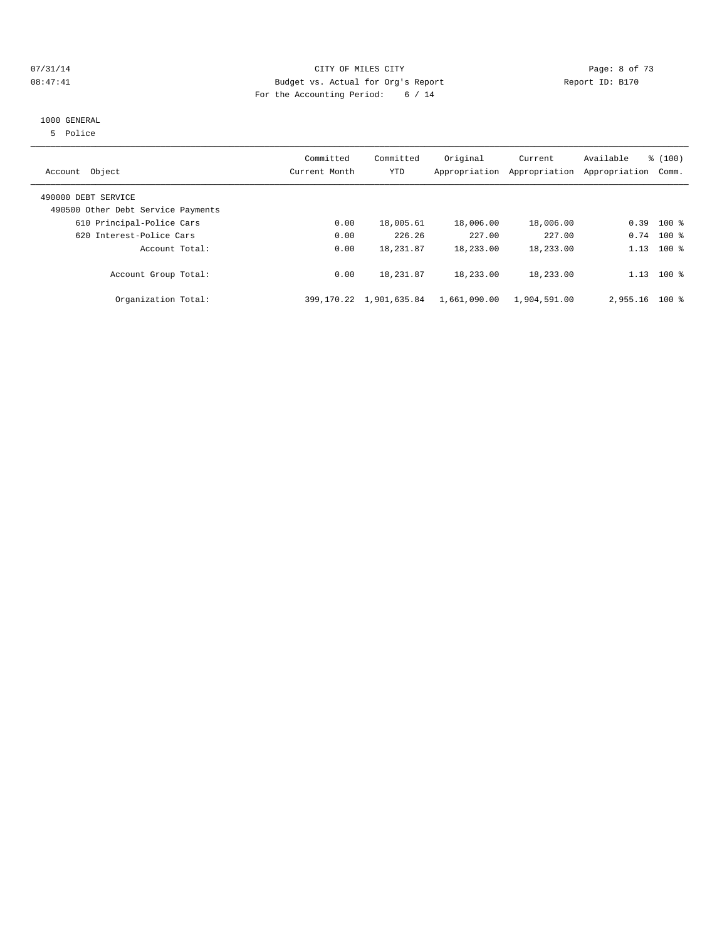#### 07/31/14 Page: 8 of 73 08:47:41 Budget vs. Actual for Org's Report Changer Report ID: B170 For the Accounting Period: 6 / 14

#### 1000 GENERAL

5 Police

| Account Object                     | Committed<br>Current Month | Committed<br><b>YTD</b> | Original<br>Appropriation | Current<br>Appropriation | Available<br>Appropriation | % (100)<br>Comm. |
|------------------------------------|----------------------------|-------------------------|---------------------------|--------------------------|----------------------------|------------------|
| 490000 DEBT SERVICE                |                            |                         |                           |                          |                            |                  |
| 490500 Other Debt Service Payments |                            |                         |                           |                          |                            |                  |
| 610 Principal-Police Cars          | 0.00                       | 18,005.61               | 18,006.00                 | 18,006.00                | 0.39                       | $100*$           |
| 620 Interest-Police Cars           | 0.00                       | 226.26                  | 227.00                    | 227.00                   |                            | $0.74$ 100 %     |
| Account Total:                     | 0.00                       | 18,231.87               | 18,233.00                 | 18,233.00                | 1.13                       | $100*$           |
| Account Group Total:               | 0.00                       | 18, 231.87              | 18,233.00                 | 18,233.00                | 1.13                       | $100*$           |
| Organization Total:                | 399,170.22                 | 1,901,635.84            | 1,661,090.00              | 1,904,591.00             | 2,955.16                   | $100*$           |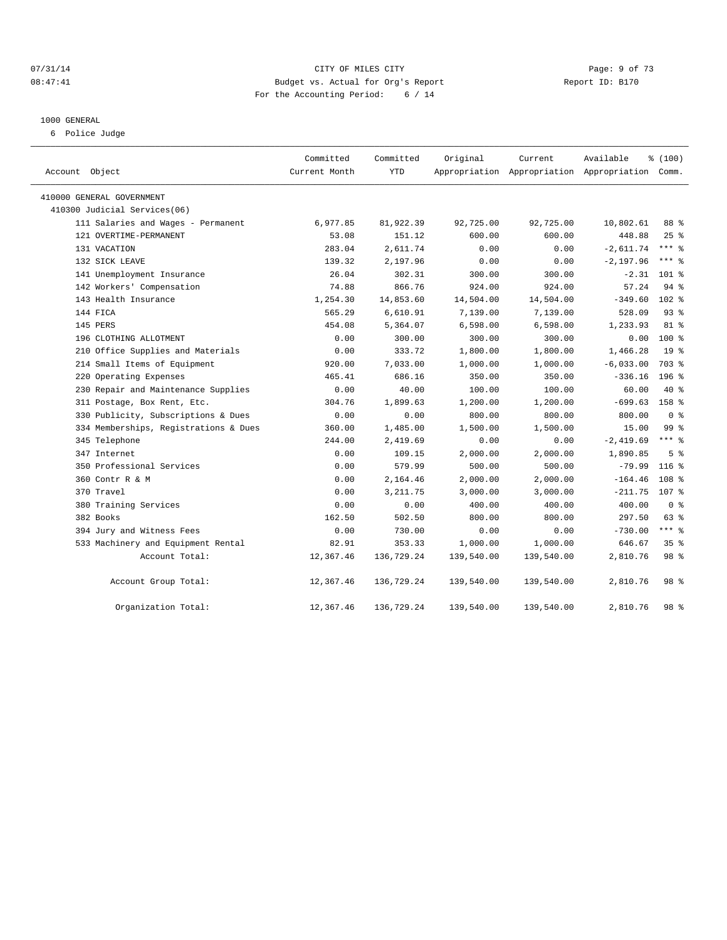#### 07/31/14 Page: 9 of 73 08:47:41 Budget vs. Actual for Org's Report Changer Report ID: B170 For the Accounting Period: 6 / 14

#### 1000 GENERAL

6 Police Judge

| Account Object                        | Committed<br>Current Month | Committed<br><b>YTD</b> | Original   | Current    | Available<br>Appropriation Appropriation Appropriation Comm. | % (100)          |  |
|---------------------------------------|----------------------------|-------------------------|------------|------------|--------------------------------------------------------------|------------------|--|
| 410000 GENERAL GOVERNMENT             |                            |                         |            |            |                                                              |                  |  |
| 410300 Judicial Services(06)          |                            |                         |            |            |                                                              |                  |  |
| 111 Salaries and Wages - Permanent    | 6,977.85                   | 81,922.39               | 92,725.00  | 92,725.00  | 10,802.61                                                    | 88 %             |  |
| 121 OVERTIME-PERMANENT                | 53.08                      | 151.12                  | 600.00     | 600.00     | 448.88                                                       | $25$ %           |  |
| 131 VACATION                          | 283.04                     | 2,611.74                | 0.00       | 0.00       | $-2,611.74$                                                  | $***$ $%$        |  |
| 132 SICK LEAVE                        | 139.32                     | 2,197.96                | 0.00       | 0.00       | $-2, 197.96$                                                 | $***$ $%$        |  |
| 141 Unemployment Insurance            | 26.04                      | 302.31                  | 300.00     | 300.00     | $-2.31$                                                      | 101 %            |  |
| 142 Workers' Compensation             | 74.88                      | 866.76                  | 924.00     | 924.00     | 57.24                                                        | $94$ $%$         |  |
| 143 Health Insurance                  | 1,254.30                   | 14,853.60               | 14,504.00  | 14,504.00  | $-349.60$                                                    | $102*$           |  |
| 144 FICA                              | 565.29                     | 6,610.91                | 7,139.00   | 7,139.00   | 528.09                                                       | 93%              |  |
| 145 PERS                              | 454.08                     | 5,364.07                | 6,598.00   | 6,598.00   | 1,233.93                                                     | 81 %             |  |
| 196 CLOTHING ALLOTMENT                | 0.00                       | 300.00                  | 300.00     | 300.00     | 0.00                                                         | $100*$           |  |
| 210 Office Supplies and Materials     | 0.00                       | 333.72                  | 1,800.00   | 1,800.00   | 1,466.28                                                     | 19 <sup>°</sup>  |  |
| 214 Small Items of Equipment          | 920.00                     | 7,033.00                | 1,000.00   | 1,000.00   | $-6,033.00$                                                  | 703 %            |  |
| 220 Operating Expenses                | 465.41                     | 686.16                  | 350.00     | 350.00     | $-336.16$                                                    | 196 <sub>8</sub> |  |
| 230 Repair and Maintenance Supplies   | 0.00                       | 40.00                   | 100.00     | 100.00     | 60.00                                                        | 40 %             |  |
| 311 Postage, Box Rent, Etc.           | 304.76                     | 1,899.63                | 1,200.00   | 1,200.00   | $-699.63$                                                    | 158 %            |  |
| 330 Publicity, Subscriptions & Dues   | 0.00                       | 0.00                    | 800.00     | 800.00     | 800.00                                                       | 0 <sup>8</sup>   |  |
| 334 Memberships, Registrations & Dues | 360.00                     | 1,485.00                | 1,500.00   | 1,500.00   | 15.00                                                        | 99 %             |  |
| 345 Telephone                         | 244.00                     | 2,419.69                | 0.00       | 0.00       | $-2,419.69$                                                  | $***$ 2          |  |
| 347 Internet                          | 0.00                       | 109.15                  | 2,000.00   | 2,000.00   | 1,890.85                                                     | 5 <sup>8</sup>   |  |
| 350 Professional Services             | 0.00                       | 579.99                  | 500.00     | 500.00     | $-79.99$                                                     | $116$ %          |  |
| 360 Contr R & M                       | 0.00                       | 2,164.46                | 2,000.00   | 2,000.00   | $-164.46$                                                    | 108 %            |  |
| 370 Travel                            | 0.00                       | 3, 211.75               | 3,000.00   | 3,000.00   | $-211.75$                                                    | 107 <sub>8</sub> |  |
| 380 Training Services                 | 0.00                       | 0.00                    | 400.00     | 400.00     | 400.00                                                       | 0 <sup>8</sup>   |  |
| 382 Books                             | 162.50                     | 502.50                  | 800.00     | 800.00     | 297.50                                                       | 63 %             |  |
| 394 Jury and Witness Fees             | 0.00                       | 730.00                  | 0.00       | 0.00       | $-730.00$                                                    | $***$ $-$        |  |
| 533 Machinery and Equipment Rental    | 82.91                      | 353.33                  | 1,000.00   | 1,000.00   | 646.67                                                       | 35 <sup>8</sup>  |  |
| Account Total:                        | 12,367.46                  | 136,729.24              | 139,540.00 | 139,540.00 | 2,810.76                                                     | 98 %             |  |
| Account Group Total:                  | 12,367.46                  | 136,729.24              | 139,540.00 | 139,540.00 | 2,810.76                                                     | 98 <sup>8</sup>  |  |
| Organization Total:                   | 12,367.46                  | 136,729.24              | 139,540.00 | 139,540.00 | 2,810.76                                                     | 98 %             |  |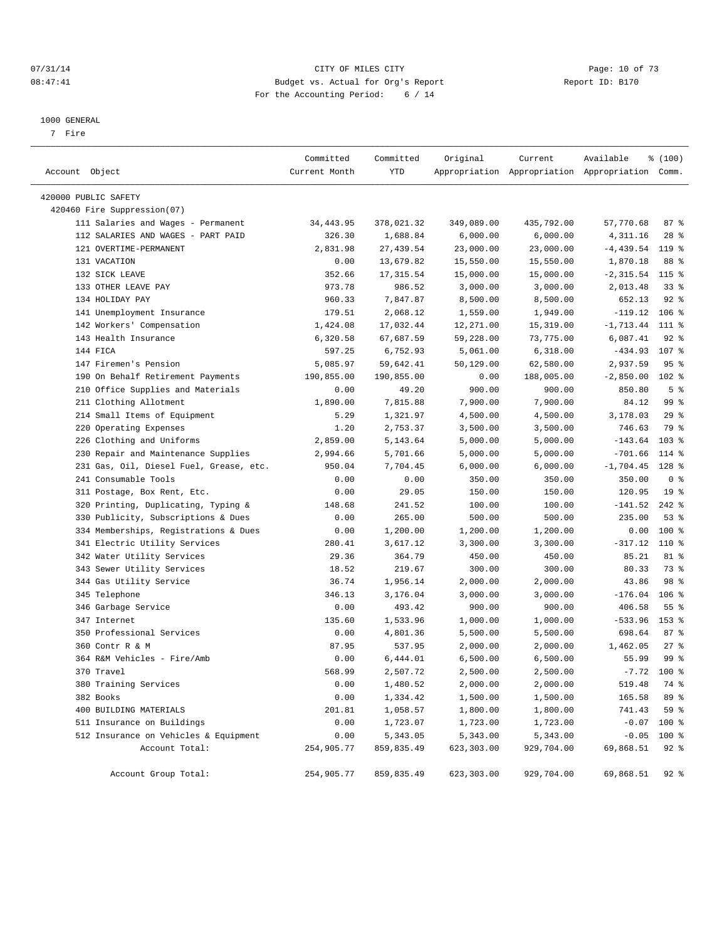#### $O7/31/14$  Page: 10 of 73 08:47:41 Budget vs. Actual for Org's Report Changer Report ID: B170 For the Accounting Period: 6 / 14

————————————————————————————————————————————————————————————————————————————————————————————————————————————————————————————————————

#### 1000 GENERAL

7 Fire

|                                         | Committed     | Committed  | Original   | Current    | Available                                       | % (100)          |
|-----------------------------------------|---------------|------------|------------|------------|-------------------------------------------------|------------------|
| Account Object                          | Current Month | YTD        |            |            | Appropriation Appropriation Appropriation Comm. |                  |
| 420000 PUBLIC SAFETY                    |               |            |            |            |                                                 |                  |
| 420460 Fire Suppression(07)             |               |            |            |            |                                                 |                  |
| 111 Salaries and Wages - Permanent      | 34, 443.95    | 378,021.32 | 349,089.00 | 435,792.00 | 57,770.68                                       | 87%              |
| 112 SALARIES AND WAGES - PART PAID      | 326.30        | 1,688.84   | 6,000.00   | 6,000.00   | 4,311.16                                        | $28$ %           |
| 121 OVERTIME-PERMANENT                  | 2,831.98      | 27, 439.54 | 23,000.00  | 23,000.00  | $-4,439.54$                                     | 119 %            |
| 131 VACATION                            | 0.00          | 13,679.82  | 15,550.00  | 15,550.00  | 1,870.18                                        | 88 %             |
| 132 SICK LEAVE                          | 352.66        | 17, 315.54 | 15,000.00  | 15,000.00  | $-2,315.54$ 115 %                               |                  |
| 133 OTHER LEAVE PAY                     | 973.78        | 986.52     | 3,000.00   | 3,000.00   | 2,013.48                                        | $33$ $%$         |
| 134 HOLIDAY PAY                         | 960.33        | 7,847.87   | 8,500.00   | 8,500.00   | 652.13                                          | $92$ $%$         |
| 141 Unemployment Insurance              | 179.51        | 2,068.12   | 1,559.00   | 1,949.00   | $-119.12$                                       | $106$ %          |
| 142 Workers' Compensation               | 1,424.08      | 17,032.44  | 12,271.00  | 15,319.00  | $-1,713.44$                                     | 111 %            |
| 143 Health Insurance                    | 6,320.58      | 67,687.59  | 59,228.00  | 73,775.00  | 6,087.41                                        | $92$ $%$         |
| 144 FICA                                | 597.25        | 6,752.93   | 5,061.00   | 6,318.00   | $-434.93$ 107 %                                 |                  |
| 147 Firemen's Pension                   | 5,085.97      | 59,642.41  | 50,129.00  | 62,580.00  | 2,937.59                                        | 95%              |
| 190 On Behalf Retirement Payments       | 190,855.00    | 190,855.00 | 0.00       | 188,005.00 | $-2,850.00$ 102 %                               |                  |
| 210 Office Supplies and Materials       | 0.00          | 49.20      | 900.00     | 900.00     | 850.80                                          | 5 <sup>8</sup>   |
| 211 Clothing Allotment                  | 1,890.00      | 7,815.88   | 7,900.00   | 7,900.00   | 84.12                                           | 99 <sup>°</sup>  |
| 214 Small Items of Equipment            | 5.29          | 1,321.97   | 4,500.00   | 4,500.00   | 3,178.03                                        | 29%              |
| 220 Operating Expenses                  | 1.20          | 2,753.37   | 3,500.00   | 3,500.00   | 746.63                                          | 79 %             |
| 226 Clothing and Uniforms               | 2,859.00      | 5,143.64   | 5,000.00   | 5,000.00   | $-143.64$                                       | 103 <sup>8</sup> |
| 230 Repair and Maintenance Supplies     | 2,994.66      | 5,701.66   | 5,000.00   | 5,000.00   | $-701.66$                                       | 114 %            |
| 231 Gas, Oil, Diesel Fuel, Grease, etc. | 950.04        | 7,704.45   | 6,000.00   | 6,000.00   | $-1,704.45$                                     | $128$ %          |
| 241 Consumable Tools                    | 0.00          | 0.00       | 350.00     | 350.00     | 350.00                                          | 0 <sup>8</sup>   |
| 311 Postage, Box Rent, Etc.             | 0.00          | 29.05      | 150.00     | 150.00     | 120.95                                          | 19 <sup>°</sup>  |
| 320 Printing, Duplicating, Typing &     | 148.68        | 241.52     | 100.00     | 100.00     | $-141.52$                                       | $242$ %          |
| 330 Publicity, Subscriptions & Dues     | 0.00          | 265.00     | 500.00     | 500.00     | 235.00                                          | 53%              |
| 334 Memberships, Registrations & Dues   | 0.00          | 1,200.00   | 1,200.00   | 1,200.00   | 0.00                                            | 100 %            |
| 341 Electric Utility Services           | 280.41        | 3,617.12   | 3,300.00   | 3,300.00   | $-317.12$                                       | 110 %            |
| 342 Water Utility Services              | 29.36         | 364.79     | 450.00     | 450.00     | 85.21                                           | 81 %             |
| 343 Sewer Utility Services              | 18.52         | 219.67     | 300.00     | 300.00     | 80.33                                           | 73 %             |
| 344 Gas Utility Service                 | 36.74         | 1,956.14   | 2,000.00   | 2,000.00   | 43.86                                           | 98 %             |
| 345 Telephone                           | 346.13        | 3,176.04   | 3,000.00   | 3,000.00   | $-176.04$                                       | $106$ %          |
| 346 Garbage Service                     | 0.00          | 493.42     | 900.00     | 900.00     | 406.58                                          | $55$ $%$         |
| 347 Internet                            | 135.60        | 1,533.96   | 1,000.00   | 1,000.00   | $-533.96$                                       | 153 %            |
| 350 Professional Services               | 0.00          | 4,801.36   | 5,500.00   | 5,500.00   | 698.64                                          | 87%              |
| 360 Contr R & M                         | 87.95         | 537.95     | 2,000.00   | 2,000.00   | 1,462.05                                        | $27$ %           |
| 364 R&M Vehicles - Fire/Amb             | 0.00          | 6,444.01   | 6,500.00   | 6,500.00   | 55.99                                           | 99 %             |
| 370 Travel                              | 568.99        | 2,507.72   | 2,500.00   | 2,500.00   |                                                 | $-7.72$ 100 %    |
| 380 Training Services                   | 0.00          | 1,480.52   | 2,000.00   | 2,000.00   | 519.48                                          | 74 %             |
| 382 Books                               | 0.00          | 1,334.42   | 1,500.00   | 1,500.00   | 165.58                                          | 89 %             |
| 400 BUILDING MATERIALS                  | 201.81        | 1,058.57   | 1,800.00   | 1,800.00   | 741.43                                          | 59 %             |
| 511 Insurance on Buildings              | 0.00          | 1,723.07   | 1,723.00   | 1,723.00   |                                                 | $-0.07$ 100 %    |
| 512 Insurance on Vehicles & Equipment   | 0.00          | 5,343.05   | 5,343.00   | 5,343.00   |                                                 | $-0.05$ 100 %    |
| Account Total:                          | 254,905.77    | 859,835.49 | 623,303.00 | 929,704.00 | 69,868.51                                       | 92 %             |
|                                         |               |            |            |            |                                                 |                  |
| Account Group Total:                    | 254,905.77    | 859,835.49 | 623,303.00 | 929,704.00 | 69,868.51                                       | 92 %             |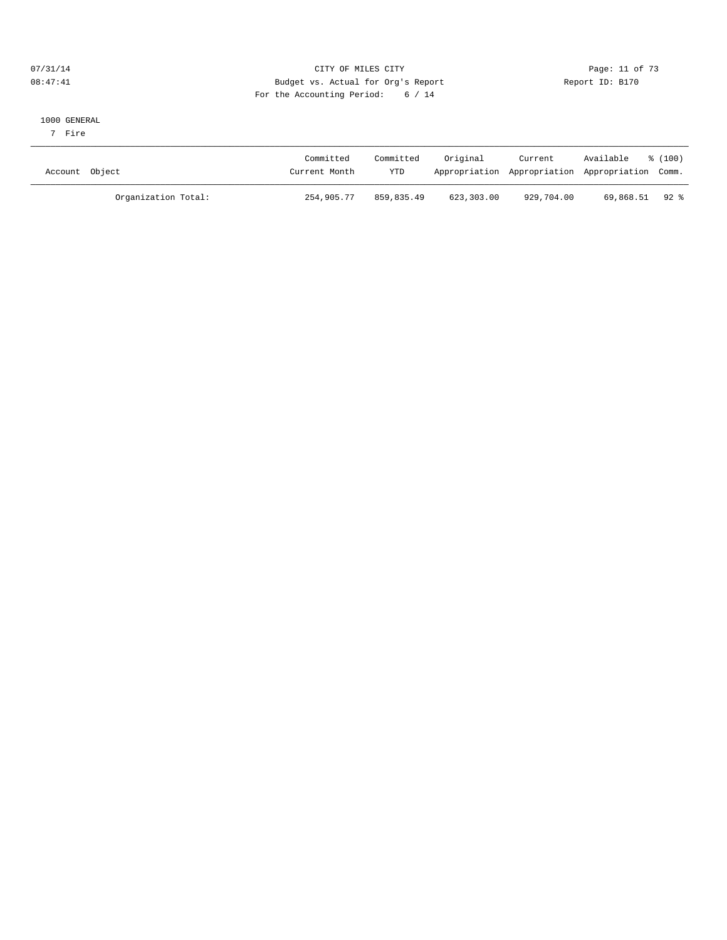#### $O7/31/14$  Page: 11 of 73 08:47:41 Budget vs. Actual for Org's Report Report ID: B170 For the Accounting Period: 6 / 14

#### 1000 GENERAL

7 Fire

| Account Object      | Committed<br>Committed<br>YTD<br>Current Month | Original   | Current<br>Appropriation Appropriation Appropriation Comm. | Available     | $\frac{100}{2}$ |
|---------------------|------------------------------------------------|------------|------------------------------------------------------------|---------------|-----------------|
| Organization Total: | 254,905.77<br>859,835.49                       | 623,303.00 | 929,704.00                                                 | 69,868.51 92% |                 |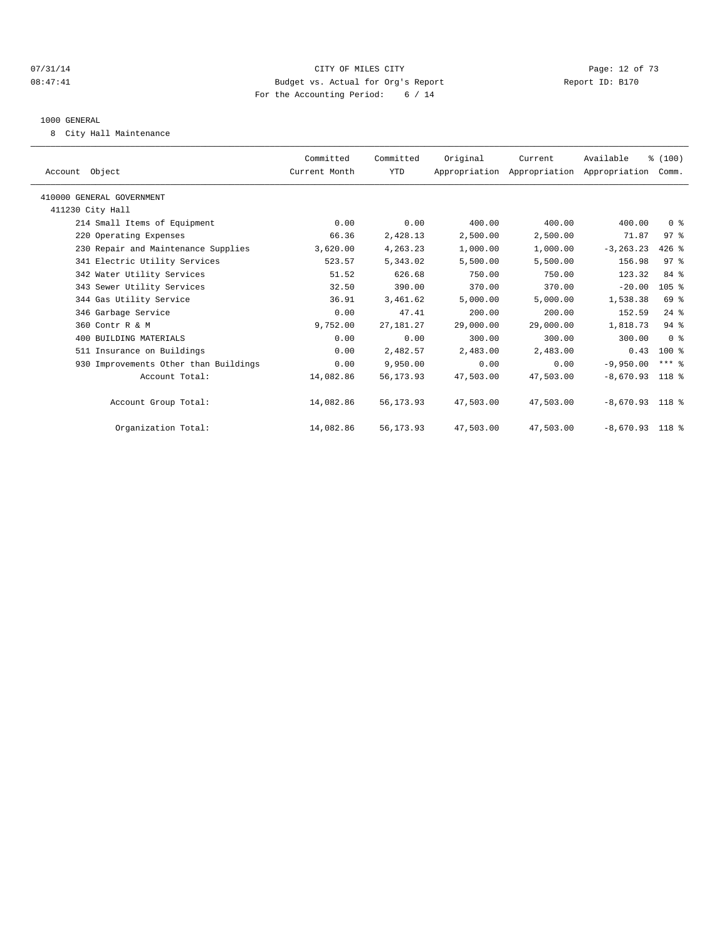#### $O7/31/14$  Page: 12 of 73 08:47:41 Budget vs. Actual for Org's Report Changer Report ID: B170 For the Accounting Period: 6 / 14

#### 1000 GENERAL

8 City Hall Maintenance

| Account Object                        | Committed<br>Current Month | Committed<br><b>YTD</b> | Original  | Current<br>Appropriation Appropriation Appropriation | Available         | % (100)<br>Comm. |  |
|---------------------------------------|----------------------------|-------------------------|-----------|------------------------------------------------------|-------------------|------------------|--|
| 410000 GENERAL GOVERNMENT             |                            |                         |           |                                                      |                   |                  |  |
| 411230 City Hall                      |                            |                         |           |                                                      |                   |                  |  |
| 214 Small Items of Equipment          | 0.00                       | 0.00                    | 400.00    | 400.00                                               | 400.00            | 0 <sup>8</sup>   |  |
| 220 Operating Expenses                | 66.36                      | 2,428.13                | 2,500.00  | 2,500.00                                             | 71.87             | 97%              |  |
| 230 Repair and Maintenance Supplies   | 3,620.00                   | 4,263.23                | 1,000.00  | 1,000.00                                             | $-3, 263.23$      | $426$ %          |  |
| 341 Electric Utility Services         | 523.57                     | 5,343.02                | 5,500.00  | 5,500.00                                             | 156.98            | 97 <sub>8</sub>  |  |
| 342 Water Utility Services            | 51.52                      | 626.68                  | 750.00    | 750.00                                               | 123.32            | 84 %             |  |
| 343 Sewer Utility Services            | 32.50                      | 390.00                  | 370.00    | 370.00                                               | $-20.00$          | 105 <sup>8</sup> |  |
| 344 Gas Utility Service               | 36.91                      | 3,461.62                | 5,000.00  | 5,000.00                                             | 1,538.38          | 69 %             |  |
| 346 Garbage Service                   | 0.00                       | 47.41                   | 200.00    | 200.00                                               | 152.59            | $24$ $%$         |  |
| 360 Contr R & M                       | 9,752.00                   | 27, 181. 27             | 29,000.00 | 29,000.00                                            | 1,818.73          | $94$ $%$         |  |
| 400 BUILDING MATERIALS                | 0.00                       | 0.00                    | 300.00    | 300.00                                               | 300.00            | 0 <sup>8</sup>   |  |
| 511 Insurance on Buildings            | 0.00                       | 2,482.57                | 2,483.00  | 2,483.00                                             | 0.43              | $100*$           |  |
| 930 Improvements Other than Buildings | 0.00                       | 9,950.00                | 0.00      | 0.00                                                 | $-9,950.00$       | $***$ $%$        |  |
| Account Total:                        | 14,082.86                  | 56,173.93               | 47,503.00 | 47,503.00                                            | $-8,670.93$       | 118 %            |  |
| Account Group Total:                  | 14,082.86                  | 56,173.93               | 47,503.00 | 47,503.00                                            | $-8,670.93$ 118 % |                  |  |
| Organization Total:                   | 14,082.86                  | 56,173.93               | 47,503.00 | 47,503.00                                            | $-8,670.93$ 118 % |                  |  |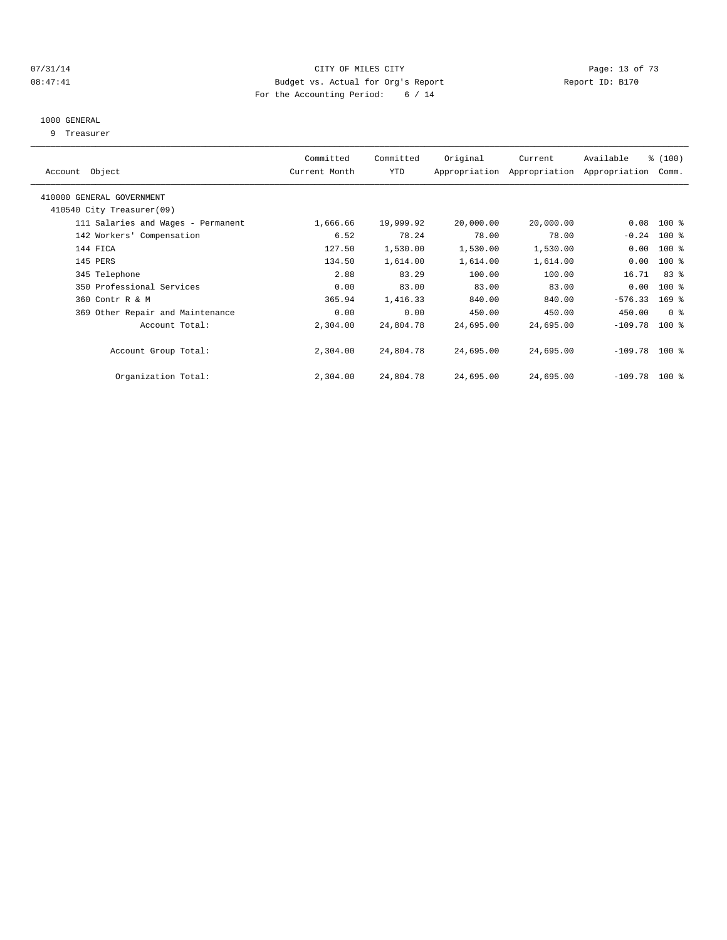#### $O7/31/14$  Page: 13 of 73 08:47:41 Budget vs. Actual for Org's Report Changer Report ID: B170 For the Accounting Period: 6 / 14

#### 1000 GENERAL

9 Treasurer

| Account Object                     | Committed<br>Current Month | Committed<br>YTD | Original  | Current<br>Appropriation Appropriation | Available<br>Appropriation | % (100)<br>Comm. |  |
|------------------------------------|----------------------------|------------------|-----------|----------------------------------------|----------------------------|------------------|--|
|                                    |                            |                  |           |                                        |                            |                  |  |
| 410000 GENERAL GOVERNMENT          |                            |                  |           |                                        |                            |                  |  |
| 410540 City Treasurer(09)          |                            |                  |           |                                        |                            |                  |  |
| 111 Salaries and Wages - Permanent | 1,666.66                   | 19,999.92        | 20,000.00 | 20,000.00                              | 0.08                       | $100$ %          |  |
| 142 Workers' Compensation          | 6.52                       | 78.24            | 78.00     | 78.00                                  | $-0.24$                    | $100$ %          |  |
| 144 FICA                           | 127.50                     | 1,530.00         | 1,530.00  | 1,530.00                               | 0.00                       | $100$ %          |  |
| 145 PERS                           | 134.50                     | 1,614.00         | 1,614.00  | 1,614.00                               | 0.00                       | $100$ %          |  |
| 345 Telephone                      | 2.88                       | 83.29            | 100.00    | 100.00                                 | 16.71                      | 83 %             |  |
| 350 Professional Services          | 0.00                       | 83.00            | 83.00     | 83.00                                  | 0.00                       | $100$ %          |  |
| 360 Contr R & M                    | 365.94                     | 1,416.33         | 840.00    | 840.00                                 | $-576.33$                  | $169$ $%$        |  |
| 369 Other Repair and Maintenance   | 0.00                       | 0.00             | 450.00    | 450.00                                 | 450.00                     | 0 <sup>8</sup>   |  |
| Account Total:                     | 2,304.00                   | 24,804.78        | 24,695.00 | 24,695.00                              | $-109.78$                  | $100$ %          |  |
|                                    |                            |                  |           |                                        |                            |                  |  |
| Account Group Total:               | 2,304.00                   | 24,804.78        | 24,695.00 | 24,695.00                              | $-109.78$                  | $100$ %          |  |
|                                    |                            |                  |           |                                        |                            |                  |  |
| Organization Total:                | 2,304.00                   | 24,804.78        | 24,695.00 | 24,695.00                              | $-109.78$                  | $100$ %          |  |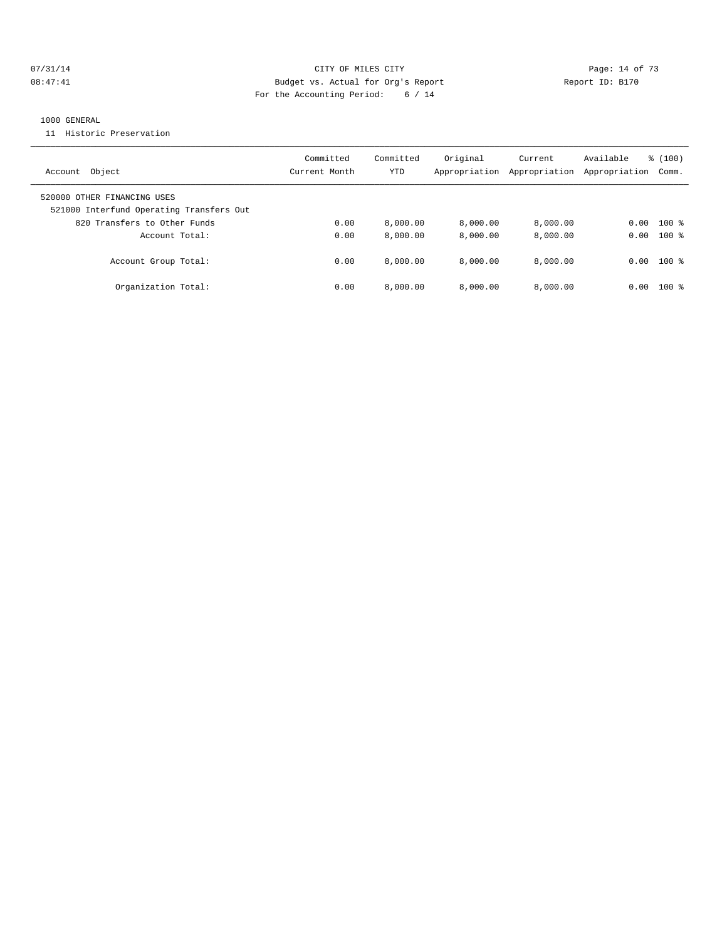#### $O7/31/14$  Page: 14 of 73 08:47:41 Budget vs. Actual for Org's Report Changer Report ID: B170 For the Accounting Period: 6 / 14

#### 1000 GENERAL

11 Historic Preservation

| Object<br>Account                                                       | Committed<br>Current Month | Committed<br>YTD | Original<br>Appropriation | Current<br>Appropriation | Available<br>Appropriation | $\frac{100}{3}$<br>Comm. |
|-------------------------------------------------------------------------|----------------------------|------------------|---------------------------|--------------------------|----------------------------|--------------------------|
| 520000 OTHER FINANCING USES<br>521000 Interfund Operating Transfers Out |                            |                  |                           |                          |                            |                          |
| 820 Transfers to Other Funds                                            | 0.00                       | 8,000.00         | 8,000.00                  | 8,000.00                 | 0.00                       | $100$ %                  |
| Account Total:                                                          | 0.00                       | 8,000.00         | 8,000.00                  | 8,000.00                 | 0.00                       | $100*$                   |
| Account Group Total:                                                    | 0.00                       | 8.000.00         | 8.000.00                  | 8.000.00                 | 0.00                       | $100*$                   |
| Organization Total:                                                     | 0.00                       | 8,000.00         | 8.000.00                  | 8.000.00                 | 0.00                       | $100$ $\approx$          |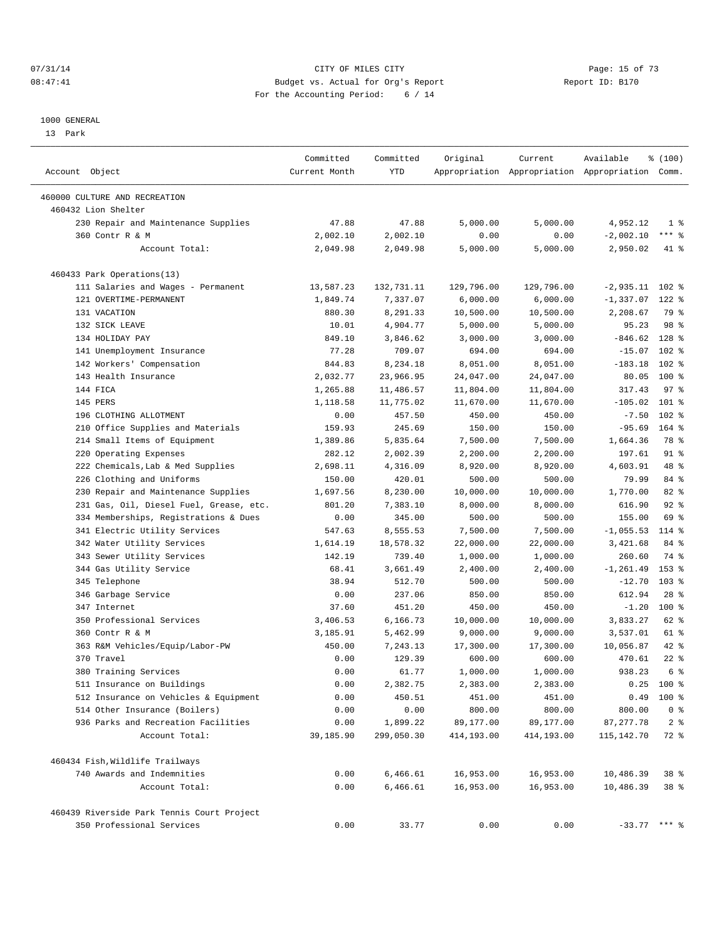#### $O7/31/14$  Page: 15 of 73 08:47:41 Budget vs. Actual for Org's Report Changer Report ID: B170 For the Accounting Period: 6 / 14

————————————————————————————————————————————————————————————————————————————————————————————————————————————————————————————————————

#### 1000 GENERAL

13 Park

|                                                               | Committed     | Committed  | Original               | Current                | Available                                       | ៖ (100)                 |  |
|---------------------------------------------------------------|---------------|------------|------------------------|------------------------|-------------------------------------------------|-------------------------|--|
| Account Object                                                | Current Month | YTD        |                        |                        | Appropriation Appropriation Appropriation Comm. |                         |  |
| 460000 CULTURE AND RECREATION                                 |               |            |                        |                        |                                                 |                         |  |
| 460432 Lion Shelter                                           |               |            |                        |                        |                                                 |                         |  |
| 230 Repair and Maintenance Supplies                           | 47.88         | 47.88      | 5,000.00               | 5,000.00               | 4,952.12                                        | 1 <sup>8</sup>          |  |
| 360 Contr R & M                                               | 2,002.10      | 2,002.10   | 0.00                   | 0.00                   | $-2,002.10$                                     | $***$ $-$               |  |
| Account Total:                                                | 2,049.98      | 2,049.98   | 5,000.00               | 5,000.00               | 2,950.02                                        | 41 %                    |  |
|                                                               |               |            |                        |                        |                                                 |                         |  |
| 460433 Park Operations(13)                                    |               |            |                        |                        |                                                 |                         |  |
| 111 Salaries and Wages - Permanent                            | 13,587.23     | 132,731.11 | 129,796.00             | 129,796.00             | $-2,935.11$                                     | $102$ %                 |  |
| 121 OVERTIME-PERMANENT                                        | 1,849.74      | 7,337.07   | 6,000.00               | 6,000.00               | $-1,337.07$ 122 %                               |                         |  |
| 131 VACATION                                                  | 880.30        | 8,291.33   | 10,500.00              | 10,500.00              | 2,208.67                                        | 79 %                    |  |
| 132 SICK LEAVE                                                | 10.01         | 4,904.77   | 5,000.00               | 5,000.00               | 95.23                                           | 98 %                    |  |
| 134 HOLIDAY PAY                                               | 849.10        | 3,846.62   | 3,000.00               | 3,000.00               | $-846.62$                                       | 128 %                   |  |
| 141 Unemployment Insurance                                    | 77.28         | 709.07     | 694.00                 | 694.00                 | $-15.07$                                        | $102$ %                 |  |
| 142 Workers' Compensation                                     | 844.83        | 8,234.18   | 8,051.00               | 8,051.00               | $-183.18$                                       | $102$ %                 |  |
| 143 Health Insurance                                          | 2,032.77      | 23,966.95  | 24,047.00              | 24,047.00              | 80.05                                           | $100*$                  |  |
| 144 FICA                                                      | 1,265.88      | 11,486.57  | 11,804.00              | 11,804.00              | 317.43                                          | 97%                     |  |
| 145 PERS                                                      | 1,118.58      | 11,775.02  | 11,670.00              | 11,670.00              | $-105.02$                                       | $101$ %                 |  |
| 196 CLOTHING ALLOTMENT                                        | 0.00          | 457.50     | 450.00                 | 450.00                 | $-7.50$                                         | $102$ %                 |  |
| 210 Office Supplies and Materials                             | 159.93        | 245.69     | 150.00                 | 150.00                 | $-95.69$                                        | 164 %                   |  |
| 214 Small Items of Equipment                                  | 1,389.86      | 5,835.64   | 7,500.00               | 7,500.00               | 1,664.36                                        | 78 %                    |  |
| 220 Operating Expenses                                        | 282.12        | 2,002.39   | 2,200.00               | 2,200.00               | 197.61                                          | $91$ %                  |  |
| 222 Chemicals, Lab & Med Supplies                             | 2,698.11      | 4,316.09   | 8,920.00               | 8,920.00               | 4,603.91                                        | 48 %                    |  |
| 226 Clothing and Uniforms                                     | 150.00        | 420.01     | 500.00                 | 500.00                 | 79.99                                           | 84 %                    |  |
| 230 Repair and Maintenance Supplies                           | 1,697.56      | 8,230.00   | 10,000.00              | 10,000.00              | 1,770.00                                        | 82%                     |  |
| 231 Gas, Oil, Diesel Fuel, Grease, etc.                       | 801.20        | 7,383.10   | 8,000.00               | 8,000.00               | 616.90                                          | $92$ $%$                |  |
| 334 Memberships, Registrations & Dues                         | 0.00          | 345.00     | 500.00                 | 500.00                 | 155.00                                          | 69 %                    |  |
| 341 Electric Utility Services                                 | 547.63        | 8,555.53   | 7,500.00               | 7,500.00               | $-1,055.53$                                     | 114 %                   |  |
| 342 Water Utility Services                                    | 1,614.19      | 18,578.32  | 22,000.00              | 22,000.00              | 3,421.68                                        | 84 %                    |  |
| 343 Sewer Utility Services                                    | 142.19        | 739.40     | 1,000.00               | 1,000.00               | 260.60                                          | 74 %                    |  |
| 344 Gas Utility Service                                       | 68.41         | 3,661.49   | 2,400.00               | 2,400.00               | $-1, 261.49$                                    | 153 %                   |  |
| 345 Telephone                                                 | 38.94         | 512.70     | 500.00                 | 500.00                 | $-12.70$                                        | $103$ %                 |  |
| 346 Garbage Service                                           | 0.00          | 237.06     | 850.00                 | 850.00                 | 612.94                                          | $28$ %                  |  |
| 347 Internet                                                  | 37.60         | 451.20     | 450.00                 | 450.00                 | $-1.20$                                         | $100$ %                 |  |
| 350 Professional Services                                     | 3,406.53      | 6,166.73   | 10,000.00              | 10,000.00              | 3,833.27                                        | 62 %                    |  |
| 360 Contr R & M                                               | 3,185.91      | 5,462.99   | 9,000.00               | 9,000.00               | 3,537.01                                        | 61 %                    |  |
| 363 R&M Vehicles/Equip/Labor-PW                               | 450.00        | 7,243.13   | 17,300.00              | 17,300.00              | 10,056.87                                       | 42 %                    |  |
| 370 Travel                                                    | 0.00          | 129.39     | 600.00                 | 600.00                 | 470.61                                          | $22$ %                  |  |
| 380 Training Services                                         | 0.00          | 61.77      | 1,000.00               | 1,000.00               | 938.23                                          | 6 <sup>°</sup>          |  |
| 511 Insurance on Buildings                                    | 0.00          | 2,382.75   | 2,383.00               | 2,383.00               |                                                 | $0.25$ 100 %            |  |
| 512 Insurance on Vehicles & Equipment                         | 0.00          | 450.51     | 451.00                 | 451.00                 | 0.49                                            | $100*$                  |  |
| 514 Other Insurance (Boilers)                                 | 0.00          | 0.00       | 800.00                 | 800.00                 | 800.00                                          | $0$ %                   |  |
| 936 Parks and Recreation Facilities                           | 0.00          | 1,899.22   | 89,177.00              | 89,177.00              | 87, 277.78                                      | 2 <sub>8</sub>          |  |
| Account Total:                                                | 39,185.90     | 299,050.30 | 414,193.00             | 414,193.00             | 115,142.70                                      | 72 %                    |  |
|                                                               |               |            |                        |                        |                                                 |                         |  |
| 460434 Fish, Wildlife Trailways<br>740 Awards and Indemnities | 0.00          | 6,466.61   |                        |                        |                                                 |                         |  |
| Account Total:                                                | 0.00          | 6,466.61   | 16,953.00<br>16,953.00 | 16,953.00<br>16,953.00 | 10,486.39<br>10,486.39                          | 38 %<br>38 <sup>8</sup> |  |
|                                                               |               |            |                        |                        |                                                 |                         |  |
| 460439 Riverside Park Tennis Court Project                    |               |            |                        |                        |                                                 |                         |  |
| 350 Professional Services                                     | 0.00          | 33.77      | 0.00                   | 0.00                   | $-33.77$ *** %                                  |                         |  |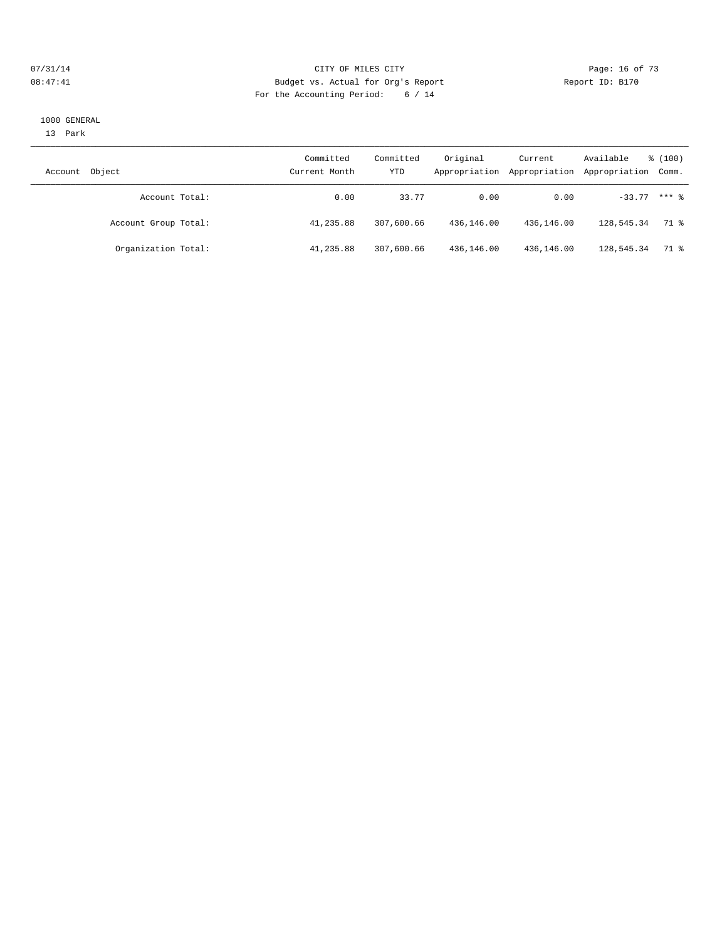#### $O7/31/14$  Page: 16 of 73 08:47:41 Budget vs. Actual for Org's Report Changer Report ID: B170 For the Accounting Period: 6 / 14

#### 1000 GENERAL

13 Park

| Object<br>Account    | Committed<br>Current Month | Committed<br>YTD | Original<br>Appropriation | Current<br>Appropriation | Available<br>Appropriation Comm. | % (100) |
|----------------------|----------------------------|------------------|---------------------------|--------------------------|----------------------------------|---------|
| Account Total:       | 0.00                       | 33.77            | 0.00                      | 0.00                     | $-33.77$ *** $%$                 |         |
| Account Group Total: | 41,235.88                  | 307,600.66       | 436,146.00                | 436,146.00               | 128,545.34                       | 71 %    |
| Organization Total:  | 41,235.88                  | 307,600.66       | 436,146.00                | 436,146.00               | 128,545.34                       | 71 %    |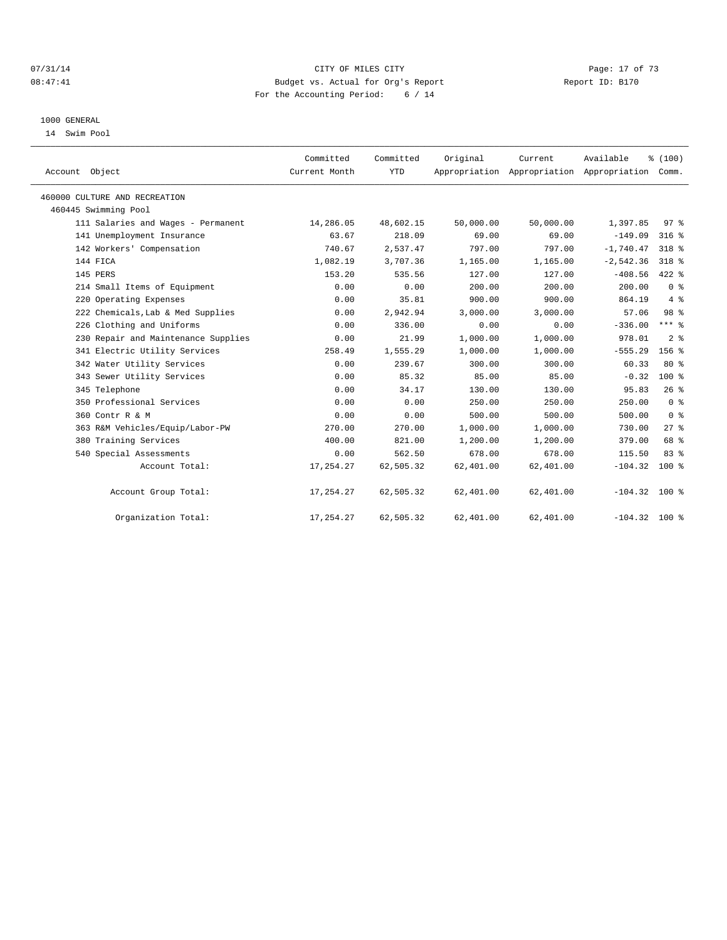#### $O7/31/14$  Page: 17 of 73 08:47:41 Budget vs. Actual for Org's Report Changer Report ID: B170 For the Accounting Period: 6 / 14

#### 1000 GENERAL

14 Swim Pool

| Account Object                      | Committed<br>Current Month | Committed<br><b>YTD</b> | Original  | Current   | Available<br>Appropriation Appropriation Appropriation Comm. | % (100)         |  |
|-------------------------------------|----------------------------|-------------------------|-----------|-----------|--------------------------------------------------------------|-----------------|--|
| 460000 CULTURE AND RECREATION       |                            |                         |           |           |                                                              |                 |  |
| 460445 Swimming Pool                |                            |                         |           |           |                                                              |                 |  |
| 111 Salaries and Wages - Permanent  | 14,286.05                  | 48,602.15               | 50,000.00 | 50,000.00 | 1,397.85                                                     | 97 <sup>8</sup> |  |
| 141 Unemployment Insurance          | 63.67                      | 218.09                  | 69.00     | 69.00     | $-149.09$                                                    | $316$ %         |  |
| 142 Workers' Compensation           | 740.67                     | 2,537.47                | 797.00    | 797.00    | $-1,740.47$                                                  | 318 %           |  |
| 144 FICA                            | 1,082.19                   | 3,707.36                | 1,165.00  | 1,165.00  | $-2,542.36$                                                  | $318*$          |  |
| 145 PERS                            | 153.20                     | 535.56                  | 127.00    | 127.00    | $-408.56$                                                    | 422 %           |  |
| 214 Small Items of Equipment        | 0.00                       | 0.00                    | 200.00    | 200.00    | 200.00                                                       | 0 <sup>8</sup>  |  |
| 220 Operating Expenses              | 0.00                       | 35.81                   | 900.00    | 900.00    | 864.19                                                       | 4%              |  |
| 222 Chemicals, Lab & Med Supplies   | 0.00                       | 2,942.94                | 3.000.00  | 3,000.00  | 57.06                                                        | 98 %            |  |
| 226 Clothing and Uniforms           | 0.00                       | 336.00                  | 0.00      | 0.00      | $-336.00$                                                    | $***$ 8         |  |
| 230 Repair and Maintenance Supplies | 0.00                       | 21.99                   | 1,000.00  | 1,000.00  | 978.01                                                       | 2 <sup>8</sup>  |  |
| 341 Electric Utility Services       | 258.49                     | 1,555.29                | 1,000.00  | 1,000.00  | $-555.29$                                                    | $156$ $%$       |  |
| 342 Water Utility Services          | 0.00                       | 239.67                  | 300.00    | 300.00    | 60.33                                                        | $80*$           |  |
| 343 Sewer Utility Services          | 0.00                       | 85.32                   | 85.00     | 85.00     | $-0.32$                                                      | $100*$          |  |
| 345 Telephone                       | 0.00                       | 34.17                   | 130.00    | 130.00    | 95.83                                                        | 26%             |  |
| 350 Professional Services           | 0.00                       | 0.00                    | 250.00    | 250.00    | 250.00                                                       | 0 <sup>8</sup>  |  |
| 360 Contr R & M                     | 0.00                       | 0.00                    | 500.00    | 500.00    | 500.00                                                       | 0 <sup>8</sup>  |  |
| 363 R&M Vehicles/Equip/Labor-PW     | 270.00                     | 270.00                  | 1,000.00  | 1,000.00  | 730.00                                                       | 27%             |  |
| 380 Training Services               | 400.00                     | 821.00                  | 1,200.00  | 1,200.00  | 379.00                                                       | 68 %            |  |
| 540 Special Assessments             | 0.00                       | 562.50                  | 678.00    | 678.00    | 115.50                                                       | 83%             |  |
| Account Total:                      | 17, 254.27                 | 62,505.32               | 62,401.00 | 62,401.00 | $-104.32$                                                    | 100 %           |  |
| Account Group Total:                | 17,254.27                  | 62,505.32               | 62,401.00 | 62,401.00 | $-104.32$ 100 %                                              |                 |  |
| Organization Total:                 | 17, 254.27                 | 62,505.32               | 62,401.00 | 62,401.00 | $-104.32$                                                    | 100 %           |  |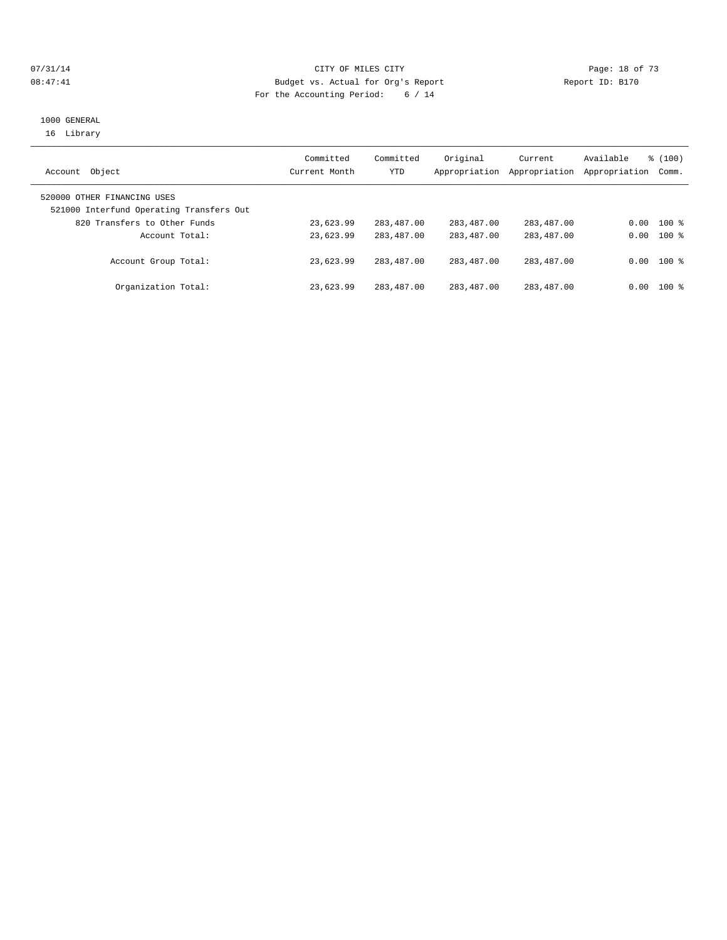#### $O7/31/14$  Page: 18 of 73 08:47:41 Budget vs. Actual for Org's Report Report ID: B170 For the Accounting Period: 6 / 14

## 1000 GENERAL 16 Library

| Object<br>Account                                                       | Committed<br>Current Month | Committed<br>YTD | Original<br>Appropriation | Current<br>Appropriation | Available<br>Appropriation | % (100)<br>Comm. |
|-------------------------------------------------------------------------|----------------------------|------------------|---------------------------|--------------------------|----------------------------|------------------|
| 520000 OTHER FINANCING USES<br>521000 Interfund Operating Transfers Out |                            |                  |                           |                          |                            |                  |
| 820 Transfers to Other Funds                                            | 23,623.99                  | 283,487.00       | 283,487.00                | 283,487.00               |                            | $0.00$ 100 %     |
| Account Total:                                                          | 23,623.99                  | 283,487.00       | 283, 487, 00              | 283, 487, 00             |                            | $0.00$ 100 %     |
| Account Group Total:                                                    | 23,623.99                  | 283,487.00       | 283, 487, 00              | 283, 487, 00             |                            | $0.00$ 100 %     |
| Organization Total:                                                     | 23,623.99                  | 283,487.00       | 283,487.00                | 283,487.00               |                            | $0.00$ 100 %     |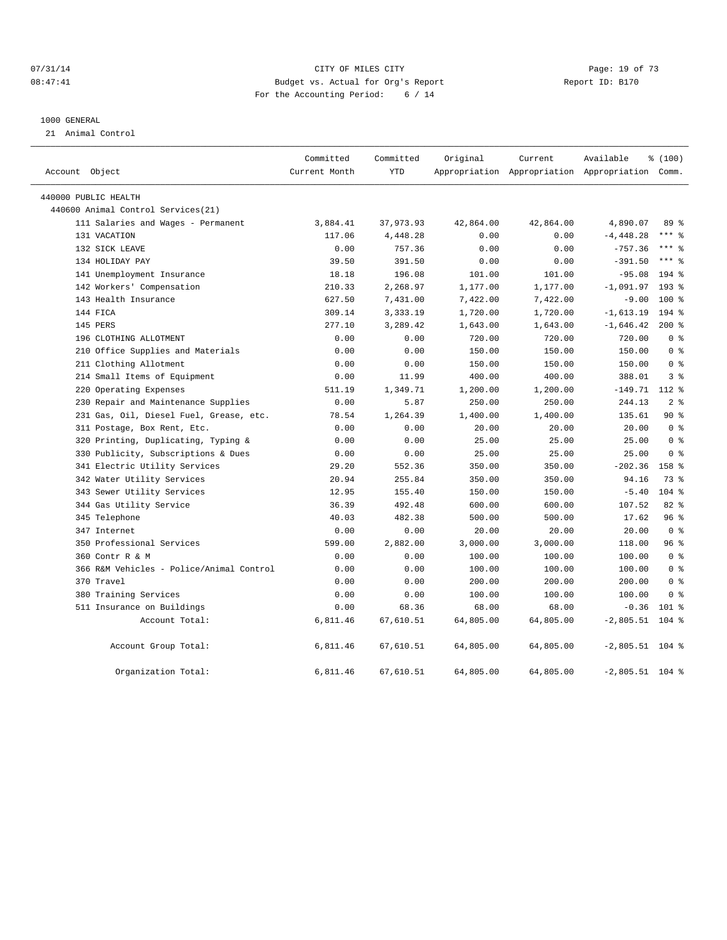## $O7/31/14$  Page: 19 of 73 08:47:41 Budget vs. Actual for Org's Report Changer Report ID: B170 For the Accounting Period: 6 / 14

#### 1000 GENERAL

21 Animal Control

| Account Object                           | Committed<br>Current Month | Committed<br><b>YTD</b> | Original  | Current<br>Appropriation Appropriation Appropriation Comm. | Available         | % (100)         |  |
|------------------------------------------|----------------------------|-------------------------|-----------|------------------------------------------------------------|-------------------|-----------------|--|
| 440000 PUBLIC HEALTH                     |                            |                         |           |                                                            |                   |                 |  |
| 440600 Animal Control Services (21)      |                            |                         |           |                                                            |                   |                 |  |
| 111 Salaries and Wages - Permanent       | 3,884.41                   | 37,973.93               | 42,864.00 | 42,864.00                                                  | 4,890.07          | 89 %            |  |
| 131 VACATION                             | 117.06                     | 4,448.28                | 0.00      | 0.00                                                       | $-4, 448.28$      | $***$ 8         |  |
| 132 SICK LEAVE                           | 0.00                       | 757.36                  | 0.00      | 0.00                                                       | $-757.36$         | $***$ $_{8}$    |  |
| 134 HOLIDAY PAY                          | 39.50                      | 391.50                  | 0.00      | 0.00                                                       | $-391.50$         | $***$ 8         |  |
| 141 Unemployment Insurance               | 18.18                      | 196.08                  | 101.00    | 101.00                                                     | $-95.08$          | $194$ %         |  |
| 142 Workers' Compensation                | 210.33                     | 2,268.97                | 1,177.00  | 1,177.00                                                   | $-1,091.97$       | $193$ $%$       |  |
| 143 Health Insurance                     | 627.50                     | 7,431.00                | 7,422.00  | 7,422.00                                                   | $-9.00$           | 100 %           |  |
| 144 FICA                                 | 309.14                     | 3,333.19                | 1,720.00  | 1,720.00                                                   | $-1,613.19$       | $194$ %         |  |
| 145 PERS                                 | 277.10                     | 3,289.42                | 1,643.00  | 1,643.00                                                   | $-1,646.42$       | $200*$          |  |
| 196 CLOTHING ALLOTMENT                   | 0.00                       | 0.00                    | 720.00    | 720.00                                                     | 720.00            | 0 <sup>8</sup>  |  |
| 210 Office Supplies and Materials        | 0.00                       | 0.00                    | 150.00    | 150.00                                                     | 150.00            | 0 <sup>8</sup>  |  |
| 211 Clothing Allotment                   | 0.00                       | 0.00                    | 150.00    | 150.00                                                     | 150.00            | 0 <sup>8</sup>  |  |
| 214 Small Items of Equipment             | 0.00                       | 11.99                   | 400.00    | 400.00                                                     | 388.01            | 3 <sup>8</sup>  |  |
| 220 Operating Expenses                   | 511.19                     | 1,349.71                | 1,200.00  | 1,200.00                                                   | $-149.71$ 112 %   |                 |  |
| 230 Repair and Maintenance Supplies      | 0.00                       | 5.87                    | 250.00    | 250.00                                                     | 244.13            | 2 <sup>8</sup>  |  |
| 231 Gas, Oil, Diesel Fuel, Grease, etc.  | 78.54                      | 1,264.39                | 1,400.00  | 1,400.00                                                   | 135.61            | $90*$           |  |
| 311 Postage, Box Rent, Etc.              | 0.00                       | 0.00                    | 20.00     | 20.00                                                      | 20.00             | 0 <sup>8</sup>  |  |
| Printing, Duplicating, Typing &<br>320   | 0.00                       | 0.00                    | 25.00     | 25.00                                                      | 25.00             | 0 <sup>8</sup>  |  |
| 330 Publicity, Subscriptions & Dues      | 0.00                       | 0.00                    | 25.00     | 25.00                                                      | 25.00             | 0 <sup>8</sup>  |  |
| 341 Electric Utility Services            | 29.20                      | 552.36                  | 350.00    | 350.00                                                     | $-202.36$         | 158 %           |  |
| 342 Water Utility Services               | 20.94                      | 255.84                  | 350.00    | 350.00                                                     | 94.16             | 73 %            |  |
| 343 Sewer Utility Services               | 12.95                      | 155.40                  | 150.00    | 150.00                                                     | $-5.40$           | $104$ %         |  |
| 344 Gas Utility Service                  | 36.39                      | 492.48                  | 600.00    | 600.00                                                     | 107.52            | $82*$           |  |
| 345 Telephone                            | 40.03                      | 482.38                  | 500.00    | 500.00                                                     | 17.62             | 96 <sup>8</sup> |  |
| 347 Internet                             | 0.00                       | 0.00                    | 20.00     | 20.00                                                      | 20.00             | 0 <sup>8</sup>  |  |
| 350 Professional Services                | 599.00                     | 2,882.00                | 3,000.00  | 3,000.00                                                   | 118.00            | 96%             |  |
| 360 Contr R & M                          | 0.00                       | 0.00                    | 100.00    | 100.00                                                     | 100.00            | 0 <sup>8</sup>  |  |
| 366 R&M Vehicles - Police/Animal Control | 0.00                       | 0.00                    | 100.00    | 100.00                                                     | 100.00            | 0 <sup>8</sup>  |  |
| 370 Travel                               | 0.00                       | 0.00                    | 200.00    | 200.00                                                     | 200.00            | 0 <sup>8</sup>  |  |
| 380 Training Services                    | 0.00                       | 0.00                    | 100.00    | 100.00                                                     | 100.00            | 0 <sup>8</sup>  |  |
| 511 Insurance on Buildings               | 0.00                       | 68.36                   | 68.00     | 68.00                                                      | $-0.36$           | $101$ %         |  |
| Account Total:                           | 6,811.46                   | 67,610.51               | 64,805.00 | 64,805.00                                                  | $-2,805.51$       | $104$ %         |  |
| Account Group Total:                     | 6,811.46                   | 67,610.51               | 64,805.00 | 64,805.00                                                  | $-2,805.51$ 104 % |                 |  |
| Organization Total:                      | 6,811.46                   | 67,610.51               | 64,805.00 | 64,805.00                                                  | $-2,805.51$ 104 % |                 |  |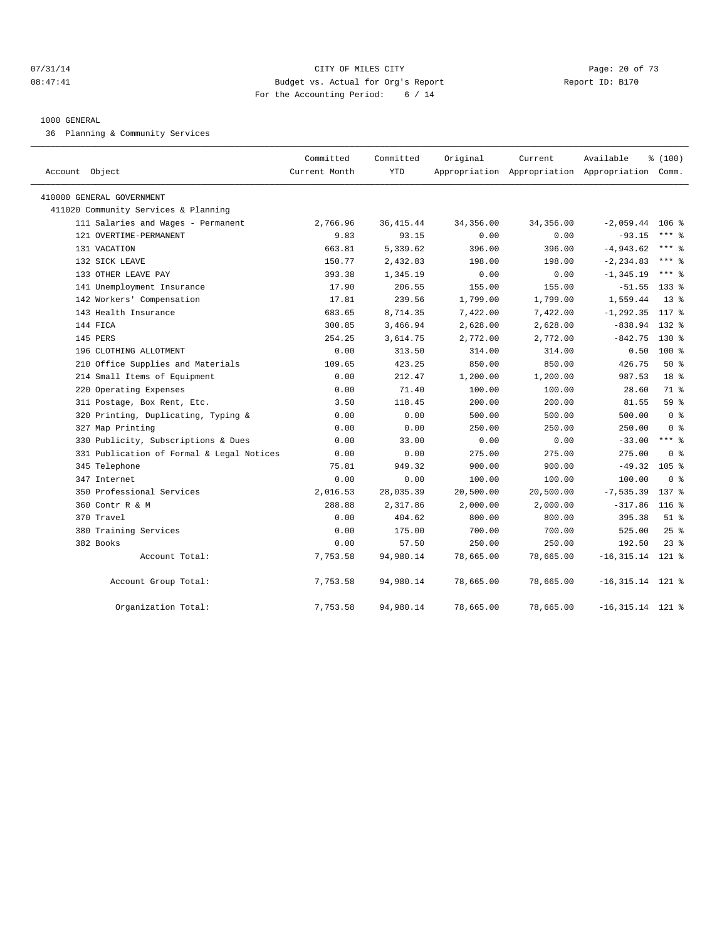#### $O7/31/14$  Page: 20 of 73 08:47:41 Budget vs. Actual for Org's Report Changer Report ID: B170 For the Accounting Period: 6 / 14

#### 1000 GENERAL

36 Planning & Community Services

| Account Object                            | Committed<br>Current Month | Committed<br><b>YTD</b> | Original  | Current   | Available<br>Appropriation Appropriation Appropriation Comm. | % (100)          |
|-------------------------------------------|----------------------------|-------------------------|-----------|-----------|--------------------------------------------------------------|------------------|
| 410000 GENERAL GOVERNMENT                 |                            |                         |           |           |                                                              |                  |
| 411020 Community Services & Planning      |                            |                         |           |           |                                                              |                  |
| 111 Salaries and Wages - Permanent        | 2,766.96                   | 36, 415.44              | 34,356.00 | 34,356.00 | $-2,059.44$                                                  | $106$ %          |
| 121 OVERTIME-PERMANENT                    | 9.83                       | 93.15                   | 0.00      | 0.00      | $-93.15$                                                     | $***$ 8          |
| 131 VACATION                              | 663.81                     | 5,339.62                | 396.00    | 396.00    | $-4,943.62$                                                  | $***$ $%$        |
| 132 SICK LEAVE                            | 150.77                     | 2,432.83                | 198.00    | 198.00    | $-2, 234.83$                                                 | $***$ $%$        |
| 133 OTHER LEAVE PAY                       | 393.38                     | 1,345.19                | 0.00      | 0.00      | $-1, 345.19$                                                 | $***$ $%$        |
| 141 Unemployment Insurance                | 17.90                      | 206.55                  | 155.00    | 155.00    | $-51.55$                                                     | $133$ %          |
| 142 Workers' Compensation                 | 17.81                      | 239.56                  | 1,799.00  | 1,799.00  | 1,559.44                                                     | $13*$            |
| 143 Health Insurance                      | 683.65                     | 8,714.35                | 7,422.00  | 7,422.00  | $-1, 292.35$                                                 | 117 %            |
| 144 FTCA                                  | 300.85                     | 3,466.94                | 2,628.00  | 2,628.00  | $-838.94$                                                    | $132*$           |
| 145 PERS                                  | 254.25                     | 3,614.75                | 2,772.00  | 2,772.00  | $-842.75$                                                    | $130*$           |
| 196 CLOTHING ALLOTMENT                    | 0.00                       | 313.50                  | 314.00    | 314.00    | 0.50                                                         | $100*$           |
| 210 Office Supplies and Materials         | 109.65                     | 423.25                  | 850.00    | 850.00    | 426.75                                                       | 50%              |
| 214 Small Items of Equipment              | 0.00                       | 212.47                  | 1,200.00  | 1,200.00  | 987.53                                                       | 18 <sup>8</sup>  |
| 220 Operating Expenses                    | 0.00                       | 71.40                   | 100.00    | 100.00    | 28.60                                                        | 71 %             |
| 311 Postage, Box Rent, Etc.               | 3.50                       | 118.45                  | 200.00    | 200.00    | 81.55                                                        | 59 <sub>8</sub>  |
| 320 Printing, Duplicating, Typing &       | 0.00                       | 0.00                    | 500.00    | 500.00    | 500.00                                                       | 0 <sup>8</sup>   |
| 327 Map Printing                          | 0.00                       | 0.00                    | 250.00    | 250.00    | 250.00                                                       | 0 <sup>°</sup>   |
| 330 Publicity, Subscriptions & Dues       | 0.00                       | 33.00                   | 0.00      | 0.00      | $-33.00$                                                     | $***$ 2          |
| 331 Publication of Formal & Legal Notices | 0.00                       | 0.00                    | 275.00    | 275.00    | 275.00                                                       | 0 <sup>8</sup>   |
| 345 Telephone                             | 75.81                      | 949.32                  | 900.00    | 900.00    | $-49.32$                                                     | 105 <sub>8</sub> |
| 347 Internet                              | 0.00                       | 0.00                    | 100.00    | 100.00    | 100.00                                                       | 0 <sup>8</sup>   |
| 350 Professional Services                 | 2,016.53                   | 28,035.39               | 20,500.00 | 20,500.00 | $-7, 535.39$                                                 | 137 %            |
| 360 Contr R & M                           | 288.88                     | 2,317.86                | 2,000.00  | 2,000.00  | $-317.86$                                                    | 116 <sub>8</sub> |
| 370 Travel                                | 0.00                       | 404.62                  | 800.00    | 800.00    | 395.38                                                       | $51$ $%$         |
| 380 Training Services                     | 0.00                       | 175.00                  | 700.00    | 700.00    | 525.00                                                       | $25$ %           |
| 382 Books                                 | 0.00                       | 57.50                   | 250.00    | 250.00    | 192.50                                                       | $23$ $%$         |
| Account Total:                            | 7,753.58                   | 94,980.14               | 78,665.00 | 78,665.00 | $-16, 315.14$ 121 %                                          |                  |
| Account Group Total:                      | 7,753.58                   | 94,980.14               | 78,665.00 | 78,665.00 | $-16, 315.14$ 121 %                                          |                  |
| Organization Total:                       | 7,753.58                   | 94,980.14               | 78,665.00 | 78,665.00 | $-16,315.14$ 121 %                                           |                  |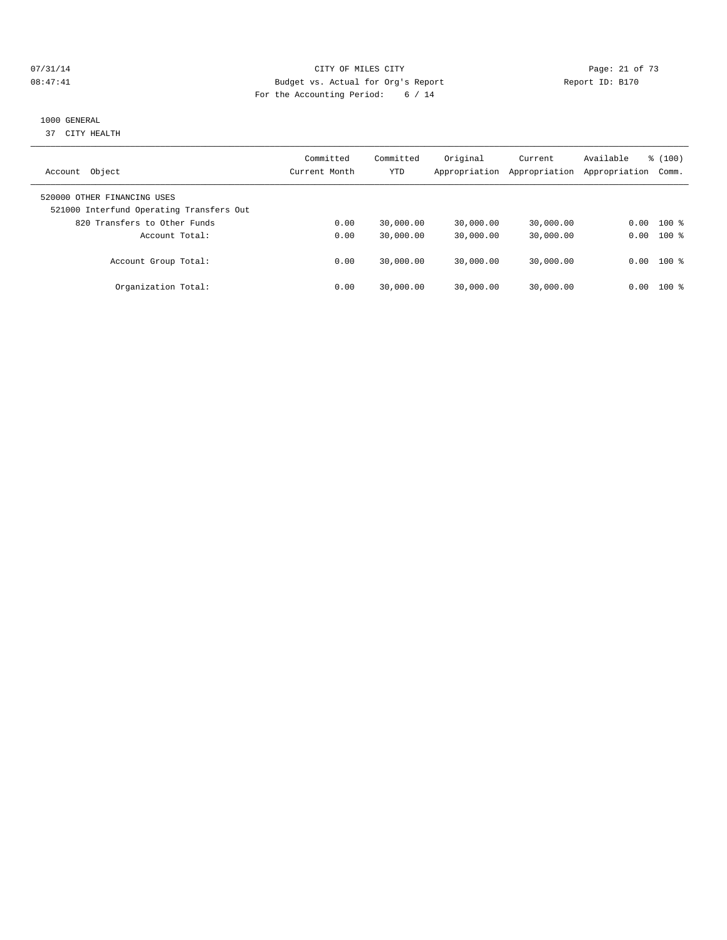#### $O7/31/14$  Page: 21 of 73 08:47:41 Budget vs. Actual for Org's Report Changer Report ID: B170 For the Accounting Period: 6 / 14

## 1000 GENERAL

37 CITY HEALTH

| Object<br>Account                                                       | Committed<br>Current Month | Committed<br><b>YTD</b> | Original<br>Appropriation | Current<br>Appropriation | Available<br>Appropriation | % (100)<br>Comm. |
|-------------------------------------------------------------------------|----------------------------|-------------------------|---------------------------|--------------------------|----------------------------|------------------|
| 520000 OTHER FINANCING USES<br>521000 Interfund Operating Transfers Out |                            |                         |                           |                          |                            |                  |
| 820 Transfers to Other Funds                                            | 0.00                       | 30,000.00               | 30,000.00                 | 30,000.00                | 0.00                       | $100*$           |
| Account Total:                                                          | 0.00                       | 30,000.00               | 30,000.00                 | 30,000.00                | 0.00                       | $100*$           |
| Account Group Total:                                                    | 0.00                       | 30,000.00               | 30,000.00                 | 30,000.00                |                            | $0.00$ 100 %     |
| Organization Total:                                                     | 0.00                       | 30,000.00               | 30,000.00                 | 30,000.00                | 0.00                       | $100*$           |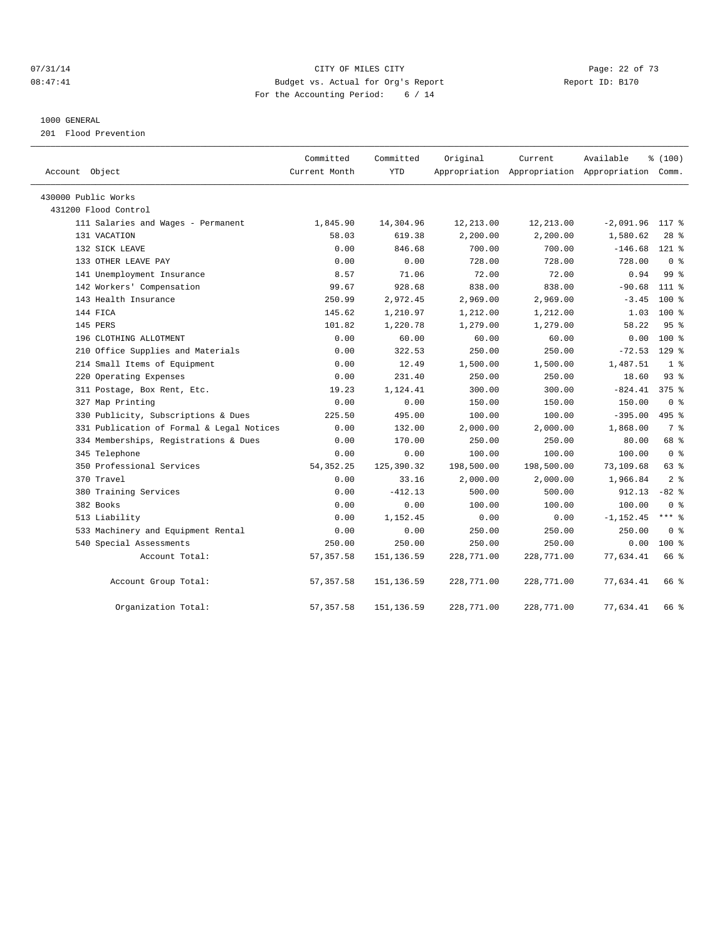## 07/31/14 Page: 22 of 73 08:47:41 Budget vs. Actual for Org's Report Changer Report ID: B170 For the Accounting Period: 6 / 14

#### 1000 GENERAL

201 Flood Prevention

| Account Object                            | Committed<br>Current Month | Committed<br><b>YTD</b> | Original   | Current<br>Appropriation Appropriation Appropriation Comm. | Available    | % (100)         |  |
|-------------------------------------------|----------------------------|-------------------------|------------|------------------------------------------------------------|--------------|-----------------|--|
| 430000 Public Works                       |                            |                         |            |                                                            |              |                 |  |
| 431200 Flood Control                      |                            |                         |            |                                                            |              |                 |  |
| 111 Salaries and Wages - Permanent        | 1,845.90                   | 14,304.96               | 12,213.00  | 12,213.00                                                  | $-2,091.96$  | $117*$          |  |
| 131 VACATION                              | 58.03                      | 619.38                  | 2,200.00   | 2,200.00                                                   | 1,580.62     | $28$ %          |  |
| 132 SICK LEAVE                            | 0.00                       | 846.68                  | 700.00     | 700.00                                                     | $-146.68$    | $121$ $%$       |  |
| 133 OTHER LEAVE PAY                       | 0.00                       | 0.00                    | 728.00     | 728.00                                                     | 728.00       | 0 <sup>8</sup>  |  |
| 141 Unemployment Insurance                | 8.57                       | 71.06                   | 72.00      | 72.00                                                      | 0.94         | 99 <sup>8</sup> |  |
| 142 Workers' Compensation                 | 99.67                      | 928.68                  | 838.00     | 838.00                                                     | $-90.68$     | 111 %           |  |
| 143 Health Insurance                      | 250.99                     | 2,972.45                | 2,969.00   | 2,969.00                                                   | $-3.45$      | $100*$          |  |
| 144 FICA                                  | 145.62                     | 1,210.97                | 1,212.00   | 1,212.00                                                   | 1.03         | $100*$          |  |
| 145 PERS                                  | 101.82                     | 1,220.78                | 1,279.00   | 1,279.00                                                   | 58.22        | 95%             |  |
| 196 CLOTHING ALLOTMENT                    | 0.00                       | 60.00                   | 60.00      | 60.00                                                      | 0.00         | 100 %           |  |
| 210 Office Supplies and Materials         | 0.00                       | 322.53                  | 250.00     | 250.00                                                     | $-72.53$     | $129$ $%$       |  |
| 214 Small Items of Equipment              | 0.00                       | 12.49                   | 1,500.00   | 1,500.00                                                   | 1,487.51     | 1 <sup>8</sup>  |  |
| 220 Operating Expenses                    | 0.00                       | 231.40                  | 250.00     | 250.00                                                     | 18.60        | 93%             |  |
| 311 Postage, Box Rent, Etc.               | 19.23                      | 1,124.41                | 300.00     | 300.00                                                     | $-824.41$    | $375$ $%$       |  |
| 327 Map Printing                          | 0.00                       | 0.00                    | 150.00     | 150.00                                                     | 150.00       | 0 <sup>8</sup>  |  |
| 330 Publicity, Subscriptions & Dues       | 225.50                     | 495.00                  | 100.00     | 100.00                                                     | $-395.00$    | $495$ $%$       |  |
| 331 Publication of Formal & Legal Notices | 0.00                       | 132.00                  | 2,000.00   | 2,000.00                                                   | 1,868.00     | 7 <sup>°</sup>  |  |
| 334 Memberships, Registrations & Dues     | 0.00                       | 170.00                  | 250.00     | 250.00                                                     | 80.00        | 68 %            |  |
| 345 Telephone                             | 0.00                       | 0.00                    | 100.00     | 100.00                                                     | 100.00       | 0 <sup>8</sup>  |  |
| 350 Professional Services                 | 54, 352. 25                | 125,390.32              | 198,500.00 | 198,500.00                                                 | 73,109.68    | 63 %            |  |
| 370 Travel                                | 0.00                       | 33.16                   | 2,000.00   | 2,000.00                                                   | 1,966.84     | 2 <sup>8</sup>  |  |
| 380 Training Services                     | 0.00                       | $-412.13$               | 500.00     | 500.00                                                     | 912.13       | $-82$ %         |  |
| 382 Books                                 | 0.00                       | 0.00                    | 100.00     | 100.00                                                     | 100.00       | 0 <sup>8</sup>  |  |
| 513 Liability                             | 0.00                       | 1,152.45                | 0.00       | 0.00                                                       | $-1, 152.45$ | $***$ 8         |  |
| 533 Machinery and Equipment Rental        | 0.00                       | 0.00                    | 250.00     | 250.00                                                     | 250.00       | 0 <sup>8</sup>  |  |
| 540 Special Assessments                   | 250.00                     | 250.00                  | 250.00     | 250.00                                                     | 0.00         | $100*$          |  |
| Account Total:                            | 57, 357.58                 | 151, 136.59             | 228,771.00 | 228,771.00                                                 | 77,634.41    | 66 %            |  |
| Account Group Total:                      | 57, 357.58                 | 151,136.59              | 228,771.00 | 228,771.00                                                 | 77,634.41    | 66 %            |  |
| Organization Total:                       | 57, 357.58                 | 151,136.59              | 228,771.00 | 228,771.00                                                 | 77,634.41    | 66 %            |  |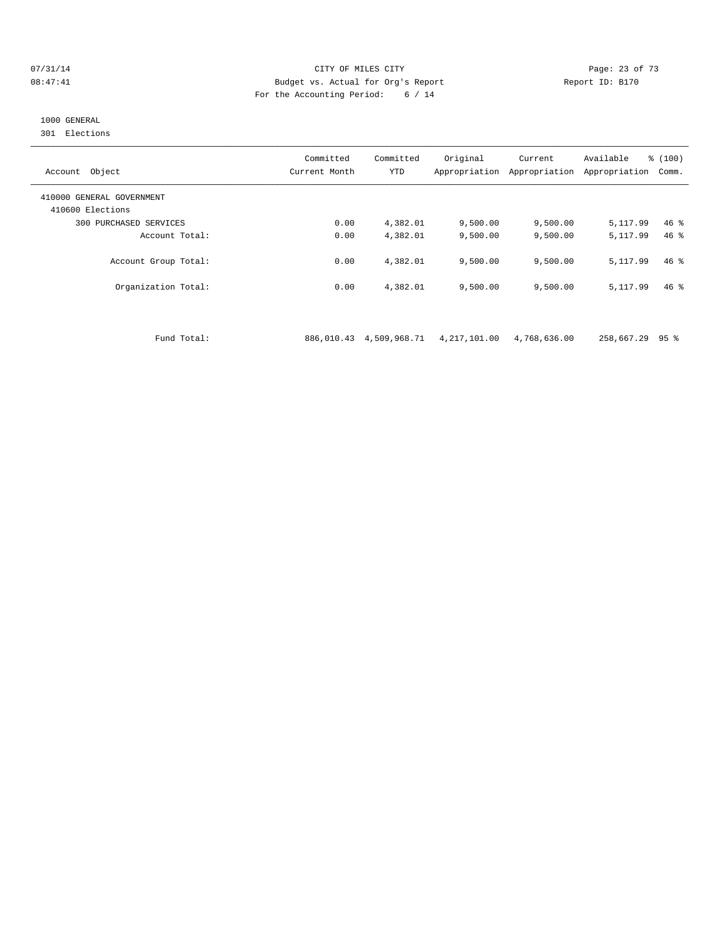#### $O7/31/14$  Page: 23 of 73 08:47:41 Budget vs. Actual for Org's Report Report ID: B170 For the Accounting Period: 6 / 14

# 1000 GENERAL

301 Elections

| Object<br>Account                             | Committed<br>Current Month | Committed<br><b>YTD</b> | Original<br>Appropriation | Current<br>Appropriation | Available<br>Appropriation | % (100)<br>Comm. |
|-----------------------------------------------|----------------------------|-------------------------|---------------------------|--------------------------|----------------------------|------------------|
| 410000 GENERAL GOVERNMENT<br>410600 Elections |                            |                         |                           |                          |                            |                  |
| PURCHASED SERVICES<br>300                     | 0.00                       | 4,382.01                | 9,500.00                  | 9,500.00                 | 5,117.99                   | $46*$            |
| Account Total:                                | 0.00                       | 4,382.01                | 9.500.00                  | 9,500.00                 | 5, 117, 99                 | $46*$            |
| Account Group Total:                          | 0.00                       | 4,382.01                | 9.500.00                  | 9,500.00                 | 5,117.99                   | $46*$            |
| Organization Total:                           | 0.00                       | 4,382.01                | 9,500.00                  | 9,500.00                 | 5, 117, 99                 | $46*$            |

Fund Total: 886,010.43 4,509,968.71 4,217,101.00 4,768,636.00 258,667.29 95 %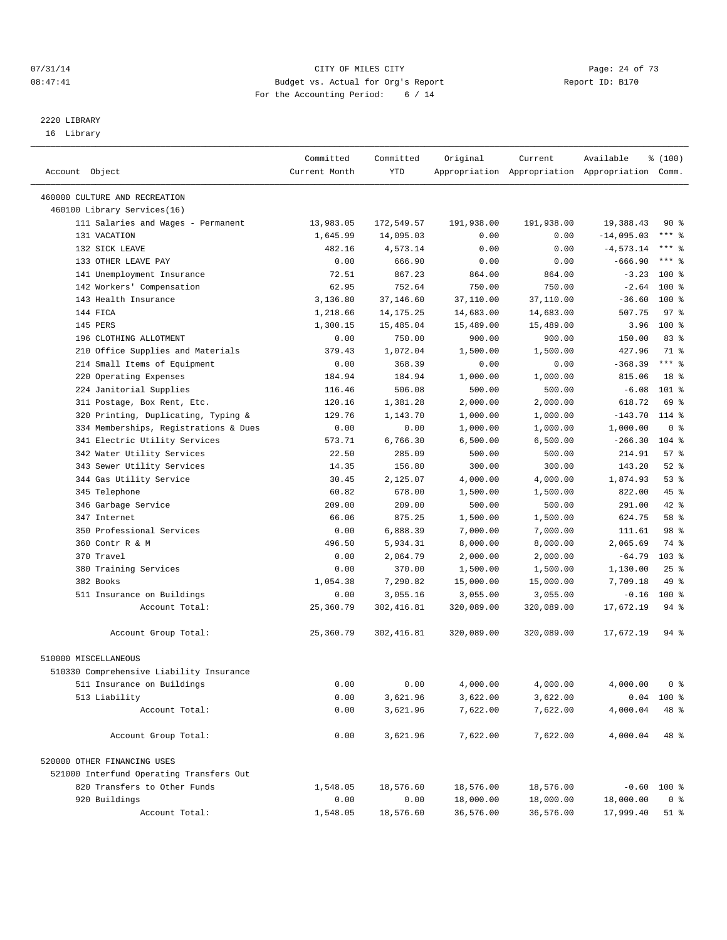#### 07/31/14 Page: 24 of 73 08:47:41 Budget vs. Actual for Org's Report Changer Report ID: B170 For the Accounting Period: 6 / 14

————————————————————————————————————————————————————————————————————————————————————————————————————————————————————————————————————

# 2220 LIBRARY

16 Library

|                                                              | Committed     | Committed   | Original   | Current    | Available                                       | % (100)         |
|--------------------------------------------------------------|---------------|-------------|------------|------------|-------------------------------------------------|-----------------|
| Account Object                                               | Current Month | YTD         |            |            | Appropriation Appropriation Appropriation Comm. |                 |
|                                                              |               |             |            |            |                                                 |                 |
| 460000 CULTURE AND RECREATION<br>460100 Library Services(16) |               |             |            |            |                                                 |                 |
| 111 Salaries and Wages - Permanent                           | 13,983.05     | 172,549.57  | 191,938.00 | 191,938.00 | 19,388.43                                       | 90%             |
| 131 VACATION                                                 | 1,645.99      | 14,095.03   | 0.00       | 0.00       | $-14,095.03$                                    | $***$ $%$       |
| 132 SICK LEAVE                                               | 482.16        | 4,573.14    | 0.00       | 0.00       | $-4, 573.14$                                    | $***$ $%$       |
| 133 OTHER LEAVE PAY                                          | 0.00          | 666.90      | 0.00       | 0.00       | $-666.90$                                       | $***$ 8         |
| 141 Unemployment Insurance                                   | 72.51         | 867.23      | 864.00     | 864.00     | $-3.23$                                         | $100*$          |
| 142 Workers' Compensation                                    | 62.95         | 752.64      | 750.00     | 750.00     | $-2.64$                                         | $100*$          |
| 143 Health Insurance                                         | 3,136.80      | 37,146.60   | 37,110.00  | 37,110.00  | $-36.60$                                        | $100*$          |
| 144 FICA                                                     | 1,218.66      | 14, 175. 25 | 14,683.00  | 14,683.00  | 507.75                                          | 97%             |
| 145 PERS                                                     | 1,300.15      | 15,485.04   | 15,489.00  | 15,489.00  | 3.96                                            | $100*$          |
| 196 CLOTHING ALLOTMENT                                       | 0.00          | 750.00      | 900.00     | 900.00     | 150.00                                          | 83%             |
| 210 Office Supplies and Materials                            | 379.43        | 1,072.04    | 1,500.00   | 1,500.00   | 427.96                                          | 71 %            |
| 214 Small Items of Equipment                                 | 0.00          | 368.39      | 0.00       | 0.00       | $-368.39$                                       | $***$ $_{8}$    |
| 220 Operating Expenses                                       | 184.94        | 184.94      | 1,000.00   | 1,000.00   | 815.06                                          | 18 <sup>°</sup> |
| 224 Janitorial Supplies                                      | 116.46        | 506.08      | 500.00     | 500.00     | $-6.08$                                         | $101$ %         |
| 311 Postage, Box Rent, Etc.                                  | 120.16        | 1,381.28    | 2,000.00   | 2,000.00   | 618.72                                          | 69 %            |
| 320 Printing, Duplicating, Typing &                          | 129.76        | 1,143.70    | 1,000.00   | 1,000.00   | $-143.70$                                       | $114*$          |
| 334 Memberships, Registrations & Dues                        | 0.00          | 0.00        | 1,000.00   | 1,000.00   | 1,000.00                                        | 0 <sup>8</sup>  |
| 341 Electric Utility Services                                | 573.71        | 6,766.30    | 6,500.00   | 6,500.00   | $-266.30$                                       | $104$ %         |
| 342 Water Utility Services                                   | 22.50         | 285.09      | 500.00     | 500.00     | 214.91                                          | 57%             |
| 343 Sewer Utility Services                                   | 14.35         | 156.80      | 300.00     | 300.00     | 143.20                                          | $52$ $%$        |
| 344 Gas Utility Service                                      | 30.45         | 2,125.07    | 4,000.00   | 4,000.00   | 1,874.93                                        | 53%             |
| 345 Telephone                                                | 60.82         | 678.00      | 1,500.00   | 1,500.00   | 822.00                                          | 45 %            |
| 346 Garbage Service                                          | 209.00        | 209.00      | 500.00     | 500.00     | 291.00                                          | 42 %            |
| 347 Internet                                                 | 66.06         | 875.25      | 1,500.00   | 1,500.00   | 624.75                                          | 58 %            |
| 350 Professional Services                                    | 0.00          | 6,888.39    | 7,000.00   | 7,000.00   | 111.61                                          | 98 %            |
| 360 Contr R & M                                              | 496.50        | 5,934.31    | 8,000.00   | 8,000.00   | 2,065.69                                        | 74 %            |
| 370 Travel                                                   | 0.00          | 2,064.79    | 2,000.00   | 2,000.00   | $-64.79$                                        | $103$ %         |
| 380 Training Services                                        | 0.00          | 370.00      | 1,500.00   | 1,500.00   | 1,130.00                                        | $25$ $%$        |
| 382 Books                                                    | 1,054.38      | 7,290.82    | 15,000.00  | 15,000.00  | 7,709.18                                        | 49 %            |
| 511 Insurance on Buildings                                   | 0.00          | 3,055.16    | 3,055.00   | 3,055.00   | $-0.16$                                         | $100*$          |
| Account Total:                                               | 25,360.79     | 302,416.81  | 320,089.00 | 320,089.00 | 17,672.19                                       | 94 %            |
| Account Group Total:                                         | 25,360.79     | 302,416.81  | 320,089.00 | 320,089.00 | 17,672.19                                       | 94 %            |
| 510000 MISCELLANEOUS                                         |               |             |            |            |                                                 |                 |
| 510330 Comprehensive Liability Insurance                     |               |             |            |            |                                                 |                 |
| 511 Insurance on Buildings                                   | 0.00          | 0.00        | 4,000.00   | 4,000.00   | 4,000.00                                        | 0 <sup>8</sup>  |
| 513 Liability                                                | 0.00          | 3,621.96    | 3,622.00   | 3,622.00   |                                                 | $0.04$ 100 %    |
| Account Total:                                               | 0.00          | 3,621.96    | 7,622.00   | 7,622.00   | 4,000.04                                        | 48 %            |
| Account Group Total:                                         | 0.00          | 3,621.96    | 7,622.00   | 7,622.00   | 4,000.04                                        | 48 %            |
| 520000 OTHER FINANCING USES                                  |               |             |            |            |                                                 |                 |
| 521000 Interfund Operating Transfers Out                     |               |             |            |            |                                                 |                 |
| 820 Transfers to Other Funds                                 | 1,548.05      | 18,576.60   | 18,576.00  | 18,576.00  |                                                 | $-0.60$ 100 %   |
| 920 Buildings                                                | 0.00          | 0.00        | 18,000.00  | 18,000.00  | 18,000.00                                       | 0 <sup>8</sup>  |
| Account Total:                                               | 1,548.05      | 18,576.60   | 36,576.00  | 36,576.00  | 17,999.40                                       | 51 %            |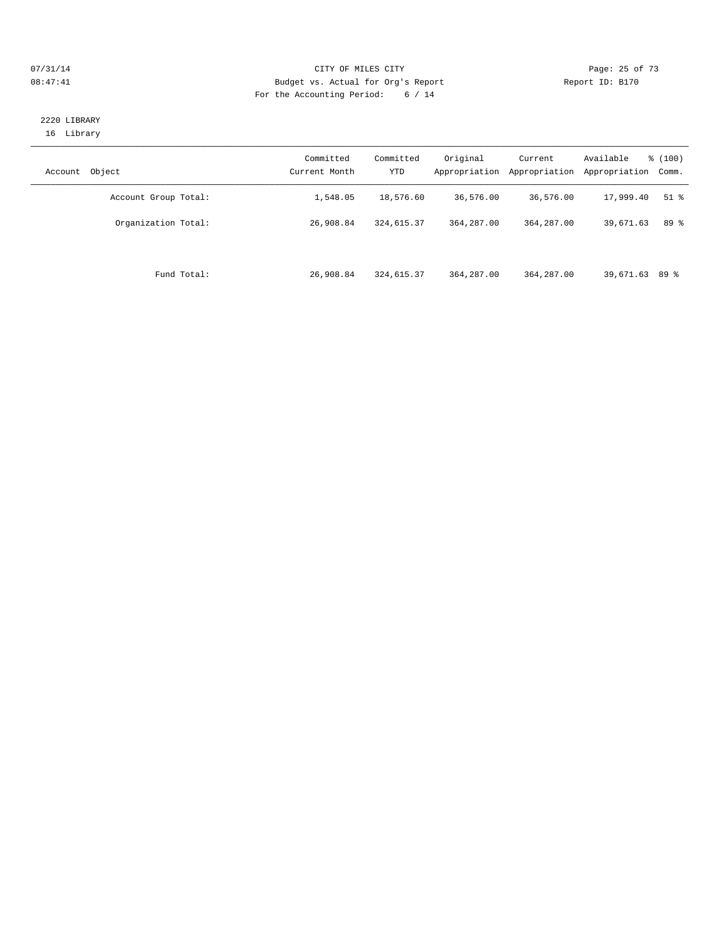#### $O7/31/14$  Page: 25 of 73 08:47:41 Budget vs. Actual for Org's Report Changer Report ID: B170 For the Accounting Period: 6 / 14

## 2220 LIBRARY 16 Library

| Object<br>Account    | Committed<br>Current Month | Committed<br>YTD | Original<br>Appropriation | Current<br>Appropriation | Available<br>Appropriation | % (100)<br>Comm. |
|----------------------|----------------------------|------------------|---------------------------|--------------------------|----------------------------|------------------|
| Account Group Total: | 1,548.05                   | 18,576.60        | 36,576.00                 | 36,576.00                | 17,999.40                  | $51$ %           |
| Organization Total:  | 26,908.84                  | 324,615.37       | 364, 287, 00              | 364,287.00               | 39,671.63                  | 89 %             |
| Fund Total:          | 26,908.84                  | 324,615.37       | 364, 287, 00              | 364,287.00               | 39,671.63 89 %             |                  |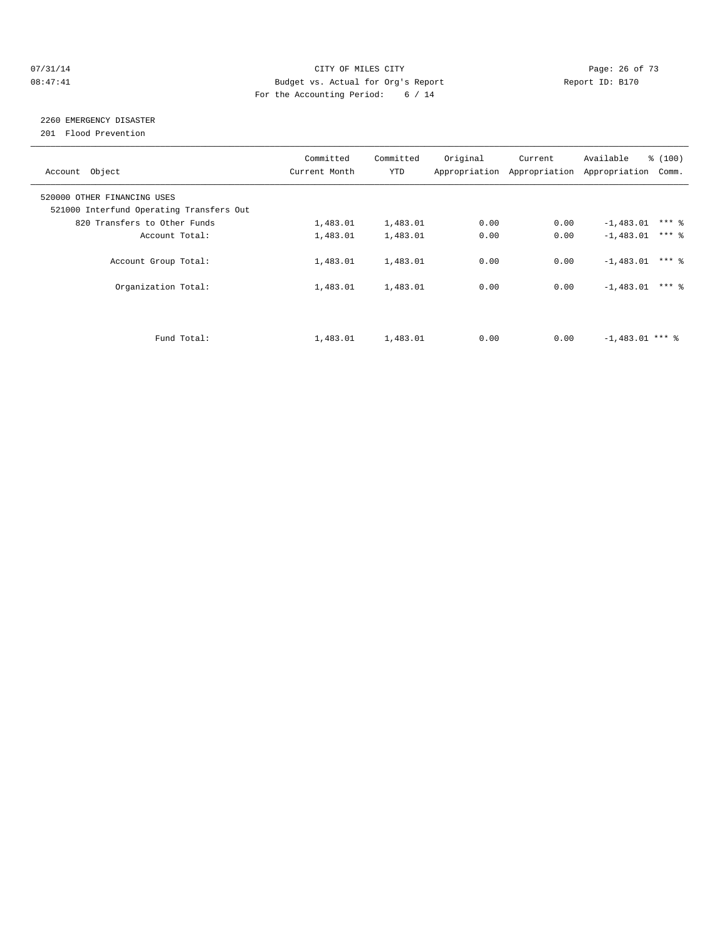#### $O7/31/14$  Page: 26 of 73 08:47:41 Budget vs. Actual for Org's Report Changer Report ID: B170 For the Accounting Period: 6 / 14

# 2260 EMERGENCY DISASTER

201 Flood Prevention

| Account Object                                                          | Committed<br>Current Month | Committed<br>YTD | Original | Current<br>Appropriation Appropriation | % (100)<br>Available<br>Appropriation<br>Comm. |  |
|-------------------------------------------------------------------------|----------------------------|------------------|----------|----------------------------------------|------------------------------------------------|--|
| 520000 OTHER FINANCING USES<br>521000 Interfund Operating Transfers Out |                            |                  |          |                                        |                                                |  |
| 820 Transfers to Other Funds                                            | 1,483.01                   | 1,483.01         | 0.00     | 0.00                                   | $***$ %<br>$-1,483.01$                         |  |
| Account Total:                                                          | 1,483.01                   | 1,483.01         | 0.00     | 0.00                                   | $***$ 2<br>$-1,483.01$                         |  |
| Account Group Total:                                                    | 1,483.01                   | 1,483.01         | 0.00     | 0.00                                   | $***$ 2<br>$-1,483.01$                         |  |
| Organization Total:                                                     | 1,483.01                   | 1,483.01         | 0.00     | 0.00                                   | $***$ 2<br>$-1,483.01$                         |  |
|                                                                         |                            |                  |          |                                        |                                                |  |
| Fund Total:                                                             | 1,483.01                   | 1,483.01         | 0.00     | 0.00                                   | $-1.483.01$ *** \                              |  |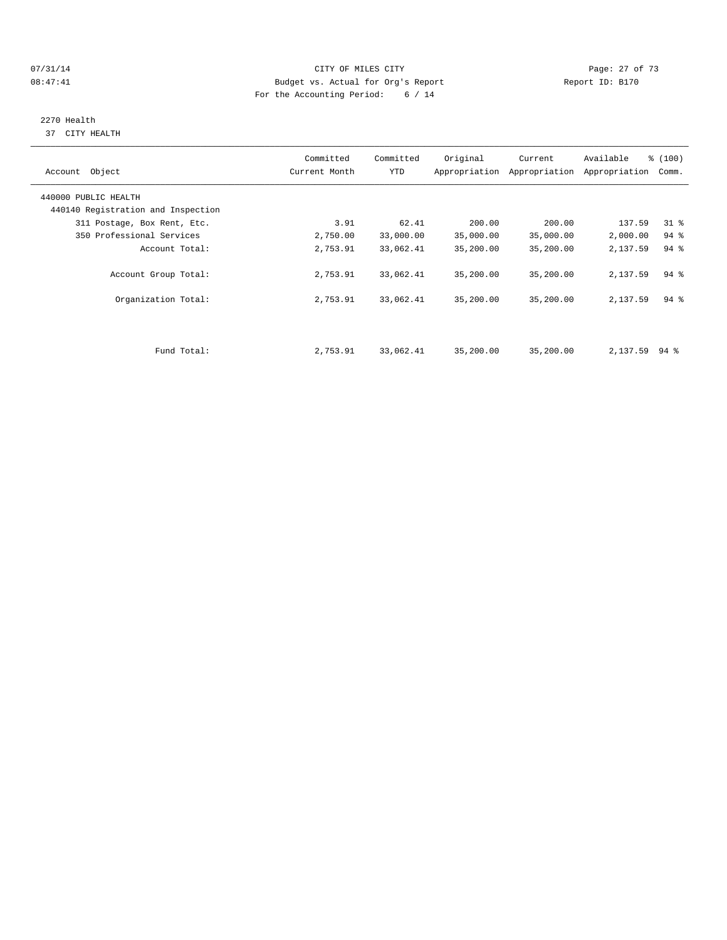#### $O7/31/14$  Page: 27 of 73 08:47:41 Budget vs. Actual for Org's Report Changer Report ID: B170 For the Accounting Period: 6 / 14

# 2270 Health

37 CITY HEALTH

| Account Object                     | Committed<br>Current Month | Committed<br>YTD | Original  | Current<br>Appropriation Appropriation | Available<br>Appropriation | % (100)<br>Comm.   |
|------------------------------------|----------------------------|------------------|-----------|----------------------------------------|----------------------------|--------------------|
| 440000 PUBLIC HEALTH               |                            |                  |           |                                        |                            |                    |
| 440140 Registration and Inspection |                            |                  |           |                                        |                            |                    |
| 311 Postage, Box Rent, Etc.        | 3.91                       | 62.41            | 200.00    | 200.00                                 | 137.59                     | $31$ $%$           |
| 350 Professional Services          | 2,750.00                   | 33,000.00        | 35,000.00 | 35,000.00                              | 2,000.00                   | 94 %               |
| Account Total:                     | 2,753.91                   | 33,062.41        | 35,200.00 | 35,200.00                              | 2,137.59                   | 94 %               |
| Account Group Total:               | 2,753.91                   | 33,062.41        | 35,200.00 | 35,200.00                              | 2,137.59                   | $94$ $%$           |
| Organization Total:                | 2,753.91                   | 33,062.41        | 35,200.00 | 35,200.00                              | 2,137.59                   | $94$ $\frac{6}{3}$ |
|                                    |                            |                  |           |                                        |                            |                    |
| Fund Total:                        | 2,753.91                   | 33,062.41        | 35,200.00 | 35,200.00                              | 2,137.59                   | 94 %               |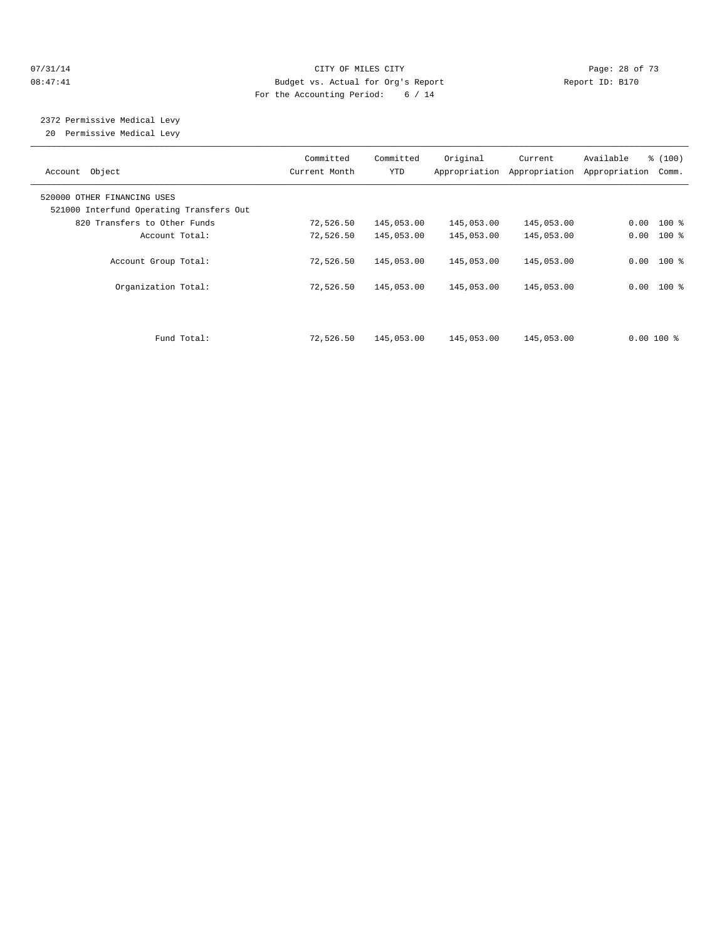#### $O7/31/14$  Page: 28 of 73 08:47:41 Budget vs. Actual for Org's Report Changer Report ID: B170 For the Accounting Period: 6 / 14

 2372 Permissive Medical Levy 20 Permissive Medical Levy

| Object<br>Account                        | Committed<br>Current Month | Committed<br>YTD | Original<br>Appropriation | Current<br>Appropriation | Available<br>Appropriation | % (100)<br>Comm. |
|------------------------------------------|----------------------------|------------------|---------------------------|--------------------------|----------------------------|------------------|
| 520000 OTHER FINANCING USES              |                            |                  |                           |                          |                            |                  |
| 521000 Interfund Operating Transfers Out |                            |                  |                           |                          |                            |                  |
| 820 Transfers to Other Funds             | 72,526.50                  | 145,053.00       | 145,053.00                | 145,053.00               | $0.00$ 100 %               |                  |
| Account Total:                           | 72,526.50                  | 145,053.00       | 145,053.00                | 145,053.00               | $0.00$ 100 %               |                  |
| Account Group Total:                     | 72,526.50                  | 145,053.00       | 145,053.00                | 145,053.00               | $0.00$ 100 %               |                  |
| Organization Total:                      | 72,526.50                  | 145,053.00       | 145,053.00                | 145,053.00               | $0.00$ 100 %               |                  |
|                                          |                            |                  |                           |                          |                            |                  |
| Fund Total:                              | 72,526.50                  | 145,053.00       | 145,053.00                | 145,053.00               | $0.00100$ %                |                  |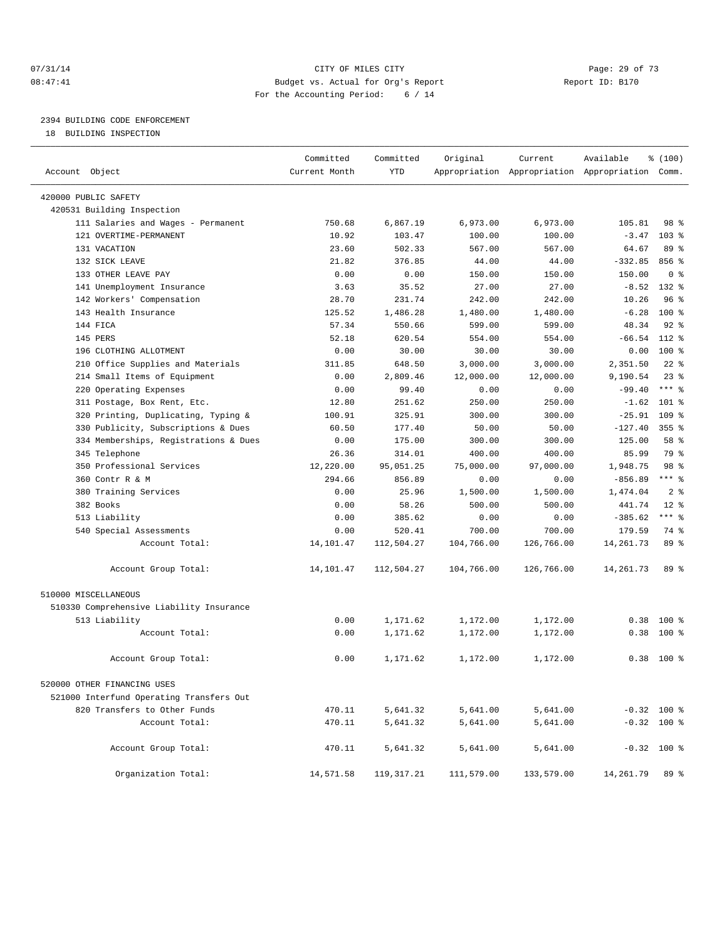#### 07/31/14 Page: 29 of 73 08:47:41 Budget vs. Actual for Org's Report Report ID: B170 For the Accounting Period: 6 / 14

————————————————————————————————————————————————————————————————————————————————————————————————————————————————————————————————————

# 2394 BUILDING CODE ENFORCEMENT

18 BUILDING INSPECTION

|                                          | Committed     | Committed    | Original   | Current                                         | Available     | % (100)         |  |
|------------------------------------------|---------------|--------------|------------|-------------------------------------------------|---------------|-----------------|--|
| Account Object                           | Current Month | YTD          |            | Appropriation Appropriation Appropriation Comm. |               |                 |  |
| 420000 PUBLIC SAFETY                     |               |              |            |                                                 |               |                 |  |
| 420531 Building Inspection               |               |              |            |                                                 |               |                 |  |
| 111 Salaries and Wages - Permanent       | 750.68        | 6,867.19     | 6,973.00   | 6,973.00                                        | 105.81        | 98 %            |  |
| 121 OVERTIME-PERMANENT                   | 10.92         | 103.47       | 100.00     | 100.00                                          | $-3.47$       | $103$ %         |  |
| 131 VACATION                             | 23.60         | 502.33       | 567.00     | 567.00                                          | 64.67         | $89*$           |  |
| 132 SICK LEAVE                           | 21.82         | 376.85       | 44.00      | 44.00                                           | $-332.85$     | 856 %           |  |
| 133 OTHER LEAVE PAY                      | 0.00          | 0.00         | 150.00     | 150.00                                          | 150.00        | 0 <sup>8</sup>  |  |
| 141 Unemployment Insurance               | 3.63          | 35.52        | 27.00      | 27.00                                           | $-8.52$ 132 % |                 |  |
| 142 Workers' Compensation                | 28.70         | 231.74       | 242.00     | 242.00                                          | 10.26         | 96 <sup>8</sup> |  |
| 143 Health Insurance                     | 125.52        | 1,486.28     | 1,480.00   | 1,480.00                                        | $-6.28$       | 100 %           |  |
| 144 FICA                                 | 57.34         | 550.66       | 599.00     | 599.00                                          | 48.34         | $92$ $%$        |  |
| 145 PERS                                 | 52.18         | 620.54       | 554.00     | 554.00                                          | $-66.54$      | 112 %           |  |
| 196 CLOTHING ALLOTMENT                   | 0.00          | 30.00        | 30.00      | 30.00                                           | 0.00          | $100*$          |  |
| 210 Office Supplies and Materials        | 311.85        | 648.50       | 3,000.00   | 3,000.00                                        | 2,351.50      | $22$ %          |  |
| 214 Small Items of Equipment             | 0.00          | 2,809.46     | 12,000.00  | 12,000.00                                       | 9,190.54      | 23%             |  |
| 220 Operating Expenses                   | 0.00          | 99.40        | 0.00       | 0.00                                            | $-99.40$      | $***$ 8         |  |
| 311 Postage, Box Rent, Etc.              | 12.80         | 251.62       | 250.00     | 250.00                                          | $-1.62$       | 101 %           |  |
| 320 Printing, Duplicating, Typing &      | 100.91        | 325.91       | 300.00     | 300.00                                          | $-25.91$      | 109 %           |  |
| 330 Publicity, Subscriptions & Dues      | 60.50         | 177.40       | 50.00      | 50.00                                           | $-127.40$     | $355$ $%$       |  |
| 334 Memberships, Registrations & Dues    | 0.00          | 175.00       | 300.00     | 300.00                                          | 125.00        | 58 %            |  |
| 345 Telephone                            | 26.36         | 314.01       | 400.00     | 400.00                                          | 85.99         | 79 %            |  |
| 350 Professional Services                | 12,220.00     | 95,051.25    | 75,000.00  | 97,000.00                                       | 1,948.75      | 98 %            |  |
| 360 Contr R & M                          | 294.66        | 856.89       | 0.00       | 0.00                                            | $-856.89$     | $***$ $_{8}$    |  |
| 380 Training Services                    | 0.00          | 25.96        | 1,500.00   | 1,500.00                                        | 1,474.04      | 2 <sup>8</sup>  |  |
| 382 Books                                | 0.00          | 58.26        | 500.00     | 500.00                                          | 441.74        | $12*$           |  |
| 513 Liability                            | 0.00          | 385.62       | 0.00       | 0.00                                            | $-385.62$     | $***$ 8         |  |
| 540 Special Assessments                  | 0.00          | 520.41       | 700.00     | 700.00                                          | 179.59        | 74 %            |  |
| Account Total:                           | 14,101.47     | 112,504.27   | 104,766.00 | 126,766.00                                      | 14, 261.73    | 89 %            |  |
| Account Group Total:                     | 14,101.47     | 112,504.27   | 104,766.00 | 126,766.00                                      | 14,261.73     | 89 %            |  |
| 510000 MISCELLANEOUS                     |               |              |            |                                                 |               |                 |  |
| 510330 Comprehensive Liability Insurance |               |              |            |                                                 |               |                 |  |
| 513 Liability                            | 0.00          | 1,171.62     | 1,172.00   | 1,172.00                                        | 0.38          | $100$ %         |  |
| Account Total:                           | 0.00          | 1,171.62     | 1,172.00   | 1,172.00                                        | 0.38          | 100 %           |  |
|                                          |               |              |            |                                                 |               |                 |  |
| Account Group Total:                     | 0.00          | 1,171.62     | 1,172.00   | 1,172.00                                        |               | $0.38$ 100 %    |  |
| 520000 OTHER FINANCING USES              |               |              |            |                                                 |               |                 |  |
| 521000 Interfund Operating Transfers Out |               |              |            |                                                 |               |                 |  |
| 820 Transfers to Other Funds             | 470.11        | 5,641.32     | 5,641.00   | 5,641.00                                        | $-0.32$ 100 % |                 |  |
| Account Total:                           | 470.11        | 5,641.32     | 5,641.00   | 5,641.00                                        | $-0.32$ 100 % |                 |  |
| Account Group Total:                     | 470.11        | 5,641.32     | 5,641.00   | 5,641.00                                        | $-0.32$ 100 % |                 |  |
| Organization Total:                      | 14,571.58     | 119, 317. 21 | 111,579.00 | 133,579.00                                      | 14,261.79     | 89 %            |  |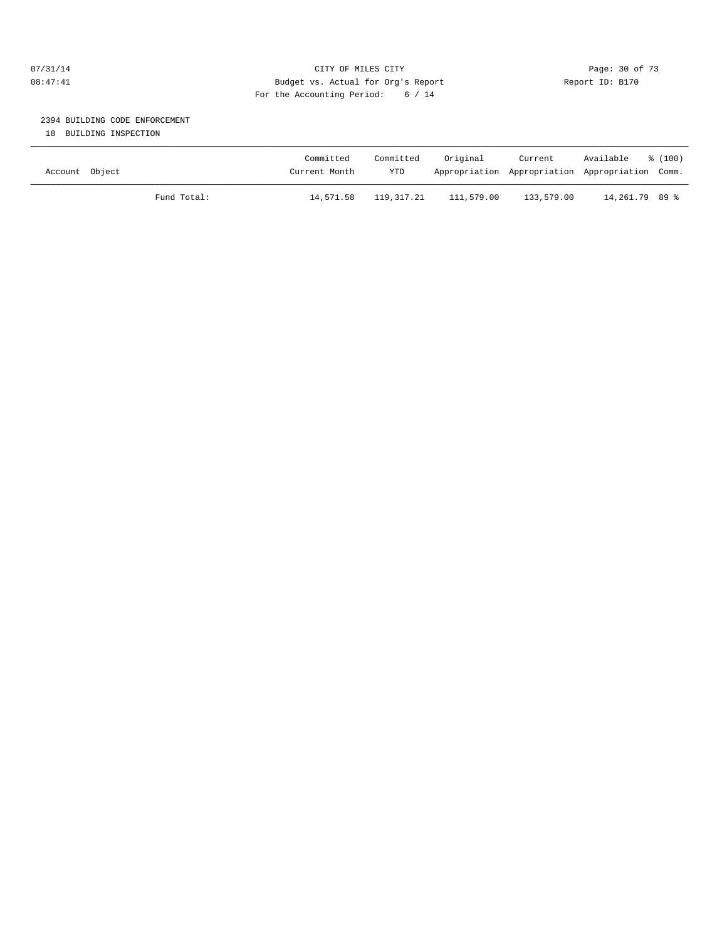## 07/31/14 Page: 30 of 73 08:47:41 Budget vs. Actual for Org's Report Report ID: B170 For the Accounting Period: 6 / 14

# 2394 BUILDING CODE ENFORCEMENT

18 BUILDING INSPECTION

| Account Object |             | Committed<br>Current Month | Committed<br>YTD | Original   | Current<br>Appropriation Appropriation Appropriation Comm. | Available      | $\frac{100}{3}$ |
|----------------|-------------|----------------------------|------------------|------------|------------------------------------------------------------|----------------|-----------------|
|                | Fund Total: | 14,571.58                  | 119,317.21       | 111,579.00 | 133,579.00                                                 | 14,261.79 89 % |                 |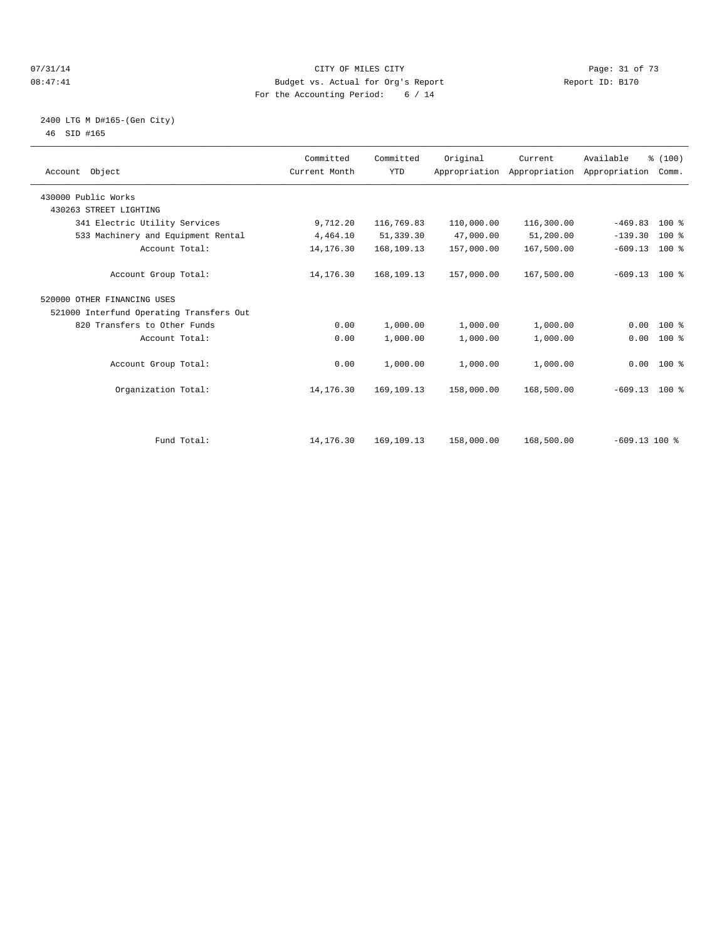#### $O7/31/14$  Page: 31 of 73 08:47:41 Budget vs. Actual for Org's Report Changer Report ID: B170 For the Accounting Period: 6 / 14

## 2400 LTG M D#165-(Gen City) 46 SID #165

| Account Object                           | Committed<br>Current Month | Committed<br><b>YTD</b> | Original   | Current<br>Appropriation Appropriation Appropriation | Available       | % (100)<br>Comm. |  |
|------------------------------------------|----------------------------|-------------------------|------------|------------------------------------------------------|-----------------|------------------|--|
| 430000 Public Works                      |                            |                         |            |                                                      |                 |                  |  |
| 430263 STREET LIGHTING                   |                            |                         |            |                                                      |                 |                  |  |
| 341 Electric Utility Services            | 9,712.20                   | 116,769.83              | 110,000.00 | 116,300.00                                           | $-469.83$       | $100*$           |  |
| 533 Machinery and Equipment Rental       | 4,464.10                   | 51,339.30               | 47,000.00  | 51,200.00                                            | $-139.30$       | 100 %            |  |
| Account Total:                           | 14, 176.30                 | 168,109.13              | 157,000.00 | 167,500.00                                           | $-609.13$       | 100 %            |  |
| Account Group Total:                     | 14,176.30                  | 168,109.13              | 157,000.00 | 167,500.00                                           | $-609.13$ 100 % |                  |  |
| 520000 OTHER FINANCING USES              |                            |                         |            |                                                      |                 |                  |  |
| 521000 Interfund Operating Transfers Out |                            |                         |            |                                                      |                 |                  |  |
| 820 Transfers to Other Funds             | 0.00                       | 1,000.00                | 1,000.00   | 1,000.00                                             | 0.00            | $100*$           |  |
| Account Total:                           | 0.00                       | 1,000.00                | 1,000.00   | 1,000.00                                             | 0.00            | $100*$           |  |
| Account Group Total:                     | 0.00                       | 1,000.00                | 1,000.00   | 1,000.00                                             | $0.00$ 100 %    |                  |  |
| Organization Total:                      | 14, 176.30                 | 169,109.13              | 158,000.00 | 168,500.00                                           | $-609.13$ 100 % |                  |  |
|                                          |                            |                         |            |                                                      |                 |                  |  |
| Fund Total:                              | 14,176.30                  | 169, 109. 13            | 158,000.00 | 168,500.00                                           | $-609.13$ 100 % |                  |  |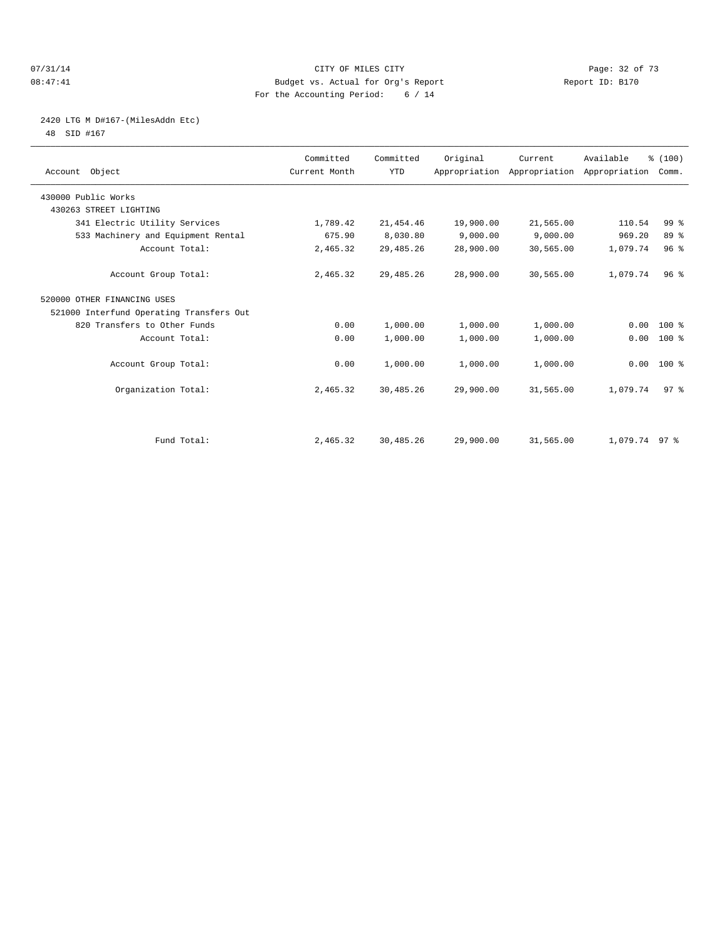#### 07/31/14 Page: 32 of 73 08:47:41 Budget vs. Actual for Org's Report Report ID: B170 For the Accounting Period: 6 / 14

# 2420 LTG M D#167-(MilesAddn Etc)

48 SID #167

| Account Object                           | Committed<br>Current Month | Committed<br><b>YTD</b> | Original  | Current<br>Appropriation Appropriation Appropriation | Available     | % (100)<br>Comm. |  |
|------------------------------------------|----------------------------|-------------------------|-----------|------------------------------------------------------|---------------|------------------|--|
| 430000 Public Works                      |                            |                         |           |                                                      |               |                  |  |
| 430263 STREET LIGHTING                   |                            |                         |           |                                                      |               |                  |  |
| 341 Electric Utility Services            | 1,789.42                   | 21, 454.46              | 19,900.00 | 21,565.00                                            | 110.54        | 99 %             |  |
| 533 Machinery and Equipment Rental       | 675.90                     | 8,030.80                | 9,000.00  | 9,000.00                                             | 969.20        | 89 %             |  |
| Account Total:                           | 2,465.32                   | 29, 485. 26             | 28,900.00 | 30,565.00                                            | 1,079.74      | 96 <sup>8</sup>  |  |
| Account Group Total:                     | 2,465.32                   | 29, 485. 26             | 28,900.00 | 30,565.00                                            | 1,079.74      | 96 <sup>8</sup>  |  |
| 520000 OTHER FINANCING USES              |                            |                         |           |                                                      |               |                  |  |
| 521000 Interfund Operating Transfers Out |                            |                         |           |                                                      |               |                  |  |
| 820 Transfers to Other Funds             | 0.00                       | 1,000.00                | 1,000.00  | 1,000.00                                             | 0.00          | $100*$           |  |
| Account Total:                           | 0.00                       | 1,000.00                | 1,000.00  | 1,000.00                                             | 0.00          | 100 %            |  |
| Account Group Total:                     | 0.00                       | 1,000.00                | 1,000.00  | 1,000.00                                             |               | $0.00$ 100 %     |  |
| Organization Total:                      | 2,465.32                   | 30,485.26               | 29,900.00 | 31,565.00                                            | 1,079.74      | 97 <sup>8</sup>  |  |
|                                          |                            |                         |           |                                                      |               |                  |  |
| Fund Total:                              | 2,465.32                   | 30,485.26               | 29,900.00 | 31,565.00                                            | 1,079.74 97 % |                  |  |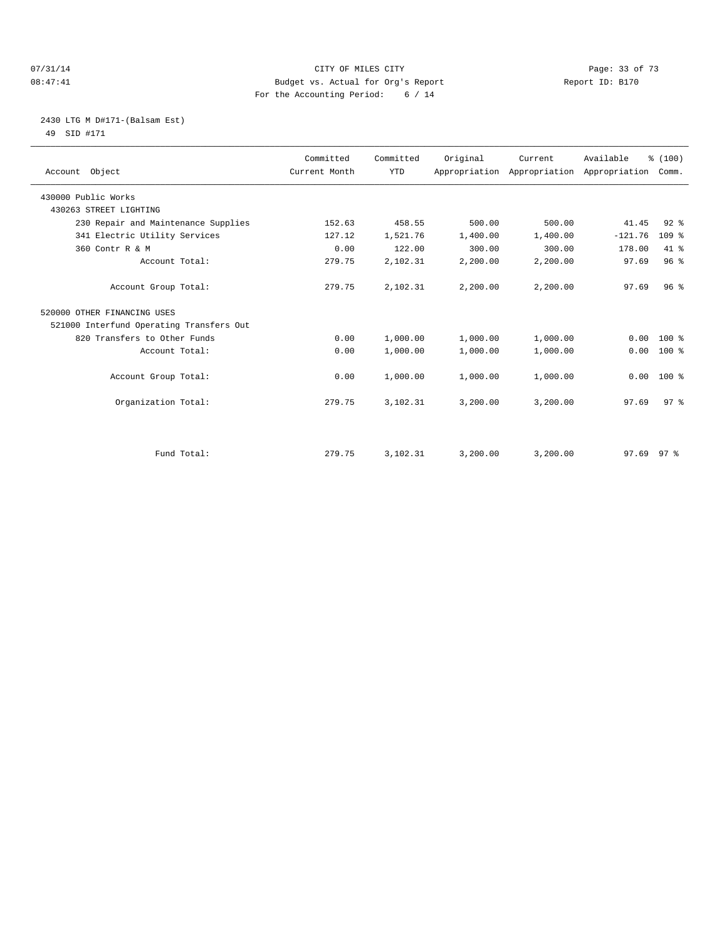#### 07/31/14 Page: 33 of 73 08:47:41 Budget vs. Actual for Org's Report Changer Report ID: B170 For the Accounting Period: 6 / 14

# 2430 LTG M D#171-(Balsam Est) 49 SID #171

| Account Object                           | Committed<br>Current Month | Committed<br><b>YTD</b> | Original | Current<br>Appropriation Appropriation Appropriation | Available      | % (100)<br>Comm. |
|------------------------------------------|----------------------------|-------------------------|----------|------------------------------------------------------|----------------|------------------|
| 430000 Public Works                      |                            |                         |          |                                                      |                |                  |
| 430263 STREET LIGHTING                   |                            |                         |          |                                                      |                |                  |
| 230 Repair and Maintenance Supplies      | 152.63                     | 458.55                  | 500.00   | 500.00                                               | 41.45          | $92$ $%$         |
| 341 Electric Utility Services            | 127.12                     | 1,521.76                | 1,400.00 | 1,400.00                                             | $-121.76$      | 109%             |
| 360 Contr R & M                          | 0.00                       | 122.00                  | 300.00   | 300.00                                               | 178.00         | 41.8             |
| Account Total:                           | 279.75                     | 2,102.31                | 2,200.00 | 2,200.00                                             | 97.69          | 96%              |
| Account Group Total:                     | 279.75                     | 2,102.31                | 2,200.00 | 2,200.00                                             | 97.69          | 96 <sup>8</sup>  |
| 520000 OTHER FINANCING USES              |                            |                         |          |                                                      |                |                  |
| 521000 Interfund Operating Transfers Out |                            |                         |          |                                                      |                |                  |
| 820 Transfers to Other Funds             | 0.00                       | 1,000.00                | 1,000.00 | 1,000.00                                             | 0.00           | $100*$           |
| Account Total:                           | 0.00                       | 1,000.00                | 1,000.00 | 1,000.00                                             | 0.00           | $100*$           |
| Account Group Total:                     | 0.00                       | 1,000.00                | 1,000.00 | 1,000.00                                             | 0.00           | $100*$           |
| Organization Total:                      | 279.75                     | 3,102.31                | 3,200.00 | 3,200.00                                             | 97.69          | 97 <sup>8</sup>  |
|                                          |                            |                         |          |                                                      |                |                  |
| Fund Total:                              | 279.75                     | 3,102.31                | 3,200.00 | 3,200.00                                             | $97.69$ $97$ % |                  |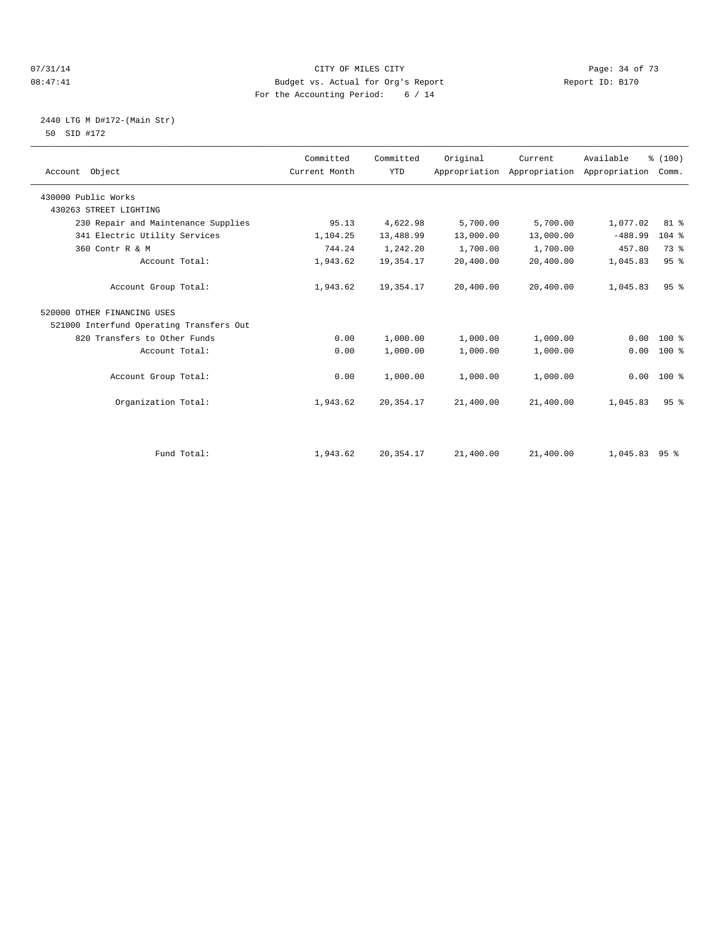#### $O7/31/14$  Page: 34 of 73 08:47:41 Budget vs. Actual for Org's Report Changer Report ID: B170 For the Accounting Period: 6 / 14

# 2440 LTG M D#172-(Main Str) 50 SID #172

| Account Object                           | Committed<br>Current Month | Committed<br><b>YTD</b> | Original  | Current<br>Appropriation Appropriation | Available<br>Appropriation | % (100)<br>Comm. |  |
|------------------------------------------|----------------------------|-------------------------|-----------|----------------------------------------|----------------------------|------------------|--|
| 430000 Public Works                      |                            |                         |           |                                        |                            |                  |  |
| 430263 STREET LIGHTING                   |                            |                         |           |                                        |                            |                  |  |
| 230 Repair and Maintenance Supplies      | 95.13                      | 4,622.98                | 5,700.00  | 5,700.00                               | 1,077.02                   | $81$ %           |  |
| 341 Electric Utility Services            | 1,104.25                   | 13,488.99               | 13,000.00 | 13,000.00                              | $-488.99$                  | 104 %            |  |
| 360 Contr R & M                          | 744.24                     | 1,242.20                | 1,700.00  | 1,700.00                               | 457.80                     | 73 %             |  |
| Account Total:                           | 1,943.62                   | 19,354.17               | 20,400.00 | 20,400.00                              | 1,045.83                   | 95 <sup>8</sup>  |  |
| Account Group Total:                     | 1,943.62                   | 19,354.17               | 20,400.00 | 20,400.00                              | 1,045.83                   | 95 <sup>8</sup>  |  |
| 520000 OTHER FINANCING USES              |                            |                         |           |                                        |                            |                  |  |
| 521000 Interfund Operating Transfers Out |                            |                         |           |                                        |                            |                  |  |
| 820 Transfers to Other Funds             | 0.00                       | 1,000.00                | 1,000.00  | 1,000.00                               | 0.00                       | $100*$           |  |
| Account Total:                           | 0.00                       | 1,000.00                | 1,000.00  | 1,000.00                               | 0.00                       | $100*$           |  |
| Account Group Total:                     | 0.00                       | 1,000.00                | 1,000.00  | 1,000.00                               | 0.00                       | $100*$           |  |
| Organization Total:                      | 1,943.62                   | 20, 354. 17             | 21,400.00 | 21,400.00                              | 1,045.83                   | 95 <sup>8</sup>  |  |
|                                          |                            |                         |           |                                        |                            |                  |  |
| Fund Total:                              | 1,943.62                   | 20, 354. 17             | 21,400.00 | 21,400.00                              | $1,045.83$ 95 %            |                  |  |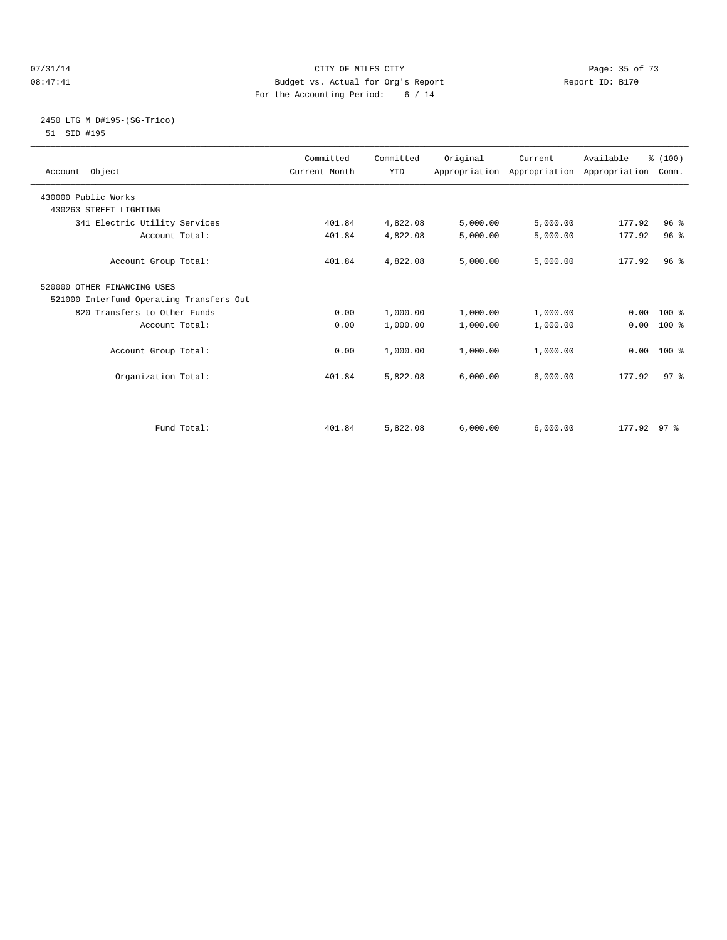#### 07/31/14 Page: 35 of 73 08:47:41 Budget vs. Actual for Org's Report Changer Report ID: B170 For the Accounting Period: 6 / 14

## 2450 LTG M D#195-(SG-Trico) 51 SID #195

| Account Object                           | Committed<br>Current Month | Committed<br><b>YTD</b> | Original | Current  | Available<br>Appropriation Appropriation Appropriation | % (100)<br>Comm. |  |
|------------------------------------------|----------------------------|-------------------------|----------|----------|--------------------------------------------------------|------------------|--|
| 430000 Public Works                      |                            |                         |          |          |                                                        |                  |  |
| 430263 STREET LIGHTING                   |                            |                         |          |          |                                                        |                  |  |
| 341 Electric Utility Services            | 401.84                     | 4,822.08                | 5,000.00 | 5,000.00 | 177.92                                                 | 96 <sup>8</sup>  |  |
| Account Total:                           | 401.84                     | 4,822.08                | 5,000.00 | 5,000.00 | 177.92                                                 | 96 <sup>8</sup>  |  |
| Account Group Total:                     | 401.84                     | 4,822.08                | 5,000.00 | 5,000.00 | 177.92                                                 | 96 <sup>8</sup>  |  |
| 520000 OTHER FINANCING USES              |                            |                         |          |          |                                                        |                  |  |
| 521000 Interfund Operating Transfers Out |                            |                         |          |          |                                                        |                  |  |
| 820 Transfers to Other Funds             | 0.00                       | 1,000.00                | 1,000.00 | 1,000.00 |                                                        | $0.00$ 100 %     |  |
| Account Total:                           | 0.00                       | 1,000.00                | 1,000.00 | 1,000.00 | 0.00                                                   | $100*$           |  |
| Account Group Total:                     | 0.00                       | 1,000.00                | 1,000.00 | 1,000.00 | 0.00                                                   | 100 %            |  |
| Organization Total:                      | 401.84                     | 5,822.08                | 6,000.00 | 6,000.00 | 177.92                                                 | 97 <sup>8</sup>  |  |
| Fund Total:                              | 401.84                     | 5,822.08                | 6.000.00 | 6,000.00 | 177.92 97 %                                            |                  |  |
|                                          |                            |                         |          |          |                                                        |                  |  |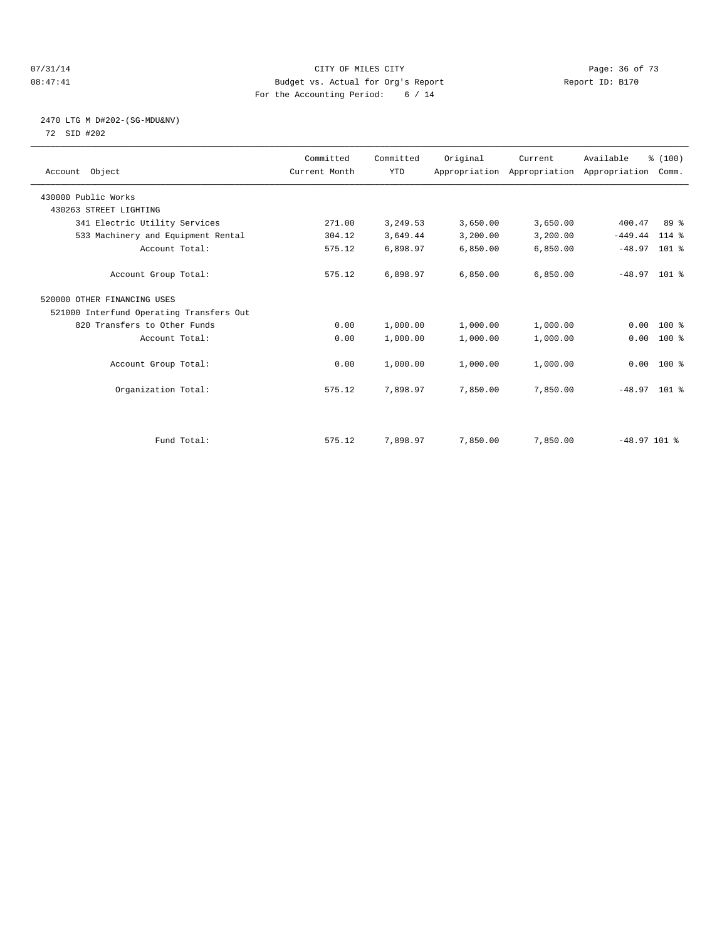#### $O7/31/14$  Page: 36 of 73 08:47:41 Budget vs. Actual for Org's Report Changer Report ID: B170 For the Accounting Period: 6 / 14

# 2470 LTG M D#202-(SG-MDU&NV) 72 SID #202

| Account Object                           | Committed<br>Current Month | Committed<br><b>YTD</b> | Original | Current  | Available<br>Appropriation Appropriation Appropriation | % (100)<br>Comm. |  |
|------------------------------------------|----------------------------|-------------------------|----------|----------|--------------------------------------------------------|------------------|--|
| 430000 Public Works                      |                            |                         |          |          |                                                        |                  |  |
| 430263 STREET LIGHTING                   |                            |                         |          |          |                                                        |                  |  |
| 341 Electric Utility Services            | 271.00                     | 3,249.53                | 3,650.00 | 3,650.00 | 400.47                                                 | 89 %             |  |
| 533 Machinery and Equipment Rental       | 304.12                     | 3,649.44                | 3,200.00 | 3,200.00 | $-449.44$                                              | 114 %            |  |
| Account Total:                           | 575.12                     | 6,898.97                | 6,850.00 | 6,850.00 | $-48.97$                                               | $101$ %          |  |
| Account Group Total:                     | 575.12                     | 6,898.97                | 6.850.00 | 6,850.00 | $-48.97$ 101 %                                         |                  |  |
| 520000 OTHER FINANCING USES              |                            |                         |          |          |                                                        |                  |  |
| 521000 Interfund Operating Transfers Out |                            |                         |          |          |                                                        |                  |  |
| 820 Transfers to Other Funds             | 0.00                       | 1,000.00                | 1,000.00 | 1,000.00 | 0.00                                                   | 100 %            |  |
| Account Total:                           | 0.00                       | 1,000.00                | 1,000.00 | 1,000.00 | 0.00                                                   | 100 %            |  |
| Account Group Total:                     | 0.00                       | 1,000.00                | 1,000.00 | 1,000.00 |                                                        | $0.00$ 100 %     |  |
| Organization Total:                      | 575.12                     | 7,898.97                | 7,850.00 | 7,850.00 | $-48.97$ 101 %                                         |                  |  |
|                                          |                            |                         |          |          |                                                        |                  |  |
| Fund Total:                              | 575.12                     | 7,898.97                | 7,850.00 | 7,850.00 | $-48.97$ 101 %                                         |                  |  |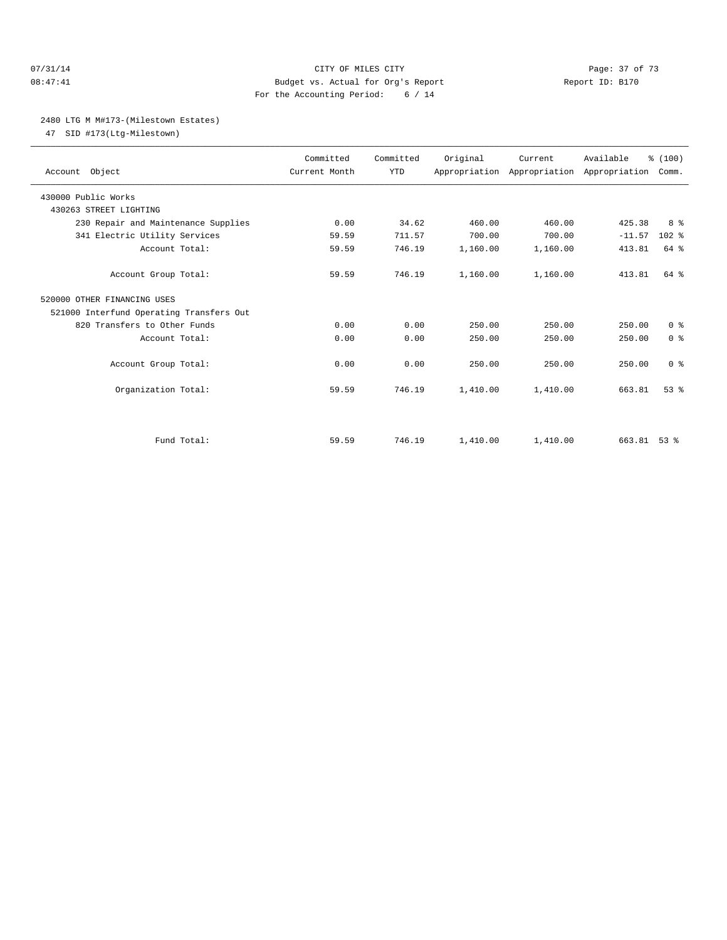#### 07/31/14 Page: 37 of 73 08:47:41 Budget vs. Actual for Org's Report Report ID: B170 For the Accounting Period: 6 / 14

#### 2480 LTG M M#173-(Milestown Estates)

47 SID #173(Ltg-Milestown)

| Account Object                                | Committed<br>Current Month | Committed<br><b>YTD</b> | Original | Current<br>Appropriation Appropriation Appropriation | Available   | % (100)<br>Comm. |  |
|-----------------------------------------------|----------------------------|-------------------------|----------|------------------------------------------------------|-------------|------------------|--|
| 430000 Public Works<br>430263 STREET LIGHTING |                            |                         |          |                                                      |             |                  |  |
| 230 Repair and Maintenance Supplies           | 0.00                       | 34.62                   | 460.00   | 460.00                                               | 425.38      | 8 %              |  |
| 341 Electric Utility Services                 | 59.59                      | 711.57                  | 700.00   | 700.00                                               | $-11.57$    | 102 %            |  |
| Account Total:                                | 59.59                      | 746.19                  | 1,160.00 | 1,160.00                                             | 413.81      | 64 %             |  |
| Account Group Total:                          | 59.59                      | 746.19                  | 1,160.00 | 1,160.00                                             | 413.81      | 64 %             |  |
| 520000 OTHER FINANCING USES                   |                            |                         |          |                                                      |             |                  |  |
| 521000 Interfund Operating Transfers Out      |                            |                         |          |                                                      |             |                  |  |
| 820 Transfers to Other Funds                  | 0.00                       | 0.00                    | 250.00   | 250.00                                               | 250.00      | 0 <sup>8</sup>   |  |
| Account Total:                                | 0.00                       | 0.00                    | 250.00   | 250.00                                               | 250.00      | 0 <sup>8</sup>   |  |
| Account Group Total:                          | 0.00                       | 0.00                    | 250.00   | 250.00                                               | 250.00      | 0 <sup>8</sup>   |  |
| Organization Total:                           | 59.59                      | 746.19                  | 1,410.00 | 1,410.00                                             | 663.81      | 53 <sup>8</sup>  |  |
|                                               |                            |                         |          |                                                      |             |                  |  |
| Fund Total:                                   | 59.59                      | 746.19                  | 1,410.00 | 1,410.00                                             | 663.81 53 % |                  |  |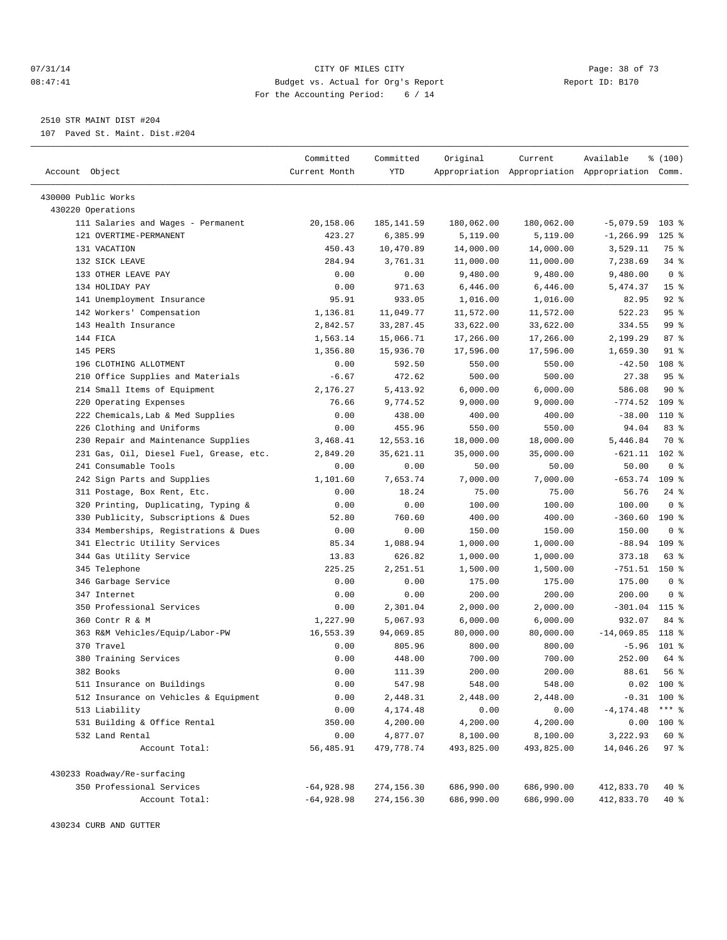#### 07/31/14 Page: 38 of 73 08:47:41 Budget vs. Actual for Org's Report Report ID: B170 For the Accounting Period: 6 / 14

————————————————————————————————————————————————————————————————————————————————————————————————————————————————————————————————————

2510 STR MAINT DIST #204

107 Paved St. Maint. Dist.#204

|                                                                 | Committed         | Committed            | Original           | Current            | Available                                       | % (100)         |  |
|-----------------------------------------------------------------|-------------------|----------------------|--------------------|--------------------|-------------------------------------------------|-----------------|--|
| Account Object                                                  | Current Month     | YTD                  |                    |                    | Appropriation Appropriation Appropriation Comm. |                 |  |
|                                                                 |                   |                      |                    |                    |                                                 |                 |  |
| 430000 Public Works<br>430220 Operations                        |                   |                      |                    |                    |                                                 |                 |  |
| 111 Salaries and Wages - Permanent                              | 20,158.06         | 185, 141.59          | 180,062.00         | 180,062.00         | $-5,079.59$                                     | 103%            |  |
| 121 OVERTIME-PERMANENT                                          | 423.27            | 6,385.99             | 5,119.00           | 5,119.00           | $-1, 266.99$                                    | $125$ %         |  |
| 131 VACATION                                                    | 450.43            | 10,470.89            | 14,000.00          | 14,000.00          | 3,529.11                                        | 75 %            |  |
| 132 SICK LEAVE                                                  | 284.94            | 3,761.31             | 11,000.00          | 11,000.00          | 7,238.69                                        | 34 %            |  |
| 133 OTHER LEAVE PAY                                             | 0.00              | 0.00                 | 9,480.00           | 9,480.00           | 9,480.00                                        | 0 <sup>8</sup>  |  |
| 134 HOLIDAY PAY                                                 | 0.00              | 971.63               | 6,446.00           | 6,446.00           | 5,474.37                                        | 15 <sup>8</sup> |  |
| 141 Unemployment Insurance                                      | 95.91             | 933.05               | 1,016.00           | 1,016.00           | 82.95                                           | $92$ $%$        |  |
| 142 Workers' Compensation                                       | 1,136.81          | 11,049.77            | 11,572.00          | 11,572.00          | 522.23                                          | 95%             |  |
| 143 Health Insurance                                            | 2,842.57          | 33, 287.45           | 33,622.00          | 33,622.00          | 334.55                                          | 99 %            |  |
| 144 FICA                                                        | 1,563.14          | 15,066.71            | 17,266.00          | 17,266.00          | 2,199.29                                        | 87%             |  |
| 145 PERS                                                        | 1,356.80          | 15,936.70            | 17,596.00          | 17,596.00          | 1,659.30                                        | $91$ %          |  |
| 196 CLOTHING ALLOTMENT                                          | 0.00              | 592.50               | 550.00             | 550.00             | $-42.50$                                        | 108 %           |  |
|                                                                 |                   |                      | 500.00             | 500.00             | 27.38                                           | 95%             |  |
| 210 Office Supplies and Materials                               | $-6.67$           | 472.62               | 6,000.00           | 6,000.00           |                                                 | 90%             |  |
| 214 Small Items of Equipment<br>220 Operating Expenses          | 2,176.27<br>76.66 | 5,413.92<br>9,774.52 |                    |                    | 586.08<br>$-774.52$                             | $109$ %         |  |
| 222 Chemicals, Lab & Med Supplies                               | 0.00              | 438.00               | 9,000.00<br>400.00 | 9,000.00<br>400.00 | $-38.00$                                        | 110 %           |  |
| 226 Clothing and Uniforms                                       |                   | 455.96               | 550.00             |                    | 94.04                                           | 83%             |  |
|                                                                 | 0.00              |                      |                    | 550.00             |                                                 |                 |  |
| 230 Repair and Maintenance Supplies                             | 3,468.41          | 12,553.16            | 18,000.00          | 18,000.00          | 5,446.84                                        | 70 %<br>$102*$  |  |
| 231 Gas, Oil, Diesel Fuel, Grease, etc.<br>241 Consumable Tools | 2,849.20          | 35,621.11            | 35,000.00          | 35,000.00          | $-621.11$                                       | 0 <sup>8</sup>  |  |
|                                                                 | 0.00              | 0.00                 | 50.00              | 50.00              | 50.00<br>$-653.74$ 109 %                        |                 |  |
| 242 Sign Parts and Supplies                                     | 1,101.60          | 7,653.74             | 7,000.00           | 7,000.00           |                                                 |                 |  |
| 311 Postage, Box Rent, Etc.                                     | 0.00              | 18.24                | 75.00              | 75.00              | 56.76                                           | $24$ %          |  |
| 320 Printing, Duplicating, Typing &                             | 0.00              | 0.00                 | 100.00             | 100.00             | 100.00                                          | 0 <sup>8</sup>  |  |
| 330 Publicity, Subscriptions & Dues                             | 52.80             | 760.60               | 400.00             | 400.00             | $-360.60$                                       | $190*$          |  |
| 334 Memberships, Registrations & Dues                           | 0.00              | 0.00                 | 150.00             | 150.00             | 150.00                                          | 0 <sup>8</sup>  |  |
| 341 Electric Utility Services                                   | 85.34             | 1,088.94             | 1,000.00           | 1,000.00           | $-88.94$ 109 %                                  |                 |  |
| 344 Gas Utility Service                                         | 13.83             | 626.82               | 1,000.00           | 1,000.00           | 373.18                                          | 63 %            |  |
| 345 Telephone                                                   | 225.25            | 2,251.51             | 1,500.00           | 1,500.00           | $-751.51$                                       | 150 %           |  |
| 346 Garbage Service                                             | 0.00              | 0.00                 | 175.00             | 175.00             | 175.00                                          | 0 <sup>8</sup>  |  |
| 347 Internet                                                    | 0.00              | 0.00                 | 200.00             | 200.00             | 200.00                                          | 0 <sup>8</sup>  |  |
| 350 Professional Services                                       | 0.00              | 2,301.04             | 2,000.00           | 2,000.00           | $-301.04$                                       | 115 %           |  |
| 360 Contr R & M                                                 | 1,227.90          | 5,067.93             | 6,000.00           | 6,000.00           | 932.07                                          | 84 %            |  |
| 363 R&M Vehicles/Equip/Labor-PW                                 | 16,553.39         | 94,069.85            | 80,000.00          | 80,000.00          | $-14,069.85$                                    | 118 %           |  |
| 370 Travel                                                      | 0.00              | 805.96               | 800.00             | 800.00             | $-5.96$                                         | $101$ %         |  |
| 380 Training Services                                           | 0.00              | 448.00               | 700.00             | 700.00             | 252.00                                          | 64 %            |  |
| 382 Books                                                       | 0.00              | 111.39               | 200.00             | 200.00             | 88.61                                           | 56 %            |  |
| 511 Insurance on Buildings                                      | 0.00              | 547.98               | 548.00             | 548.00             |                                                 | $0.02$ 100 %    |  |
| 512 Insurance on Vehicles & Equipment                           | 0.00              | 2,448.31             | 2,448.00           | 2,448.00           | $-0.31$ 100 %                                   |                 |  |
| 513 Liability                                                   | 0.00              | 4,174.48             | 0.00               | 0.00               | $-4, 174.48$                                    | $***$ $_{8}$    |  |
| 531 Building & Office Rental                                    | 350.00            | 4,200.00             | 4,200.00           | 4,200.00           | 0.00                                            | 100 %           |  |
| 532 Land Rental                                                 | 0.00              | 4,877.07             | 8,100.00           | 8,100.00           | 3,222.93                                        | 60 %            |  |
| Account Total:                                                  | 56,485.91         | 479,778.74           | 493,825.00         | 493,825.00         | 14,046.26                                       | 97%             |  |
| 430233 Roadway/Re-surfacing                                     |                   |                      |                    |                    |                                                 |                 |  |
| 350 Professional Services                                       | $-64,928.98$      | 274,156.30           | 686,990.00         | 686,990.00         | 412,833.70                                      | 40 %            |  |
| Account Total:                                                  | $-64,928.98$      | 274,156.30           | 686,990.00         | 686,990.00         | 412,833.70                                      | $40*$           |  |

430234 CURB AND GUTTER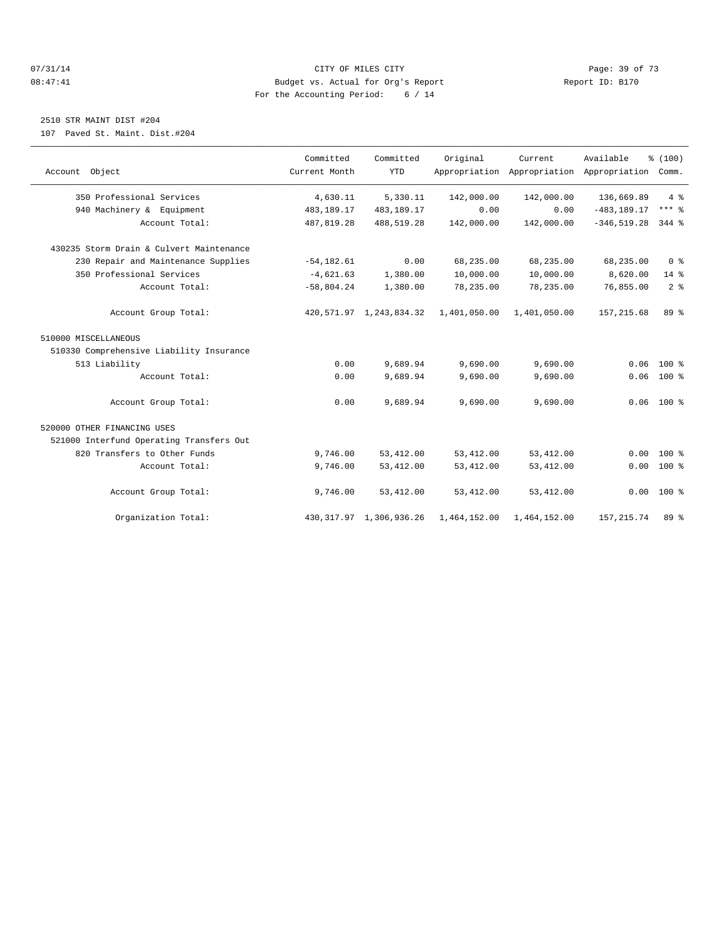#### $O7/31/14$  Page: 39 of 73 08:47:41 Budget vs. Actual for Org's Report Changer Report ID: B170 For the Accounting Period: 6 / 14

## 2510 STR MAINT DIST #204

107 Paved St. Maint. Dist.#204

| Account Object                           | Committed<br>Current Month | Committed<br><b>YTD</b>    | Original     | Current      | Available<br>Appropriation Appropriation Appropriation | % (100)<br>Comm. |
|------------------------------------------|----------------------------|----------------------------|--------------|--------------|--------------------------------------------------------|------------------|
| 350 Professional Services                | 4,630.11                   | 5,330.11                   | 142,000.00   | 142,000.00   | 136,669.89                                             | $4\degree$       |
| 940 Machinery & Equipment                | 483,189.17                 | 483,189.17                 | 0.00         | 0.00         | $-483, 189.17$                                         | $***$ $%$        |
| Account Total:                           | 487,819.28                 | 488,519.28                 | 142,000.00   | 142,000.00   | $-346, 519.28$                                         | $344$ %          |
| 430235 Storm Drain & Culvert Maintenance |                            |                            |              |              |                                                        |                  |
| 230 Repair and Maintenance Supplies      | $-54, 182.61$              | 0.00                       | 68,235.00    | 68,235.00    | 68,235.00                                              | 0 <sup>8</sup>   |
| 350 Professional Services                | $-4,621.63$                | 1,380.00                   | 10,000.00    | 10,000.00    | 8,620.00                                               | 14 %             |
| Account Total:                           | $-58,804.24$               | 1,380.00                   | 78,235.00    | 78,235.00    | 76,855.00                                              | 2 <sup>8</sup>   |
| Account Group Total:                     |                            | 420, 571.97 1, 243, 834.32 | 1,401,050.00 | 1,401,050.00 | 157, 215.68                                            | 89 %             |
| 510000 MISCELLANEOUS                     |                            |                            |              |              |                                                        |                  |
| 510330 Comprehensive Liability Insurance |                            |                            |              |              |                                                        |                  |
| 513 Liability                            | 0.00                       | 9,689.94                   | 9,690.00     | 9,690.00     | 0.06                                                   | $100*$           |
| Account Total:                           | 0.00                       | 9,689.94                   | 9,690.00     | 9,690.00     | 0.06                                                   | 100 %            |
| Account Group Total:                     | 0.00                       | 9,689.94                   | 9,690.00     | 9,690.00     |                                                        | $0.06$ 100 %     |
| 520000 OTHER FINANCING USES              |                            |                            |              |              |                                                        |                  |
| 521000 Interfund Operating Transfers Out |                            |                            |              |              |                                                        |                  |
| 820 Transfers to Other Funds             | 9,746.00                   | 53, 412.00                 | 53, 412.00   | 53, 412.00   | 0.00                                                   | $100*$           |
| Account Total:                           | 9,746.00                   | 53, 412.00                 | 53, 412.00   | 53, 412.00   | 0.00                                                   | 100 %            |
| Account Group Total:                     | 9,746.00                   | 53, 412.00                 | 53, 412.00   | 53, 412.00   |                                                        | $0.00$ 100 %     |
| Organization Total:                      |                            | 430, 317.97 1, 306, 936.26 | 1,464,152.00 | 1,464,152.00 | 157, 215.74                                            | $89*$            |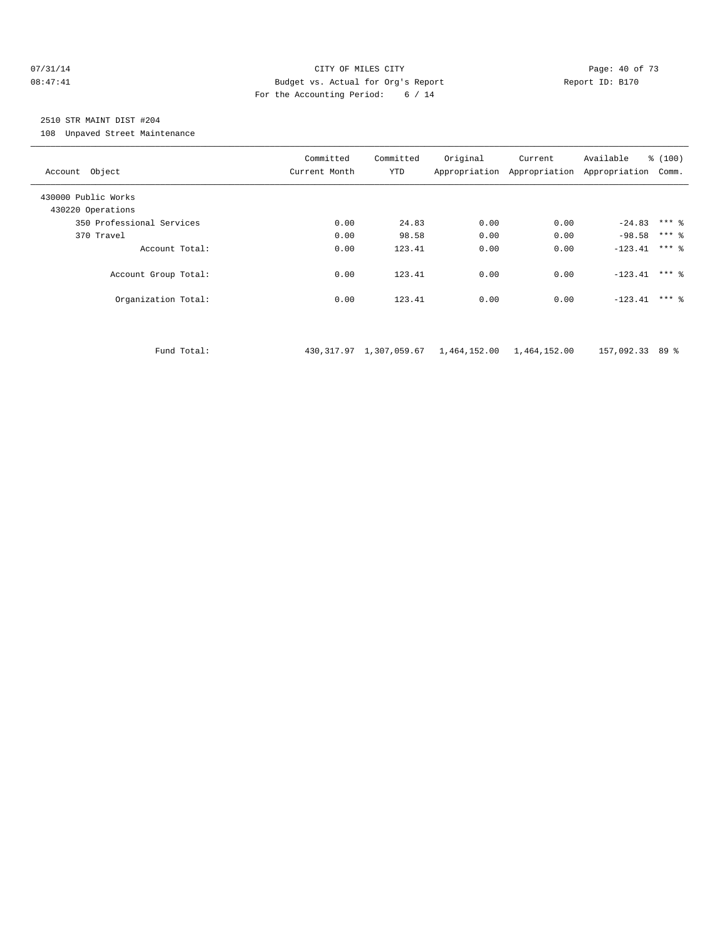#### 07/31/14 Page: 40 of 73 08:47:41 Budget vs. Actual for Org's Report Report ID: B170 For the Accounting Period: 6 / 14

## 2510 STR MAINT DIST #204

108 Unpaved Street Maintenance

| Account Object                           | Committed<br>Current Month | Committed<br><b>YTD</b>    | Original                  | Current | Available<br>Appropriation Appropriation Appropriation | % (100)<br>Comm. |
|------------------------------------------|----------------------------|----------------------------|---------------------------|---------|--------------------------------------------------------|------------------|
| 430000 Public Works<br>430220 Operations |                            |                            |                           |         |                                                        |                  |
| 350 Professional Services                | 0.00                       | 24.83                      | 0.00                      | 0.00    | $-24.83$                                               | $***$ $%$        |
| 370 Travel                               | 0.00                       | 98.58                      | 0.00                      | 0.00    | $-98.58$                                               | $***$ $%$        |
| Account Total:                           | 0.00                       | 123.41                     | 0.00                      | 0.00    | $-123.41$                                              | $***$ 2          |
| Account Group Total:                     | 0.00                       | 123.41                     | 0.00                      | 0.00    | $-123.41$                                              | $***$ $%$        |
| Organization Total:                      | 0.00                       | 123.41                     | 0.00                      | 0.00    | $-123.41$                                              | $***$ 2          |
|                                          |                            |                            |                           |         |                                                        |                  |
| Fund Total:                              |                            | 430, 317.97 1, 307, 059.67 | 1,464,152.00 1,464,152.00 |         | 157,092.33 89 %                                        |                  |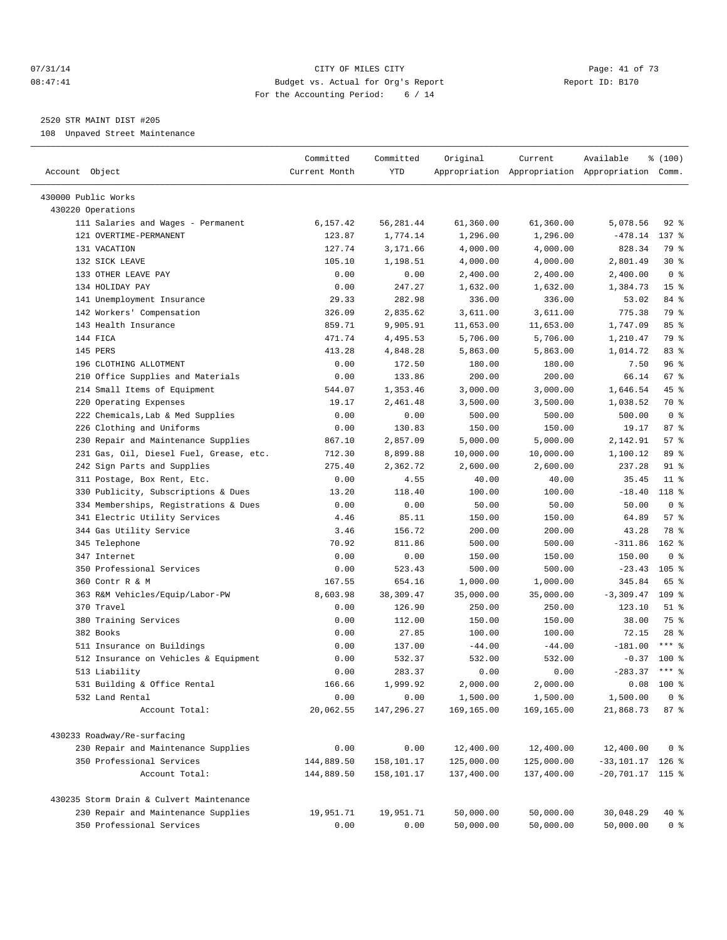#### 07/31/14 Page: 41 of 73 08:47:41 Budget vs. Actual for Org's Report Report ID: B170 For the Accounting Period: 6 / 14

————————————————————————————————————————————————————————————————————————————————————————————————————————————————————————————————————

## 2520 STR MAINT DIST #205

108 Unpaved Street Maintenance

|                                          | Committed     | Committed  | Original   | Current    | Available                                       | % (100)         |
|------------------------------------------|---------------|------------|------------|------------|-------------------------------------------------|-----------------|
| Account Object                           | Current Month | YTD        |            |            | Appropriation Appropriation Appropriation Comm. |                 |
| 430000 Public Works                      |               |            |            |            |                                                 |                 |
| 430220 Operations                        |               |            |            |            |                                                 |                 |
| 111 Salaries and Wages - Permanent       | 6,157.42      | 56, 281.44 | 61,360.00  | 61,360.00  | 5,078.56                                        | $92$ $%$        |
| 121 OVERTIME-PERMANENT                   | 123.87        | 1,774.14   | 1,296.00   | 1,296.00   | $-478.14$                                       | 137 %           |
| 131 VACATION                             | 127.74        | 3,171.66   | 4,000.00   | 4,000.00   | 828.34                                          | 79 %            |
| 132 SICK LEAVE                           | 105.10        | 1,198.51   | 4,000.00   | 4,000.00   | 2,801.49                                        | $30*$           |
| 133 OTHER LEAVE PAY                      | 0.00          | 0.00       | 2,400.00   | 2,400.00   | 2,400.00                                        | 0 <sup>8</sup>  |
| 134 HOLIDAY PAY                          | 0.00          | 247.27     | 1,632.00   | 1,632.00   | 1,384.73                                        | 15 <sup>°</sup> |
| 141 Unemployment Insurance               | 29.33         | 282.98     | 336.00     | 336.00     | 53.02                                           | 84 %            |
| 142 Workers' Compensation                | 326.09        | 2,835.62   | 3,611.00   | 3,611.00   | 775.38                                          | 79 %            |
| 143 Health Insurance                     | 859.71        | 9,905.91   | 11,653.00  | 11,653.00  | 1,747.09                                        | 85%             |
| 144 FICA                                 | 471.74        | 4,495.53   | 5,706.00   | 5,706.00   | 1,210.47                                        | 79 %            |
| 145 PERS                                 | 413.28        | 4,848.28   | 5,863.00   | 5,863.00   | 1,014.72                                        | 83%             |
| 196 CLOTHING ALLOTMENT                   | 0.00          | 172.50     | 180.00     | 180.00     | 7.50                                            | 96%             |
| 210 Office Supplies and Materials        | 0.00          | 133.86     | 200.00     | 200.00     | 66.14                                           | 67 %            |
| 214 Small Items of Equipment             | 544.07        | 1,353.46   | 3,000.00   | 3,000.00   | 1,646.54                                        | 45 %            |
| 220 Operating Expenses                   | 19.17         | 2,461.48   | 3,500.00   | 3,500.00   | 1,038.52                                        | 70 %            |
| 222 Chemicals, Lab & Med Supplies        | 0.00          | 0.00       | 500.00     | 500.00     | 500.00                                          | 0 <sup>8</sup>  |
| 226 Clothing and Uniforms                | 0.00          | 130.83     | 150.00     | 150.00     | 19.17                                           | 87%             |
| 230 Repair and Maintenance Supplies      | 867.10        | 2,857.09   | 5,000.00   | 5,000.00   | 2,142.91                                        | 57%             |
| 231 Gas, Oil, Diesel Fuel, Grease, etc.  | 712.30        | 8,899.88   | 10,000.00  | 10,000.00  | 1,100.12                                        | 89 %            |
| 242 Sign Parts and Supplies              | 275.40        | 2,362.72   | 2,600.00   | 2,600.00   | 237.28                                          | 91 %            |
| 311 Postage, Box Rent, Etc.              | 0.00          | 4.55       | 40.00      | 40.00      | 35.45                                           | $11$ %          |
| 330 Publicity, Subscriptions & Dues      | 13.20         | 118.40     | 100.00     | 100.00     | $-18.40$                                        | 118 %           |
| 334 Memberships, Registrations & Dues    | 0.00          | 0.00       | 50.00      | 50.00      | 50.00                                           | 0 <sup>8</sup>  |
| 341 Electric Utility Services            | 4.46          | 85.11      | 150.00     | 150.00     | 64.89                                           | 57%             |
| 344 Gas Utility Service                  | 3.46          | 156.72     | 200.00     | 200.00     | 43.28                                           | 78 %            |
| 345 Telephone                            | 70.92         | 811.86     | 500.00     | 500.00     | $-311.86$                                       | $162$ %         |
| 347 Internet                             | 0.00          | 0.00       | 150.00     | 150.00     | 150.00                                          | 0 <sup>8</sup>  |
| 350 Professional Services                | 0.00          | 523.43     | 500.00     | 500.00     | $-23.43$                                        | $105$ %         |
| 360 Contr R & M                          | 167.55        | 654.16     | 1,000.00   | 1,000.00   | 345.84                                          | 65 %            |
| 363 R&M Vehicles/Equip/Labor-PW          | 8,603.98      | 38,309.47  | 35,000.00  | 35,000.00  | $-3,309.47$                                     | $109$ %         |
| 370 Travel                               | 0.00          | 126.90     | 250.00     | 250.00     | 123.10                                          | $51$ %          |
| 380 Training Services                    | 0.00          | 112.00     | 150.00     | 150.00     | 38.00                                           | 75 %            |
| 382 Books                                | 0.00          | 27.85      | 100.00     | 100.00     | 72.15                                           | $28$ %          |
| 511 Insurance on Buildings               | 0.00          | 137.00     | $-44.00$   | $-44.00$   | $-181.00$                                       | $***$ $-$       |
| 512 Insurance on Vehicles & Equipment    | 0.00          | 532.37     | 532.00     | 532.00     | $-0.37$                                         | $100*$          |
| 513 Liability                            | 0.00          | 283.37     | 0.00       | 0.00       | $-283.37$ *** \$                                |                 |
| 531 Building & Office Rental             | 166.66        | 1,999.92   | 2,000.00   | 2,000.00   |                                                 | $0.08$ 100 %    |
| 532 Land Rental                          | 0.00          | 0.00       | 1,500.00   | 1,500.00   | 1,500.00                                        | 0 <sup>8</sup>  |
| Account Total:                           | 20,062.55     | 147,296.27 | 169,165.00 | 169,165.00 | 21,868.73                                       | 87%             |
|                                          |               |            |            |            |                                                 |                 |
| 430233 Roadway/Re-surfacing              |               |            |            |            |                                                 |                 |
| 230 Repair and Maintenance Supplies      | 0.00          | 0.00       | 12,400.00  | 12,400.00  | 12,400.00                                       | 0 <sup>8</sup>  |
| 350 Professional Services                | 144,889.50    | 158,101.17 | 125,000.00 | 125,000.00 | $-33,101.17$ 126 %                              |                 |
| Account Total:                           | 144,889.50    | 158,101.17 | 137,400.00 | 137,400.00 | $-20, 701.17$ 115 %                             |                 |
| 430235 Storm Drain & Culvert Maintenance |               |            |            |            |                                                 |                 |
| 230 Repair and Maintenance Supplies      | 19,951.71     | 19,951.71  | 50,000.00  | 50,000.00  | 30,048.29                                       | 40 %            |
| 350 Professional Services                | 0.00          | 0.00       | 50,000.00  | 50,000.00  | 50,000.00                                       | 0 <sup>8</sup>  |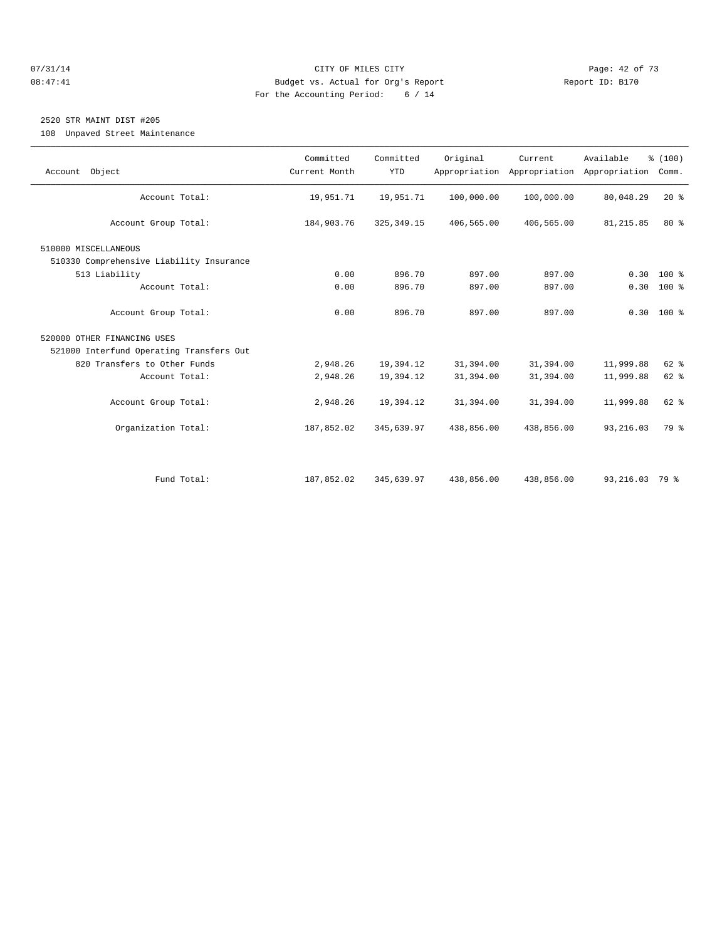#### 07/31/14 Page: 42 of 73 08:47:41 Budget vs. Actual for Org's Report Report ID: B170 For the Accounting Period: 6 / 14

## 2520 STR MAINT DIST #205

108 Unpaved Street Maintenance

| Account Object                           | Committed<br>Current Month | Committed<br><b>YTD</b> | Original   | Current<br>Appropriation Appropriation Appropriation | Available      | % (100)<br>Comm. |  |
|------------------------------------------|----------------------------|-------------------------|------------|------------------------------------------------------|----------------|------------------|--|
| Account Total:                           | 19,951.71                  | 19,951.71               | 100,000.00 | 100,000.00                                           | 80,048.29      | 20%              |  |
| Account Group Total:                     | 184,903.76                 | 325, 349.15             | 406,565.00 | 406,565.00                                           | 81, 215.85     | 80%              |  |
| 510000 MISCELLANEOUS                     |                            |                         |            |                                                      |                |                  |  |
| 510330 Comprehensive Liability Insurance |                            |                         |            |                                                      |                |                  |  |
| 513 Liability                            | 0.00                       | 896.70                  | 897.00     | 897.00                                               | 0.30           | $100*$           |  |
| Account Total:                           | 0.00                       | 896.70                  | 897.00     | 897.00                                               |                | $0.30 100$ %     |  |
| Account Group Total:                     | 0.00                       | 896.70                  | 897.00     | 897.00                                               |                | $0.30 100$ %     |  |
| 520000 OTHER FINANCING USES              |                            |                         |            |                                                      |                |                  |  |
| 521000 Interfund Operating Transfers Out |                            |                         |            |                                                      |                |                  |  |
| 820 Transfers to Other Funds             | 2,948.26                   | 19,394.12               | 31,394.00  | 31,394.00                                            | 11,999.88      | 62 %             |  |
| Account Total:                           | 2,948.26                   | 19,394.12               | 31,394.00  | 31,394.00                                            | 11,999.88      | 62 %             |  |
| Account Group Total:                     | 2,948.26                   | 19,394.12               | 31,394.00  | 31,394.00                                            | 11,999.88      | 62 %             |  |
| Organization Total:                      | 187,852.02                 | 345,639.97              | 438,856.00 | 438,856.00                                           | 93, 216.03     | 79 %             |  |
|                                          |                            |                         |            |                                                      |                |                  |  |
| Fund Total:                              | 187,852.02                 | 345,639.97              | 438,856.00 | 438,856.00                                           | 93,216.03 79 % |                  |  |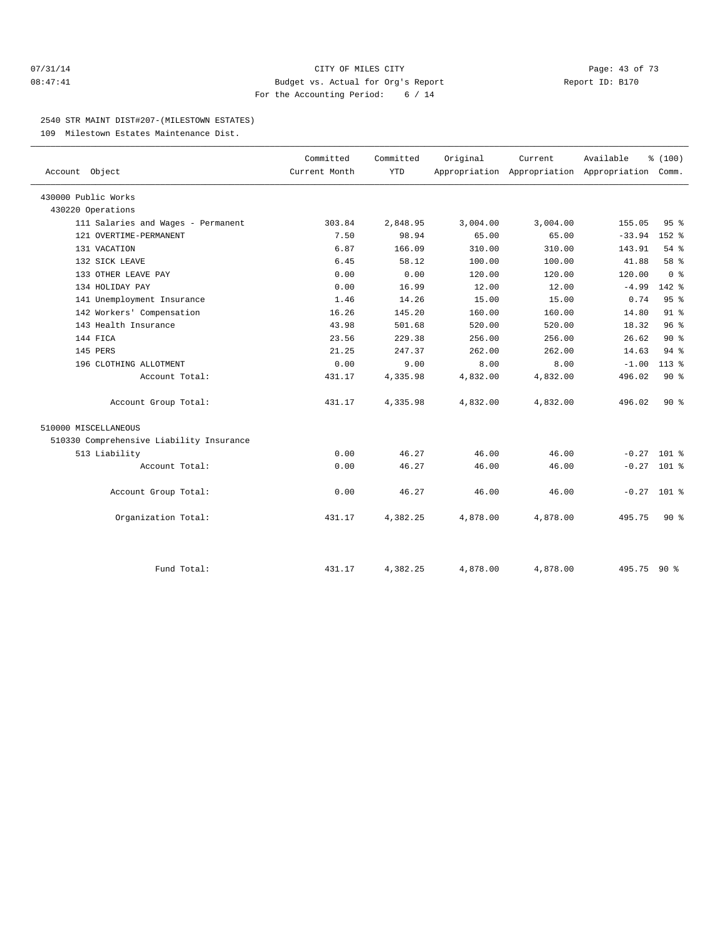#### 07/31/14 Page: 43 of 73 08:47:41 Budget vs. Actual for Org's Report Report ID: B170 For the Accounting Period: 6 / 14

#### 2540 STR MAINT DIST#207-(MILESTOWN ESTATES)

109 Milestown Estates Maintenance Dist.

|                                          | Committed     | Committed | Original | Current  | Available                                       | % (100)         |  |
|------------------------------------------|---------------|-----------|----------|----------|-------------------------------------------------|-----------------|--|
| Account Object                           | Current Month | YTD       |          |          | Appropriation Appropriation Appropriation Comm. |                 |  |
| 430000 Public Works                      |               |           |          |          |                                                 |                 |  |
| 430220 Operations                        |               |           |          |          |                                                 |                 |  |
| 111 Salaries and Wages - Permanent       | 303.84        | 2,848.95  | 3,004.00 | 3,004.00 | 155.05                                          | 95 <sub>8</sub> |  |
| 121 OVERTIME-PERMANENT                   | 7.50          | 98.94     | 65.00    | 65.00    | $-33.94$                                        | $152$ $%$       |  |
| 131 VACATION                             | 6.87          | 166.09    | 310.00   | 310.00   | 143.91                                          | $54$ $%$        |  |
| 132 SICK LEAVE                           | 6.45          | 58.12     | 100.00   | 100.00   | 41.88                                           | 58 %            |  |
| 133 OTHER LEAVE PAY                      | 0.00          | 0.00      | 120.00   | 120.00   | 120.00                                          | 0 <sup>8</sup>  |  |
| 134 HOLIDAY PAY                          | 0.00          | 16.99     | 12.00    | 12.00    | $-4.99$                                         | $142$ %         |  |
| 141 Unemployment Insurance               | 1.46          | 14.26     | 15.00    | 15.00    | 0.74                                            | 95%             |  |
| 142 Workers' Compensation                | 16.26         | 145.20    | 160.00   | 160.00   | 14.80                                           | 91 <sup>°</sup> |  |
| 143 Health Insurance                     | 43.98         | 501.68    | 520.00   | 520.00   | 18.32                                           | 96 <sup>8</sup> |  |
| 144 FICA                                 | 23.56         | 229.38    | 256.00   | 256.00   | 26.62                                           | $90*$           |  |
| 145 PERS                                 | 21.25         | 247.37    | 262.00   | 262.00   | 14.63                                           | $94$ $%$        |  |
| 196 CLOTHING ALLOTMENT                   | 0.00          | 9.00      | 8.00     | 8.00     | $-1.00$                                         | $113*$          |  |
| Account Total:                           | 431.17        | 4,335.98  | 4,832.00 | 4,832.00 | 496.02                                          | 90%             |  |
| Account Group Total:                     | 431.17        | 4,335.98  | 4,832.00 | 4,832.00 | 496.02                                          | $90*$           |  |
| 510000 MISCELLANEOUS                     |               |           |          |          |                                                 |                 |  |
| 510330 Comprehensive Liability Insurance |               |           |          |          |                                                 |                 |  |
| 513 Liability                            | 0.00          | 46.27     | 46.00    | 46.00    | $-0.27$ 101 %                                   |                 |  |
| Account Total:                           | 0.00          | 46.27     | 46.00    | 46.00    | $-0.27$ 101 %                                   |                 |  |
| Account Group Total:                     | 0.00          | 46.27     | 46.00    | 46.00    | $-0.27$ 101 %                                   |                 |  |
| Organization Total:                      | 431.17        | 4,382.25  | 4,878.00 | 4,878.00 | 495.75                                          | $90*$           |  |
|                                          |               |           |          |          |                                                 |                 |  |
| Fund Total:                              | 431.17        | 4,382.25  | 4,878.00 | 4,878.00 | 495.75 90 %                                     |                 |  |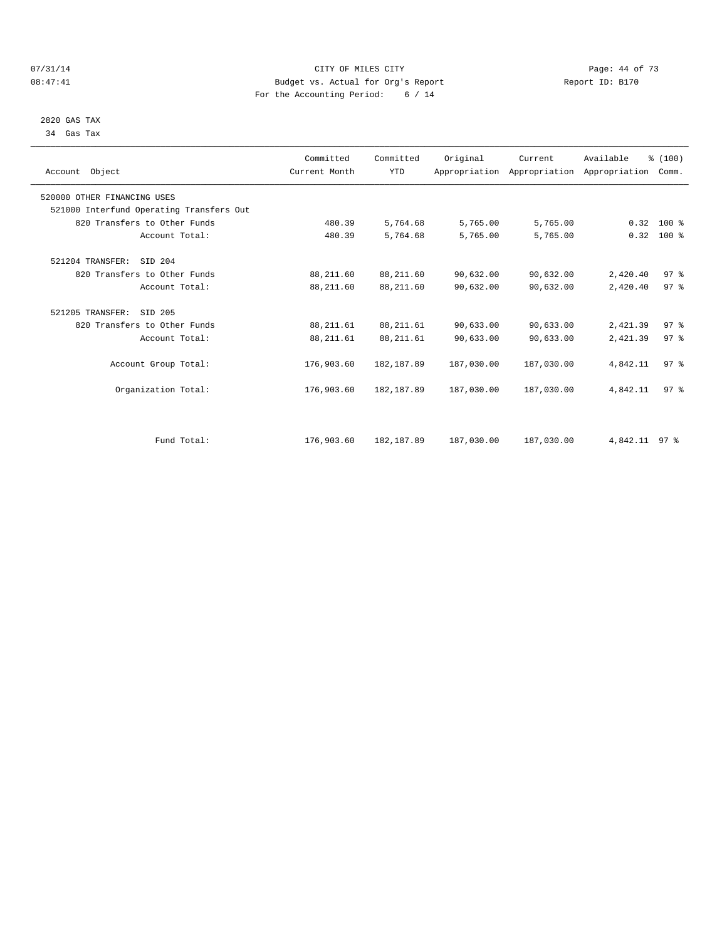#### $O7/31/14$  Page: 44 of 73 08:47:41 Budget vs. Actual for Org's Report Changer Report ID: B170 For the Accounting Period: 6 / 14

 2820 GAS TAX 34 Gas Tax

| Account Object                           | Committed<br>Current Month | Committed<br><b>YTD</b> | Original   | Current    | Available<br>Appropriation Appropriation Appropriation | % (100)<br>Comm. |  |
|------------------------------------------|----------------------------|-------------------------|------------|------------|--------------------------------------------------------|------------------|--|
| 520000 OTHER FINANCING USES              |                            |                         |            |            |                                                        |                  |  |
| 521000 Interfund Operating Transfers Out |                            |                         |            |            |                                                        |                  |  |
| 820 Transfers to Other Funds             | 480.39                     | 5,764.68                | 5,765.00   | 5,765.00   |                                                        | $0.32$ 100 %     |  |
| Account Total:                           | 480.39                     | 5,764.68                | 5,765.00   | 5,765.00   | 0.32                                                   | $100*$           |  |
| 521204 TRANSFER:<br>SID 204              |                            |                         |            |            |                                                        |                  |  |
| 820 Transfers to Other Funds             | 88,211.60                  | 88,211.60               | 90,632.00  | 90,632.00  | 2,420.40                                               | 97%              |  |
| Account Total:                           | 88,211.60                  | 88,211.60               | 90,632.00  | 90,632.00  | 2,420.40                                               | 97 <sup>8</sup>  |  |
| 521205 TRANSFER:<br>SID 205              |                            |                         |            |            |                                                        |                  |  |
| 820 Transfers to Other Funds             | 88, 211.61                 | 88, 211.61              | 90,633.00  | 90,633.00  | 2,421.39                                               | 97%              |  |
| Account Total:                           | 88, 211.61                 | 88, 211.61              | 90,633.00  | 90,633.00  | 2,421.39                                               | 97 <sup>8</sup>  |  |
| Account Group Total:                     | 176,903.60                 | 182, 187.89             | 187,030.00 | 187,030.00 | 4,842.11                                               | 97 <sup>8</sup>  |  |
| Organization Total:                      | 176,903.60                 | 182, 187.89             | 187,030.00 | 187,030.00 | 4,842.11                                               | 97 <sup>8</sup>  |  |
|                                          |                            |                         |            |            |                                                        |                  |  |
| Fund Total:                              | 176,903.60                 | 182, 187.89             | 187,030.00 | 187,030.00 | 4,842.11 97 %                                          |                  |  |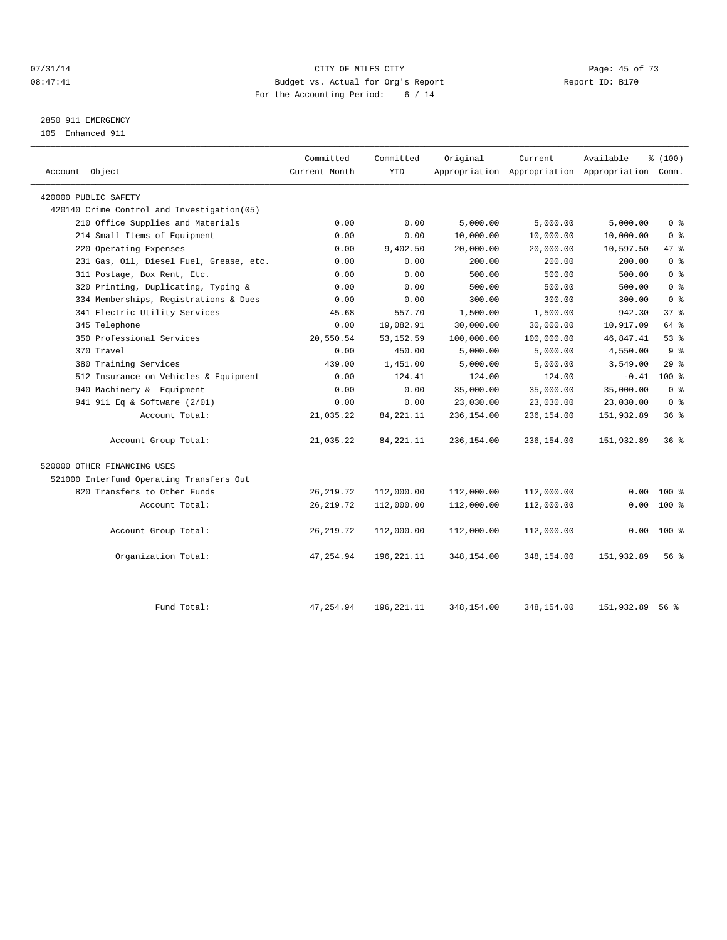#### $O7/31/14$  Page: 45 of 73 08:47:41 Budget vs. Actual for Org's Report Changer Report ID: B170 For the Accounting Period: 6 / 14

## 2850 911 EMERGENCY

105 Enhanced 911

| Account Object                             | Committed<br>Current Month | Committed<br><b>YTD</b> | Original   | Current    | Available<br>Appropriation Appropriation Appropriation Comm. | % (100)         |
|--------------------------------------------|----------------------------|-------------------------|------------|------------|--------------------------------------------------------------|-----------------|
| 420000 PUBLIC SAFETY                       |                            |                         |            |            |                                                              |                 |
| 420140 Crime Control and Investigation(05) |                            |                         |            |            |                                                              |                 |
| 210 Office Supplies and Materials          | 0.00                       | 0.00                    | 5,000.00   | 5,000.00   | 5,000.00                                                     | 0 <sup>8</sup>  |
| 214 Small Items of Equipment               | 0.00                       | 0.00                    | 10,000.00  | 10,000.00  | 10,000.00                                                    | 0 <sup>8</sup>  |
| 220 Operating Expenses                     | 0.00                       | 9,402.50                | 20,000.00  | 20,000.00  | 10,597.50                                                    | 47 %            |
| 231 Gas, Oil, Diesel Fuel, Grease, etc.    | 0.00                       | 0.00                    | 200.00     | 200.00     | 200.00                                                       | 0 <sup>8</sup>  |
| 311 Postage, Box Rent, Etc.                | 0.00                       | 0.00                    | 500.00     | 500.00     | 500.00                                                       | 0 <sup>8</sup>  |
| 320 Printing, Duplicating, Typing &        | 0.00                       | 0.00                    | 500.00     | 500.00     | 500.00                                                       | 0 <sup>8</sup>  |
| 334 Memberships, Registrations & Dues      | 0.00                       | 0.00                    | 300.00     | 300.00     | 300.00                                                       | 0 <sup>8</sup>  |
| 341 Electric Utility Services              | 45.68                      | 557.70                  | 1,500.00   | 1,500.00   | 942.30                                                       | 37 <sup>8</sup> |
| 345 Telephone                              | 0.00                       | 19,082.91               | 30,000.00  | 30,000.00  | 10,917.09                                                    | 64 %            |
| 350 Professional Services                  | 20,550.54                  | 53, 152.59              | 100,000.00 | 100,000.00 | 46,847.41                                                    | 53%             |
| 370 Travel                                 | 0.00                       | 450.00                  | 5,000.00   | 5,000.00   | 4,550.00                                                     | 9 <sup>8</sup>  |
| 380 Training Services                      | 439.00                     | 1,451.00                | 5,000.00   | 5,000.00   | 3,549.00                                                     | 29%             |
| 512 Insurance on Vehicles & Equipment      | 0.00                       | 124.41                  | 124.00     | 124.00     | $-0.41$                                                      | $100*$          |
| 940 Machinery & Equipment                  | 0.00                       | 0.00                    | 35,000.00  | 35,000.00  | 35,000.00                                                    | 0 <sup>8</sup>  |
| 941 911 Eq & Software (2/01)               | 0.00                       | 0.00                    | 23,030.00  | 23,030.00  | 23,030.00                                                    | 0 <sup>8</sup>  |
| Account Total:                             | 21,035.22                  | 84, 221. 11             | 236,154.00 | 236,154.00 | 151,932.89                                                   | 36%             |
| Account Group Total:                       | 21,035.22                  | 84, 221. 11             | 236,154.00 | 236,154.00 | 151,932.89                                                   | $36*$           |
| 520000 OTHER FINANCING USES                |                            |                         |            |            |                                                              |                 |
| 521000 Interfund Operating Transfers Out   |                            |                         |            |            |                                                              |                 |
| 820 Transfers to Other Funds               | 26, 219.72                 | 112,000.00              | 112,000.00 | 112,000.00 | 0.00                                                         | $100*$          |
| Account Total:                             | 26, 219.72                 | 112,000.00              | 112,000.00 | 112,000.00 | 0.00                                                         | $100*$          |
| Account Group Total:                       | 26, 219.72                 | 112,000.00              | 112,000.00 | 112,000.00 | 0.00                                                         | $100*$          |
| Organization Total:                        | 47,254.94                  | 196,221.11              | 348,154.00 | 348,154.00 | 151,932.89                                                   | 56 %            |
| Fund Total:                                | 47,254.94                  | 196, 221. 11            | 348,154.00 | 348,154.00 | 151,932.89                                                   | 56 %            |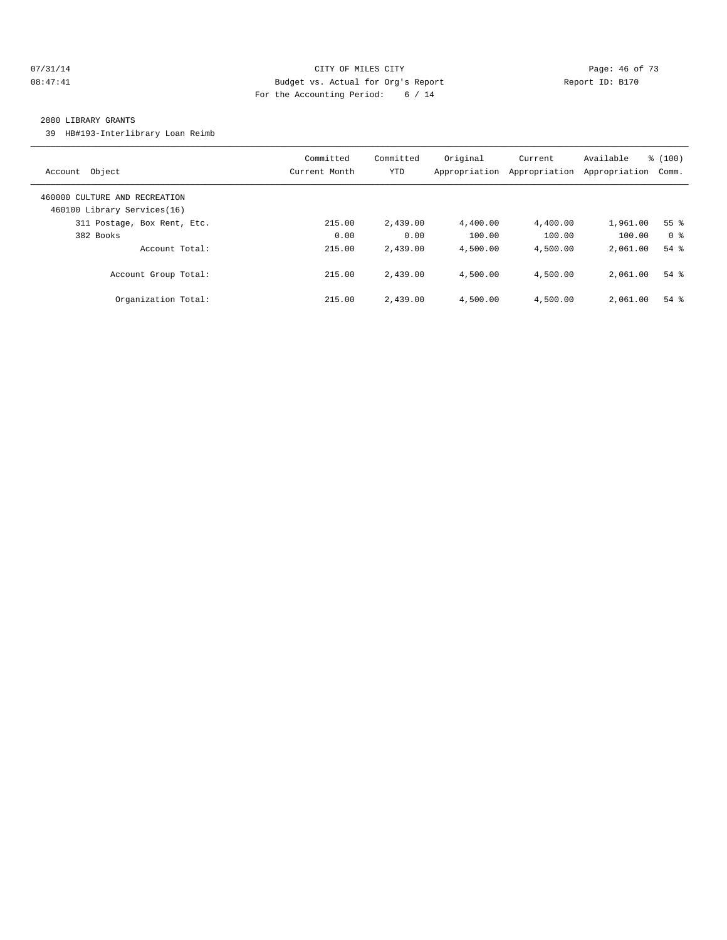#### 07/31/14 Page: 46 of 73 08:47:41 Budget vs. Actual for Org's Report Changer Report ID: B170 For the Accounting Period: 6 / 14

#### 2880 LIBRARY GRANTS

39 HB#193-Interlibrary Loan Reimb

| Object<br>Account                                            | Committed<br>Current Month | Committed<br><b>YTD</b> | Original<br>Appropriation | Current<br>Appropriation | Available<br>Appropriation | % (100)<br>Comm. |
|--------------------------------------------------------------|----------------------------|-------------------------|---------------------------|--------------------------|----------------------------|------------------|
| 460000 CULTURE AND RECREATION<br>460100 Library Services(16) |                            |                         |                           |                          |                            |                  |
| 311 Postage, Box Rent, Etc.                                  | 215.00                     | 2,439.00                | 4,400.00                  | 4,400.00                 | 1,961.00                   | 55 <sup>8</sup>  |
| 382 Books                                                    | 0.00                       | 0.00                    | 100.00                    | 100.00                   | 100.00                     | 0 <sup>8</sup>   |
| Account Total:                                               | 215.00                     | 2,439.00                | 4,500.00                  | 4,500.00                 | 2,061.00                   | $54$ $%$         |
| Account Group Total:                                         | 215.00                     | 2,439.00                | 4,500.00                  | 4,500.00                 | 2,061.00                   | $54$ $%$         |
| Organization Total:                                          | 215.00                     | 2,439.00                | 4,500.00                  | 4,500.00                 | 2,061.00                   | $54$ $%$         |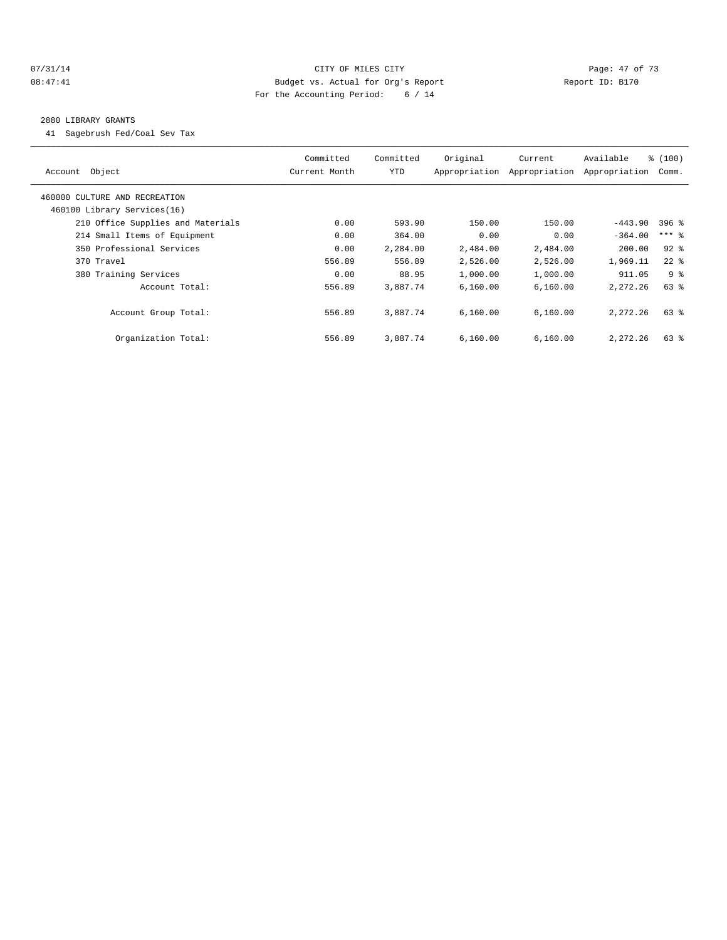#### 07/31/14 Page: 47 of 73 08:47:41 Budget vs. Actual for Org's Report Changer Report ID: B170 For the Accounting Period: 6 / 14

#### 2880 LIBRARY GRANTS

41 Sagebrush Fed/Coal Sev Tax

| Object<br>Account                 | Committed<br>Current Month | Committed<br>YTD | Original<br>Appropriation | Current<br>Appropriation | Available<br>Appropriation | % (100)<br>Comm. |
|-----------------------------------|----------------------------|------------------|---------------------------|--------------------------|----------------------------|------------------|
| 460000 CULTURE AND RECREATION     |                            |                  |                           |                          |                            |                  |
| 460100 Library Services(16)       |                            |                  |                           |                          |                            |                  |
| 210 Office Supplies and Materials | 0.00                       | 593.90           | 150.00                    | 150.00                   | $-443.90$                  | $396$ %          |
| 214 Small Items of Equipment      | 0.00                       | 364.00           | 0.00                      | 0.00                     | $-364.00$                  | $***$ 8          |
| 350 Professional Services         | 0.00                       | 2,284.00         | 2,484.00                  | 2,484.00                 | 200.00                     | $92$ $%$         |
| 370 Travel                        | 556.89                     | 556.89           | 2,526.00                  | 2,526.00                 | 1,969.11                   | $22$ %           |
| 380 Training Services             | 0.00                       | 88.95            | 1,000.00                  | 1,000.00                 | 911.05                     | 9 <sup>8</sup>   |
| Account Total:                    | 556.89                     | 3,887.74         | 6.160.00                  | 6,160.00                 | 2,272.26                   | 63%              |
| Account Group Total:              | 556.89                     | 3,887.74         | 6.160.00                  | 6.160.00                 | 2, 272, 26                 | $63$ $%$         |
| Organization Total:               | 556.89                     | 3,887.74         | 6,160.00                  | 6,160.00                 | 2,272.26                   | $63$ $%$         |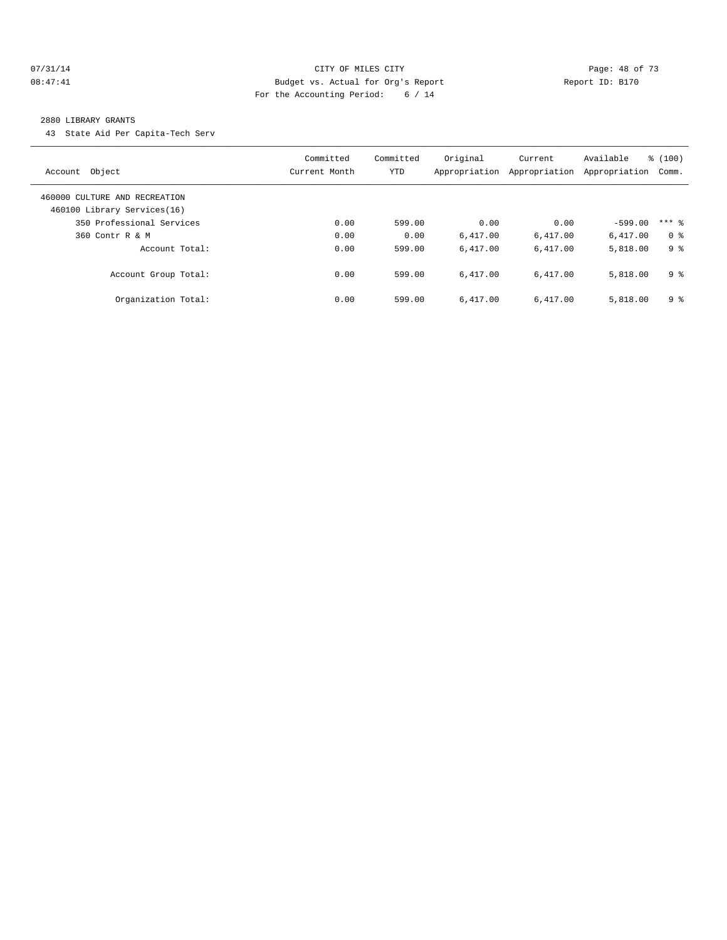#### 07/31/14 Page: 48 of 73 08:47:41 Budget vs. Actual for Org's Report Changer Report ID: B170 For the Accounting Period: 6 / 14

#### 2880 LIBRARY GRANTS

43 State Aid Per Capita-Tech Serv

| Object<br>Account                                            | Committed<br>Current Month | Committed<br><b>YTD</b> | Original<br>Appropriation | Current<br>Appropriation | Available<br>Appropriation | % (100)<br>Comm. |
|--------------------------------------------------------------|----------------------------|-------------------------|---------------------------|--------------------------|----------------------------|------------------|
| 460000 CULTURE AND RECREATION<br>460100 Library Services(16) |                            |                         |                           |                          |                            |                  |
| 350 Professional Services                                    | 0.00                       | 599.00                  | 0.00                      | 0.00                     | $-599.00$                  | $***$ 2          |
| 360 Contr R & M                                              | 0.00                       | 0.00                    | 6.417.00                  | 6,417.00                 | 6,417.00                   | 0 <sup>8</sup>   |
| Account Total:                                               | 0.00                       | 599.00                  | 6.417.00                  | 6.417.00                 | 5,818.00                   | 9 %              |
| Account Group Total:                                         | 0.00                       | 599.00                  | 6.417.00                  | 6.417.00                 | 5,818.00                   | 9 <sup>°</sup>   |
| Organization Total:                                          | 0.00                       | 599.00                  | 6.417.00                  | 6.417.00                 | 5,818.00                   | 9 <sup>8</sup>   |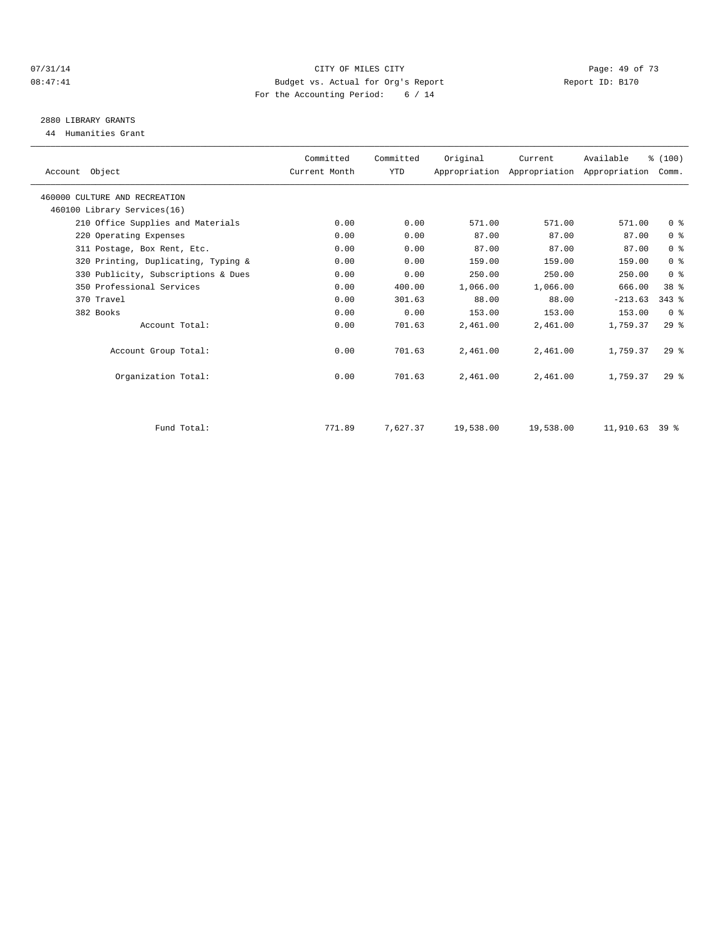#### $O7/31/14$  Page: 49 of 73 08:47:41 Budget vs. Actual for Org's Report Report ID: B170 For the Accounting Period: 6 / 14

# 2880 LIBRARY GRANTS

44 Humanities Grant

| Account Object                      | Committed<br>Current Month | Committed<br><b>YTD</b> | Original  | Current   | Available<br>Appropriation Appropriation Appropriation | % (100)<br>Comm. |
|-------------------------------------|----------------------------|-------------------------|-----------|-----------|--------------------------------------------------------|------------------|
| 460000 CULTURE AND RECREATION       |                            |                         |           |           |                                                        |                  |
| 460100 Library Services(16)         |                            |                         |           |           |                                                        |                  |
| 210 Office Supplies and Materials   | 0.00                       | 0.00                    | 571.00    | 571.00    | 571.00                                                 | 0 <sup>8</sup>   |
| 220 Operating Expenses              | 0.00                       | 0.00                    | 87.00     | 87.00     | 87.00                                                  | 0 <sup>8</sup>   |
| 311 Postage, Box Rent, Etc.         | 0.00                       | 0.00                    | 87.00     | 87.00     | 87.00                                                  | 0 <sup>8</sup>   |
| 320 Printing, Duplicating, Typing & | 0.00                       | 0.00                    | 159.00    | 159.00    | 159.00                                                 | 0 <sup>8</sup>   |
| 330 Publicity, Subscriptions & Dues | 0.00                       | 0.00                    | 250.00    | 250.00    | 250.00                                                 | 0 <sup>8</sup>   |
| 350 Professional Services           | 0.00                       | 400.00                  | 1,066.00  | 1,066.00  | 666.00                                                 | 38 %             |
| 370 Travel                          | 0.00                       | 301.63                  | 88.00     | 88.00     | $-213.63$                                              | $343$ $%$        |
| 382 Books                           | 0.00                       | 0.00                    | 153.00    | 153.00    | 153.00                                                 | 0 <sup>8</sup>   |
| Account Total:                      | 0.00                       | 701.63                  | 2,461.00  | 2,461.00  | 1,759.37                                               | 29%              |
| Account Group Total:                | 0.00                       | 701.63                  | 2,461.00  | 2,461.00  | 1,759.37                                               | $29$ %           |
| Organization Total:                 | 0.00                       | 701.63                  | 2,461.00  | 2,461.00  | 1,759.37                                               | $29*$            |
|                                     |                            |                         |           |           |                                                        |                  |
| Fund Total:                         | 771.89                     | 7,627.37                | 19,538.00 | 19,538.00 | 11,910.63 39 %                                         |                  |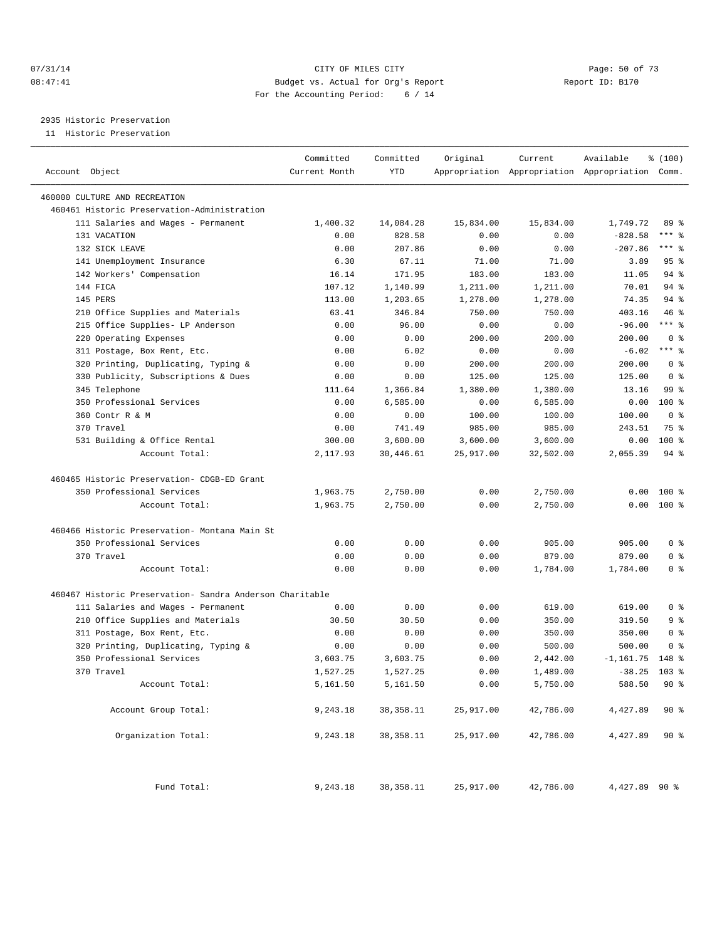#### 07/31/14 Page: 50 of 73 08:47:41 Budget vs. Actual for Org's Report Changer Report ID: B170 For the Accounting Period: 6 / 14

2935 Historic Preservation

11 Historic Preservation

| Account Object |                                                          | Committed<br>Current Month | Committed<br><b>YTD</b> | Original  | Current   | Available<br>Appropriation Appropriation Appropriation Comm. | % (100)          |
|----------------|----------------------------------------------------------|----------------------------|-------------------------|-----------|-----------|--------------------------------------------------------------|------------------|
|                | 460000 CULTURE AND RECREATION                            |                            |                         |           |           |                                                              |                  |
|                | 460461 Historic Preservation-Administration              |                            |                         |           |           |                                                              |                  |
|                | 111 Salaries and Wages - Permanent                       | 1,400.32                   | 14,084.28               | 15,834.00 | 15,834.00 | 1,749.72                                                     | 89 %             |
|                | 131 VACATION                                             | 0.00                       | 828.58                  | 0.00      | 0.00      | $-828.58$                                                    | $***$ $=$        |
|                | 132 SICK LEAVE                                           | 0.00                       | 207.86                  | 0.00      | 0.00      | $-207.86$                                                    | $***$ $-$        |
|                | 141 Unemployment Insurance                               | 6.30                       | 67.11                   | 71.00     | 71.00     | 3.89                                                         | 95 <sup>8</sup>  |
|                | 142 Workers' Compensation                                | 16.14                      | 171.95                  | 183.00    | 183.00    | 11.05                                                        | $94$ %           |
| 144 FICA       |                                                          | 107.12                     | 1,140.99                | 1,211.00  | 1,211.00  | 70.01                                                        | $94$ %           |
| 145 PERS       |                                                          | 113.00                     | 1,203.65                | 1,278.00  | 1,278.00  | 74.35                                                        | 94%              |
|                | 210 Office Supplies and Materials                        | 63.41                      | 346.84                  | 750.00    | 750.00    | 403.16                                                       | 46 %             |
|                | 215 Office Supplies- LP Anderson                         | 0.00                       | 96.00                   | 0.00      | 0.00      | $-96.00$                                                     | $***$ $-$        |
|                | 220 Operating Expenses                                   | 0.00                       | 0.00                    | 200.00    | 200.00    | 200.00                                                       | 0 <sup>8</sup>   |
|                | 311 Postage, Box Rent, Etc.                              | 0.00                       | 6.02                    | 0.00      | 0.00      | $-6.02$                                                      | $***$ $%$        |
|                | 320 Printing, Duplicating, Typing &                      | 0.00                       | 0.00                    | 200.00    | 200.00    | 200.00                                                       | 0 <sup>8</sup>   |
|                | 330 Publicity, Subscriptions & Dues                      | 0.00                       | 0.00                    | 125.00    | 125.00    | 125.00                                                       | 0 <sup>8</sup>   |
|                | 345 Telephone                                            | 111.64                     | 1,366.84                | 1,380.00  | 1,380.00  | 13.16                                                        | 99 <sup>8</sup>  |
|                | 350 Professional Services                                | 0.00                       | 6,585.00                | 0.00      | 6,585.00  | 0.00                                                         | $100*$           |
|                | 360 Contr R & M                                          | 0.00                       | 0.00                    | 100.00    | 100.00    | 100.00                                                       | 0 <sup>8</sup>   |
|                | 370 Travel                                               | 0.00                       | 741.49                  | 985.00    | 985.00    | 243.51                                                       | 75 %             |
|                | 531 Building & Office Rental                             | 300.00                     | 3,600.00                | 3,600.00  | 3,600.00  | 0.00                                                         | $100*$           |
|                | Account Total:                                           | 2,117.93                   | 30,446.61               | 25,917.00 | 32,502.00 | 2,055.39                                                     | $94$ %           |
|                |                                                          |                            |                         |           |           |                                                              |                  |
|                | 460465 Historic Preservation- CDGB-ED Grant              |                            |                         |           |           |                                                              |                  |
|                | 350 Professional Services                                | 1,963.75                   | 2,750.00                | 0.00      | 2,750.00  | 0.00                                                         | $100*$           |
|                | Account Total:                                           | 1,963.75                   | 2,750.00                | 0.00      | 2,750.00  |                                                              | $0.00$ 100 %     |
|                | 460466 Historic Preservation- Montana Main St            |                            |                         |           |           |                                                              |                  |
|                | 350 Professional Services                                | 0.00                       | 0.00                    | 0.00      | 905.00    | 905.00                                                       | 0 <sup>8</sup>   |
|                | 370 Travel                                               | 0.00                       | 0.00                    | 0.00      | 879.00    | 879.00                                                       | 0 <sup>8</sup>   |
|                | Account Total:                                           | 0.00                       | 0.00                    | 0.00      | 1,784.00  | 1,784.00                                                     | 0 <sup>8</sup>   |
|                | 460467 Historic Preservation- Sandra Anderson Charitable |                            |                         |           |           |                                                              |                  |
|                | 111 Salaries and Wages - Permanent                       | 0.00                       | 0.00                    | 0.00      | 619.00    | 619.00                                                       | 0 <sup>8</sup>   |
|                | 210 Office Supplies and Materials                        | 30.50                      | 30.50                   | 0.00      | 350.00    | 319.50                                                       | 9 <sub>8</sub>   |
|                | 311 Postage, Box Rent, Etc.                              | 0.00                       | 0.00                    | 0.00      | 350.00    | 350.00                                                       | 0 <sup>8</sup>   |
|                | 320 Printing, Duplicating, Typing &                      | 0.00                       | 0.00                    | 0.00      | 500.00    | 500.00                                                       | 0 <sup>8</sup>   |
|                | 350 Professional Services                                | 3,603.75                   | 3,603.75                | 0.00      | 2,442.00  | $-1, 161.75$                                                 | 148 %            |
|                | 370 Travel                                               | 1,527.25                   | 1,527.25                | 0.00      | 1,489.00  | $-38.25$                                                     | 103 <sub>8</sub> |
|                | Account Total:                                           | 5,161.50                   | 5,161.50                | 0.00      | 5,750.00  | 588.50                                                       | 90%              |
|                | Account Group Total:                                     | 9,243.18                   | 38, 358.11              | 25,917.00 | 42,786.00 | 4,427.89                                                     | 90%              |
|                | Organization Total:                                      | 9,243.18                   | 38, 358.11              | 25,917.00 | 42,786.00 | 4,427.89                                                     | 90%              |
|                | Fund Total:                                              | 9,243.18                   | 38,358.11               | 25,917.00 | 42,786.00 | 4,427.89 90 %                                                |                  |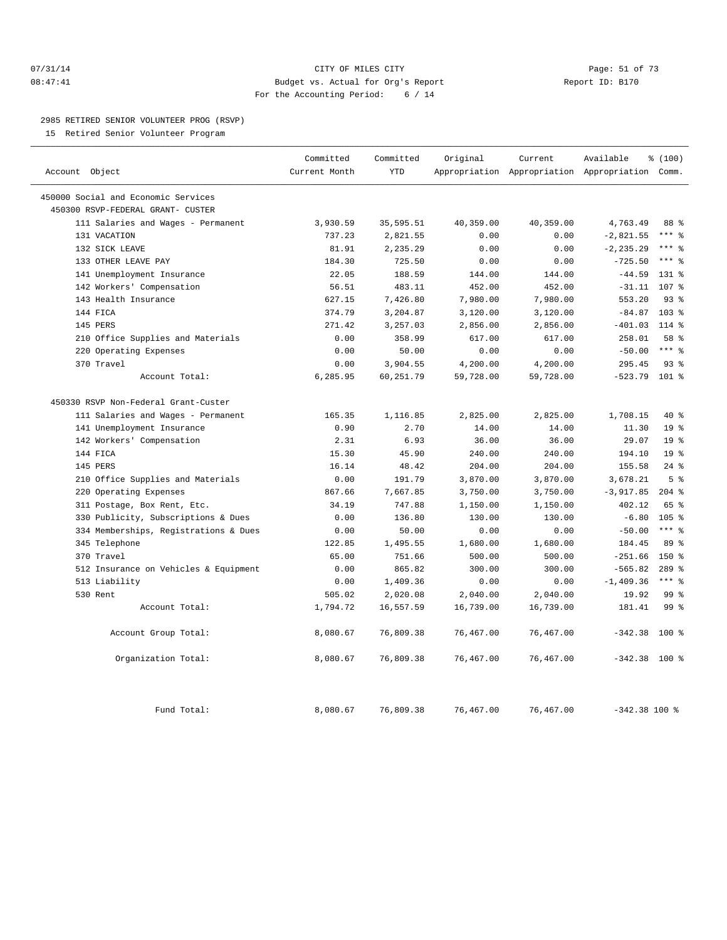#### 07/31/14 Page: 51 of 73 08:47:41 Budget vs. Actual for Org's Report Report ID: B170 For the Accounting Period: 6 / 14

#### 2985 RETIRED SENIOR VOLUNTEER PROG (RSVP)

15 Retired Senior Volunteer Program

|                                       | Committed     | Committed  | Original  | Current   | Available                                       | % (100)          |  |
|---------------------------------------|---------------|------------|-----------|-----------|-------------------------------------------------|------------------|--|
| Account Object                        | Current Month | <b>YTD</b> |           |           | Appropriation Appropriation Appropriation Comm. |                  |  |
| 450000 Social and Economic Services   |               |            |           |           |                                                 |                  |  |
| 450300 RSVP-FEDERAL GRANT- CUSTER     |               |            |           |           |                                                 |                  |  |
| 111 Salaries and Wages - Permanent    | 3,930.59      | 35,595.51  | 40,359.00 | 40,359.00 | 4,763.49                                        | 88 %             |  |
| 131 VACATION                          | 737.23        | 2,821.55   | 0.00      | 0.00      | $-2,821.55$                                     | $***$ 2          |  |
| 132 SICK LEAVE                        | 81.91         | 2,235.29   | 0.00      | 0.00      | $-2, 235.29$                                    | $***$ 8          |  |
| 133 OTHER LEAVE PAY                   | 184.30        | 725.50     | 0.00      | 0.00      | $-725.50$                                       | $***$ $%$        |  |
| 141 Unemployment Insurance            | 22.05         | 188.59     | 144.00    | 144.00    | $-44.59$                                        | 131 %            |  |
| 142 Workers' Compensation             | 56.51         | 483.11     | 452.00    | 452.00    | $-31.11$                                        | 107 <sub>8</sub> |  |
| 143 Health Insurance                  | 627.15        | 7,426.80   | 7,980.00  | 7,980.00  | 553.20                                          | 93%              |  |
| 144 FICA                              | 374.79        | 3,204.87   | 3,120.00  | 3,120.00  | $-84.87$                                        | 103 <sub>8</sub> |  |
| 145 PERS                              | 271.42        | 3,257.03   | 2,856.00  | 2,856.00  | $-401.03$                                       | $114*$           |  |
| 210 Office Supplies and Materials     | 0.00          | 358.99     | 617.00    | 617.00    | 258.01                                          | 58 %             |  |
| 220 Operating Expenses                | 0.00          | 50.00      | 0.00      | 0.00      | $-50.00$                                        | $***$ %          |  |
| 370 Travel                            | 0.00          | 3,904.55   | 4,200.00  | 4,200.00  | 295.45                                          | 93%              |  |
| Account Total:                        | 6,285.95      | 60,251.79  | 59,728.00 | 59,728.00 | $-523.79$ 101 %                                 |                  |  |
| 450330 RSVP Non-Federal Grant-Custer  |               |            |           |           |                                                 |                  |  |
| 111 Salaries and Wages - Permanent    | 165.35        | 1,116.85   | 2,825.00  | 2,825.00  | 1,708.15                                        | 40 %             |  |
| 141 Unemployment Insurance            | 0.90          | 2.70       | 14.00     | 14.00     | 11.30                                           | 19 <sup>°</sup>  |  |
| 142 Workers' Compensation             | 2.31          | 6.93       | 36.00     | 36.00     | 29.07                                           | 19 <sup>°</sup>  |  |
| 144 FICA                              | 15.30         | 45.90      | 240.00    | 240.00    | 194.10                                          | 19 <sup>°</sup>  |  |
| 145 PERS                              | 16.14         | 48.42      | 204.00    | 204.00    | 155.58                                          | $24$ %           |  |
| 210 Office Supplies and Materials     | 0.00          | 191.79     | 3,870.00  | 3,870.00  | 3,678.21                                        | 5 <sup>°</sup>   |  |
| 220 Operating Expenses                | 867.66        | 7,667.85   | 3,750.00  | 3,750.00  | $-3,917.85$                                     | $204$ %          |  |
| 311 Postage, Box Rent, Etc.           | 34.19         | 747.88     | 1,150.00  | 1,150.00  | 402.12                                          | 65 %             |  |
| 330 Publicity, Subscriptions & Dues   | 0.00          | 136.80     | 130.00    | 130.00    | $-6.80$                                         | 105 <sub>8</sub> |  |
| 334 Memberships, Registrations & Dues | 0.00          | 50.00      | 0.00      | 0.00      | $-50.00$                                        | $***$ $-$        |  |
| 345 Telephone                         | 122.85        | 1,495.55   | 1,680.00  | 1,680.00  | 184.45                                          | 89 %             |  |
| 370 Travel                            | 65.00         | 751.66     | 500.00    | 500.00    | $-251.66$                                       | $150*$           |  |
| 512 Insurance on Vehicles & Equipment | 0.00          | 865.82     | 300.00    | 300.00    | $-565.82$                                       | $289$ $%$        |  |
| 513 Liability                         | 0.00          | 1,409.36   | 0.00      | 0.00      | $-1,409.36$                                     | $***$ $_{8}$     |  |
| 530 Rent                              | 505.02        | 2,020.08   | 2,040.00  | 2,040.00  | 19.92                                           | 99 %             |  |
| Account Total:                        | 1,794.72      | 16,557.59  | 16,739.00 | 16,739.00 | 181.41                                          | 99 <sup>8</sup>  |  |
| Account Group Total:                  | 8,080.67      | 76,809.38  | 76,467.00 | 76,467.00 | $-342.38$                                       | 100 %            |  |
| Organization Total:                   | 8,080.67      | 76,809.38  | 76,467.00 | 76,467.00 | $-342.38$ 100 %                                 |                  |  |
| Fund Total:                           | 8,080.67      | 76,809.38  | 76,467.00 | 76,467.00 | $-342.38$ 100 %                                 |                  |  |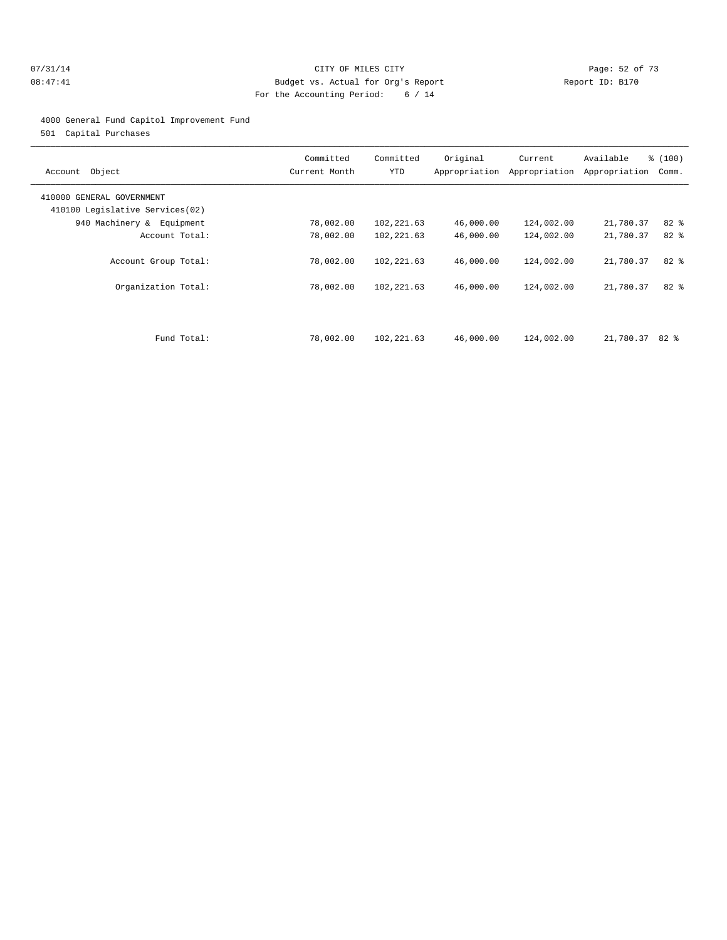#### 07/31/14 Page: 52 of 73 08:47:41 Budget vs. Actual for Org's Report Changer Report ID: B170 For the Accounting Period: 6 / 14

#### 4000 General Fund Capitol Improvement Fund

501 Capital Purchases

| Object<br>Account                                            | Committed<br>Current Month | Committed<br>YTD         | Original<br>Appropriation | Current<br>Appropriation | Available<br>Appropriation | % (100)<br>Comm.  |
|--------------------------------------------------------------|----------------------------|--------------------------|---------------------------|--------------------------|----------------------------|-------------------|
| 410000 GENERAL GOVERNMENT<br>410100 Legislative Services(02) |                            |                          |                           |                          |                            |                   |
| 940 Machinery & Equipment                                    | 78,002.00                  | 102,221.63               | 46,000.00                 | 124,002.00               | 21,780.37                  | $82*$             |
| Account Total:                                               | 78,002.00                  | 102,221.63               | 46,000.00                 | 124,002.00               | 21,780.37                  | 82 %              |
| Account Group Total:<br>Organization Total:                  | 78,002.00<br>78,002.00     | 102,221.63<br>102,221.63 | 46,000.00<br>46,000.00    | 124,002.00<br>124,002.00 | 21,780.37<br>21,780.37     | $82$ $%$<br>$82*$ |
| Fund Total:                                                  | 78,002.00                  | 102,221.63               | 46,000.00                 | 124,002.00               | 21,780.37                  | 82 දි             |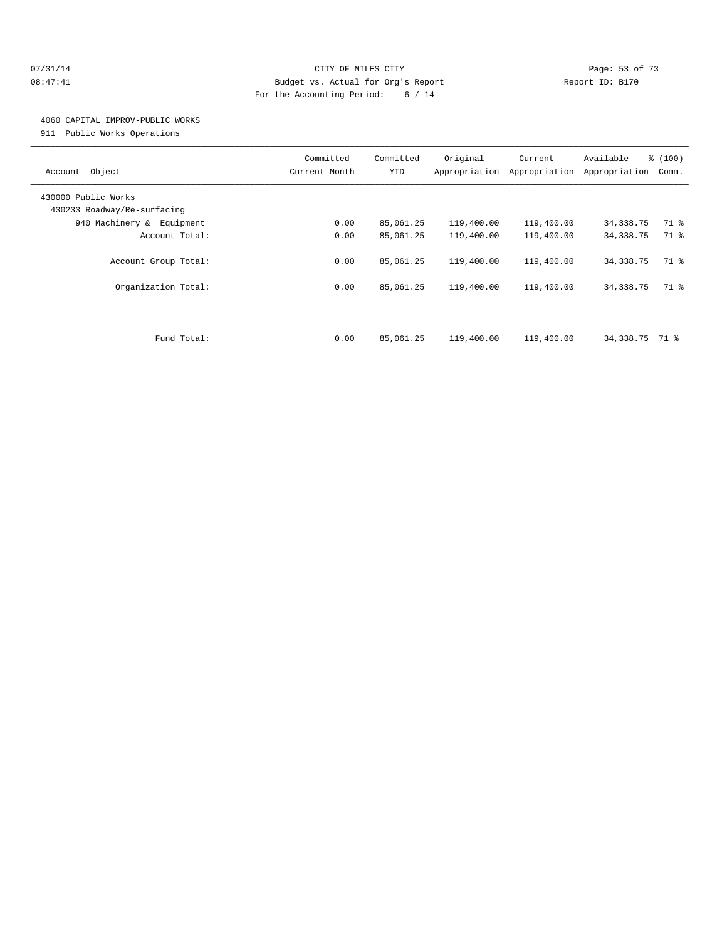#### $O7/31/14$  Page: 53 of 73 08:47:41 Budget vs. Actual for Org's Report Changer Report ID: B170 For the Accounting Period: 6 / 14

## 4060 CAPITAL IMPROV-PUBLIC WORKS

911 Public Works Operations

| Object<br>Account                                  | Committed<br>Current Month | Committed<br><b>YTD</b> | Original<br>Appropriation | Current<br>Appropriation | Available<br>Appropriation | % (100)<br>Comm. |
|----------------------------------------------------|----------------------------|-------------------------|---------------------------|--------------------------|----------------------------|------------------|
| 430000 Public Works<br>430233 Roadway/Re-surfacing |                            |                         |                           |                          |                            |                  |
| 940 Machinery & Equipment                          | 0.00                       | 85,061.25               | 119,400.00                | 119,400.00               | 34,338.75                  | 71 %             |
| Account Total:                                     | 0.00                       | 85,061.25               | 119,400.00                | 119,400.00               | 34, 338.75                 | 71 %             |
| Account Group Total:                               | 0.00                       | 85,061.25               | 119,400.00                | 119,400.00               | 34, 338. 75                | 71 %             |
| Organization Total:                                | 0.00                       | 85,061.25               | 119,400.00                | 119,400.00               | 34, 338. 75                | 71 %             |
| Fund Total:                                        | 0.00                       | 85,061.25               | 119,400.00                | 119,400.00               | 34,338.75                  | 71 %             |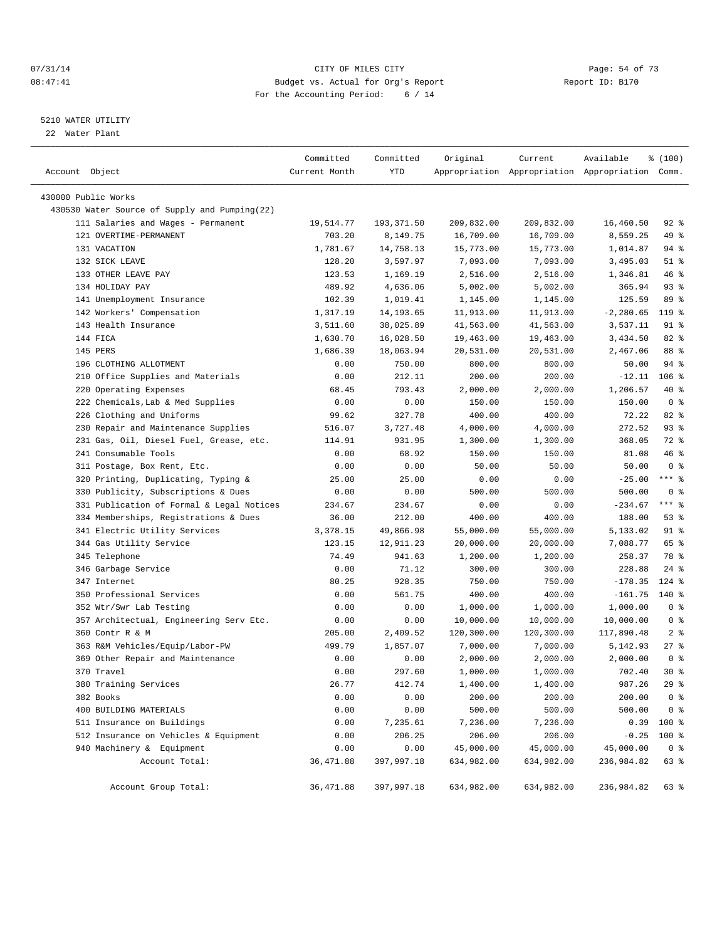#### $O7/31/14$  Page: 54 of 73 08:47:41 Budget vs. Actual for Org's Report Changer Report ID: B170 For the Accounting Period: 6 / 14

————————————————————————————————————————————————————————————————————————————————————————————————————————————————————————————————————

#### 5210 WATER UTILITY

22 Water Plant

|                                               | Committed     | Committed  | Original   | Current                                         | Available   | ៖ (100)        |
|-----------------------------------------------|---------------|------------|------------|-------------------------------------------------|-------------|----------------|
| Account Object                                | Current Month | YTD        |            | Appropriation Appropriation Appropriation Comm. |             |                |
| 430000 Public Works                           |               |            |            |                                                 |             |                |
| 430530 Water Source of Supply and Pumping(22) |               |            |            |                                                 |             |                |
| 111 Salaries and Wages - Permanent            | 19,514.77     | 193,371.50 | 209,832.00 | 209,832.00                                      | 16,460.50   | 92 %           |
| 121 OVERTIME-PERMANENT                        | 703.20        | 8,149.75   | 16,709.00  | 16,709.00                                       | 8,559.25    | 49 %           |
| 131 VACATION                                  | 1,781.67      | 14,758.13  | 15,773.00  | 15,773.00                                       | 1,014.87    | 94 %           |
| 132 SICK LEAVE                                | 128.20        | 3,597.97   | 7,093.00   | 7,093.00                                        | 3,495.03    | $51$ %         |
| 133 OTHER LEAVE PAY                           | 123.53        | 1,169.19   | 2,516.00   | 2,516.00                                        | 1,346.81    | 46 %           |
| 134 HOLIDAY PAY                               | 489.92        | 4,636.06   | 5,002.00   | 5,002.00                                        | 365.94      | $93$ $%$       |
| 141 Unemployment Insurance                    | 102.39        | 1,019.41   | 1,145.00   | 1,145.00                                        | 125.59      | 89 %           |
| 142 Workers' Compensation                     | 1,317.19      | 14,193.65  | 11,913.00  | 11,913.00                                       | $-2,280.65$ | $119*$         |
| 143 Health Insurance                          | 3,511.60      | 38,025.89  | 41,563.00  | 41,563.00                                       | 3,537.11    | 91 %           |
| 144 FICA                                      | 1,630.70      | 16,028.50  | 19,463.00  | 19,463.00                                       | 3,434.50    | 82 %           |
| 145 PERS                                      | 1,686.39      | 18,063.94  | 20,531.00  | 20,531.00                                       | 2,467.06    | 88 %           |
| 196 CLOTHING ALLOTMENT                        | 0.00          | 750.00     | 800.00     | 800.00                                          | 50.00       | 94 %           |
| 210 Office Supplies and Materials             | 0.00          | 212.11     | 200.00     | 200.00                                          | $-12.11$    | $106$ %        |
| 220 Operating Expenses                        | 68.45         | 793.43     | 2,000.00   | 2,000.00                                        | 1,206.57    | 40 %           |
| 222 Chemicals, Lab & Med Supplies             | 0.00          | 0.00       | 150.00     | 150.00                                          | 150.00      | 0 <sup>8</sup> |
| 226 Clothing and Uniforms                     | 99.62         | 327.78     | 400.00     | 400.00                                          | 72.22       | $82$ $%$       |
| 230 Repair and Maintenance Supplies           | 516.07        | 3,727.48   | 4,000.00   | 4,000.00                                        | 272.52      | $93$ $%$       |
| 231 Gas, Oil, Diesel Fuel, Grease, etc.       | 114.91        | 931.95     | 1,300.00   | 1,300.00                                        | 368.05      | 72 %           |
| 241 Consumable Tools                          | 0.00          | 68.92      | 150.00     | 150.00                                          | 81.08       | 46 %           |
| 311 Postage, Box Rent, Etc.                   | 0.00          | 0.00       | 50.00      | 50.00                                           | 50.00       | 0 <sup>8</sup> |
| 320 Printing, Duplicating, Typing &           | 25.00         | 25.00      | 0.00       | 0.00                                            | $-25.00$    | $***$ $-$      |
| 330 Publicity, Subscriptions & Dues           | 0.00          | 0.00       | 500.00     | 500.00                                          | 500.00      | 0 <sup>8</sup> |
| 331 Publication of Formal & Legal Notices     | 234.67        | 234.67     | 0.00       | 0.00                                            | $-234.67$   | $***$ $%$      |
| 334 Memberships, Registrations & Dues         | 36.00         | 212.00     | 400.00     | 400.00                                          | 188.00      | 53%            |
| 341 Electric Utility Services                 | 3,378.15      | 49,866.98  | 55,000.00  | 55,000.00                                       | 5,133.02    | 91 %           |
| 344 Gas Utility Service                       | 123.15        | 12,911.23  | 20,000.00  | 20,000.00                                       | 7,088.77    | 65 %           |
| 345 Telephone                                 | 74.49         | 941.63     | 1,200.00   | 1,200.00                                        | 258.37      | 78 %           |
| 346 Garbage Service                           | 0.00          | 71.12      | 300.00     | 300.00                                          | 228.88      | $24$ %         |
| 347 Internet                                  | 80.25         | 928.35     | 750.00     | 750.00                                          | $-178.35$   | $124$ %        |
| 350 Professional Services                     | 0.00          | 561.75     | 400.00     | 400.00                                          | $-161.75$   | 140 %          |
| 352 Wtr/Swr Lab Testing                       | 0.00          | 0.00       | 1,000.00   | 1,000.00                                        | 1,000.00    | 0 <sup>8</sup> |
| 357 Architectual, Engineering Serv Etc.       | 0.00          | 0.00       | 10,000.00  | 10,000.00                                       | 10,000.00   | 0 <sup>8</sup> |
| 360 Contr R & M                               | 205.00        | 2,409.52   | 120,300.00 | 120,300.00                                      | 117,890.48  | 2 <sup>8</sup> |
| 363 R&M Vehicles/Equip/Labor-PW               | 499.79        | 1,857.07   | 7,000.00   | 7,000.00                                        | 5,142.93    | $27$ %         |
| 369 Other Repair and Maintenance              | 0.00          | 0.00       | 2,000.00   | 2,000.00                                        | 2,000.00    | 0 <sup>8</sup> |
| 370 Travel                                    | 0.00          | 297.60     | 1,000.00   | 1,000.00                                        | 702.40      | $30*$          |
| 380 Training Services                         | 26.77         | 412.74     | 1,400.00   | 1,400.00                                        | 987.26      | $29$ %         |
| 382 Books                                     | 0.00          | 0.00       | 200.00     | 200.00                                          | 200.00      | 0 <sup>8</sup> |
| 400 BUILDING MATERIALS                        | 0.00          | 0.00       | 500.00     | 500.00                                          | 500.00      | 0 <sup>8</sup> |
| 511 Insurance on Buildings                    | 0.00          | 7,235.61   | 7,236.00   | 7,236.00                                        | 0.39        | 100 %          |
| 512 Insurance on Vehicles & Equipment         | 0.00          | 206.25     | 206.00     | 206.00                                          | $-0.25$     | 100 %          |
| 940 Machinery & Equipment                     | 0.00          | 0.00       | 45,000.00  | 45,000.00                                       | 45,000.00   | 0 <sup>8</sup> |
| Account Total:                                | 36, 471.88    | 397,997.18 | 634,982.00 | 634,982.00                                      | 236,984.82  | 63 %           |
| Account Group Total:                          | 36, 471.88    | 397,997.18 | 634,982.00 | 634,982.00                                      | 236,984.82  | 63 %           |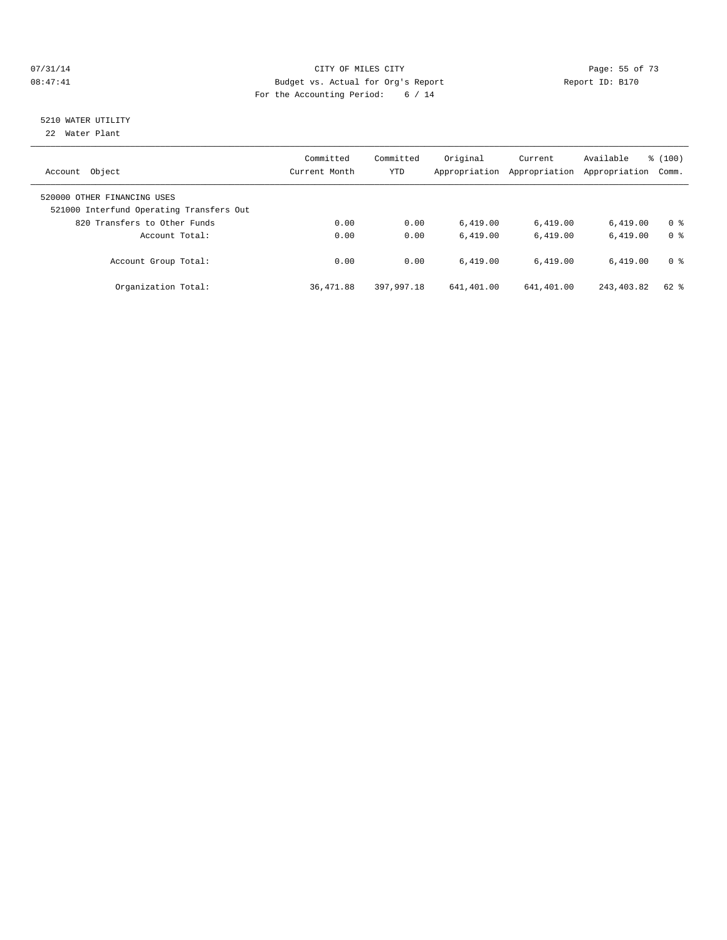#### $O7/31/14$  Page: 55 of 73 08:47:41 Budget vs. Actual for Org's Report Changer Report ID: B170 For the Accounting Period: 6 / 14

# 5210 WATER UTILITY

22 Water Plant

| Object<br>Account                                                                                       | Committed<br>Current Month | Committed<br><b>YTD</b> | Original<br>Appropriation | Current<br>Appropriation | Available<br>Appropriation | % (100)<br>Comm.                 |
|---------------------------------------------------------------------------------------------------------|----------------------------|-------------------------|---------------------------|--------------------------|----------------------------|----------------------------------|
| 520000 OTHER FINANCING USES<br>521000 Interfund Operating Transfers Out<br>820 Transfers to Other Funds |                            |                         |                           |                          |                            |                                  |
| Account Total:                                                                                          | 0.00<br>0.00               | 0.00<br>0.00            | 6,419.00<br>6.419.00      | 6,419.00<br>6.419.00     | 6.419.00<br>6.419.00       | 0 <sup>8</sup><br>0 <sup>8</sup> |
| Account Group Total:                                                                                    | 0.00                       | 0.00                    | 6.419.00                  | 6.419.00                 | 6.419.00                   | 0 <sup>8</sup>                   |
| Organization Total:                                                                                     | 36,471.88                  | 397,997.18              | 641,401.00                | 641,401.00               | 243, 403.82                | $62$ $%$                         |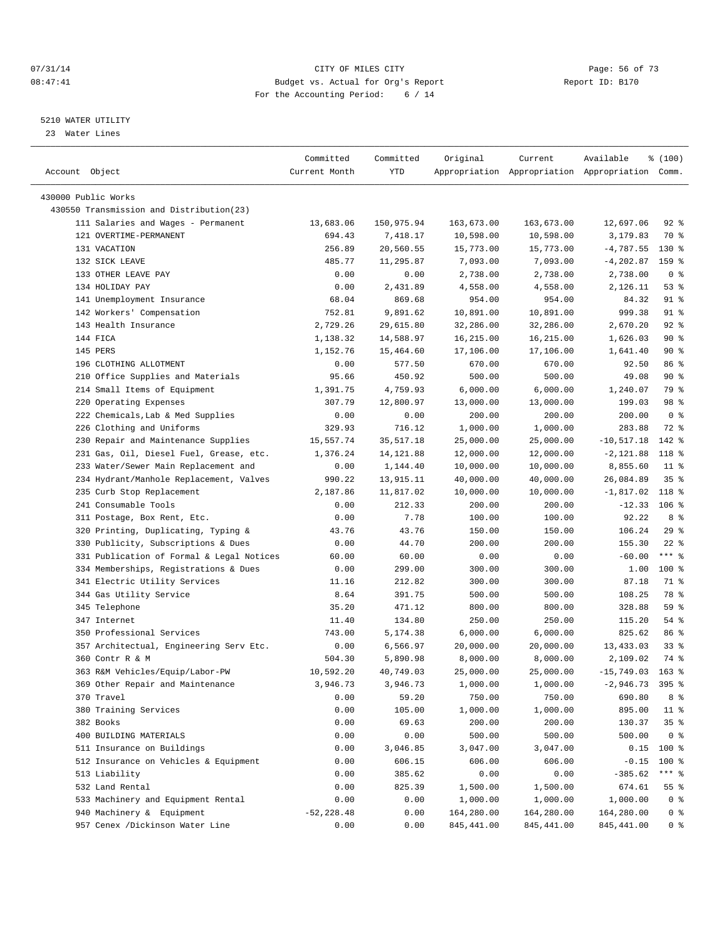#### $O7/31/14$  Page: 56 of 73 08:47:41 Budget vs. Actual for Org's Report Changer Report ID: B170 For the Accounting Period: 6 / 14

————————————————————————————————————————————————————————————————————————————————————————————————————————————————————————————————————

#### 5210 WATER UTILITY

23 Water Lines

|                                           | Committed     | Committed  | Original   | Current                                         | Available         | % (100)        |
|-------------------------------------------|---------------|------------|------------|-------------------------------------------------|-------------------|----------------|
| Account Object                            | Current Month | YTD        |            | Appropriation Appropriation Appropriation Comm. |                   |                |
|                                           |               |            |            |                                                 |                   |                |
| 430000 Public Works                       |               |            |            |                                                 |                   |                |
| 430550 Transmission and Distribution(23)  |               |            |            |                                                 |                   |                |
| 111 Salaries and Wages - Permanent        | 13,683.06     | 150,975.94 | 163,673.00 | 163,673.00                                      | 12,697.06         | $92$ $%$       |
| 121 OVERTIME-PERMANENT                    | 694.43        | 7,418.17   | 10,598.00  | 10,598.00                                       | 3,179.83          | 70 %           |
| 131 VACATION                              | 256.89        | 20,560.55  | 15,773.00  | 15,773.00                                       | $-4,787.55$       | $130*$         |
| 132 SICK LEAVE                            | 485.77        | 11,295.87  | 7,093.00   | 7,093.00                                        | -4,202.87         | $159$ $%$      |
| 133 OTHER LEAVE PAY                       | 0.00          | 0.00       | 2,738.00   | 2,738.00                                        | 2,738.00          | 0 <sup>8</sup> |
| 134 HOLIDAY PAY                           | 0.00          | 2,431.89   | 4,558.00   | 4,558.00                                        | 2,126.11          | 53%            |
| 141 Unemployment Insurance                | 68.04         | 869.68     | 954.00     | 954.00                                          | 84.32             | 91 %           |
| 142 Workers' Compensation                 | 752.81        | 9,891.62   | 10,891.00  | 10,891.00                                       | 999.38            | $91$ %         |
| 143 Health Insurance                      | 2,729.26      | 29,615.80  | 32,286.00  | 32,286.00                                       | 2,670.20          | $92$ $%$       |
| 144 FICA                                  | 1,138.32      | 14,588.97  | 16,215.00  | 16,215.00                                       | 1,626.03          | 90%            |
| 145 PERS                                  | 1,152.76      | 15,464.60  | 17,106.00  | 17,106.00                                       | 1,641.40          | 90%            |
| 196 CLOTHING ALLOTMENT                    | 0.00          | 577.50     | 670.00     | 670.00                                          | 92.50             | 86 %           |
| 210 Office Supplies and Materials         | 95.66         | 450.92     | 500.00     | 500.00                                          | 49.08             | 90%            |
| 214 Small Items of Equipment              | 1,391.75      | 4,759.93   | 6,000.00   | 6,000.00                                        | 1,240.07          | 79 %           |
| 220 Operating Expenses                    | 307.79        | 12,800.97  | 13,000.00  | 13,000.00                                       | 199.03            | 98 %           |
| 222 Chemicals, Lab & Med Supplies         | 0.00          | 0.00       | 200.00     | 200.00                                          | 200.00            | 0 <sup>8</sup> |
| 226 Clothing and Uniforms                 | 329.93        | 716.12     | 1,000.00   | 1,000.00                                        | 283.88            | 72 %           |
| 230 Repair and Maintenance Supplies       | 15,557.74     | 35,517.18  | 25,000.00  | 25,000.00                                       | $-10, 517.18$     | $142$ %        |
| 231 Gas, Oil, Diesel Fuel, Grease, etc.   | 1,376.24      | 14,121.88  | 12,000.00  | 12,000.00                                       | $-2,121.88$       | $118*$         |
| 233 Water/Sewer Main Replacement and      | 0.00          | 1,144.40   | 10,000.00  | 10,000.00                                       | 8,855.60          | $11$ %         |
| 234 Hydrant/Manhole Replacement, Valves   | 990.22        | 13,915.11  | 40,000.00  | 40,000.00                                       | 26,084.89         | 35%            |
| 235 Curb Stop Replacement                 | 2,187.86      | 11,817.02  | 10,000.00  | 10,000.00                                       | $-1,817.02$       | 118 %          |
| 241 Consumable Tools                      | 0.00          | 212.33     | 200.00     | 200.00                                          | $-12.33$ 106 %    |                |
| 311 Postage, Box Rent, Etc.               | 0.00          | 7.78       | 100.00     | 100.00                                          | 92.22             | 8 %            |
| 320 Printing, Duplicating, Typing &       | 43.76         | 43.76      | 150.00     | 150.00                                          | 106.24            | 29%            |
| 330 Publicity, Subscriptions & Dues       | 0.00          | 44.70      | 200.00     | 200.00                                          | 155.30            | $22$ %         |
| 331 Publication of Formal & Legal Notices | 60.00         | 60.00      | 0.00       | 0.00                                            | $-60.00$          | $***$ $-$      |
| 334 Memberships, Registrations & Dues     | 0.00          | 299.00     | 300.00     | 300.00                                          | 1.00              | $100$ %        |
| 341 Electric Utility Services             | 11.16         | 212.82     | 300.00     | 300.00                                          | 87.18             | 71 %           |
| 344 Gas Utility Service                   | 8.64          | 391.75     | 500.00     | 500.00                                          | 108.25            | 78 %           |
| 345 Telephone                             | 35.20         | 471.12     | 800.00     | 800.00                                          | 328.88            | 59 %           |
| 347 Internet                              | 11.40         | 134.80     | 250.00     | 250.00                                          | 115.20            | 54 %           |
| 350 Professional Services                 | 743.00        | 5,174.38   | 6,000.00   | 6,000.00                                        | 825.62            | 86 %           |
| 357 Architectual, Engineering Serv Etc.   | 0.00          | 6,566.97   | 20,000.00  | 20,000.00                                       | 13,433.03         | $33$ $%$       |
| 360 Contr R & M                           | 504.30        | 5,890.98   | 8,000.00   | 8,000.00                                        | 2,109.02          | 74 %           |
| 363 R&M Vehicles/Equip/Labor-PW           | 10,592.20     | 40,749.03  | 25,000.00  | 25,000.00                                       | $-15,749.03$      | $163$ %        |
| 369 Other Repair and Maintenance          | 3,946.73      | 3,946.73   | 1,000.00   | 1,000.00                                        | $-2,946.73$ 395 % |                |
| 370 Travel                                | 0.00          | 59.20      | 750.00     | 750.00                                          | 690.80            | 8 %            |
| 380 Training Services                     | 0.00          | 105.00     | 1,000.00   | 1,000.00                                        | 895.00            | 11 %           |
| 382 Books                                 | 0.00          | 69.63      | 200.00     | 200.00                                          | 130.37            | 35%            |
| 400 BUILDING MATERIALS                    | 0.00          | 0.00       | 500.00     | 500.00                                          | 500.00            | 0 <sup>8</sup> |
| 511 Insurance on Buildings                | 0.00          | 3,046.85   | 3,047.00   | 3,047.00                                        | 0.15              | 100 %          |
| 512 Insurance on Vehicles & Equipment     | 0.00          | 606.15     | 606.00     | 606.00                                          | $-0.15$           | 100 %          |
| 513 Liability                             | 0.00          | 385.62     | 0.00       | 0.00                                            | $-385.62$         | *** %          |
| 532 Land Rental                           | 0.00          | 825.39     | 1,500.00   | 1,500.00                                        | 674.61            | 55 %           |
| 533 Machinery and Equipment Rental        | 0.00          | 0.00       | 1,000.00   | 1,000.00                                        | 1,000.00          | 0 <sup>8</sup> |
| 940 Machinery & Equipment                 | $-52, 228.48$ | 0.00       | 164,280.00 | 164,280.00                                      | 164,280.00        | 0 %            |
| 957 Cenex /Dickinson Water Line           | 0.00          | 0.00       | 845,441.00 | 845,441.00                                      | 845, 441.00       | 0 %            |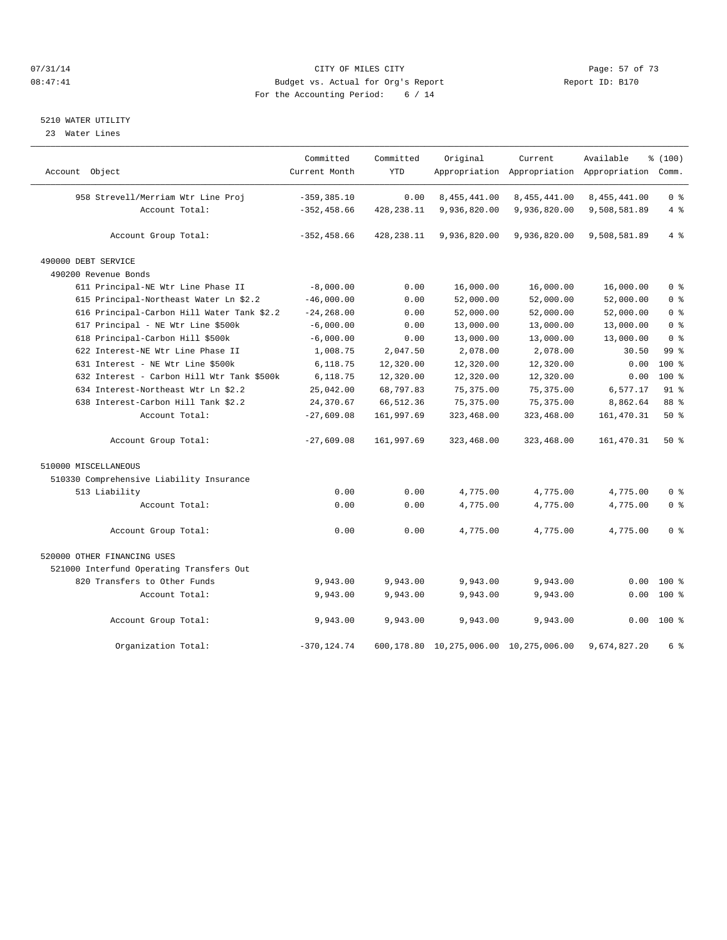#### $O7/31/14$  Page: 57 of 73 08:47:41 Budget vs. Actual for Org's Report Changer Report ID: B170 For the Accounting Period: 6 / 14

## 5210 WATER UTILITY

23 Water Lines

| Account Object                             | Committed<br>Current Month | Committed<br><b>YTD</b> | Original                               | Current      | Available<br>Appropriation Appropriation Appropriation Comm. | % (100)         |
|--------------------------------------------|----------------------------|-------------------------|----------------------------------------|--------------|--------------------------------------------------------------|-----------------|
|                                            |                            |                         |                                        |              |                                                              |                 |
| 958 Strevell/Merriam Wtr Line Proj         | $-359, 385.10$             | 0.00                    | 8,455,441.00                           | 8,455,441.00 | 8,455,441.00                                                 | 0 <sup>8</sup>  |
| Account Total:                             | $-352, 458.66$             | 428,238.11              | 9,936,820.00                           | 9,936,820.00 | 9,508,581.89                                                 | 4%              |
|                                            |                            |                         |                                        |              |                                                              |                 |
| Account Group Total:                       | $-352, 458.66$             | 428, 238.11             | 9,936,820.00                           | 9,936,820.00 | 9,508,581.89                                                 | 4%              |
| 490000 DEBT SERVICE                        |                            |                         |                                        |              |                                                              |                 |
| 490200 Revenue Bonds                       |                            |                         |                                        |              |                                                              |                 |
| 611 Principal-NE Wtr Line Phase II         | $-8,000.00$                | 0.00                    | 16,000.00                              | 16,000.00    | 16,000.00                                                    | 0 <sup>8</sup>  |
| 615 Principal-Northeast Water Ln \$2.2     | $-46,000.00$               | 0.00                    | 52,000.00                              | 52,000.00    | 52,000.00                                                    | 0 <sup>8</sup>  |
| 616 Principal-Carbon Hill Water Tank \$2.2 | $-24, 268.00$              | 0.00                    | 52,000.00                              | 52,000.00    | 52,000.00                                                    | 0 <sup>8</sup>  |
| 617 Principal - NE Wtr Line \$500k         | $-6,000.00$                | 0.00                    | 13,000.00                              | 13,000.00    | 13,000.00                                                    | 0 <sup>8</sup>  |
| 618 Principal-Carbon Hill \$500k           | $-6,000.00$                | 0.00                    | 13,000.00                              | 13,000.00    | 13,000.00                                                    | 0 <sup>8</sup>  |
| 622 Interest-NE Wtr Line Phase II          | 1,008.75                   | 2,047.50                | 2,078.00                               | 2,078.00     | 30.50                                                        | 99 <sub>8</sub> |
| 631 Interest - NE Wtr Line \$500k          | 6,118.75                   | 12,320.00               | 12,320.00                              | 12,320.00    | 0.00                                                         | 100 %           |
| 632 Interest - Carbon Hill Wtr Tank \$500k | 6,118.75                   | 12,320.00               | 12,320.00                              | 12,320.00    | 0.00                                                         | $100*$          |
| 634 Interest-Northeast Wtr Ln \$2.2        | 25,042.00                  | 68,797.83               | 75, 375.00                             | 75, 375.00   | 6,577.17                                                     | $91*$           |
| 638 Interest-Carbon Hill Tank \$2.2        | 24,370.67                  | 66,512.36               | 75, 375.00                             | 75,375.00    | 8,862.64                                                     | 88 %            |
| Account Total:                             | $-27,609.08$               | 161,997.69              | 323,468.00                             | 323,468.00   | 161, 470.31                                                  | $50*$           |
| Account Group Total:                       | $-27,609.08$               | 161,997.69              | 323,468.00                             | 323,468.00   | 161, 470.31                                                  | 50%             |
| 510000 MISCELLANEOUS                       |                            |                         |                                        |              |                                                              |                 |
| 510330 Comprehensive Liability Insurance   |                            |                         |                                        |              |                                                              |                 |
| 513 Liability                              | 0.00                       | 0.00                    | 4,775.00                               | 4,775.00     | 4,775.00                                                     | 0 <sup>8</sup>  |
| Account Total:                             | 0.00                       | 0.00                    | 4,775.00                               | 4,775.00     | 4,775.00                                                     | 0 <sup>8</sup>  |
| Account Group Total:                       | 0.00                       | 0.00                    | 4,775.00                               | 4,775.00     | 4,775.00                                                     | 0 <sup>8</sup>  |
| 520000 OTHER FINANCING USES                |                            |                         |                                        |              |                                                              |                 |
| 521000 Interfund Operating Transfers Out   |                            |                         |                                        |              |                                                              |                 |
| 820 Transfers to Other Funds               | 9,943.00                   | 9,943.00                | 9,943.00                               | 9,943.00     | 0.00                                                         | 100 %           |
| Account Total:                             | 9,943.00                   | 9,943.00                | 9,943.00                               | 9,943.00     | 0.00                                                         | $100*$          |
| Account Group Total:                       | 9,943.00                   | 9,943.00                | 9,943.00                               | 9,943.00     | 0.00                                                         | 100 %           |
| Organization Total:                        | $-370, 124.74$             |                         | 600,178.80 10,275,006.00 10,275,006.00 |              | 9,674,827.20                                                 | 6 %             |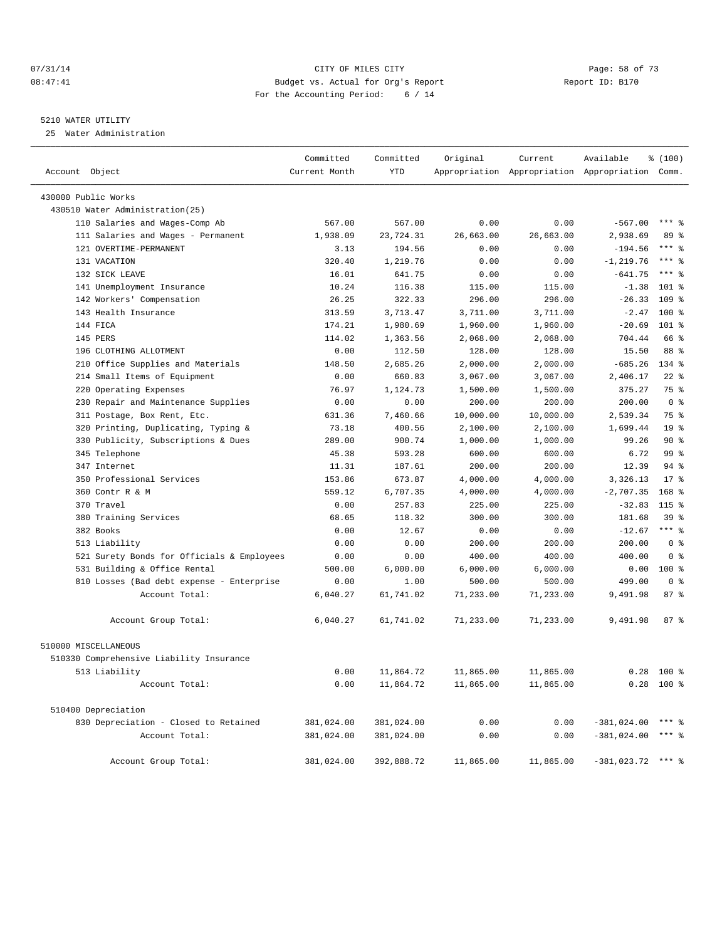#### 07/31/14 Page: 58 of 73 08:47:41 Budget vs. Actual for Org's Report Changer Report ID: B170 For the Accounting Period: 6 / 14

#### 5210 WATER UTILITY

25 Water Administration

| Account Object                             | Committed<br>Current Month | Committed<br>YTD | Original  | Current<br>Appropriation Appropriation Appropriation Comm. | Available           | % (100)          |
|--------------------------------------------|----------------------------|------------------|-----------|------------------------------------------------------------|---------------------|------------------|
| 430000 Public Works                        |                            |                  |           |                                                            |                     |                  |
| 430510 Water Administration(25)            |                            |                  |           |                                                            |                     |                  |
| 110 Salaries and Wages-Comp Ab             | 567.00                     | 567.00           | 0.00      | 0.00                                                       | $-567.00$           | $***$ 2          |
| 111 Salaries and Wages - Permanent         | 1,938.09                   | 23,724.31        | 26,663.00 | 26,663.00                                                  | 2,938.69            | 89 %             |
| 121 OVERTIME-PERMANENT                     | 3.13                       | 194.56           | 0.00      | 0.00                                                       | $-194.56$           | $***$ $-$        |
| 131 VACATION                               | 320.40                     | 1,219.76         | 0.00      | 0.00                                                       | $-1, 219.76$        | $***$ $%$        |
| 132 SICK LEAVE                             | 16.01                      | 641.75           | 0.00      | 0.00                                                       | $-641.75$           | $***$ $%$        |
| 141 Unemployment Insurance                 | 10.24                      | 116.38           | 115.00    | 115.00                                                     | $-1.38$             | $101$ %          |
| 142 Workers' Compensation                  | 26.25                      | 322.33           | 296.00    | 296.00                                                     | $-26.33$            | 109 <sub>8</sub> |
| 143 Health Insurance                       | 313.59                     | 3,713.47         | 3,711.00  | 3,711.00                                                   | $-2.47$             | $100*$           |
| 144 FICA                                   | 174.21                     | 1,980.69         | 1,960.00  | 1,960.00                                                   | $-20.69$            | $101$ %          |
| 145 PERS                                   | 114.02                     | 1,363.56         | 2,068.00  | 2,068.00                                                   | 704.44              | 66 %             |
| 196 CLOTHING ALLOTMENT                     | 0.00                       | 112.50           | 128.00    | 128.00                                                     | 15.50               | 88 %             |
| 210 Office Supplies and Materials          | 148.50                     | 2,685.26         | 2,000.00  | 2,000.00                                                   | $-685.26$           | 134 %            |
| Small Items of Equipment<br>214            | 0.00                       | 660.83           | 3,067.00  | 3,067.00                                                   | 2,406.17            | $22$ %           |
| Operating Expenses<br>220                  | 76.97                      | 1,124.73         | 1,500.00  | 1,500.00                                                   | 375.27              | 75 %             |
| 230 Repair and Maintenance Supplies        | 0.00                       | 0.00             | 200.00    | 200.00                                                     | 200.00              | 0 <sup>8</sup>   |
| 311 Postage, Box Rent, Etc.                | 631.36                     | 7,460.66         | 10,000.00 | 10,000.00                                                  | 2,539.34            | 75 %             |
| 320 Printing, Duplicating, Typing &        | 73.18                      | 400.56           | 2,100.00  | 2,100.00                                                   | 1,699.44            | 19 <sup>°</sup>  |
| Publicity, Subscriptions & Dues<br>330     | 289.00                     | 900.74           | 1,000.00  | 1,000.00                                                   | 99.26               | 90%              |
| 345 Telephone                              | 45.38                      | 593.28           | 600.00    | 600.00                                                     | 6.72                | 99 %             |
| 347 Internet                               | 11.31                      | 187.61           | 200.00    | 200.00                                                     | 12.39               | $94$ %           |
| 350 Professional Services                  | 153.86                     | 673.87           | 4,000.00  | 4,000.00                                                   | 3,326.13            | $17*$            |
| 360 Contr R & M                            | 559.12                     | 6,707.35         | 4,000.00  | 4,000.00                                                   | $-2,707.35$         | $168$ %          |
| 370 Travel                                 | 0.00                       | 257.83           | 225.00    | 225.00                                                     | $-32.83$            | 115 %            |
| 380 Training Services                      | 68.65                      | 118.32           | 300.00    | 300.00                                                     | 181.68              | 39 <sup>8</sup>  |
| 382 Books                                  | 0.00                       | 12.67            | 0.00      | 0.00                                                       | $-12.67$            | *** %            |
| 513 Liability                              | 0.00                       | 0.00             | 200.00    | 200.00                                                     | 200.00              | 0 <sup>8</sup>   |
| 521 Surety Bonds for Officials & Employees | 0.00                       | 0.00             | 400.00    | 400.00                                                     | 400.00              | 0 <sup>8</sup>   |
| 531 Building & Office Rental               | 500.00                     | 6,000.00         | 6,000.00  | 6,000.00                                                   | 0.00                | $100*$           |
| 810 Losses (Bad debt expense - Enterprise  | 0.00                       | 1.00             | 500.00    | 500.00                                                     | 499.00              | 0 <sup>8</sup>   |
| Account Total:                             | 6,040.27                   | 61,741.02        | 71,233.00 | 71,233.00                                                  | 9,491.98            | 87%              |
| Account Group Total:                       | 6,040.27                   | 61,741.02        | 71,233.00 | 71,233.00                                                  | 9,491.98            | 87%              |
| 510000 MISCELLANEOUS                       |                            |                  |           |                                                            |                     |                  |
| 510330 Comprehensive Liability Insurance   |                            |                  |           |                                                            |                     |                  |
| 513 Liability                              | 0.00                       | 11,864.72        | 11,865.00 | 11,865.00                                                  | 0.28                | $100*$           |
| Account Total:                             | 0.00                       | 11,864.72        | 11,865.00 | 11,865.00                                                  |                     | $0.28$ 100 %     |
| 510400 Depreciation                        |                            |                  |           |                                                            |                     |                  |
| 830 Depreciation - Closed to Retained      | 381,024.00                 | 381,024.00       | 0.00      | 0.00                                                       | $-381,024.00$       | $***$ $%$        |
| Account Total:                             | 381,024.00                 | 381,024.00       | 0.00      | 0.00                                                       | $-381,024.00$       | $***$ $%$        |
| Account Group Total:                       | 381,024.00                 | 392,888.72       | 11,865.00 | 11,865.00                                                  | $-381,023.72$ *** % |                  |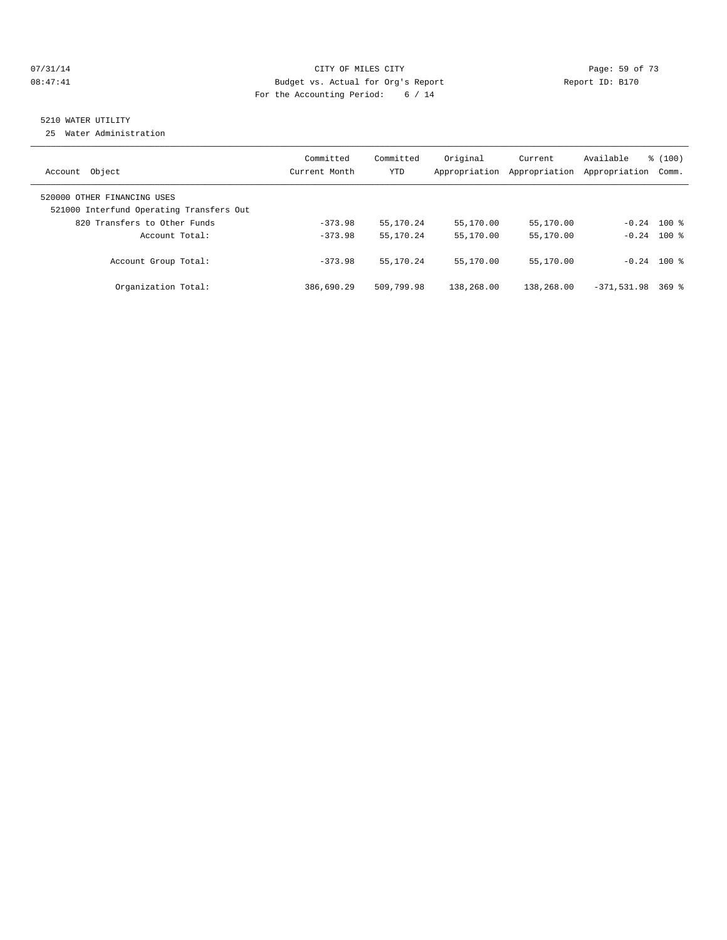#### $O7/31/14$  Page: 59 of 73 08:47:41 Budget vs. Actual for Org's Report Changer Report ID: B170 For the Accounting Period: 6 / 14

# 5210 WATER UTILITY

25 Water Administration

| Object<br>Account                                                       | Committed<br>Current Month | Committed<br><b>YTD</b> | Original<br>Appropriation | Current<br>Appropriation | Available<br>Appropriation | $\frac{100}{3}$<br>Comm. |
|-------------------------------------------------------------------------|----------------------------|-------------------------|---------------------------|--------------------------|----------------------------|--------------------------|
| 520000 OTHER FINANCING USES<br>521000 Interfund Operating Transfers Out |                            |                         |                           |                          |                            |                          |
| 820 Transfers to Other Funds                                            | $-373.98$                  | 55, 170. 24             | 55,170.00                 | 55,170.00                | $-0.24$ 100 %              |                          |
| Account Total:                                                          | $-373.98$                  | 55, 170. 24             | 55,170.00                 | 55,170.00                |                            | $-0.24$ 100 %            |
| Account Group Total:                                                    | $-373.98$                  | 55, 170. 24             | 55,170.00                 | 55,170.00                | $-0.24$ 100 %              |                          |
| Organization Total:                                                     | 386,690.29                 | 509,799.98              | 138,268.00                | 138,268.00               | $-371,531.98$              | $369$ $%$                |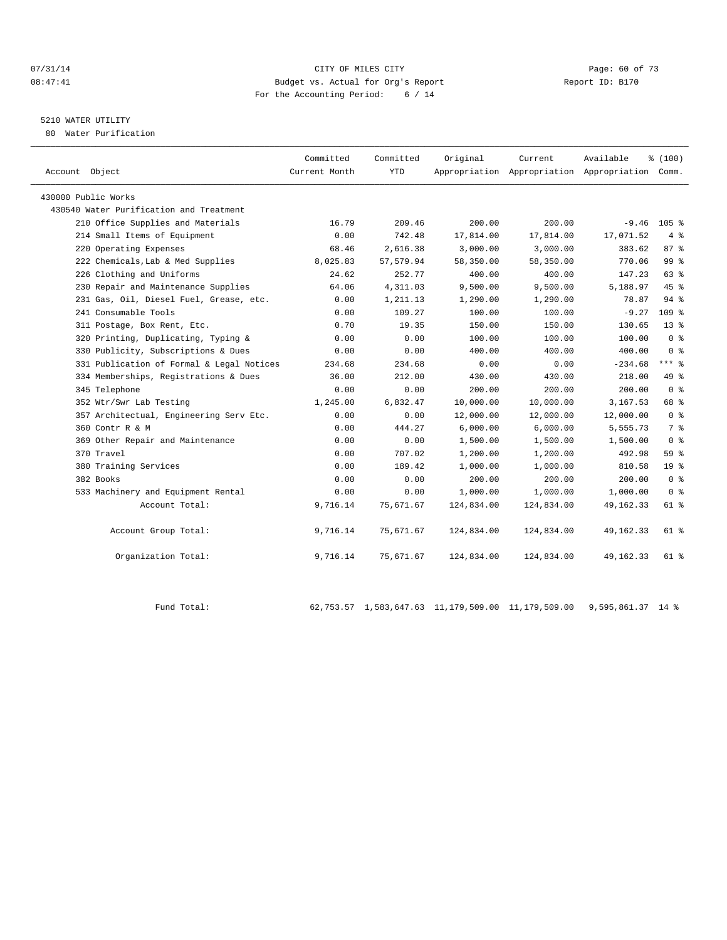#### $07/31/14$  Page: 60 of 73<br> $08:47:41$  Page: 60 of 73<br>Budget vs. Actual for Org's Report  $0.47:41$  Report ID: B170 08:47:41 Budget vs. Actual for Org's Report Report ID: B170 For the Accounting Period: 6 / 14

## 5210 WATER UTILITY

80 Water Purification

| Account Object                            | Committed<br>Current Month | Committed<br><b>YTD</b> | Original   | Current<br>Appropriation Appropriation Appropriation | Available   | % (100)<br>Comm. |
|-------------------------------------------|----------------------------|-------------------------|------------|------------------------------------------------------|-------------|------------------|
| 430000 Public Works                       |                            |                         |            |                                                      |             |                  |
| 430540 Water Purification and Treatment   |                            |                         |            |                                                      |             |                  |
| 210 Office Supplies and Materials         | 16.79                      | 209.46                  | 200.00     | 200.00                                               | $-9.46$     | $105$ %          |
| 214 Small Items of Equipment              | 0.00                       | 742.48                  | 17,814.00  | 17,814.00                                            | 17,071.52   | 4%               |
| 220 Operating Expenses                    | 68.46                      | 2,616.38                | 3,000.00   | 3,000.00                                             | 383.62      | $87*$            |
| 222 Chemicals, Lab & Med Supplies         | 8,025.83                   | 57,579.94               | 58,350.00  | 58,350.00                                            | 770.06      | 99 <sup>8</sup>  |
| 226 Clothing and Uniforms                 | 24.62                      | 252.77                  | 400.00     | 400.00                                               | 147.23      | 63 %             |
| 230 Repair and Maintenance Supplies       | 64.06                      | 4,311.03                | 9,500.00   | 9,500.00                                             | 5,188.97    | 45 %             |
| 231 Gas, Oil, Diesel Fuel, Grease, etc.   | 0.00                       | 1,211.13                | 1,290.00   | 1,290.00                                             | 78.87       | $94$ $%$         |
| 241 Consumable Tools                      | 0.00                       | 109.27                  | 100.00     | 100.00                                               | $-9.27$     | 109 <sub>8</sub> |
| 311 Postage, Box Rent, Etc.               | 0.70                       | 19.35                   | 150.00     | 150.00                                               | 130.65      | $13*$            |
| 320 Printing, Duplicating, Typing &       | 0.00                       | 0.00                    | 100.00     | 100.00                                               | 100.00      | 0 <sup>8</sup>   |
| 330 Publicity, Subscriptions & Dues       | 0.00                       | 0.00                    | 400.00     | 400.00                                               | 400.00      | 0 <sup>8</sup>   |
| 331 Publication of Formal & Legal Notices | 234.68                     | 234.68                  | 0.00       | 0.00                                                 | $-234.68$   | $***$ $-$        |
| 334 Memberships, Registrations & Dues     | 36.00                      | 212.00                  | 430.00     | 430.00                                               | 218.00      | 49 %             |
| 345 Telephone                             | 0.00                       | 0.00                    | 200.00     | 200.00                                               | 200.00      | 0 <sup>8</sup>   |
| 352 Wtr/Swr Lab Testing                   | 1,245.00                   | 6,832.47                | 10,000.00  | 10,000.00                                            | 3,167.53    | 68 %             |
| 357 Architectual, Engineering Serv Etc.   | 0.00                       | 0.00                    | 12,000.00  | 12,000.00                                            | 12,000.00   | 0 <sup>8</sup>   |
| 360 Contr R & M                           | 0.00                       | 444.27                  | 6,000.00   | 6,000.00                                             | 5,555.73    | 7 %              |
| 369 Other Repair and Maintenance          | 0.00                       | 0.00                    | 1,500.00   | 1,500.00                                             | 1,500.00    | 0 <sup>8</sup>   |
| 370 Travel                                | 0.00                       | 707.02                  | 1,200.00   | 1,200.00                                             | 492.98      | 59 %             |
| 380 Training Services                     | 0.00                       | 189.42                  | 1,000.00   | 1,000.00                                             | 810.58      | 19 <sup>°</sup>  |
| 382 Books                                 | 0.00                       | 0.00                    | 200.00     | 200.00                                               | 200.00      | 0 <sup>8</sup>   |
| 533 Machinery and Equipment Rental        | 0.00                       | 0.00                    | 1,000.00   | 1,000.00                                             | 1,000.00    | 0 <sup>8</sup>   |
| Account Total:                            | 9,716.14                   | 75,671.67               | 124,834.00 | 124,834.00                                           | 49, 162. 33 | 61 %             |
| Account Group Total:                      | 9,716.14                   | 75,671.67               | 124,834.00 | 124,834.00                                           | 49, 162. 33 | 61 %             |
| Organization Total:                       | 9,716.14                   | 75,671.67               | 124,834.00 | 124,834.00                                           | 49, 162. 33 | 61 %             |

Fund Total: 62,753.57 1,583,647.63 11,179,509.00 11,179,509.00 9,595,861.37 14 %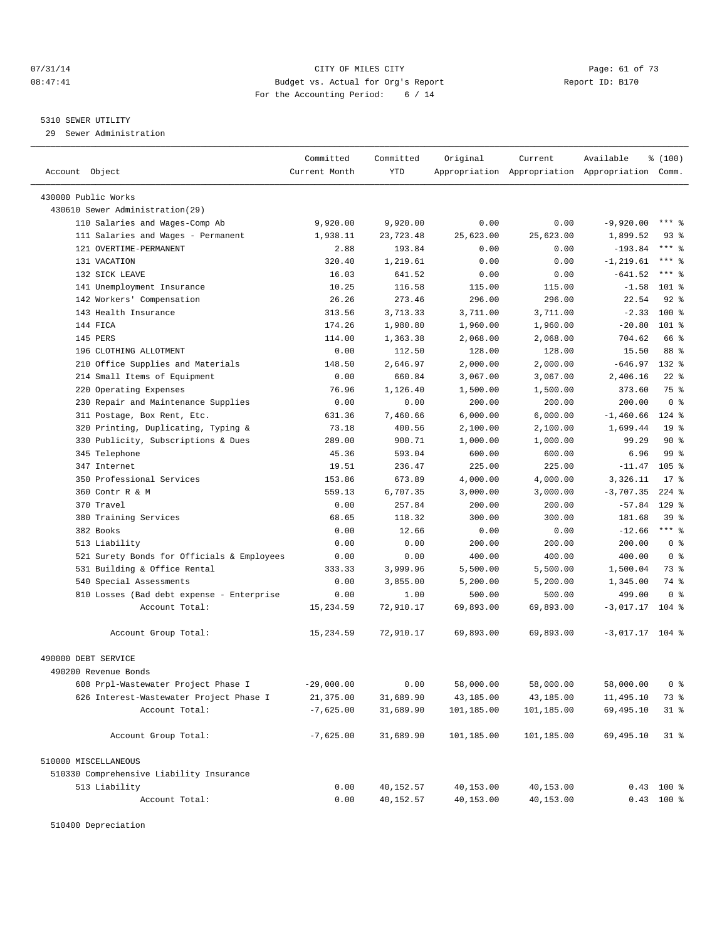#### 07/31/14 Page: 61 of 73 08:47:41 Budget vs. Actual for Org's Report Changer Report ID: B170 For the Accounting Period: 6 / 14

————————————————————————————————————————————————————————————————————————————————————————————————————————————————————————————————————

#### 5310 SEWER UTILITY

29 Sewer Administration

|                                            | Committed     | Committed | Original   | Current                                         | Available         | ៖ (100)          |  |
|--------------------------------------------|---------------|-----------|------------|-------------------------------------------------|-------------------|------------------|--|
| Account Object                             | Current Month | YTD       |            | Appropriation Appropriation Appropriation Comm. |                   |                  |  |
|                                            |               |           |            |                                                 |                   |                  |  |
| 430000 Public Works                        |               |           |            |                                                 |                   |                  |  |
| 430610 Sewer Administration(29)            |               |           |            |                                                 |                   |                  |  |
| 110 Salaries and Wages-Comp Ab             | 9,920.00      | 9,920.00  | 0.00       | 0.00                                            | $-9,920.00$       | *** 응            |  |
| 111 Salaries and Wages - Permanent         | 1,938.11      | 23,723.48 | 25,623.00  | 25,623.00                                       | 1,899.52          | 93 %             |  |
| 121 OVERTIME-PERMANENT                     | 2.88          | 193.84    | 0.00       | 0.00                                            | $-193.84$         | $***$ $-$        |  |
| 131 VACATION                               | 320.40        | 1,219.61  | 0.00       | 0.00                                            | $-1, 219.61$      | *** 응            |  |
| 132 SICK LEAVE                             | 16.03         | 641.52    | 0.00       | 0.00                                            | $-641.52$         | $***$ $%$        |  |
| 141 Unemployment Insurance                 | 10.25         | 116.58    | 115.00     | 115.00                                          | $-1.58$           | 101 %            |  |
| 142 Workers' Compensation                  | 26.26         | 273.46    | 296.00     | 296.00                                          | 22.54             | $92$ $%$         |  |
| 143 Health Insurance                       | 313.56        | 3,713.33  | 3,711.00   | 3,711.00                                        | $-2.33$           | $100*$           |  |
| 144 FICA                                   | 174.26        | 1,980.80  | 1,960.00   | 1,960.00                                        | $-20.80$          | $101$ %          |  |
| 145 PERS                                   | 114.00        | 1,363.38  | 2,068.00   | 2,068.00                                        | 704.62            | 66 %             |  |
| 196 CLOTHING ALLOTMENT                     | 0.00          | 112.50    | 128.00     | 128.00                                          | 15.50             | 88 %             |  |
| 210 Office Supplies and Materials          | 148.50        | 2,646.97  | 2,000.00   | 2,000.00                                        | $-646.97$         | 132 %            |  |
| 214 Small Items of Equipment               | 0.00          | 660.84    | 3,067.00   | 3,067.00                                        | 2,406.16          | $22$ %           |  |
| 220 Operating Expenses                     | 76.96         | 1,126.40  | 1,500.00   | 1,500.00                                        | 373.60            | 75 %             |  |
| 230 Repair and Maintenance Supplies        | 0.00          | 0.00      | 200.00     | 200.00                                          | 200.00            | 0 <sup>8</sup>   |  |
| 311 Postage, Box Rent, Etc.                | 631.36        | 7,460.66  | 6,000.00   | 6,000.00                                        | $-1,460.66$       | 124 %            |  |
| 320 Printing, Duplicating, Typing &        | 73.18         | 400.56    | 2,100.00   | 2,100.00                                        | 1,699.44          | 19 <sup>°</sup>  |  |
| 330 Publicity, Subscriptions & Dues        | 289.00        | 900.71    | 1,000.00   | 1,000.00                                        | 99.29             | 90%              |  |
| 345 Telephone                              | 45.36         | 593.04    | 600.00     | 600.00                                          | 6.96              | 99 %             |  |
| 347 Internet                               | 19.51         | 236.47    | 225.00     | 225.00                                          | $-11.47$          | 105 <sub>8</sub> |  |
| 350 Professional Services                  | 153.86        | 673.89    | 4,000.00   | 4,000.00                                        | 3,326.11          | $17*$            |  |
| 360 Contr R & M                            | 559.13        | 6,707.35  | 3,000.00   | 3,000.00                                        | $-3,707.35$       | $224$ %          |  |
| 370 Travel                                 | 0.00          | 257.84    | 200.00     | 200.00                                          | $-57.84$          | $129$ %          |  |
| 380 Training Services                      | 68.65         | 118.32    | 300.00     | 300.00                                          | 181.68            | 39 %             |  |
| 382 Books                                  | 0.00          | 12.66     | 0.00       | 0.00                                            | $-12.66$          | *** 응            |  |
| 513 Liability                              | 0.00          | 0.00      | 200.00     | 200.00                                          | 200.00            | 0 <sup>8</sup>   |  |
| 521 Surety Bonds for Officials & Employees | 0.00          | 0.00      | 400.00     | 400.00                                          | 400.00            | 0 <sup>8</sup>   |  |
| 531 Building & Office Rental               | 333.33        | 3,999.96  | 5,500.00   | 5,500.00                                        | 1,500.04          | 73 %             |  |
| 540 Special Assessments                    | 0.00          | 3,855.00  | 5,200.00   | 5,200.00                                        | 1,345.00          | 74 %             |  |
| 810 Losses (Bad debt expense - Enterprise  | 0.00          | 1.00      | 500.00     | 500.00                                          | 499.00            | 0 <sup>8</sup>   |  |
| Account Total:                             | 15,234.59     | 72,910.17 | 69,893.00  | 69,893.00                                       | $-3,017.17$       | $104$ %          |  |
| Account Group Total:                       | 15,234.59     | 72,910.17 | 69,893.00  | 69,893.00                                       | $-3,017.17$ 104 % |                  |  |
| 490000 DEBT SERVICE                        |               |           |            |                                                 |                   |                  |  |
| 490200 Revenue Bonds                       |               |           |            |                                                 |                   |                  |  |
| 608 Prpl-Wastewater Project Phase I        | $-29,000.00$  | 0.00      | 58,000.00  | 58,000.00                                       | 58,000.00         | 0 %              |  |
| 626 Interest-Wastewater Project Phase I    | 21,375.00     | 31,689.90 | 43,185.00  | 43,185.00                                       | 11,495.10         | 73 %             |  |
| Account Total:                             | $-7,625.00$   | 31,689.90 | 101,185.00 | 101,185.00                                      | 69,495.10         | $31$ %           |  |
| Account Group Total:                       | $-7,625.00$   | 31,689.90 | 101,185.00 | 101,185.00                                      | 69,495.10         | $31$ %           |  |
| 510000 MISCELLANEOUS                       |               |           |            |                                                 |                   |                  |  |
|                                            |               |           |            |                                                 |                   |                  |  |
| 510330 Comprehensive Liability Insurance   |               |           |            |                                                 |                   |                  |  |
| 513 Liability                              | 0.00          | 40,152.57 | 40,153.00  | 40,153.00                                       |                   | $0.43$ 100 %     |  |
| Account Total:                             | 0.00          | 40,152.57 | 40,153.00  | 40,153.00                                       |                   | $0.43$ 100 %     |  |

510400 Depreciation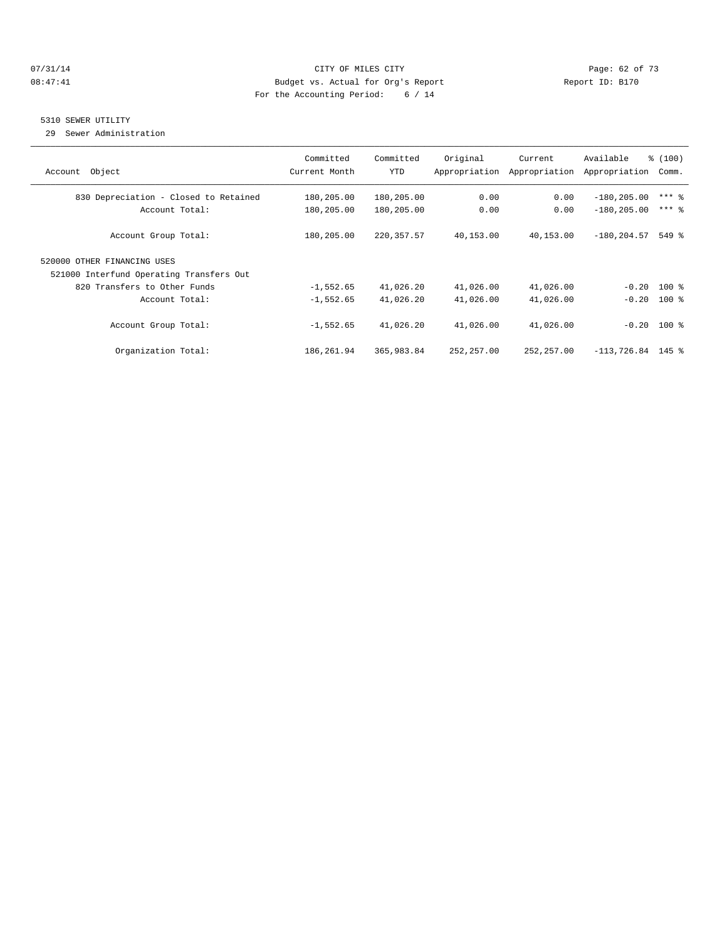#### 07/31/14 Page: 62 of 73 08:47:41 Budget vs. Actual for Org's Report Changer Report ID: B170 For the Accounting Period: 6 / 14

#### 5310 SEWER UTILITY

29 Sewer Administration

| Object<br>Account                        | Committed<br>Current Month | Committed<br><b>YTD</b> | Original<br>Appropriation | Current<br>Appropriation | Available<br>Appropriation | % (100)<br>Comm. |
|------------------------------------------|----------------------------|-------------------------|---------------------------|--------------------------|----------------------------|------------------|
| 830 Depreciation - Closed to Retained    | 180,205.00                 | 180,205.00              | 0.00                      | 0.00                     | $-180, 205.00$             | $***$ $%$        |
| Account Total:                           | 180,205.00                 | 180,205.00              | 0.00                      | 0.00                     | $-180, 205.00$             | $***$ $=$        |
| Account Group Total:                     | 180,205.00                 | 220, 357.57             | 40,153.00                 | 40,153.00                | $-180, 204.57$             | $549$ $%$        |
| 520000 OTHER FINANCING USES              |                            |                         |                           |                          |                            |                  |
| 521000 Interfund Operating Transfers Out |                            |                         |                           |                          |                            |                  |
| 820 Transfers to Other Funds             | $-1,552.65$                | 41,026.20               | 41,026.00                 | 41,026.00                |                            | $-0.20$ 100 %    |
| Account Total:                           | $-1,552.65$                | 41,026.20               | 41,026.00                 | 41,026.00                |                            | $-0.20$ 100 %    |
| Account Group Total:                     | $-1,552.65$                | 41,026.20               | 41,026.00                 | 41,026.00                |                            | $-0.20$ 100 %    |
| Organization Total:                      | 186,261.94                 | 365,983.84              | 252, 257.00               | 252, 257.00              | $-113, 726.84$ 145 %       |                  |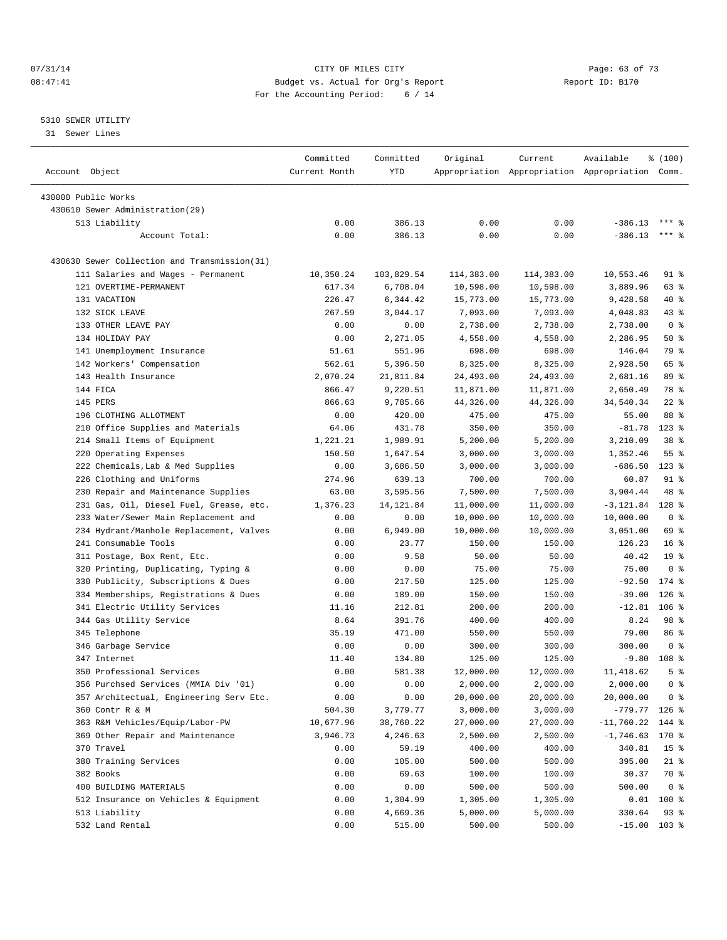#### 07/31/14 Page: 63 of 73 08:47:41 Budget vs. Actual for Org's Report Changer Report ID: B170 For the Accounting Period: 6 / 14

#### 5310 SEWER UTILITY

31 Sewer Lines

|                                              | Committed     | Committed  | Original   | Current    | Available                                       | \$(100)         |
|----------------------------------------------|---------------|------------|------------|------------|-------------------------------------------------|-----------------|
| Account Object                               | Current Month | <b>YTD</b> |            |            | Appropriation Appropriation Appropriation Comm. |                 |
| 430000 Public Works                          |               |            |            |            |                                                 |                 |
| 430610 Sewer Administration(29)              |               |            |            |            |                                                 |                 |
| 513 Liability                                | 0.00          | 386.13     | 0.00       | 0.00       | $-386.13$                                       |                 |
| Account Total:                               | 0.00          | 386.13     | 0.00       | 0.00       | $-386.13$                                       | $***$ $%$       |
|                                              |               |            |            |            |                                                 |                 |
| 430630 Sewer Collection and Transmission(31) |               |            |            |            |                                                 |                 |
| 111 Salaries and Wages - Permanent           | 10,350.24     | 103,829.54 | 114,383.00 | 114,383.00 | 10,553.46                                       | 91 %            |
| 121 OVERTIME-PERMANENT                       | 617.34        | 6,708.04   | 10,598.00  | 10,598.00  | 3,889.96                                        | 63 %            |
| 131 VACATION                                 | 226.47        | 6,344.42   | 15,773.00  | 15,773.00  | 9,428.58                                        | 40 %            |
| 132 SICK LEAVE                               | 267.59        | 3,044.17   | 7,093.00   | 7,093.00   | 4,048.83                                        | 43 %            |
| 133 OTHER LEAVE PAY                          | 0.00          | 0.00       | 2,738.00   | 2,738.00   | 2,738.00                                        | 0 <sup>8</sup>  |
| 134 HOLIDAY PAY                              | 0.00          | 2,271.05   | 4,558.00   | 4,558.00   | 2,286.95                                        | 50%             |
| 141 Unemployment Insurance                   | 51.61         | 551.96     | 698.00     | 698.00     | 146.04                                          | 79 %            |
| 142 Workers' Compensation                    | 562.61        | 5,396.50   | 8,325.00   | 8,325.00   | 2,928.50                                        | 65 %            |
| 143 Health Insurance                         | 2,070.24      | 21,811.84  | 24,493.00  | 24,493.00  | 2,681.16                                        | 89 %            |
| 144 FICA                                     | 866.47        | 9,220.51   | 11,871.00  | 11,871.00  | 2,650.49                                        | 78 %            |
| 145 PERS                                     | 866.63        | 9,785.66   | 44,326.00  | 44,326.00  | 34,540.34                                       | $22$ %          |
| 196 CLOTHING ALLOTMENT                       | 0.00          | 420.00     | 475.00     | 475.00     | 55.00                                           | 88 %            |
| 210 Office Supplies and Materials            | 64.06         | 431.78     | 350.00     | 350.00     | $-81.78$                                        | $123$ %         |
| 214 Small Items of Equipment                 | 1,221.21      | 1,989.91   | 5,200.00   | 5,200.00   | 3,210.09                                        | 38 %            |
| 220 Operating Expenses                       | 150.50        | 1,647.54   | 3,000.00   | 3,000.00   | 1,352.46                                        | 55 <sup>8</sup> |
| 222 Chemicals, Lab & Med Supplies            | 0.00          | 3,686.50   | 3,000.00   | 3,000.00   | $-686.50$                                       | $123$ %         |
| 226 Clothing and Uniforms                    | 274.96        | 639.13     | 700.00     | 700.00     | 60.87                                           | $91$ %          |
| 230 Repair and Maintenance Supplies          | 63.00         | 3,595.56   | 7,500.00   | 7,500.00   | 3,904.44                                        | 48 %            |
| 231 Gas, Oil, Diesel Fuel, Grease, etc.      | 1,376.23      | 14, 121.84 | 11,000.00  | 11,000.00  | $-3,121.84$                                     | 128 %           |
| 233 Water/Sewer Main Replacement and         | 0.00          | 0.00       | 10,000.00  | 10,000.00  | 10,000.00                                       | 0 <sup>8</sup>  |
| 234 Hydrant/Manhole Replacement, Valves      | 0.00          | 6,949.00   | 10,000.00  | 10,000.00  | 3,051.00                                        | 69 %            |
| 241 Consumable Tools                         | 0.00          | 23.77      | 150.00     | 150.00     | 126.23                                          | $16*$           |
| 311 Postage, Box Rent, Etc.                  | 0.00          | 9.58       | 50.00      | 50.00      | 40.42                                           | 19 <sup>°</sup> |
| 320 Printing, Duplicating, Typing &          | 0.00          | 0.00       | 75.00      | 75.00      | 75.00                                           | 0 <sup>8</sup>  |
| 330 Publicity, Subscriptions & Dues          | 0.00          | 217.50     | 125.00     | 125.00     | $-92.50$                                        | $174$ %         |
| 334 Memberships, Registrations & Dues        | 0.00          | 189.00     | 150.00     | 150.00     | $-39.00$                                        | $126$ %         |
| 341 Electric Utility Services                | 11.16         | 212.81     | 200.00     | 200.00     | $-12.81$                                        | $106$ %         |
| 344 Gas Utility Service                      | 8.64          | 391.76     | 400.00     | 400.00     | 8.24                                            | 98 %            |
| 345 Telephone                                | 35.19         | 471.00     | 550.00     | 550.00     | 79.00                                           | 86 %            |
| 346 Garbage Service                          | 0.00          | 0.00       | 300.00     | 300.00     | 300.00                                          | 0 <sup>8</sup>  |
| 347 Internet                                 | 11.40         | 134.80     | 125.00     | 125.00     | $-9.80$                                         | 108 %           |
| 350 Professional Services                    | 0.00          | 581.38     | 12,000.00  | 12,000.00  | 11,418.62                                       | 5 <sup>8</sup>  |
| 356 Purchsed Services (MMIA Div '01)         | 0.00          | 0.00       | 2,000.00   | 2,000.00   | 2,000.00                                        | 0 <sup>8</sup>  |
| 357 Architectual, Engineering Serv Etc.      | 0.00          | 0.00       | 20,000.00  | 20,000.00  | 20,000.00                                       | 0 <sup>8</sup>  |
| 360 Contr R & M                              | 504.30        | 3,779.77   | 3,000.00   | 3,000.00   | $-779.77$                                       | $126$ %         |
| 363 R&M Vehicles/Equip/Labor-PW              | 10,677.96     | 38,760.22  | 27,000.00  | 27,000.00  | $-11,760.22$                                    | 144 %           |
| 369 Other Repair and Maintenance             | 3,946.73      | 4,246.63   | 2,500.00   | 2,500.00   | $-1,746.63$                                     | 170 %           |
| 370 Travel                                   | 0.00          | 59.19      | 400.00     | 400.00     | 340.81                                          | 15 <sup>°</sup> |
| 380 Training Services                        | 0.00          | 105.00     | 500.00     | 500.00     | 395.00                                          | 21 %            |
| 382 Books                                    | 0.00          | 69.63      | 100.00     | 100.00     | 30.37                                           | 70 %            |
| 400 BUILDING MATERIALS                       | 0.00          | 0.00       | 500.00     | 500.00     | 500.00                                          | 0 <sup>8</sup>  |
| 512 Insurance on Vehicles & Equipment        | 0.00          | 1,304.99   | 1,305.00   | 1,305.00   | 0.01                                            | 100 %           |
| 513 Liability                                | 0.00          | 4,669.36   | 5,000.00   | 5,000.00   | 330.64                                          | 93%             |
| 532 Land Rental                              | 0.00          | 515.00     | 500.00     | 500.00     | $-15.00$ 103 %                                  |                 |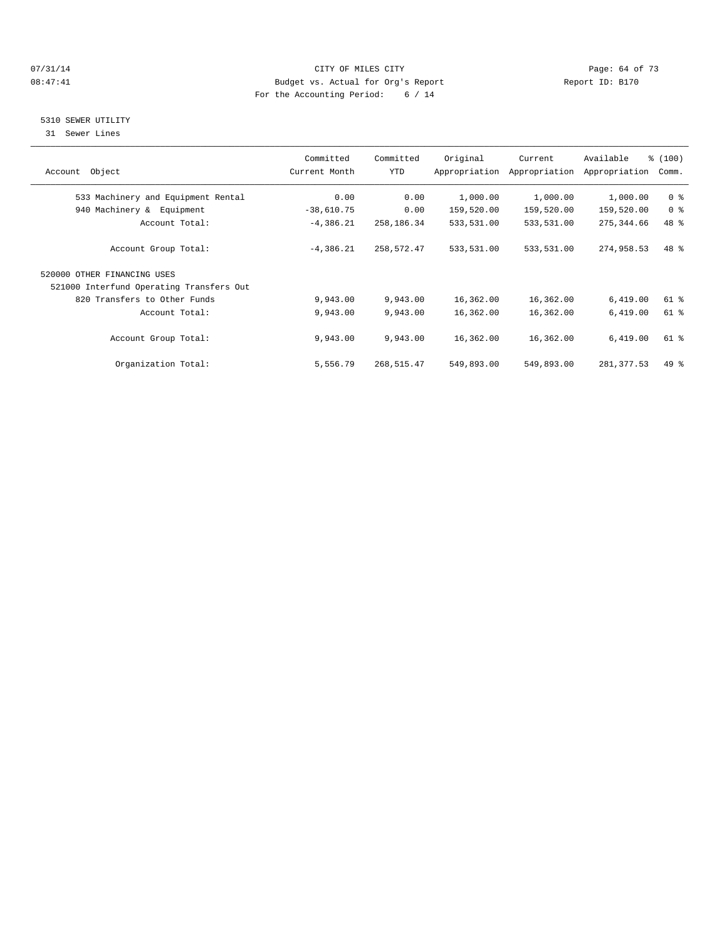#### $O7/31/14$  Page: 64 of 73 08:47:41 Budget vs. Actual for Org's Report Changer Report ID: B170 For the Accounting Period: 6 / 14

#### 5310 SEWER UTILITY

31 Sewer Lines

| Account Object                           | Committed<br>Current Month | Committed<br>YTD | Original   | Current<br>Appropriation Appropriation | Available<br>Appropriation | % (100)<br>Comm. |
|------------------------------------------|----------------------------|------------------|------------|----------------------------------------|----------------------------|------------------|
| 533 Machinery and Equipment Rental       | 0.00                       | 0.00             | 1,000.00   | 1,000.00                               | 1,000.00                   | 0 <sup>8</sup>   |
| 940 Machinery & Equipment                | $-38,610.75$               | 0.00             | 159,520.00 | 159,520.00                             | 159,520.00                 | 0 <sup>8</sup>   |
| Account Total:                           | $-4,386.21$                | 258,186.34       | 533,531.00 | 533,531.00                             | 275, 344.66                | 48 %             |
| Account Group Total:                     | $-4,386.21$                | 258,572.47       | 533,531.00 | 533,531.00                             | 274,958.53                 | 48 %             |
| 520000 OTHER FINANCING USES              |                            |                  |            |                                        |                            |                  |
| 521000 Interfund Operating Transfers Out |                            |                  |            |                                        |                            |                  |
| 820 Transfers to Other Funds             | 9,943.00                   | 9,943.00         | 16,362.00  | 16,362.00                              | 6,419.00                   | 61 %             |
| Account Total:                           | 9,943.00                   | 9,943.00         | 16,362.00  | 16,362.00                              | 6,419.00                   | $61$ $%$         |
| Account Group Total:                     | 9,943.00                   | 9,943.00         | 16,362.00  | 16,362.00                              | 6,419.00                   | 61 %             |
| Organization Total:                      | 5,556.79                   | 268,515.47       | 549,893.00 | 549,893.00                             | 281, 377.53                | $49*$            |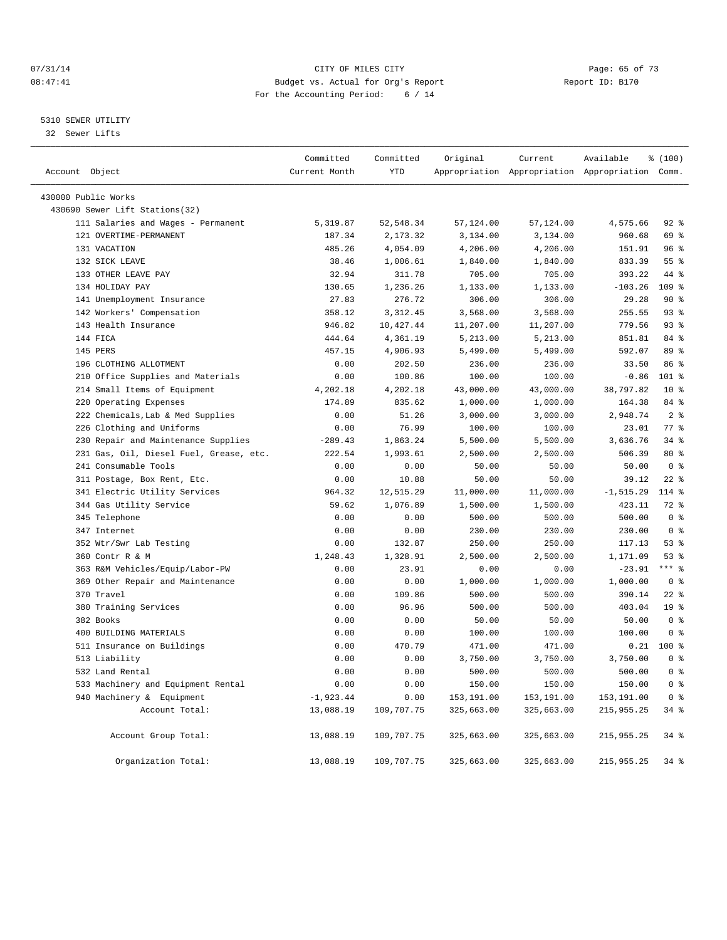#### $O7/31/14$  Page: 65 of 73 08:47:41 Budget vs. Actual for Org's Report Changer Report ID: B170 For the Accounting Period: 6 / 14

#### 5310 SEWER UTILITY

32 Sewer Lifts

| Account Object |                                                       | Committed<br>Current Month | Committed<br>YTD | Original   | Current    | Available<br>Appropriation Appropriation Appropriation Comm. | % (100)         |  |
|----------------|-------------------------------------------------------|----------------------------|------------------|------------|------------|--------------------------------------------------------------|-----------------|--|
|                |                                                       |                            |                  |            |            |                                                              |                 |  |
|                | 430000 Public Works<br>430690 Sewer Lift Stations(32) |                            |                  |            |            |                                                              |                 |  |
|                | 111 Salaries and Wages - Permanent                    | 5,319.87                   | 52, 548.34       | 57,124.00  | 57,124.00  | 4,575.66                                                     | $92$ $%$        |  |
|                | 121 OVERTIME-PERMANENT                                | 187.34                     | 2,173.32         | 3,134.00   | 3,134.00   | 960.68                                                       | 69 %            |  |
|                | 131 VACATION                                          | 485.26                     | 4,054.09         | 4,206.00   | 4,206.00   | 151.91                                                       | 96%             |  |
|                | 132 SICK LEAVE                                        | 38.46                      | 1,006.61         | 1,840.00   | 1,840.00   | 833.39                                                       | 55 <sup>8</sup> |  |
|                | 133 OTHER LEAVE PAY                                   | 32.94                      | 311.78           | 705.00     | 705.00     | 393.22                                                       | 44 %            |  |
|                | 134 HOLIDAY PAY                                       | 130.65                     | 1,236.26         | 1,133.00   | 1,133.00   | $-103.26$                                                    | $109$ %         |  |
|                | 141 Unemployment Insurance                            | 27.83                      | 276.72           | 306.00     | 306.00     | 29.28                                                        | 90%             |  |
|                | 142 Workers' Compensation                             | 358.12                     | 3, 312.45        | 3,568.00   | 3,568.00   | 255.55                                                       | 93%             |  |
|                | 143 Health Insurance                                  | 946.82                     | 10,427.44        | 11,207.00  | 11,207.00  | 779.56                                                       | $93$ $%$        |  |
|                | 144 FICA                                              | 444.64                     | 4,361.19         | 5,213.00   | 5,213.00   | 851.81                                                       | 84 %            |  |
|                | 145 PERS                                              | 457.15                     | 4,906.93         | 5,499.00   | 5,499.00   | 592.07                                                       | 89 %            |  |
|                | 196 CLOTHING ALLOTMENT                                | 0.00                       | 202.50           | 236.00     | 236.00     | 33.50                                                        | 86 %            |  |
|                | 210 Office Supplies and Materials                     | 0.00                       | 100.86           | 100.00     | 100.00     | $-0.86$                                                      | 101 %           |  |
|                | 214 Small Items of Equipment                          | 4,202.18                   | 4,202.18         | 43,000.00  | 43,000.00  | 38,797.82                                                    | $10*$           |  |
|                | 220 Operating Expenses                                | 174.89                     | 835.62           | 1,000.00   | 1,000.00   | 164.38                                                       | 84 %            |  |
|                | 222 Chemicals, Lab & Med Supplies                     | 0.00                       | 51.26            | 3,000.00   | 3,000.00   | 2,948.74                                                     | 2 <sub>8</sub>  |  |
|                | 226 Clothing and Uniforms                             | 0.00                       | 76.99            | 100.00     | 100.00     | 23.01                                                        | 77.8            |  |
| 230            | Repair and Maintenance Supplies                       | $-289.43$                  | 1,863.24         | 5,500.00   | 5,500.00   | 3,636.76                                                     | $34$ $%$        |  |
|                | 231 Gas, Oil, Diesel Fuel, Grease, etc.               | 222.54                     | 1,993.61         | 2,500.00   | 2,500.00   | 506.39                                                       | $80*$           |  |
|                | 241 Consumable Tools                                  | 0.00                       | 0.00             | 50.00      | 50.00      | 50.00                                                        | 0 <sup>8</sup>  |  |
|                | 311 Postage, Box Rent, Etc.                           | 0.00                       | 10.88            | 50.00      | 50.00      | 39.12                                                        | $22$ %          |  |
|                | 341 Electric Utility Services                         | 964.32                     | 12,515.29        | 11,000.00  | 11,000.00  | $-1, 515.29$                                                 | 114 %           |  |
|                | 344 Gas Utility Service                               | 59.62                      | 1,076.89         | 1,500.00   | 1,500.00   | 423.11                                                       | 72 %            |  |
|                | 345 Telephone                                         | 0.00                       | 0.00             | 500.00     | 500.00     | 500.00                                                       | 0 <sup>8</sup>  |  |
|                | 347 Internet                                          | 0.00                       | 0.00             | 230.00     | 230.00     | 230.00                                                       | 0 <sup>8</sup>  |  |
|                | 352 Wtr/Swr Lab Testing                               | 0.00                       | 132.87           | 250.00     | 250.00     | 117.13                                                       | $53$ $%$        |  |
|                | 360 Contr R & M                                       | 1,248.43                   | 1,328.91         | 2,500.00   | 2,500.00   | 1,171.09                                                     | $53$ $%$        |  |
|                | 363 R&M Vehicles/Equip/Labor-PW                       | 0.00                       | 23.91            | 0.00       | 0.00       | $-23.91$                                                     | $***$ $-$       |  |
|                | 369 Other Repair and Maintenance                      | 0.00                       | 0.00             | 1,000.00   | 1,000.00   | 1,000.00                                                     | 0 <sup>8</sup>  |  |
|                | 370 Travel                                            | 0.00                       | 109.86           | 500.00     | 500.00     | 390.14                                                       | $22$ %          |  |
|                | 380 Training Services                                 | 0.00                       | 96.96            | 500.00     | 500.00     | 403.04                                                       | 19 <sup>°</sup> |  |
|                | 382 Books                                             | 0.00                       | 0.00             | 50.00      | 50.00      | 50.00                                                        | 0 <sup>8</sup>  |  |
|                | 400 BUILDING MATERIALS                                | 0.00                       | 0.00             | 100.00     | 100.00     | 100.00                                                       | 0 <sup>8</sup>  |  |
|                | 511 Insurance on Buildings                            | 0.00                       | 470.79           | 471.00     | 471.00     | 0.21                                                         | $100*$          |  |
|                | 513 Liability                                         | 0.00                       | 0.00             | 3,750.00   | 3,750.00   | 3,750.00                                                     | 0 <sup>8</sup>  |  |
|                | 532 Land Rental                                       | 0.00                       | 0.00             | 500.00     | 500.00     | 500.00                                                       | 0 <sup>8</sup>  |  |
|                | 533 Machinery and Equipment Rental                    | 0.00                       | 0.00             | 150.00     | 150.00     | 150.00                                                       | 0 <sup>8</sup>  |  |
|                | 940 Machinery & Equipment                             | $-1,923.44$                | 0.00             | 153,191.00 | 153,191.00 | 153, 191.00                                                  | 0 <sup>8</sup>  |  |
|                | Account Total:                                        | 13,088.19                  | 109,707.75       | 325,663.00 | 325,663.00 | 215,955.25                                                   | 34 %            |  |
|                | Account Group Total:                                  | 13,088.19                  | 109,707.75       | 325,663.00 | 325,663.00 | 215,955.25                                                   | $34$ $%$        |  |
|                | Organization Total:                                   | 13,088.19                  | 109,707.75       | 325,663.00 | 325,663.00 | 215,955.25                                                   | 34 %            |  |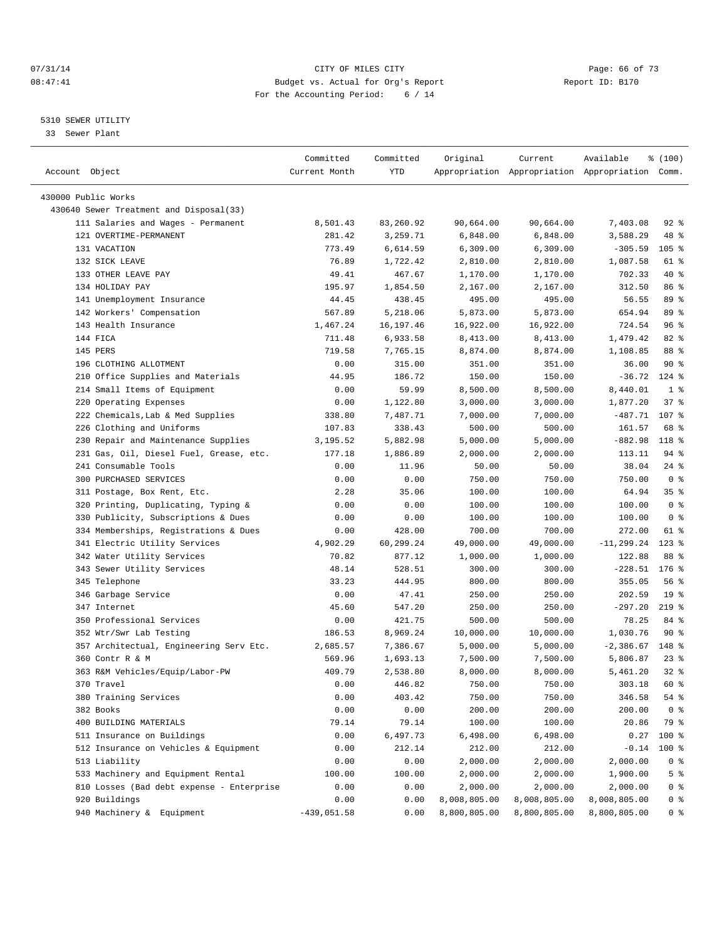#### $O7/31/14$  Page: 66 of 73 08:47:41 Budget vs. Actual for Org's Report Changer Report ID: B170 For the Accounting Period: 6 / 14

————————————————————————————————————————————————————————————————————————————————————————————————————————————————————————————————————

#### 5310 SEWER UTILITY

33 Sewer Plant

|                                           | Committed       | Committed          | Original     | Current              | Available                                       | % (100)         |
|-------------------------------------------|-----------------|--------------------|--------------|----------------------|-------------------------------------------------|-----------------|
| Account Object                            | Current Month   | YTD                |              |                      | Appropriation Appropriation Appropriation Comm. |                 |
| 430000 Public Works                       |                 |                    |              |                      |                                                 |                 |
| 430640 Sewer Treatment and Disposal(33)   |                 |                    |              |                      |                                                 |                 |
| 111 Salaries and Wages - Permanent        | 8,501.43        | 83,260.92          | 90,664.00    | 90,664.00            | 7,403.08                                        | $92$ $%$        |
| 121 OVERTIME-PERMANENT                    | 281.42          | 3,259.71           | 6,848.00     | 6,848.00             | 3,588.29                                        | 48 %            |
| 131 VACATION                              | 773.49          |                    |              | 6,309.00             | $-305.59$                                       | $105$ %         |
| 132 SICK LEAVE                            |                 | 6,614.59           | 6,309.00     |                      |                                                 | 61 %            |
| 133 OTHER LEAVE PAY                       | 76.89<br>49.41  | 1,722.42<br>467.67 | 2,810.00     | 2,810.00<br>1,170.00 | 1,087.58<br>702.33                              | 40 %            |
| 134 HOLIDAY PAY                           | 195.97          | 1,854.50           | 1,170.00     |                      | 312.50                                          | 86 %            |
| 141 Unemployment Insurance                |                 |                    | 2,167.00     | 2,167.00             |                                                 | 89 %            |
|                                           | 44.45<br>567.89 | 438.45             | 495.00       | 495.00               | 56.55                                           | 89 %            |
| 142 Workers' Compensation                 |                 | 5,218.06           | 5,873.00     | 5,873.00             | 654.94                                          |                 |
| 143 Health Insurance                      | 1,467.24        | 16,197.46          | 16,922.00    | 16,922.00            | 724.54                                          | 96%<br>$82$ $%$ |
| 144 FICA                                  | 711.48          | 6,933.58           | 8,413.00     | 8,413.00             | 1,479.42                                        |                 |
| 145 PERS                                  | 719.58          | 7,765.15           | 8,874.00     | 8,874.00             | 1,108.85                                        | 88 %            |
| 196 CLOTHING ALLOTMENT                    | 0.00            | 315.00             | 351.00       | 351.00               | 36.00                                           | 90%             |
| 210 Office Supplies and Materials         | 44.95           | 186.72             | 150.00       | 150.00               | $-36.72$                                        | $124$ %         |
| 214 Small Items of Equipment              | 0.00            | 59.99              | 8,500.00     | 8,500.00             | 8,440.01                                        | 1 <sup>8</sup>  |
| 220 Operating Expenses                    | 0.00            | 1,122.80           | 3,000.00     | 3,000.00             | 1,877.20                                        | 37%             |
| 222 Chemicals, Lab & Med Supplies         | 338.80          | 7,487.71           | 7,000.00     | 7,000.00             | $-487.71$                                       | 107 %           |
| 226 Clothing and Uniforms                 | 107.83          | 338.43             | 500.00       | 500.00               | 161.57                                          | 68 %            |
| 230 Repair and Maintenance Supplies       | 3,195.52        | 5,882.98           | 5,000.00     | 5,000.00             | $-882.98$                                       | 118 %           |
| 231 Gas, Oil, Diesel Fuel, Grease, etc.   | 177.18          | 1,886.89           | 2,000.00     | 2,000.00             | 113.11                                          | $94$ %          |
| 241 Consumable Tools                      | 0.00            | 11.96              | 50.00        | 50.00                | 38.04                                           | $24$ %          |
| 300 PURCHASED SERVICES                    | 0.00            | 0.00               | 750.00       | 750.00               | 750.00                                          | 0 <sup>8</sup>  |
| 311 Postage, Box Rent, Etc.               | 2.28            | 35.06              | 100.00       | 100.00               | 64.94                                           | 35%             |
| 320 Printing, Duplicating, Typing &       | 0.00            | 0.00               | 100.00       | 100.00               | 100.00                                          | 0 <sup>8</sup>  |
| 330 Publicity, Subscriptions & Dues       | 0.00            | 0.00               | 100.00       | 100.00               | 100.00                                          | 0 <sup>8</sup>  |
| 334 Memberships, Registrations & Dues     | 0.00            | 428.00             | 700.00       | 700.00               | 272.00                                          | 61 %            |
| 341 Electric Utility Services             | 4,902.29        | 60,299.24          | 49,000.00    | 49,000.00            | $-11, 299.24$                                   | $123$ %         |
| 342 Water Utility Services                | 70.82           | 877.12             | 1,000.00     | 1,000.00             | 122.88                                          | 88 %            |
| 343 Sewer Utility Services                | 48.14           | 528.51             | 300.00       | 300.00               | $-228.51$                                       | $176$ %         |
| 345 Telephone                             | 33.23           | 444.95             | 800.00       | 800.00               | 355.05                                          | 56%             |
| 346 Garbage Service                       | 0.00            | 47.41              | 250.00       | 250.00               | 202.59                                          | 19 <sup>°</sup> |
| 347 Internet                              | 45.60           | 547.20             | 250.00       | 250.00               | $-297.20$                                       | $219$ %         |
| 350 Professional Services                 | 0.00            | 421.75             | 500.00       | 500.00               | 78.25                                           | 84 %            |
| 352 Wtr/Swr Lab Testing                   | 186.53          | 8,969.24           | 10,000.00    | 10,000.00            | 1,030.76                                        | 90%             |
| 357 Architectual, Engineering Serv Etc.   | 2,685.57        | 7,386.67           | 5,000.00     | 5,000.00             | $-2,386.67$                                     | 148 %           |
| 360 Contr R & M                           | 569.96          | 1,693.13           | 7,500.00     | 7,500.00             | 5,806.87                                        | $23$ %          |
| 363 R&M Vehicles/Equip/Labor-PW           | 409.79          | 2,538.80           | 8,000.00     | 8,000.00             | 5,461.20                                        | $32$ $%$        |
| 370 Travel                                | 0.00            | 446.82             | 750.00       | 750.00               | 303.18                                          | 60 %            |
| 380 Training Services                     | 0.00            | 403.42             | 750.00       | 750.00               | 346.58                                          | 54 %            |
| 382 Books                                 | 0.00            | 0.00               | 200.00       | 200.00               | 200.00                                          | 0 <sup>8</sup>  |
| 400 BUILDING MATERIALS                    | 79.14           | 79.14              | 100.00       | 100.00               | 20.86                                           | 79 %            |
| 511 Insurance on Buildings                | 0.00            | 6,497.73           | 6,498.00     | 6,498.00             | 0.27                                            | 100 %           |
| 512 Insurance on Vehicles & Equipment     | 0.00            | 212.14             | 212.00       | 212.00               | $-0.14$                                         | $100$ %         |
| 513 Liability                             | 0.00            | 0.00               | 2,000.00     | 2,000.00             | 2,000.00                                        | 0 <sup>8</sup>  |
| 533 Machinery and Equipment Rental        | 100.00          | 100.00             | 2,000.00     | 2,000.00             | 1,900.00                                        | 5 <sup>°</sup>  |
| 810 Losses (Bad debt expense - Enterprise | 0.00            | 0.00               | 2,000.00     | 2,000.00             | 2,000.00                                        | 0 <sup>8</sup>  |
| 920 Buildings                             | 0.00            | 0.00               | 8,008,805.00 | 8,008,805.00         | 8,008,805.00                                    | $0$ %           |
| 940 Machinery & Equipment                 | $-439,051.58$   | 0.00               | 8,800,805.00 | 8,800,805.00         | 8,800,805.00                                    | 0 <sup>8</sup>  |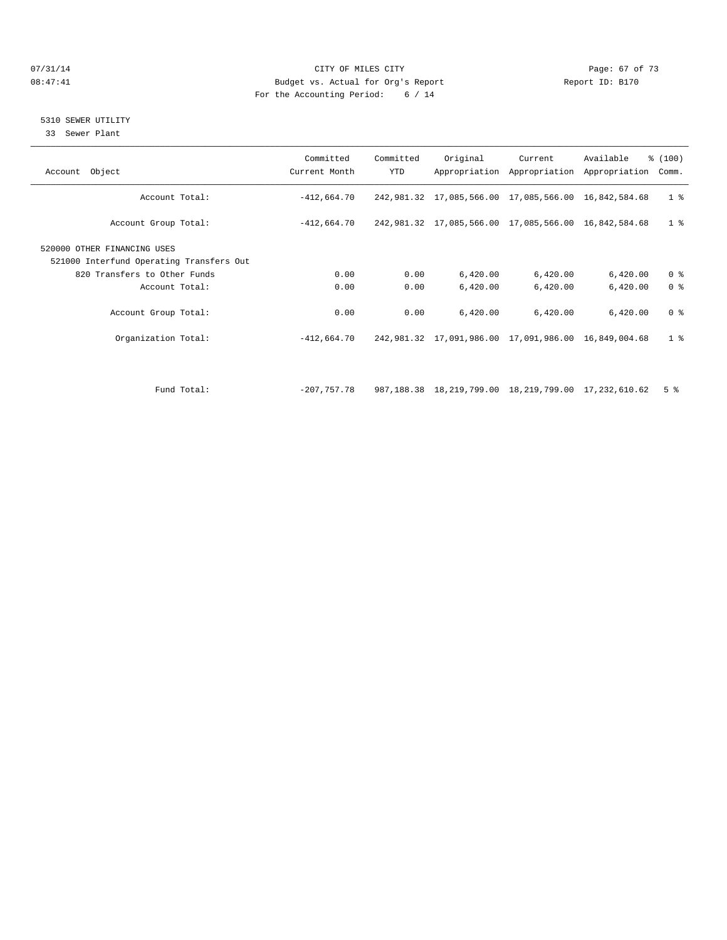#### $O7/31/14$  Page: 67 of 73 08:47:41 Budget vs. Actual for Org's Report Changer Report ID: B170 For the Accounting Period: 6 / 14

## 5310 SEWER UTILITY

33 Sewer Plant

| Account Object                                                          | Committed<br>Current Month | Committed<br>YTD | Original                                                    | Current  | Available<br>Appropriation Appropriation Appropriation | % (100)<br>Comm. |
|-------------------------------------------------------------------------|----------------------------|------------------|-------------------------------------------------------------|----------|--------------------------------------------------------|------------------|
| Account Total:                                                          | $-412,664.70$              |                  | 242, 981.32 17, 085, 566.00 17, 085, 566.00 16, 842, 584.68 |          |                                                        | 1 <sub>8</sub>   |
| Account Group Total:                                                    | $-412,664.70$              |                  | 242,981.32 17,085,566.00 17,085,566.00 16,842,584.68        |          |                                                        | 1 <sup>8</sup>   |
| 520000 OTHER FINANCING USES<br>521000 Interfund Operating Transfers Out |                            |                  |                                                             |          |                                                        |                  |
| 820 Transfers to Other Funds                                            | 0.00                       | 0.00             | 6,420.00                                                    | 6,420.00 | 6,420.00                                               | 0 <sup>8</sup>   |
| Account Total:                                                          | 0.00                       | 0.00             | 6,420.00                                                    | 6,420.00 | 6,420.00                                               | 0 <sup>8</sup>   |
| Account Group Total:                                                    | 0.00                       | 0.00             | 6,420.00                                                    | 6,420.00 | 6,420.00                                               | 0 <sup>8</sup>   |
| Organization Total:                                                     | $-412.664.70$              |                  | 242,981.32 17,091,986.00 17,091,986.00 16,849,004.68        |          |                                                        | 1 <sup>8</sup>   |
|                                                                         |                            |                  |                                                             |          |                                                        |                  |
| Fund Total:                                                             | $-207.757.78$              |                  | 987,188.38 18,219,799.00 18,219,799.00 17,232,610.62        |          |                                                        | 5 <sup>°</sup>   |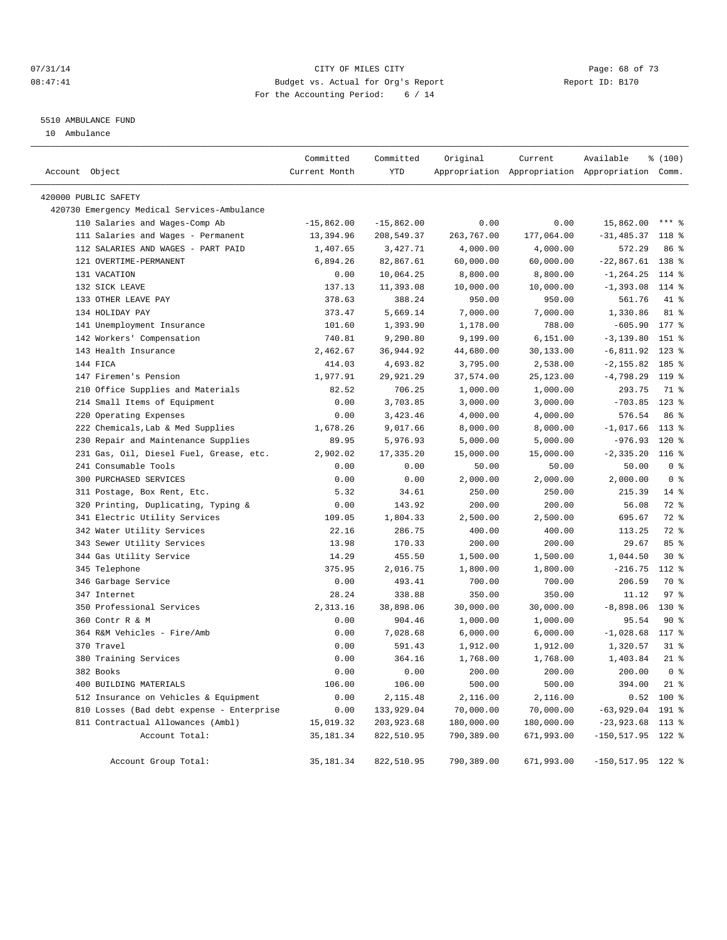#### $O7/31/14$  Page: 68 of 73 08:47:41 Budget vs. Actual for Org's Report Changer Report ID: B170 For the Accounting Period: 6 / 14

#### 5510 AMBULANCE FUND

10 Ambulance

| Account Object |                                             | Committed<br>Current Month | Committed<br>YTD | Original   | Current<br>Appropriation Appropriation Appropriation Comm. | Available            | % (100)            |
|----------------|---------------------------------------------|----------------------------|------------------|------------|------------------------------------------------------------|----------------------|--------------------|
|                |                                             |                            |                  |            |                                                            |                      |                    |
|                | 420000 PUBLIC SAFETY                        |                            |                  |            |                                                            |                      |                    |
|                | 420730 Emergency Medical Services-Ambulance |                            |                  |            |                                                            |                      |                    |
|                | 110 Salaries and Wages-Comp Ab              | $-15,862.00$               | $-15,862.00$     | 0.00       | 0.00                                                       | 15,862.00            | $***$ $%$          |
|                | 111 Salaries and Wages - Permanent          | 13,394.96                  | 208,549.37       | 263,767.00 | 177,064.00                                                 | $-31, 485.37$        | 118 %              |
|                | 112 SALARIES AND WAGES - PART PAID          | 1,407.65                   | 3,427.71         | 4,000.00   | 4,000.00                                                   | 572.29               | 86 %               |
|                | 121 OVERTIME-PERMANENT                      | 6,894.26                   | 82,867.61        | 60,000.00  | 60,000.00                                                  | $-22,867.61$         | 138 %              |
|                | 131 VACATION                                | 0.00                       | 10,064.25        | 8,800.00   | 8,800.00                                                   | $-1, 264.25$         | $114*$             |
|                | 132 SICK LEAVE                              | 137.13                     | 11,393.08        | 10,000.00  | 10,000.00                                                  | $-1, 393.08$         | $114*$             |
|                | 133 OTHER LEAVE PAY                         | 378.63                     | 388.24           | 950.00     | 950.00                                                     | 561.76               | 41 %               |
|                | 134 HOLIDAY PAY                             | 373.47                     | 5,669.14         | 7,000.00   | 7,000.00                                                   | 1,330.86             | 81 %               |
|                | 141 Unemployment Insurance                  | 101.60                     | 1,393.90         | 1,178.00   | 788.00                                                     | $-605.90$            | $177$ %            |
|                | 142 Workers' Compensation                   | 740.81                     | 9,290.80         | 9,199.00   | 6, 151.00                                                  | $-3, 139.80$         | 151 %              |
|                | 143 Health Insurance                        | 2,462.67                   | 36,944.92        | 44,680.00  | 30,133.00                                                  | $-6,811.92$          | $123$ %            |
|                | 144 FICA                                    | 414.03                     | 4,693.82         | 3,795.00   | 2,538.00                                                   | $-2, 155.82$         | 185 %              |
|                | 147 Firemen's Pension                       | 1,977.91                   | 29,921.29        | 37,574.00  | 25, 123.00                                                 | $-4,798.29$          | 119 %              |
|                | 210 Office Supplies and Materials           | 82.52                      | 706.25           | 1,000.00   | 1,000.00                                                   | 293.75               | 71 %               |
|                | 214 Small Items of Equipment                | 0.00                       | 3,703.85         | 3,000.00   | 3,000.00                                                   | $-703.85$            | $123$ %            |
|                | 220 Operating Expenses                      | 0.00                       | 3,423.46         | 4,000.00   | 4,000.00                                                   | 576.54               | 86 %               |
|                | 222 Chemicals, Lab & Med Supplies           | 1,678.26                   | 9,017.66         | 8,000.00   | 8,000.00                                                   | $-1,017.66$          | $113$ %            |
| 230            | Repair and Maintenance Supplies             | 89.95                      | 5,976.93         | 5,000.00   | 5,000.00                                                   | $-976.93$            | $120*$             |
|                | 231 Gas, Oil, Diesel Fuel, Grease, etc.     | 2,902.02                   | 17,335.20        | 15,000.00  | 15,000.00                                                  | $-2, 335.20$         | $116$ %            |
|                | 241 Consumable Tools                        | 0.00                       | 0.00             | 50.00      | 50.00                                                      | 50.00                | 0 <sup>8</sup>     |
|                | 300 PURCHASED SERVICES                      | 0.00                       | 0.00             | 2,000.00   | 2,000.00                                                   | 2,000.00             | 0 <sup>8</sup>     |
|                | 311 Postage, Box Rent, Etc.                 | 5.32                       | 34.61            | 250.00     | 250.00                                                     | 215.39               | $14$ $\frac{6}{5}$ |
|                | 320 Printing, Duplicating, Typing &         | 0.00                       | 143.92           | 200.00     | 200.00                                                     | 56.08                | 72 %               |
|                | 341 Electric Utility Services               | 109.05                     | 1,804.33         | 2,500.00   | 2,500.00                                                   | 695.67               | 72 %               |
|                | 342 Water Utility Services                  | 22.16                      | 286.75           | 400.00     | 400.00                                                     | 113.25               | 72 %               |
|                | 343 Sewer Utility Services                  | 13.98                      | 170.33           | 200.00     | 200.00                                                     | 29.67                | 85%                |
|                | 344 Gas Utility Service                     | 14.29                      | 455.50           | 1,500.00   | 1,500.00                                                   | 1,044.50             | $30*$              |
|                | 345 Telephone                               | 375.95                     | 2,016.75         | 1,800.00   | 1,800.00                                                   | $-216.75$            | 112 %              |
|                | 346 Garbage Service                         | 0.00                       | 493.41           | 700.00     | 700.00                                                     | 206.59               | 70 %               |
|                | 347 Internet                                | 28.24                      | 338.88           | 350.00     | 350.00                                                     | 11.12                | 97 <sub>8</sub>    |
|                | 350 Professional Services                   | 2,313.16                   | 38,898.06        | 30,000.00  | 30,000.00                                                  | $-8,898.06$          | $130*$             |
|                | 360 Contr R & M                             | 0.00                       | 904.46           | 1,000.00   | 1,000.00                                                   | 95.54                | 90%                |
|                | 364 R&M Vehicles - Fire/Amb                 | 0.00                       | 7,028.68         | 6,000.00   | 6,000.00                                                   | $-1,028.68$          | 117 %              |
|                | 370 Travel                                  | 0.00                       | 591.43           | 1,912.00   | 1,912.00                                                   | 1,320.57             | $31$ $%$           |
|                | 380 Training Services                       | 0.00                       | 364.16           | 1,768.00   | 1,768.00                                                   | 1,403.84             | $21$ %             |
|                | 382 Books                                   | 0.00                       | 0.00             | 200.00     | 200.00                                                     | 200.00               | 0 <sup>8</sup>     |
|                | 400 BUILDING MATERIALS                      | 106.00                     | 106.00           | 500.00     | 500.00                                                     | 394.00               | $21$ %             |
|                | 512 Insurance on Vehicles & Equipment       | 0.00                       | 2,115.48         | 2,116.00   | 2,116.00                                                   | 0.52                 | 100 %              |
|                | 810 Losses (Bad debt expense - Enterprise   | 0.00                       | 133,929.04       | 70,000.00  | 70,000.00                                                  | $-63,929.04$         | 191 %              |
|                | 811 Contractual Allowances (Ambl)           | 15,019.32                  | 203,923.68       | 180,000.00 | 180,000.00                                                 | $-23,923.68$ 113 %   |                    |
|                | Account Total:                              | 35, 181.34                 | 822,510.95       | 790,389.00 | 671,993.00                                                 | $-150, 517.95$ 122 % |                    |
|                | Account Group Total:                        | 35, 181.34                 | 822,510.95       | 790,389.00 | 671,993.00                                                 | $-150, 517.95$ 122 % |                    |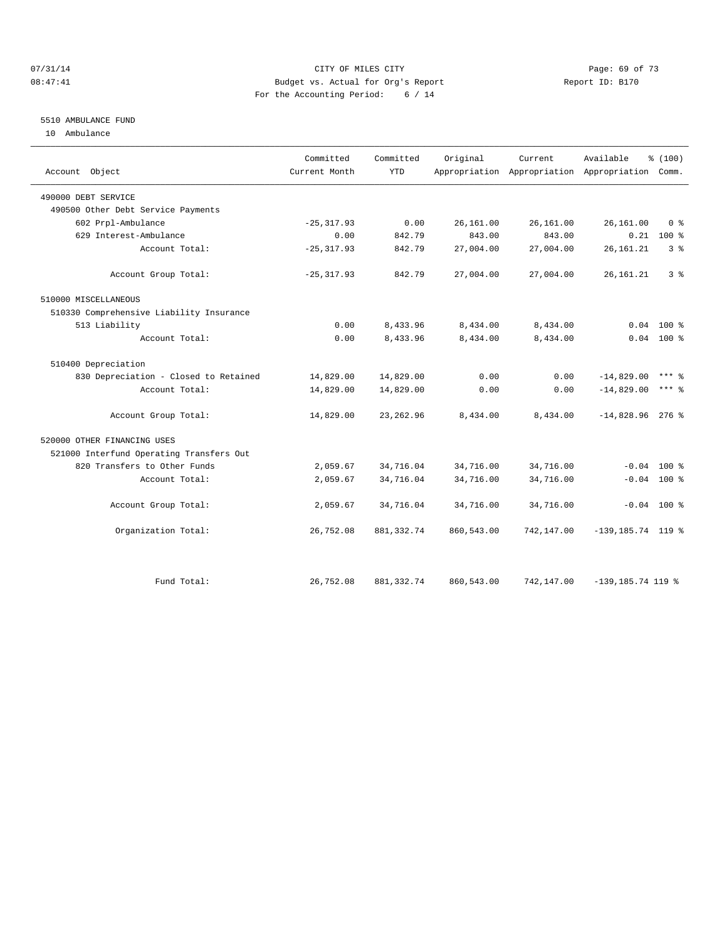#### $O7/31/14$  Page: 69 of 73 08:47:41 Budget vs. Actual for Org's Report Changer Report ID: B170 For the Accounting Period: 6 / 14

### 5510 AMBULANCE FUND

10 Ambulance

| Account Object                           | Committed<br>Current Month | Committed<br><b>YTD</b> | Original   | Current    | Available<br>Appropriation Appropriation Appropriation Comm. | % (100)        |
|------------------------------------------|----------------------------|-------------------------|------------|------------|--------------------------------------------------------------|----------------|
| 490000 DEBT SERVICE                      |                            |                         |            |            |                                                              |                |
| 490500 Other Debt Service Payments       |                            |                         |            |            |                                                              |                |
| 602 Prpl-Ambulance                       | $-25, 317.93$              | 0.00                    | 26,161.00  | 26,161.00  | 26,161.00                                                    | 0 <sup>8</sup> |
| 629 Interest-Ambulance                   | 0.00                       | 842.79                  | 843.00     | 843.00     |                                                              | $0.21$ 100 %   |
| Account Total:                           | $-25, 317.93$              | 842.79                  | 27,004.00  | 27,004.00  | 26, 161. 21                                                  | 3 <sup>8</sup> |
| Account Group Total:                     | $-25, 317.93$              | 842.79                  | 27,004.00  | 27,004.00  | 26, 161. 21                                                  | 3 <sup>8</sup> |
| 510000 MISCELLANEOUS                     |                            |                         |            |            |                                                              |                |
| 510330 Comprehensive Liability Insurance |                            |                         |            |            |                                                              |                |
| 513 Liability                            | 0.00                       | 8,433.96                | 8,434.00   | 8,434.00   | 0.04                                                         | $100*$         |
| Account Total:                           | 0.00                       | 8,433.96                | 8,434.00   | 8,434.00   |                                                              | $0.04$ 100 %   |
| 510400 Depreciation                      |                            |                         |            |            |                                                              |                |
| 830 Depreciation - Closed to Retained    | 14,829.00                  | 14,829.00               | 0.00       | 0.00       | $-14,829.00$                                                 | $***$ 2        |
| Account Total:                           | 14,829.00                  | 14,829.00               | 0.00       | 0.00       | $-14,829.00$                                                 | $***$ $%$      |
| Account Group Total:                     | 14,829.00                  | 23, 262.96              | 8,434.00   | 8,434.00   | $-14,828.96$ 276 %                                           |                |
| 520000 OTHER FINANCING USES              |                            |                         |            |            |                                                              |                |
| 521000 Interfund Operating Transfers Out |                            |                         |            |            |                                                              |                |
| 820 Transfers to Other Funds             | 2,059.67                   | 34,716.04               | 34,716.00  | 34,716.00  |                                                              | $-0.04$ 100 %  |
| Account Total:                           | 2,059.67                   | 34,716.04               | 34,716.00  | 34,716.00  |                                                              | $-0.04$ 100 %  |
| Account Group Total:                     | 2,059.67                   | 34,716.04               | 34,716.00  | 34,716.00  |                                                              | $-0.04$ 100 %  |
| Organization Total:                      | 26,752.08                  | 881, 332.74             | 860,543.00 | 742,147.00 | $-139, 185.74$ 119 %                                         |                |
|                                          |                            |                         |            |            |                                                              |                |
| Fund Total:                              | 26,752.08                  | 881, 332.74             | 860,543.00 | 742,147.00 | $-139, 185.74$ 119 %                                         |                |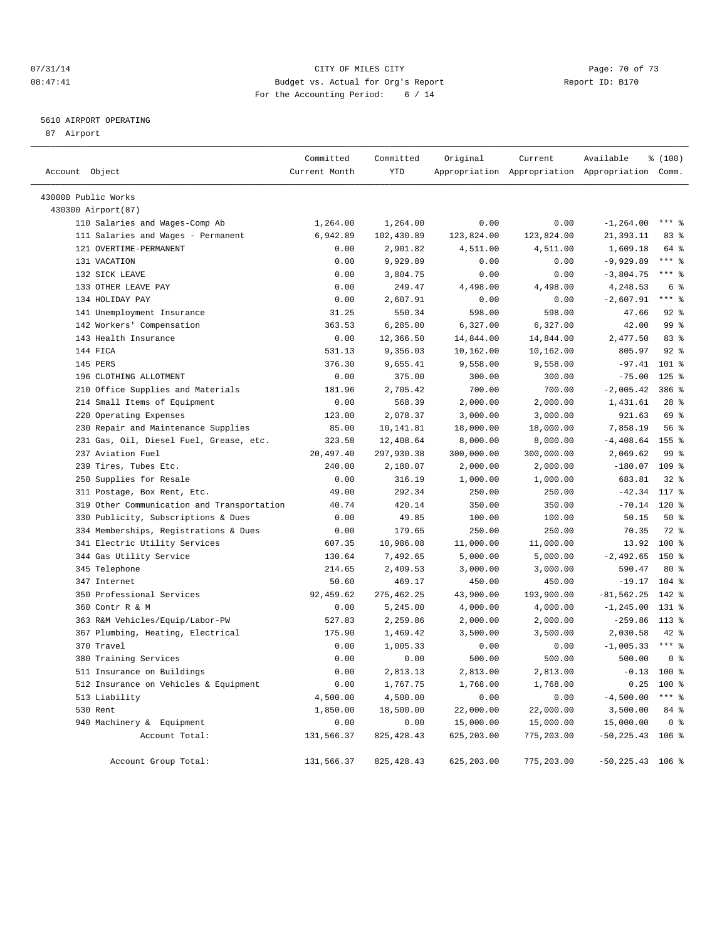#### $O7/31/14$  Page: 70 of 73 08:47:41 Budget vs. Actual for Org's Report Changer Report ID: B170 For the Accounting Period: 6 / 14

#### 5610 AIRPORT OPERATING

87 Airport

| Account Object |                                                       | Committed<br>Current Month | Committed<br>YTD | Original   | Current    | Available<br>Appropriation Appropriation Appropriation Comm. | % (100)         |
|----------------|-------------------------------------------------------|----------------------------|------------------|------------|------------|--------------------------------------------------------------|-----------------|
|                |                                                       |                            |                  |            |            |                                                              |                 |
|                | 430000 Public Works                                   |                            |                  |            |            |                                                              |                 |
|                | 430300 Airport (87)<br>110 Salaries and Wages-Comp Ab | 1,264.00                   | 1,264.00         | 0.00       | 0.00       | $-1, 264.00$                                                 | $***$ $%$       |
|                | 111 Salaries and Wages - Permanent                    | 6,942.89                   | 102,430.89       | 123,824.00 | 123,824.00 | 21,393.11                                                    | 83%             |
|                | 121 OVERTIME-PERMANENT                                | 0.00                       | 2,901.82         | 4,511.00   | 4,511.00   | 1,609.18                                                     | 64 %            |
|                | 131 VACATION                                          | 0.00                       | 9,929.89         | 0.00       | 0.00       | $-9,929.89$                                                  | $***$ $-$       |
|                | 132 SICK LEAVE                                        | 0.00                       | 3,804.75         | 0.00       | 0.00       | $-3,804.75$                                                  | $***$ $-$       |
|                | 133 OTHER LEAVE PAY                                   | 0.00                       | 249.47           | 4,498.00   | 4,498.00   | 4,248.53                                                     | 6 %             |
|                | 134 HOLIDAY PAY                                       | 0.00                       | 2,607.91         | 0.00       | 0.00       | $-2,607.91$                                                  | $***$ %         |
|                | 141 Unemployment Insurance                            | 31.25                      | 550.34           | 598.00     | 598.00     | 47.66                                                        | $92$ $%$        |
|                | 142 Workers' Compensation                             | 363.53                     | 6,285.00         | 6,327.00   | 6,327.00   | 42.00                                                        | 99 <sup>°</sup> |
|                | 143 Health Insurance                                  | 0.00                       | 12,366.50        | 14,844.00  | 14,844.00  | 2,477.50                                                     | 83%             |
|                | 144 FICA                                              | 531.13                     | 9,356.03         | 10,162.00  | 10,162.00  | 805.97                                                       | $92$ $%$        |
|                | 145 PERS                                              | 376.30                     | 9,655.41         | 9,558.00   | 9,558.00   | $-97.41$                                                     | $101$ %         |
|                | 196 CLOTHING ALLOTMENT                                | 0.00                       | 375.00           | 300.00     | 300.00     | $-75.00$                                                     | $125$ %         |
|                | 210 Office Supplies and Materials                     | 181.96                     | 2,705.42         | 700.00     | 700.00     | $-2,005.42$                                                  | 386 %           |
|                | 214 Small Items of Equipment                          | 0.00                       | 568.39           | 2,000.00   | 2,000.00   | 1,431.61                                                     | $28$ %          |
|                | 220 Operating Expenses                                | 123.00                     | 2,078.37         | 3,000.00   | 3,000.00   | 921.63                                                       | 69 %            |
|                | 230 Repair and Maintenance Supplies                   | 85.00                      | 10,141.81        | 18,000.00  | 18,000.00  | 7,858.19                                                     | 56 %            |
|                | 231 Gas, Oil, Diesel Fuel, Grease, etc.               | 323.58                     | 12,408.64        | 8,000.00   | 8,000.00   | $-4,408.64$                                                  | 155 %           |
|                | 237 Aviation Fuel                                     | 20,497.40                  | 297,930.38       | 300,000.00 | 300,000.00 | 2,069.62                                                     | 99 %            |
|                | 239 Tires, Tubes Etc.                                 | 240.00                     | 2,180.07         | 2,000.00   | 2,000.00   | $-180.07$ 109 %                                              |                 |
|                | 250 Supplies for Resale                               | 0.00                       | 316.19           | 1,000.00   | 1,000.00   | 683.81                                                       | $32$ $%$        |
|                | 311 Postage, Box Rent, Etc.                           | 49.00                      | 292.34           | 250.00     | 250.00     | $-42.34$                                                     | 117 %           |
| 319            | Other Communication and Transportation                | 40.74                      | 420.14           | 350.00     | 350.00     | $-70.14$                                                     | 120 %           |
|                | 330 Publicity, Subscriptions & Dues                   | 0.00                       | 49.85            | 100.00     | 100.00     | 50.15                                                        | 50%             |
|                | 334 Memberships, Registrations & Dues                 | 0.00                       | 179.65           | 250.00     | 250.00     | 70.35                                                        | 72 %            |
|                | 341 Electric Utility Services                         | 607.35                     | 10,986.08        | 11,000.00  | 11,000.00  | 13.92                                                        | $100*$          |
|                | 344 Gas Utility Service                               | 130.64                     | 7,492.65         | 5,000.00   | 5,000.00   | $-2,492.65$                                                  | 150 %           |
|                | 345 Telephone                                         | 214.65                     | 2,409.53         | 3,000.00   | 3,000.00   | 590.47                                                       | $80*$           |
|                | 347 Internet                                          | 50.60                      | 469.17           | 450.00     | 450.00     | $-19.17$                                                     | $104$ %         |
|                | 350 Professional Services                             | 92,459.62                  | 275, 462.25      | 43,900.00  | 193,900.00 | $-81, 562.25$                                                | 142 %           |
|                | 360 Contr R & M                                       | 0.00                       | 5,245.00         | 4,000.00   | 4,000.00   | $-1, 245.00$                                                 | 131 %           |
|                | 363 R&M Vehicles/Equip/Labor-PW                       | 527.83                     | 2,259.86         | 2,000.00   | 2,000.00   | $-259.86$                                                    | $113*$          |
|                | 367 Plumbing, Heating, Electrical                     | 175.90                     | 1,469.42         | 3,500.00   | 3,500.00   | 2,030.58                                                     | 42 %            |
|                | 370 Travel                                            | 0.00                       | 1,005.33         | 0.00       | 0.00       | $-1,005.33$                                                  | $***$ $%$       |
|                | 380 Training Services                                 | 0.00                       | 0.00             | 500.00     | 500.00     | 500.00                                                       | 0 <sup>8</sup>  |
|                | 511 Insurance on Buildings                            | 0.00                       | 2,813.13         | 2,813.00   | 2,813.00   |                                                              | $-0.13$ 100 %   |
|                | 512 Insurance on Vehicles & Equipment                 | 0.00                       | 1,767.75         | 1,768.00   | 1,768.00   |                                                              | $0.25$ 100 %    |
|                | 513 Liability                                         | 4,500.00                   | 4,500.00         | 0.00       | 0.00       | $-4,500.00$                                                  | $***$ $_{8}$    |
|                | 530 Rent                                              | 1,850.00                   | 18,500.00        | 22,000.00  | 22,000.00  | 3,500.00                                                     | 84 %            |
|                | 940 Machinery & Equipment                             | 0.00                       | 0.00             | 15,000.00  | 15,000.00  | 15,000.00                                                    | 0 <sup>8</sup>  |
|                | Account Total:                                        | 131,566.37                 | 825, 428.43      | 625,203.00 | 775,203.00 | $-50, 225.43$ 106 %                                          |                 |
|                | Account Group Total:                                  | 131,566.37                 | 825, 428.43      | 625,203.00 | 775,203.00 | $-50,225.43$ 106 %                                           |                 |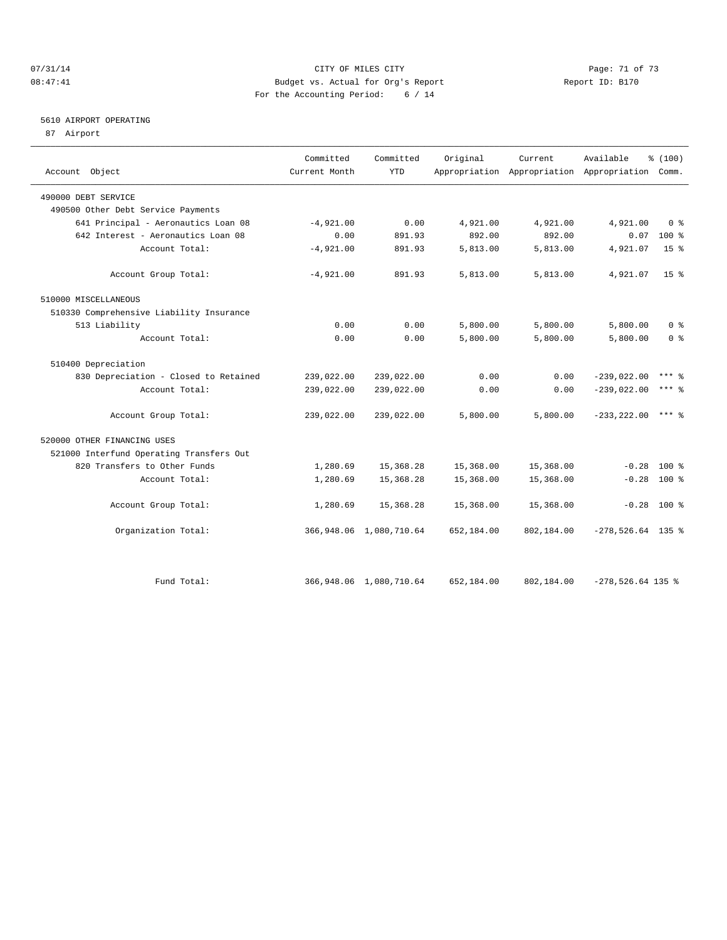#### $O7/31/14$  Page: 71 of 73 08:47:41 Budget vs. Actual for Org's Report Changer Report ID: B170 For the Accounting Period: 6 / 14

## 5610 AIRPORT OPERATING

87 Airport

| Account Object                           | Committed<br>Current Month | Committed<br><b>YTD</b>    | Original   | Current    | Available<br>Appropriation Appropriation Appropriation Comm. | % (100)         |  |
|------------------------------------------|----------------------------|----------------------------|------------|------------|--------------------------------------------------------------|-----------------|--|
|                                          |                            |                            |            |            |                                                              |                 |  |
| 490000 DEBT SERVICE                      |                            |                            |            |            |                                                              |                 |  |
| 490500 Other Debt Service Payments       |                            |                            |            |            |                                                              |                 |  |
| 641 Principal - Aeronautics Loan 08      | $-4,921.00$                | 0.00                       | 4,921.00   | 4,921.00   | 4,921.00                                                     | 0 <sup>8</sup>  |  |
| 642 Interest - Aeronautics Loan 08       | 0.00                       | 891.93                     | 892.00     | 892.00     | 0.07                                                         | 100 %           |  |
| Account Total:                           | $-4,921.00$                | 891.93                     | 5,813.00   | 5,813.00   | 4,921.07                                                     | 15 <sup>8</sup> |  |
| Account Group Total:                     | $-4,921.00$                | 891.93                     | 5,813.00   | 5,813.00   | 4,921.07                                                     | 15 <sup>8</sup> |  |
| 510000 MISCELLANEOUS                     |                            |                            |            |            |                                                              |                 |  |
| 510330 Comprehensive Liability Insurance |                            |                            |            |            |                                                              |                 |  |
| 513 Liability                            | 0.00                       | 0.00                       | 5,800.00   | 5,800.00   | 5,800.00                                                     | 0 <sup>8</sup>  |  |
| Account Total:                           | 0.00                       | 0.00                       | 5,800.00   | 5,800.00   | 5,800.00                                                     | 0 <sup>8</sup>  |  |
| 510400 Depreciation                      |                            |                            |            |            |                                                              |                 |  |
| 830 Depreciation - Closed to Retained    | 239,022.00                 | 239,022.00                 | 0.00       | 0.00       | $-239,022.00$                                                | $***$ $%$       |  |
| Account Total:                           | 239,022.00                 | 239,022.00                 | 0.00       | 0.00       | $-239,022.00$                                                | $***$ $%$       |  |
| Account Group Total:                     | 239,022.00                 | 239,022.00                 | 5,800.00   | 5,800.00   | $-233, 222.00$                                               | $***$ 2         |  |
| 520000 OTHER FINANCING USES              |                            |                            |            |            |                                                              |                 |  |
| 521000 Interfund Operating Transfers Out |                            |                            |            |            |                                                              |                 |  |
| 820 Transfers to Other Funds             | 1,280.69                   | 15,368.28                  | 15,368.00  | 15,368.00  | $-0.28$                                                      | $100*$          |  |
| Account Total:                           | 1,280.69                   | 15,368.28                  | 15,368.00  | 15,368.00  | $-0.28$ 100 %                                                |                 |  |
| Account Group Total:                     | 1,280.69                   | 15,368.28                  | 15,368.00  | 15,368.00  | $-0.28$ 100 %                                                |                 |  |
| Organization Total:                      |                            | 366, 948.06 1, 080, 710.64 | 652,184.00 | 802,184.00 | $-278,526.64$ 135 %                                          |                 |  |
|                                          |                            |                            |            |            |                                                              |                 |  |
| Fund Total:                              |                            | 366, 948.06 1, 080, 710.64 | 652,184.00 | 802,184.00 | $-278,526.64$ 135 %                                          |                 |  |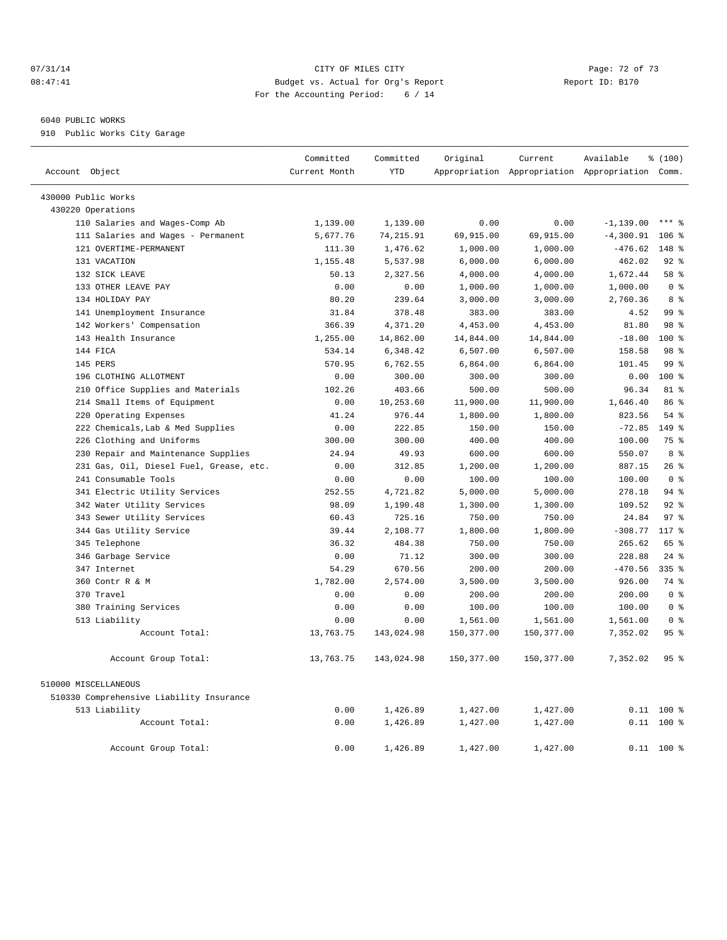#### 07/31/14 Page: 72 of 73 08:47:41 Budget vs. Actual for Org's Report Changer Report ID: B170 For the Accounting Period: 6 / 14

#### 6040 PUBLIC WORKS

910 Public Works City Garage

|                                          | Committed     | Committed  | Original    | Current     | Available                                       | % (100)          |  |
|------------------------------------------|---------------|------------|-------------|-------------|-------------------------------------------------|------------------|--|
| Account Object                           | Current Month | <b>YTD</b> |             |             | Appropriation Appropriation Appropriation Comm. |                  |  |
| 430000 Public Works                      |               |            |             |             |                                                 |                  |  |
| 430220 Operations                        |               |            |             |             |                                                 |                  |  |
| 110 Salaries and Wages-Comp Ab           | 1,139.00      | 1,139.00   | 0.00        | 0.00        | $-1, 139.00$                                    | $***$ 8          |  |
| 111 Salaries and Wages - Permanent       | 5,677.76      | 74, 215.91 | 69,915.00   | 69,915.00   | $-4,300.91$                                     | $106$ %          |  |
| 121 OVERTIME-PERMANENT                   | 111.30        | 1,476.62   | 1,000.00    | 1,000.00    | $-476.62$                                       | $148*$           |  |
| 131 VACATION                             | 1,155.48      | 5,537.98   | 6,000.00    | 6,000.00    | 462.02                                          | $92$ $%$         |  |
| 132 SICK LEAVE                           | 50.13         | 2,327.56   | 4,000.00    | 4,000.00    | 1,672.44                                        | 58 %             |  |
| 133 OTHER LEAVE PAY                      | 0.00          | 0.00       | 1,000.00    | 1,000.00    | 1,000.00                                        | 0 <sup>8</sup>   |  |
| 134 HOLIDAY PAY                          | 80.20         | 239.64     | 3,000.00    | 3,000.00    | 2,760.36                                        | 8 %              |  |
| 141 Unemployment Insurance               | 31.84         | 378.48     | 383.00      | 383.00      | 4.52                                            | 99 <sup>8</sup>  |  |
| 142 Workers' Compensation                | 366.39        | 4,371.20   | 4,453.00    | 4,453.00    | 81.80                                           | 98 %             |  |
| 143 Health Insurance                     | 1,255.00      | 14,862.00  | 14,844.00   | 14,844.00   | $-18.00$                                        | 100 <sub>8</sub> |  |
| 144 FICA                                 | 534.14        | 6,348.42   | 6,507.00    | 6,507.00    | 158.58                                          | 98 %             |  |
| 145 PERS                                 | 570.95        | 6,762.55   | 6,864.00    | 6,864.00    | 101.45                                          | 99 <sup>8</sup>  |  |
| 196 CLOTHING ALLOTMENT                   | 0.00          | 300.00     | 300.00      | 300.00      | 0.00                                            | 100 <sub>8</sub> |  |
| 210 Office Supplies and Materials        | 102.26        | 403.66     | 500.00      | 500.00      | 96.34                                           | $81$ %           |  |
| 214 Small Items of Equipment             | 0.00          | 10,253.60  | 11,900.00   | 11,900.00   | 1,646.40                                        | 86 %             |  |
| 220 Operating Expenses                   | 41.24         | 976.44     | 1,800.00    | 1,800.00    | 823.56                                          | 54 %             |  |
| 222 Chemicals, Lab & Med Supplies        | 0.00          | 222.85     | 150.00      | 150.00      | $-72.85$                                        | $149$ %          |  |
| 226 Clothing and Uniforms                | 300.00        | 300.00     | 400.00      | 400.00      | 100.00                                          | 75 %             |  |
| 230 Repair and Maintenance Supplies      | 24.94         | 49.93      | 600.00      | 600.00      | 550.07                                          | 8 %              |  |
| 231 Gas, Oil, Diesel Fuel, Grease, etc.  | 0.00          | 312.85     | 1,200.00    | 1,200.00    | 887.15                                          | 26%              |  |
| 241 Consumable Tools                     | 0.00          | 0.00       | 100.00      | 100.00      | 100.00                                          | 0 <sup>8</sup>   |  |
| 341 Electric Utility Services            | 252.55        | 4,721.82   | 5,000.00    | 5,000.00    | 278.18                                          | 94%              |  |
| 342 Water Utility Services               | 98.09         | 1,190.48   | 1,300.00    | 1,300.00    | 109.52                                          | $92$ $%$         |  |
| 343 Sewer Utility Services               | 60.43         | 725.16     | 750.00      | 750.00      | 24.84                                           | 97%              |  |
| 344 Gas Utility Service                  | 39.44         | 2,108.77   | 1,800.00    | 1,800.00    | $-308.77$                                       | 117 %            |  |
| 345 Telephone                            | 36.32         | 484.38     | 750.00      | 750.00      | 265.62                                          | 65 %             |  |
| 346 Garbage Service                      | 0.00          | 71.12      | 300.00      | 300.00      | 228.88                                          | $24$ $%$         |  |
| 347 Internet                             | 54.29         | 670.56     | 200.00      | 200.00      | $-470.56$                                       | $335$ $%$        |  |
| 360 Contr R & M                          | 1,782.00      | 2,574.00   | 3,500.00    | 3,500.00    | 926.00                                          | 74 %             |  |
| 370 Travel                               | 0.00          | 0.00       | 200.00      | 200.00      | 200.00                                          | 0 <sup>8</sup>   |  |
| 380 Training Services                    | 0.00          | 0.00       | 100.00      | 100.00      | 100.00                                          | 0 <sup>8</sup>   |  |
| 513 Liability                            | 0.00          | 0.00       | 1,561.00    | 1,561.00    | 1,561.00                                        | 0 <sup>8</sup>   |  |
| Account Total:                           | 13,763.75     | 143,024.98 | 150, 377.00 | 150, 377.00 | 7,352.02                                        | 95 <sup>8</sup>  |  |
| Account Group Total:                     | 13,763.75     | 143,024.98 | 150,377.00  | 150,377.00  | 7,352.02                                        | 95%              |  |
| 510000 MISCELLANEOUS                     |               |            |             |             |                                                 |                  |  |
| 510330 Comprehensive Liability Insurance |               |            |             |             |                                                 |                  |  |
| 513 Liability                            | 0.00          | 1,426.89   | 1,427.00    | 1,427.00    |                                                 | $0.11$ 100 %     |  |
| Account Total:                           | 0.00          | 1,426.89   | 1,427.00    | 1,427.00    |                                                 | $0.11$ 100 %     |  |
| Account Group Total:                     | 0.00          | 1,426.89   | 1,427.00    | 1,427.00    |                                                 | $0.11$ 100 %     |  |